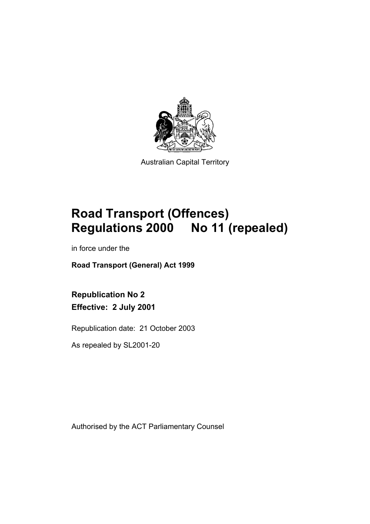

Australian Capital Territory

# **Road Transport (Offences) Regulations 2000 No 11 (repealed)**

in force under the

**Road Transport (General) Act 1999** 

**Republication No 2 Effective: 2 July 2001** 

Republication date: 21 October 2003

As repealed by SL2001-20

Authorised by the ACT Parliamentary Counsel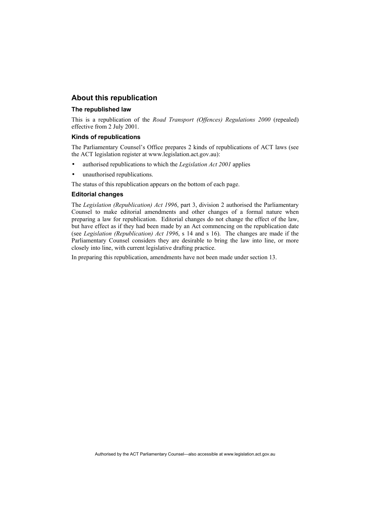### **About this republication**

#### **The republished law**

This is a republication of the *Road Transport (Offences) Regulations 2000* (repealed) effective from 2 July 2001.

#### **Kinds of republications**

The Parliamentary Counsel's Office prepares 2 kinds of republications of ACT laws (see the ACT legislation register at www.legislation.act.gov.au):

- authorised republications to which the *Legislation Act 2001* applies
- unauthorised republications.

The status of this republication appears on the bottom of each page.

#### **Editorial changes**

The *Legislation (Republication) Act 1996*, part 3, division 2 authorised the Parliamentary Counsel to make editorial amendments and other changes of a formal nature when preparing a law for republication. Editorial changes do not change the effect of the law, but have effect as if they had been made by an Act commencing on the republication date (see *Legislation (Republication) Act 1996*, s 14 and s 16). The changes are made if the Parliamentary Counsel considers they are desirable to bring the law into line, or more closely into line, with current legislative drafting practice.

In preparing this republication, amendments have not been made under section 13.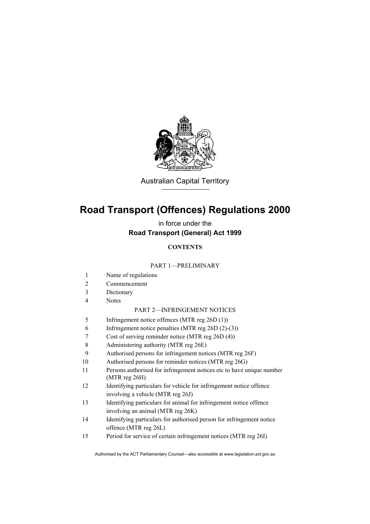

Australian Capital Territory

# **Road Transport (Offences) Regulations 2000**

in force under the **Road Transport (General) Act 1999** 

### **CONTENTS**

#### PART 1—PRELIMINARY

- 1 Name of regulations
- 2 Commencement
- 3 Dictionary
- 4 Notes

#### PART 2—INFRINGEMENT NOTICES

- 5 Infringement notice offences (MTR reg 26D (1))
- 6 Infringement notice penalties (MTR reg 26D (2)-(3))
- 7 Cost of serving reminder notice (MTR reg 26D (4))
- 8 Administering authority (MTR reg 26E)
- 9 Authorised persons for infringement notices (MTR reg 26F)
- 10 Authorised persons for reminder notices (MTR reg 26G)
- 11 Persons authorised for infringement notices etc to have unique number (MTR reg 26H)
- 12 Identifying particulars for vehicle for infringement notice offence involving a vehicle (MTR reg 26J)
- 13 Identifying particulars for animal for infringement notice offence involving an animal (MTR reg 26K)
- 14 Identifying particulars for authorised person for infringement notice offence (MTR reg 26L)
- 15 Period for service of certain infringement notices (MTR reg 26I)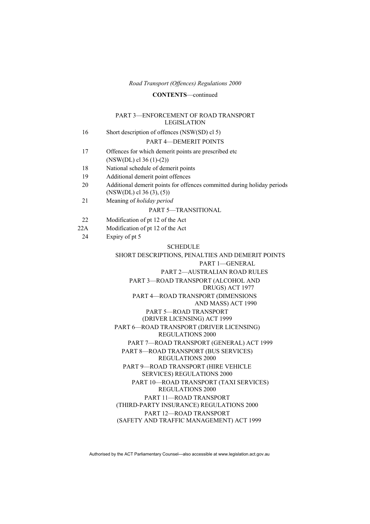#### **CONTENTS**—continued

#### PART 3—ENFORCEMENT OF ROAD TRANSPORT LEGISLATION

- 16 Short description of offences (NSW(SD) cl 5) PART 4—DEMERIT POINTS 17 Offences for which demerit points are prescribed etc (NSW(DL) cl 36 (1)-(2)) 18 National schedule of demerit points 19 Additional demerit point offences 20 Additional demerit points for offences committed during holiday periods (NSW(DL) cl 36 (3), (5)) 21 Meaning of *holiday period* PART 5—TRANSITIONAL 22 Modification of pt 12 of the Act 22A Modification of pt 12 of the Act 24 Expiry of pt 5 SCHEDULE SHORT DESCRIPTIONS, PENALTIES AND DEMERIT POINTS PART 1—GENERAL PART 2—AUSTRALIAN ROAD RULES PART 3—ROAD TRANSPORT (ALCOHOL AND DRUGS) ACT 1977 PART 4—ROAD TRANSPORT (DIMENSIONS
- 
- 
- 

# AND MASS) ACT 1990 PART 5—ROAD TRANSPORT (DRIVER LICENSING) ACT 1999 PART 6—ROAD TRANSPORT (DRIVER LICENSING) REGULATIONS 2000 PART 7—ROAD TRANSPORT (GENERAL) ACT 1999 PART 8—ROAD TRANSPORT (BUS SERVICES) REGULATIONS 2000 PART 9—ROAD TRANSPORT (HIRE VEHICLE SERVICES) REGULATIONS 2000 PART 10—ROAD TRANSPORT (TAXI SERVICES) REGULATIONS 2000

 PART 11—ROAD TRANSPORT (THIRD-PARTY INSURANCE) REGULATIONS 2000 PART 12—ROAD TRANSPORT (SAFETY AND TRAFFIC MANAGEMENT) ACT 1999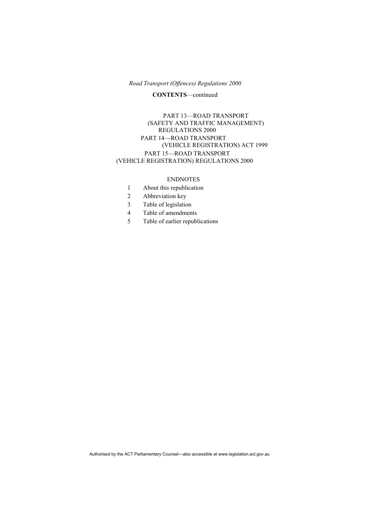#### **CONTENTS**—continued

#### PART 13—ROAD TRANSPORT (SAFETY AND TRAFFIC MANAGEMENT) REGULATIONS 2000 PART 14—ROAD TRANSPORT (VEHICLE REGISTRATION) ACT 1999 PART 15—ROAD TRANSPORT (VEHICLE REGISTRATION) REGULATIONS 2000

#### ENDNOTES

- 1 About this republication
- 2 Abbreviation key
- 3 Table of legislation
- 4 Table of amendments
- 5 Table of earlier republications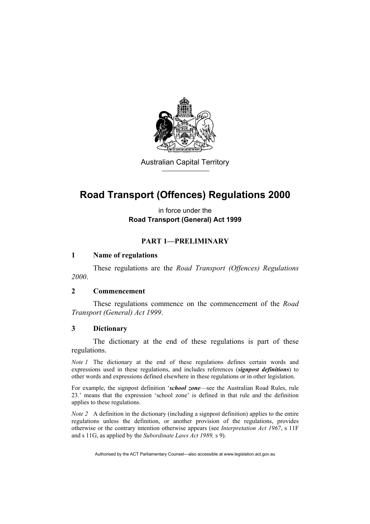

Australian Capital Territory

# **Road Transport (Offences) Regulations 2000**

in force under the **Road Transport (General) Act 1999** 

# **PART 1—PRELIMINARY**

# **1 Name of regulations**

 These regulations are the *Road Transport (Offences) Regulations 2000*.

### **2 Commencement**

 These regulations commence on the commencement of the *Road Transport (General) Act 1999*.

### **3 Dictionary**

 The dictionary at the end of these regulations is part of these regulations.

*Note 1* The dictionary at the end of these regulations defines certain words and expressions used in these regulations, and includes references (*signpost definitions*) to other words and expressions defined elsewhere in these regulations or in other legislation.

For example, the signpost definition '*school zone*—see the Australian Road Rules, rule 23.' means that the expression 'school zone' is defined in that rule and the definition applies to these regulations.

*Note 2* A definition in the dictionary (including a signpost definition) applies to the entire regulations unless the definition, or another provision of the regulations, provides otherwise or the contrary intention otherwise appears (see *Interpretation Act 1967*, s 11F and s 11G, as applied by the *Subordinate Laws Act 1989,* s 9).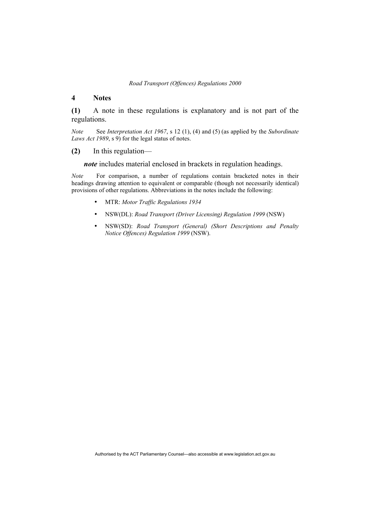#### **4 Notes**

**(1)** A note in these regulations is explanatory and is not part of the regulations.

*Note* See *Interpretation Act 1967*, s 12 (1), (4) and (5) (as applied by the *Subordinate Laws Act 1989*, s 9) for the legal status of notes.

#### **(2)** In this regulation—

*note* includes material enclosed in brackets in regulation headings.

*Note* For comparison, a number of regulations contain bracketed notes in their headings drawing attention to equivalent or comparable (though not necessarily identical) provisions of other regulations. Abbreviations in the notes include the following:

- MTR: *Motor Traffic Regulations 1934*
- NSW(DL): *Road Transport (Driver Licensing) Regulation 1999* (NSW)
- NSW(SD): *Road Transport (General) (Short Descriptions and Penalty Notice Offences) Regulation 1999* (NSW).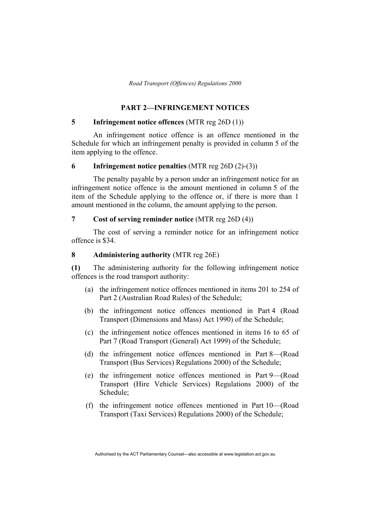### **PART 2—INFRINGEMENT NOTICES**

### **5 Infringement notice offences** (MTR reg 26D (1))

 An infringement notice offence is an offence mentioned in the Schedule for which an infringement penalty is provided in column 5 of the item applying to the offence.

#### **6 Infringement notice penalties** (MTR reg 26D (2)-(3))

 The penalty payable by a person under an infringement notice for an infringement notice offence is the amount mentioned in column 5 of the item of the Schedule applying to the offence or, if there is more than 1 amount mentioned in the column, the amount applying to the person.

#### **7 Cost of serving reminder notice** (MTR reg 26D (4))

 The cost of serving a reminder notice for an infringement notice offence is \$34.

#### **8 Administering authority** (MTR reg 26E)

**(1)** The administering authority for the following infringement notice offences is the road transport authority:

- (a) the infringement notice offences mentioned in items 201 to 254 of Part 2 (Australian Road Rules) of the Schedule;
- (b) the infringement notice offences mentioned in Part 4 (Road Transport (Dimensions and Mass) Act 1990) of the Schedule;
- (c) the infringement notice offences mentioned in items 16 to 65 of Part 7 (Road Transport (General) Act 1999) of the Schedule;
- (d) the infringement notice offences mentioned in Part 8—(Road Transport (Bus Services) Regulations 2000) of the Schedule;
- (e) the infringement notice offences mentioned in Part 9—(Road Transport (Hire Vehicle Services) Regulations 2000) of the Schedule;
- (f) the infringement notice offences mentioned in Part 10—(Road Transport (Taxi Services) Regulations 2000) of the Schedule;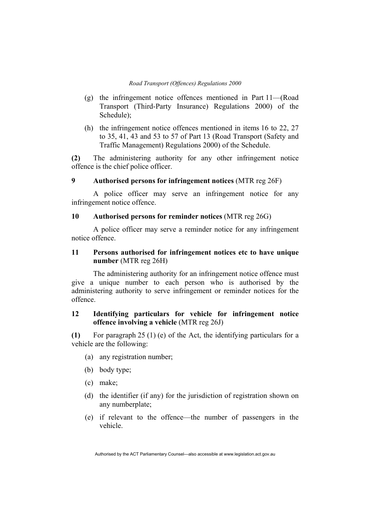- (g) the infringement notice offences mentioned in Part 11—(Road Transport (Third-Party Insurance) Regulations 2000) of the Schedule);
- (h) the infringement notice offences mentioned in items 16 to 22, 27 to 35, 41, 43 and 53 to 57 of Part 13 (Road Transport (Safety and Traffic Management) Regulations 2000) of the Schedule.

**(2)** The administering authority for any other infringement notice offence is the chief police officer.

# **9 Authorised persons for infringement notices** (MTR reg 26F)

 A police officer may serve an infringement notice for any infringement notice offence.

## **10 Authorised persons for reminder notices** (MTR reg 26G)

 A police officer may serve a reminder notice for any infringement notice offence.

### **11 Persons authorised for infringement notices etc to have unique number** (MTR reg 26H)

 The administering authority for an infringement notice offence must give a unique number to each person who is authorised by the administering authority to serve infringement or reminder notices for the offence.

# **12 Identifying particulars for vehicle for infringement notice offence involving a vehicle** (MTR reg 26J)

**(1)** For paragraph 25 (1) (e) of the Act, the identifying particulars for a vehicle are the following:

- (a) any registration number;
- (b) body type;
- (c) make;
- (d) the identifier (if any) for the jurisdiction of registration shown on any numberplate;
- (e) if relevant to the offence—the number of passengers in the vehicle.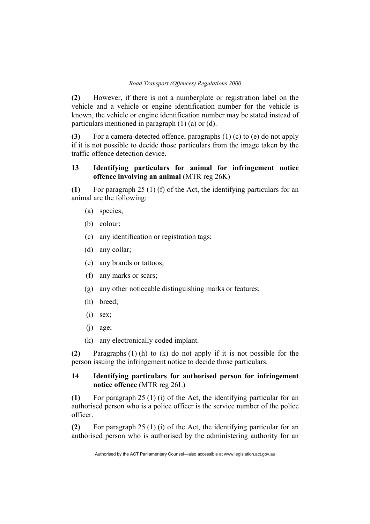**(2)** However, if there is not a numberplate or registration label on the vehicle and a vehicle or engine identification number for the vehicle is known, the vehicle or engine identification number may be stated instead of particulars mentioned in paragraph (1) (a) or (d).

**(3)** For a camera-detected offence, paragraphs (1) (c) to (e) do not apply if it is not possible to decide those particulars from the image taken by the traffic offence detection device.

# **13 Identifying particulars for animal for infringement notice offence involving an animal** (MTR reg 26K)

**(1)** For paragraph 25 (1) (f) of the Act, the identifying particulars for an animal are the following:

- (a) species;
- (b) colour;
- (c) any identification or registration tags;
- (d) any collar;
- (e) any brands or tattoos;
- (f) any marks or scars;
- (g) any other noticeable distinguishing marks or features;
- (h) breed;
- $(i)$  sex;
- $(i)$  age;
- (k) any electronically coded implant.

**(2)** Paragraphs (1) (h) to (k) do not apply if it is not possible for the person issuing the infringement notice to decide those particulars.

# **14 Identifying particulars for authorised person for infringement notice offence** (MTR reg 26L)

**(1)** For paragraph 25 (1) (i) of the Act, the identifying particular for an authorised person who is a police officer is the service number of the police officer.

**(2)** For paragraph 25 (1) (i) of the Act, the identifying particular for an authorised person who is authorised by the administering authority for an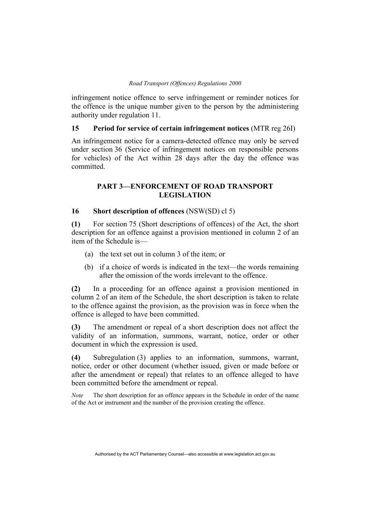infringement notice offence to serve infringement or reminder notices for the offence is the unique number given to the person by the administering authority under regulation 11.

### **15 Period for service of certain infringement notices** (MTR reg 26I)

An infringement notice for a camera-detected offence may only be served under section 36 (Service of infringement notices on responsible persons for vehicles) of the Act within 28 days after the day the offence was committed.

## **PART 3—ENFORCEMENT OF ROAD TRANSPORT LEGISLATION**

# **16 Short description of offences** (NSW(SD) cl 5)

**(1)** For section 75 (Short descriptions of offences) of the Act, the short description for an offence against a provision mentioned in column 2 of an item of the Schedule is—

- (a) the text set out in column 3 of the item; or
- (b) if a choice of words is indicated in the text—the words remaining after the omission of the words irrelevant to the offence.

**(2)** In a proceeding for an offence against a provision mentioned in column 2 of an item of the Schedule, the short description is taken to relate to the offence against the provision, as the provision was in force when the offence is alleged to have been committed.

**(3)** The amendment or repeal of a short description does not affect the validity of an information, summons, warrant, notice, order or other document in which the expression is used.

**(4)** Subregulation (3) applies to an information, summons, warrant, notice, order or other document (whether issued, given or made before or after the amendment or repeal) that relates to an offence alleged to have been committed before the amendment or repeal.

*Note* The short description for an offence appears in the Schedule in order of the name of the Act or instrument and the number of the provision creating the offence.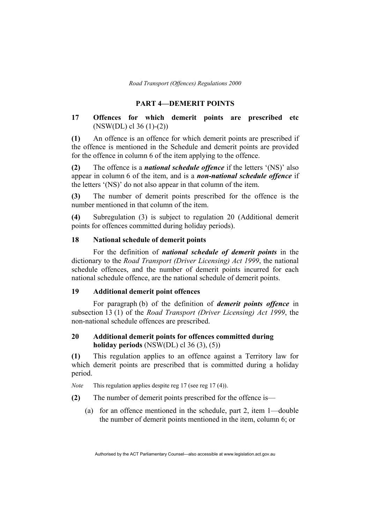#### **PART 4—DEMERIT POINTS**

# **17 Offences for which demerit points are prescribed etc**  (NSW(DL) cl 36 (1)-(2))

**(1)** An offence is an offence for which demerit points are prescribed if the offence is mentioned in the Schedule and demerit points are provided for the offence in column 6 of the item applying to the offence.

**(2)** The offence is a *national schedule offence* if the letters '(NS)' also appear in column 6 of the item, and is a *non-national schedule offence* if the letters '(NS)' do not also appear in that column of the item.

**(3)** The number of demerit points prescribed for the offence is the number mentioned in that column of the item.

**(4)** Subregulation (3) is subject to regulation 20 (Additional demerit points for offences committed during holiday periods).

#### **18 National schedule of demerit points**

 For the definition of *national schedule of demerit points* in the dictionary to the *Road Transport (Driver Licensing) Act 1999*, the national schedule offences, and the number of demerit points incurred for each national schedule offence, are the national schedule of demerit points.

#### **19 Additional demerit point offences**

For paragraph (b) of the definition of *demerit points offence* in subsection 13 (1) of the *Road Transport (Driver Licensing) Act 1999*, the non-national schedule offences are prescribed.

# **20 Additional demerit points for offences committed during holiday periods** (NSW(DL) cl 36 (3), (5))

**(1)** This regulation applies to an offence against a Territory law for which demerit points are prescribed that is committed during a holiday period.

*Note* This regulation applies despite reg 17 (see reg 17 (4)).

**(2)** The number of demerit points prescribed for the offence is—

 (a) for an offence mentioned in the schedule, part 2, item 1—double the number of demerit points mentioned in the item, column 6; or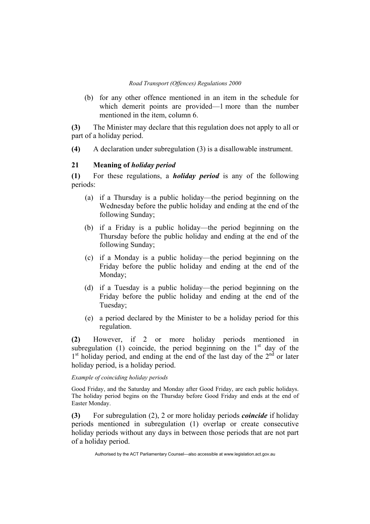(b) for any other offence mentioned in an item in the schedule for which demerit points are provided—1 more than the number mentioned in the item, column 6.

**(3)** The Minister may declare that this regulation does not apply to all or part of a holiday period.

**(4)** A declaration under subregulation (3) is a disallowable instrument.

### **21 Meaning of** *holiday period*

**(1)** For these regulations, a *holiday period* is any of the following periods:

- (a) if a Thursday is a public holiday—the period beginning on the Wednesday before the public holiday and ending at the end of the following Sunday;
- (b) if a Friday is a public holiday—the period beginning on the Thursday before the public holiday and ending at the end of the following Sunday;
- (c) if a Monday is a public holiday—the period beginning on the Friday before the public holiday and ending at the end of the Monday;
- (d) if a Tuesday is a public holiday—the period beginning on the Friday before the public holiday and ending at the end of the Tuesday;
- (e) a period declared by the Minister to be a holiday period for this regulation.

**(2)** However, if 2 or more holiday periods mentioned in subregulation (1) coincide, the period beginning on the  $1<sup>st</sup>$  day of the  $1<sup>st</sup>$  holiday period, and ending at the end of the last day of the  $2<sup>nd</sup>$  or later holiday period, is a holiday period.

*Example of coinciding holiday periods* 

Good Friday, and the Saturday and Monday after Good Friday, are each public holidays. The holiday period begins on the Thursday before Good Friday and ends at the end of Easter Monday.

**(3)** For subregulation (2), 2 or more holiday periods *coincide* if holiday periods mentioned in subregulation (1) overlap or create consecutive holiday periods without any days in between those periods that are not part of a holiday period.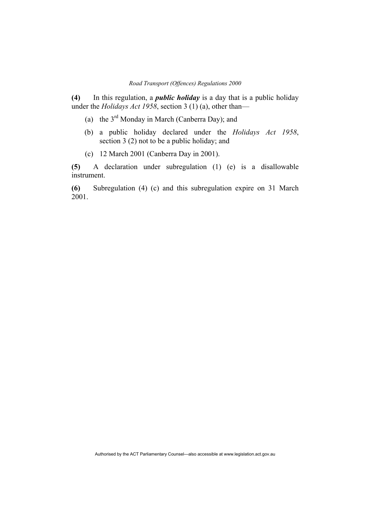**(4)** In this regulation, a *public holiday* is a day that is a public holiday under the *Holidays Act 1958*, section 3 (1) (a), other than—

- (a) the  $3<sup>rd</sup>$  Monday in March (Canberra Day); and
- (b) a public holiday declared under the *Holidays Act 1958*, section 3 (2) not to be a public holiday; and
- (c) 12 March 2001 (Canberra Day in 2001).

**(5)** A declaration under subregulation (1) (e) is a disallowable instrument.

**(6)** Subregulation (4) (c) and this subregulation expire on 31 March 2001.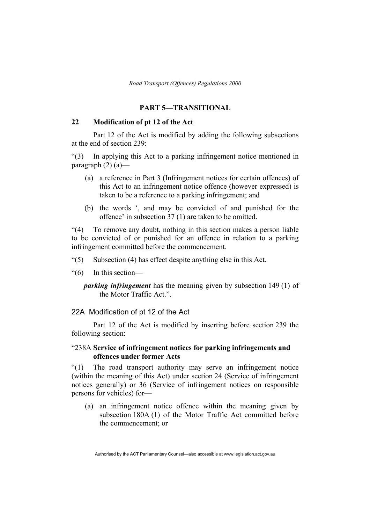### **PART 5—TRANSITIONAL**

## **22 Modification of pt 12 of the Act**

Part 12 of the Act is modified by adding the following subsections at the end of section 239:

"(3) In applying this Act to a parking infringement notice mentioned in paragraph  $(2)$   $(a)$ —

- (a) a reference in Part 3 (Infringement notices for certain offences) of this Act to an infringement notice offence (however expressed) is taken to be a reference to a parking infringement; and
- (b) the words ', and may be convicted of and punished for the offence' in subsection 37 (1) are taken to be omitted.

"(4) To remove any doubt, nothing in this section makes a person liable to be convicted of or punished for an offence in relation to a parking infringement committed before the commencement.

- "(5) Subsection (4) has effect despite anything else in this Act.
- "(6) In this section
	- *parking infringement* has the meaning given by subsection 149 (1) of the Motor Traffic Act.".

## 22A Modification of pt 12 of the Act

 Part 12 of the Act is modified by inserting before section 239 the following section:

### "238A **Service of infringement notices for parking infringements and offences under former Acts**

"(1) The road transport authority may serve an infringement notice (within the meaning of this Act) under section 24 (Service of infringement notices generally) or 36 (Service of infringement notices on responsible persons for vehicles) for—

 (a) an infringement notice offence within the meaning given by subsection 180A (1) of the Motor Traffic Act committed before the commencement; or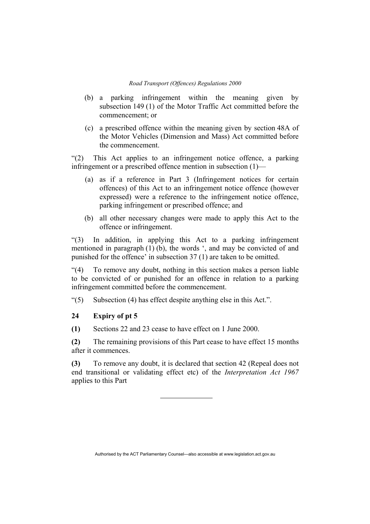- (b) a parking infringement within the meaning given by subsection 149 (1) of the Motor Traffic Act committed before the commencement; or
- (c) a prescribed offence within the meaning given by section 48A of the Motor Vehicles (Dimension and Mass) Act committed before the commencement.

"(2) This Act applies to an infringement notice offence, a parking infringement or a prescribed offence mention in subsection (1)—

- (a) as if a reference in Part 3 (Infringement notices for certain offences) of this Act to an infringement notice offence (however expressed) were a reference to the infringement notice offence, parking infringement or prescribed offence; and
- (b) all other necessary changes were made to apply this Act to the offence or infringement.

"(3) In addition, in applying this Act to a parking infringement mentioned in paragraph (1) (b), the words ', and may be convicted of and punished for the offence' in subsection 37 (1) are taken to be omitted.

"(4) To remove any doubt, nothing in this section makes a person liable to be convicted of or punished for an offence in relation to a parking infringement committed before the commencement.

"(5) Subsection (4) has effect despite anything else in this Act.".

#### **24 Expiry of pt 5**

**(1)** Sections 22 and 23 cease to have effect on 1 June 2000.

**(2)** The remaining provisions of this Part cease to have effect 15 months after it commences.

**(3)** To remove any doubt, it is declared that section 42 (Repeal does not end transitional or validating effect etc) of the *Interpretation Act 1967* applies to this Part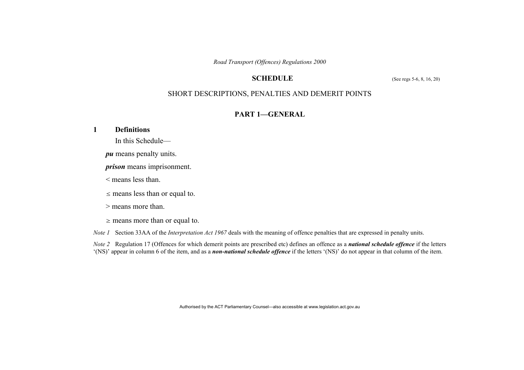### **SCHEDULE** (See regs 5-6, 8, 16, 20)

# SHORT DESCRIPTIONS, PENALTIES AND DEMERIT POINTS

# **PART 1—GENERAL**

### **1 Definitions**

In this Schedule—

*pu* means penalty units.

*prison* means imprisonment.

< means less than.

 $\leq$  means less than or equal to.

> means more than.

<sup>≥</sup> means more than or equal to.

*Note 1* Section 33AA of the *Interpretation Act 1967* deals with the meaning of offence penalties that are expressed in penalty units.

*Note 2* Regulation 17 (Offences for which demerit points are prescribed etc) defines an offence as a *national schedule offence* if the letters '(NS)' appear in column 6 of the item, and as a *non-national schedule offence* if the letters '(NS)' do not appear in that column of the item.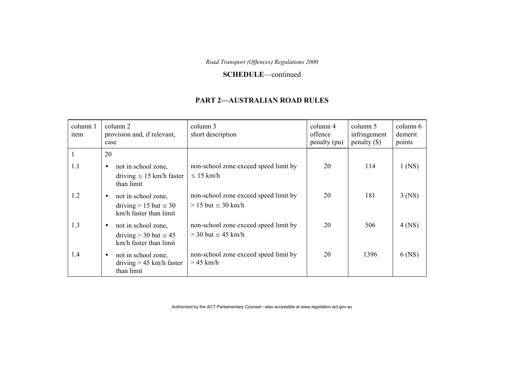#### **SCHEDULE**—continued

#### **PART 2—AUSTRALIAN ROAD RULES**

| column 1<br>item | column 2<br>provision and, if relevant,<br>case                                            | column 3<br>short description                                      | column 4<br>offence<br>penalty (pu) | column 5<br>infringement<br>penalty $(\$)$ | column 6<br>demerit<br>points |
|------------------|--------------------------------------------------------------------------------------------|--------------------------------------------------------------------|-------------------------------------|--------------------------------------------|-------------------------------|
|                  | 20                                                                                         |                                                                    |                                     |                                            |                               |
| 1.1              | not in school zone,<br>$\bullet$<br>driving $\leq 15$ km/h faster<br>than limit            | non-school zone exceed speed limit by<br>$\leq 15$ km/h            | 20                                  | 114                                        | $1$ (NS)                      |
| 1.2              | not in school zone,<br>$\bullet$<br>driving $> 15$ but $\leq 30$<br>km/h faster than limit | non-school zone exceed speed limit by<br>$> 15$ but $\leq 30$ km/h | 20                                  | 181                                        | $3$ (NS)                      |
| 1.3              | not in school zone,<br>$\bullet$<br>driving $>$ 30 but $\leq$ 45<br>km/h faster than limit | non-school zone exceed speed limit by<br>$>$ 30 but $\leq$ 45 km/h | 20                                  | 506                                        | $4$ (NS)                      |
| 1.4              | not in school zone,<br>$\bullet$<br>driving $> 45$ km/h faster<br>than limit               | non-school zone exceed speed limit by<br>$>45$ km/h                | 20                                  | 1396                                       | $6$ (NS)                      |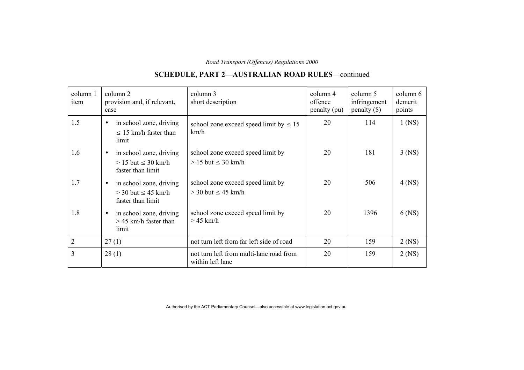# **SCHEDULE, PART 2—AUSTRALIAN ROAD RULES**—continued

| column 1<br>item | column 2<br>provision and, if relevant,<br>case                                        | column 3<br>short description                                  | column 4<br>offence<br>penalty (pu) | column 5<br>infringement<br>$penalty$ (\$) | column 6<br>demerit<br>points |
|------------------|----------------------------------------------------------------------------------------|----------------------------------------------------------------|-------------------------------------|--------------------------------------------|-------------------------------|
| 1.5              | in school zone, driving<br>$\bullet$<br>$\leq$ 15 km/h faster than<br>limit            | school zone exceed speed limit by $\leq 15$<br>km/h            | 20                                  | 114                                        | $1$ (NS)                      |
| 1.6              | in school zone, driving<br>$\bullet$<br>$> 15$ but $\leq 30$ km/h<br>faster than limit | school zone exceed speed limit by<br>$> 15$ but $\leq 30$ km/h | 20                                  | 181                                        | $3$ (NS)                      |
| 1.7              | in school zone, driving<br>$\bullet$<br>$>$ 30 but $\leq$ 45 km/h<br>faster than limit | school zone exceed speed limit by<br>$>$ 30 but $\leq$ 45 km/h | 20                                  | 506                                        | $4$ (NS)                      |
| 1.8              | in school zone, driving<br>$\bullet$<br>$>$ 45 km/h faster than<br>limit               | school zone exceed speed limit by<br>$>45$ km/h                | 20                                  | 1396                                       | $6$ (NS)                      |
| 2                | 27(1)                                                                                  | not turn left from far left side of road                       | 20                                  | 159                                        | $2$ (NS)                      |
| 3                | 28(1)                                                                                  | not turn left from multi-lane road from<br>within left lane    | 20                                  | 159                                        | $2$ (NS)                      |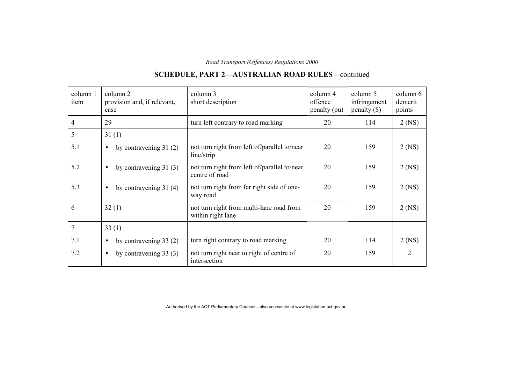# **SCHEDULE, PART 2—AUSTRALIAN ROAD RULES**—continued

| column 1<br>item | column 2<br>provision and, if relevant,<br>case | column 3<br>short description                                  | column 4<br>offence<br>penalty (pu) | column 5<br>infringement<br>$penalty$ (\$) | column 6<br>demerit<br>points |
|------------------|-------------------------------------------------|----------------------------------------------------------------|-------------------------------------|--------------------------------------------|-------------------------------|
| 4                | 29                                              | turn left contrary to road marking                             | 20                                  | 114                                        | $2$ (NS)                      |
| 5                | 31(1)                                           |                                                                |                                     |                                            |                               |
| 5.1              | by contravening $31(2)$<br>$\bullet$            | not turn right from left of/parallel to/near<br>line/strip     | 20                                  | 159                                        | $2$ (NS)                      |
| 5.2              | by contravening $31(3)$<br>$\bullet$            | not turn right from left of/parallel to/near<br>centre of road | 20                                  | 159                                        | $2$ (NS)                      |
| 5.3              | by contravening $31(4)$<br>$\bullet$            | not turn right from far right side of one-<br>way road         | 20                                  | 159                                        | $2$ (NS)                      |
| 6                | 32(1)                                           | not turn right from multi-lane road from<br>within right lane  | 20                                  | 159                                        | $2$ (NS)                      |
| $\overline{7}$   | 33(1)                                           |                                                                |                                     |                                            |                               |
| 7.1              | by contravening $33(2)$<br>$\bullet$            | turn right contrary to road marking                            | 20                                  | 114                                        | 2 (NS)                        |
| 7.2              | by contravening $33(3)$<br>$\bullet$            | not turn right near to right of centre of<br>intersection      | 20                                  | 159                                        | 2                             |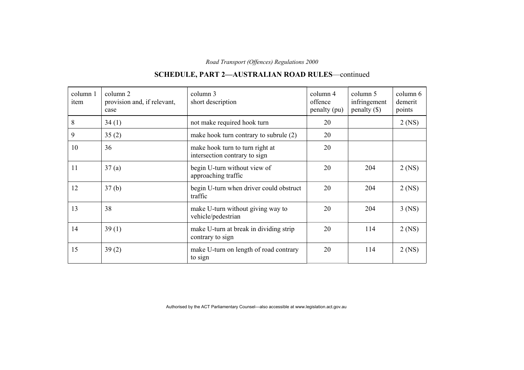#### column 1item column 2 provision and, if relevant, case column 3 short description column 4 offence penalty (pu) column 5 infringement penalty (\$) column 6demerit points 8  $34 (1)$  not make required hook turn 20  $2 (NS)$ 9  $35 (2)$  make hook turn contrary to subrule  $(2)$  20 10 36 make hook turn to turn right at intersection contrary to sign 20 11 37 (a) begin U-turn without view of approaching traffic 20 204 2 (NS) 12 37 (b) begin U-turn when driver could obstruct traffic 20 204 2 (NS) 13 38 and 38 and 38 and 38 and 38 and 38 and 38 and 38 and 38 and 38 and 38 and 38 and 38 and 38 and 38 and 38 and 38 and 38 and 38 and 38 and 38 and 38 and 38 and 38 and 38 and 38 and 38 and 38 and 38 and 38 and 38 and 38 vehicle/pedestrian 20 204 3 (NS) 14 39 (1) make U-turn at break in dividing strip contrary to sign 20 114 2 (NS) 15 39 (2) make U-turn on length of road contrary to sign 20 114 2 (NS)

## **SCHEDULE, PART 2—AUSTRALIAN ROAD RULES**—continued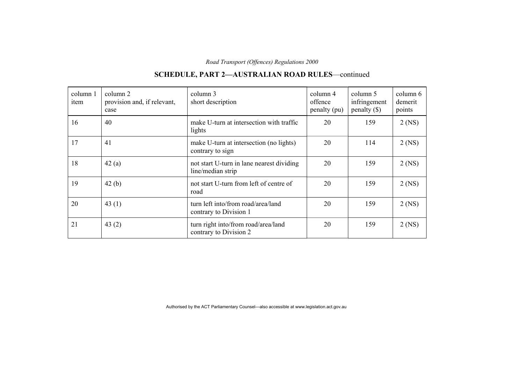| column 1<br>item | column 2<br>provision and, if relevant,<br>case | column 3<br>short description                                  | column 4<br>offence<br>penalty (pu) | column 5<br>infringement<br>$penalty$ (\$) | column 6<br>demerit<br>points |
|------------------|-------------------------------------------------|----------------------------------------------------------------|-------------------------------------|--------------------------------------------|-------------------------------|
| 16               | 40                                              | make U-turn at intersection with traffic<br>lights             | 20                                  | 159                                        | $2$ (NS)                      |
| 17               | 41                                              | make U-turn at intersection (no lights)<br>contrary to sign    | 20                                  | 114                                        | $2$ (NS)                      |
| 18               | 42(a)                                           | not start U-turn in lane nearest dividing<br>line/median strip | 20                                  | 159                                        | $2$ (NS)                      |
| 19               | 42(b)                                           | not start U-turn from left of centre of<br>road                | 20                                  | 159                                        | $2$ (NS)                      |
| 20               | 43 $(1)$                                        | turn left into/from road/area/land<br>contrary to Division 1   | 20                                  | 159                                        | $2$ (NS)                      |
| 21               | 43 $(2)$                                        | turn right into/from road/area/land<br>contrary to Division 2  | 20                                  | 159                                        | $2$ (NS)                      |

# **SCHEDULE, PART 2—AUSTRALIAN ROAD RULES**—continued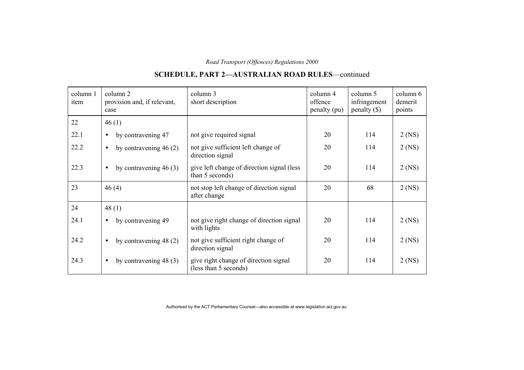#### column 1item column 2 provision and, if relevant, case column 3 short description column 4 offence penalty (pu) column 5 infringement penalty (\$) column 6demerit points 22  $\left| 46 \right( 1)$ 22.1 • by contravening 47 not give required signal 20 114 2 (NS) 22.2 • by contravening 46 (2) not give sufficient left change of direction signal 20 114 2 (NS) 22.3 • by contravening 46 (3) give left change of direction signal (less than 5 seconds) 20 114 2 (NS) 23 46 (4) not stop left change of direction signal after change 20 68 2 (NS) 24  $|48 (1)$ 24.1 • by contravening 49  $\vert$  not give right change of direction signal with lights 20 114 2 (NS) 24.2 • by contravening 48 (2) not give sufficient right change of direction signal 20 114 2 (NS) 24.3 • by contravening 48 (3) give right change of direction signal (less than 5 seconds) 20 114 2 (NS)

# **SCHEDULE, PART 2—AUSTRALIAN ROAD RULES**—continued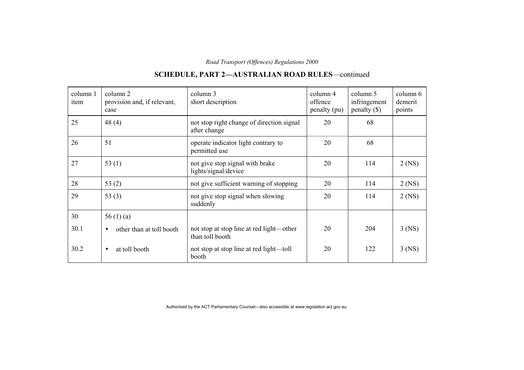#### column 1item column 2 provision and, if relevant, case column 3 short description column 4 offence penalty (pu) column 5 infringement penalty (\$) column 6demerit points 25 48 (4) hot stop right change of direction signal after change 20 68 26 51 operate indicator light contrary to permitted use 20 68  $27$   $\begin{array}{|l|} 53 \ (1) \end{array}$  not give stop signal with brake lights/signal/device 20 114 2 (NS) 28  $\vert$  53 (2) hot give sufficient warning of stopping  $\vert$  20  $\vert$  114  $\vert$  2 (NS) 29  $\begin{array}{|l|l|} \hline 29 & 53 (3) \end{array}$  not give stop signal when slowing suddenly 20 114 2 (NS) 30  $\Big| 56 (1) (a) \Big|$  $30.1$  • other than at toll booth not stop at stop line at red light—other than toll booth 20 204 3 (NS) 30.2 • at toll booth not stop at stop line at red light—toll booth 20 | 122 | 3 (NS)

# **SCHEDULE, PART 2—AUSTRALIAN ROAD RULES**—continued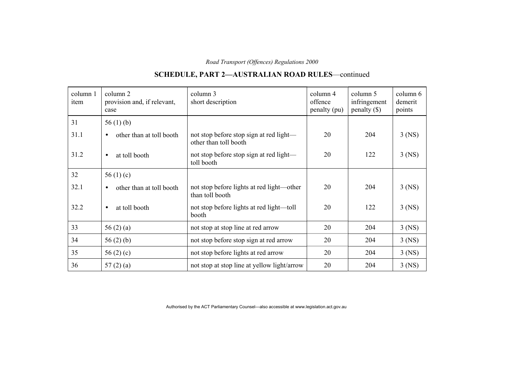#### column 1item column 2 provision and, if relevant, case column 3 short description column 4 offence penalty (pu) column 5 infringement penalty (\$) column 6demerit points  $31$  56 (1) (b) 31.1  $\bullet$  other than at toll booth not stop before stop sign at red light other than toll booth 20 204 3 (NS) 31.2 • at toll booth not stop before stop sign at red light toll booth 20 | 122 | 3 (NS) 32  $56(1)(c)$  $32.1$  • other than at toll booth not stop before lights at red light—other than toll booth 20 204 3 (NS)  $32.2$  • at toll booth not stop before lights at red light—toll booth 20 | 122 | 3 (NS) 33  $\left| \frac{56 (2) (a)}{3 \times 56 (2)} \right|$  not stop at stop line at red arrow 20  $\left| \frac{204}{3 (NS)} \right|$  $34$  | 56 (2) (b) | not stop before stop sign at red arrow | 20 | 204 | 3 (NS)  $35$   $56 (2) (c)$  not stop before lights at red arrow 20 204 3 (NS)  $36$  | 57 (2) (a) | not stop at stop line at yellow light/arrow | 20 | 204 | 3 (NS)

# **SCHEDULE, PART 2—AUSTRALIAN ROAD RULES**—continued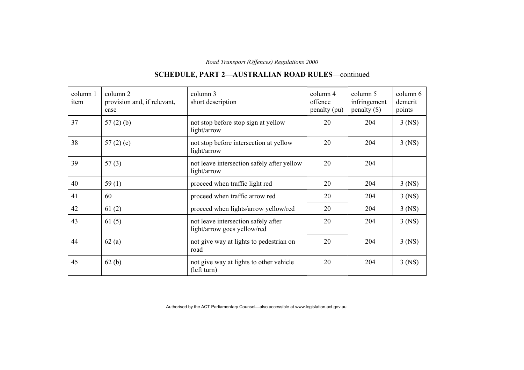#### column 1item column 2 provision and, if relevant, case column 3 short description column 4 offence penalty (pu) column 5 infringement penalty (\$) column 6demerit points  $37$   $57$  (2) (b) not stop before stop sign at yellow light/arrow 20 204 3 (NS)  $38$  |  $57 (2) (c)$  | not stop before intersection at yellow light/arrow 20 204 3 (NS)  $39$  57 (3) not leave intersection safely after yellow light/arrow 204 204 40  $\vert$  59 (1) proceed when traffic light red 20  $\vert$  204  $\vert$  3 (NS) 41 60 proceed when traffic arrow red 20 204 3 (NS)  $42$  61 (2) proceed when lights/arrow yellow/red 20 204 3 (NS) 43 61 (5) not leave intersection safely after light/arrow goes yellow/red 20 204 3 (NS) 44  $\int$  62 (a) not give way at lights to pedestrian on road 20 204 3 (NS) 45 62 (b) not give way at lights to other vehicle (left turn) 20 204 3 (NS)

# **SCHEDULE, PART 2—AUSTRALIAN ROAD RULES**—continued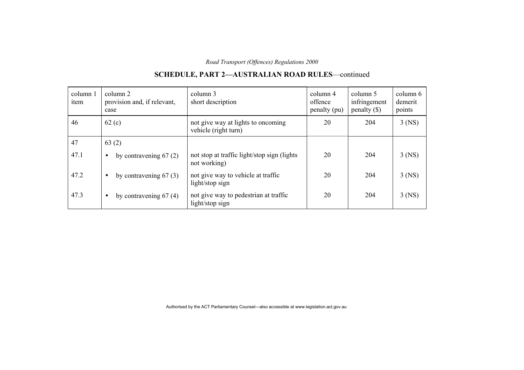#### column 1item column 2 provision and, if relevant, case column 3 short description column 4 offence penalty (pu) column 5 infringement penalty (\$) column 6demerit points 46 62 (c) not give way at lights to oncoming vehicle (right turn) 20 204 3 (NS) 47  $\begin{array}{|c|c|c|} \hline 63 & (2) & \hline \end{array}$ 47.1 • by contravening 67 (2) not stop at traffic light/stop sign (lights not working) 20 204 3 (NS) 47.2 • by contravening 67 (3) not give way to vehicle at traffic light/stop sign 20 204 3 (NS)

47.3 • by contravening 67 (4) not give way to pedestrian at traffic

light/stop sign

# **SCHEDULE, PART 2—AUSTRALIAN ROAD RULES**—continued

20 204 3 (NS)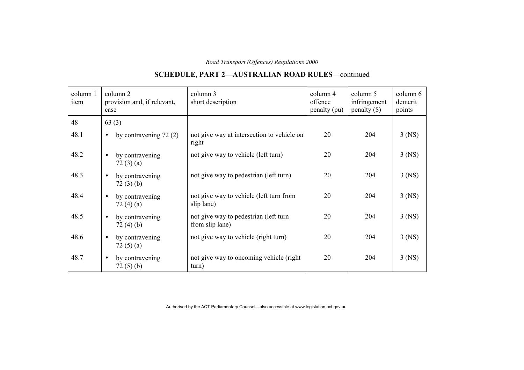#### column 1item column 2 provision and, if relevant, case column 3 short description column 4 offence penalty (pu) column 5 infringement penalty (\$) column 6demerit points 48 63 (3) 48.1 • by contravening 72 (2) not give way at intersection to vehicle on right 20 204 3 (NS) 48.2 • by contravening 72 (3) (a) not give way to vehicle (left turn) 20 204 3 (NS) 48.3 • by contravening 72 (3) (b) not give way to pedestrian (left turn)  $20$  204 3 (NS) 48.4 • by contravening  $72(4)(a)$ not give way to vehicle (left turn from slip lane) 20 204 3 (NS) 48.5 • by contravening 72 (4) (b) not give way to pedestrian (left turn from slip lane) 20 204 3 (NS) 48.6 • by contravening 72 (5) (a) not give way to vehicle (right turn) 20 204 3 (NS) 48.7 • by contravening 72 (5) (b) not give way to oncoming vehicle (right turn) 20 204 3 (NS)

# **SCHEDULE, PART 2—AUSTRALIAN ROAD RULES**—continued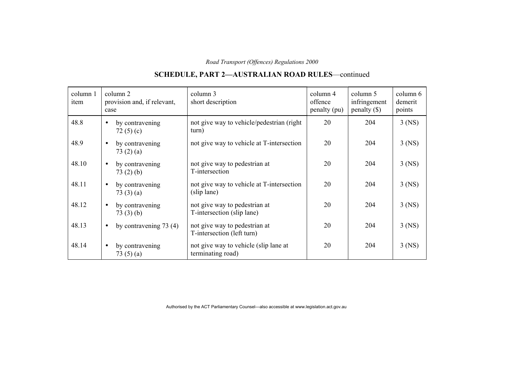#### column 1item column 2 provision and, if relevant, case column 3 short description column 4 offence penalty (pu) column 5 infringement penalty (\$) column 6demerit points 48.8 • by contravening  $72(5)(c)$ not give way to vehicle/pedestrian (right turn) 20 204 3 (NS) 48.9 • by contravening 73 (2) (a) not give way to vehicle at T-intersection 20 204 3 (NS) 48.10 • by contravening 73 (2) (b) not give way to pedestrian at T-intersection 20 204 3 (NS) 48.11 • by contravening 73 (3) (a) not give way to vehicle at T-intersection (slip lane) 20 204 3 (NS) 48.12 • by contravening 73 (3) (b) not give way to pedestrian at T-intersection (slip lane) 20 204 3 (NS) 48.13 • by contravening 73 (4) not give way to pedestrian at T-intersection (left turn) 20 204 3 (NS) 48.14 • by contravening 73 (5) (a) not give way to vehicle (slip lane at terminating road) 20 204 3 (NS)

# **SCHEDULE, PART 2—AUSTRALIAN ROAD RULES**—continued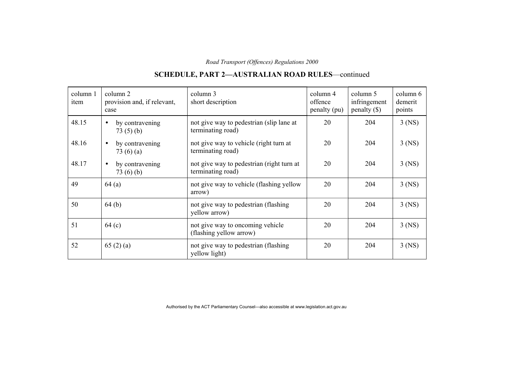#### column 1item column 2 provision and, if relevant, case column 3 short description column 4 offence penalty (pu) column 5 infringement penalty (\$) column 6demerit points 48.15 • by contravening 73 (5) (b) not give way to pedestrian (slip lane at terminating road) 20 204 3 (NS) 48.16 • by contravening 73 (6) (a) not give way to vehicle (right turn at terminating road) 20 204 3 (NS) 48.17 • by contravening 73 (6) (b) not give way to pedestrian (right turn at terminating road) 20 204 3 (NS) 49  $\begin{array}{|l|l|} \hline \end{array}$  64 (a) not give way to vehicle (flashing yellow arrow) 20 204 3 (NS) 50 64 (b) not give way to pedestrian (flashing yellow arrow) 20 204 3 (NS) 51 64 (c) not give way to oncoming vehicle (flashing yellow arrow) 20 204 3 (NS)  $52$  65 (2) (a) hot give way to pedestrian (flashing yellow light) 20 204 3 (NS)

# **SCHEDULE, PART 2—AUSTRALIAN ROAD RULES**—continued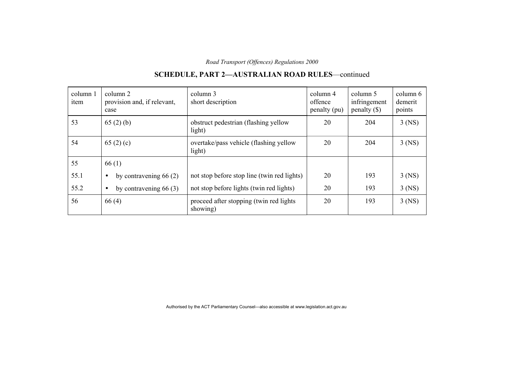| column 1<br>item | column 2<br>provision and, if relevant,<br>case | column 3<br>short description                       | column 4<br>offence<br>penalty (pu) | column 5<br>infringement<br>penalty $(\$)$ | column 6<br>demerit<br>points |
|------------------|-------------------------------------------------|-----------------------------------------------------|-------------------------------------|--------------------------------------------|-------------------------------|
| 53               | 65(2)(b)                                        | obstruct pedestrian (flashing yellow<br>light)      | 20                                  | 204                                        | $3$ (NS)                      |
| 54               | 65 $(2)$ (c)                                    | overtake/pass vehicle (flashing yellow<br>light)    | 20                                  | 204                                        | $3$ (NS)                      |
| 55               | 66(1)                                           |                                                     |                                     |                                            |                               |
| 55.1             | by contravening $66(2)$<br>$\bullet$            | not stop before stop line (twin red lights)         | 20                                  | 193                                        | $3$ (NS)                      |
| 55.2             | by contravening $66(3)$<br>$\bullet$            | not stop before lights (twin red lights)            | 20                                  | 193                                        | $3$ (NS)                      |
| 56               | 66(4)                                           | proceed after stopping (twin red lights<br>showing) | 20                                  | 193                                        | $3$ (NS)                      |

# **SCHEDULE, PART 2—AUSTRALIAN ROAD RULES**—continued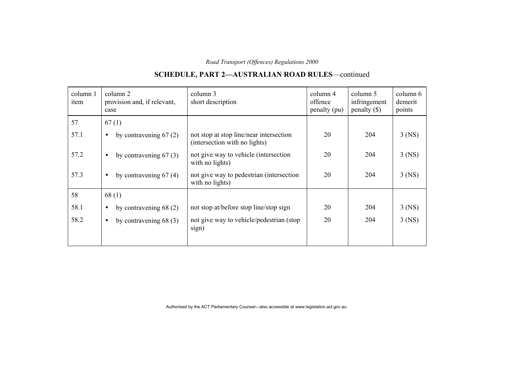#### column 1item column 2 provision and, if relevant, case column 3 short description column 4 offence penalty (pu) column 5 infringement penalty (\$) column 6demerit points 57  $\begin{array}{|c|c|c|} \hline 57 & 67(1) \\\hline \end{array}$ 57.1 • by contravening 67 (2) not stop at stop line/near intersection (intersection with no lights) 20 204 3 (NS) 57.2 • by contravening 67 (3) not give way to vehicle (intersection with no lights) 20 204 3 (NS) 57.3 • by contravening 67 (4) not give way to pedestrian (intersection with no lights) 20 204 3 (NS) 58 68 (1) 58.1 • by contravening 68 (2) not stop at/before stop line/stop sign 20 204 3 (NS) 58.2 • by contravening 68 (3) not give way to vehicle/pedestrian (stop sign) 20 204 3 (NS)

## **SCHEDULE, PART 2—AUSTRALIAN ROAD RULES**—continued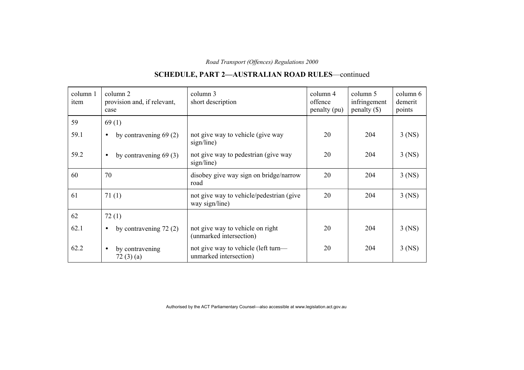#### column 1item column 2 provision and, if relevant, case column 3 short description column 4 offence penalty (pu) column 5 infringement penalty (\$) column 6demerit points 59  $\begin{array}{|c|c|} \hline 59 & 1 \end{array}$ 59.1 • by contravening 69 (2) not give way to vehicle (give way sign/line) 20 204 3 (NS) 59.2 • by contravening 69 (3) not give way to pedestrian (give way sign/line) 20 204 3 (NS) 60 70 disobey give way sign on bridge/narrow road 20 204 3 (NS)  $\begin{array}{c|c|c|c|c|c} \hline 61 & 71 & (1) \end{array}$  not give way to vehicle/pedestrian (give way sign/line) 20 204 3 (NS) 62  $\boxed{72(1)}$ 62.1 • by contravening 72 (2) not give way to vehicle on right (unmarked intersection) 20 204 3 (NS)  $62.2$  • by contravening 72 (3) (a) not give way to vehicle (left turn unmarked intersection) 20 204 3 (NS)

# **SCHEDULE, PART 2—AUSTRALIAN ROAD RULES**—continued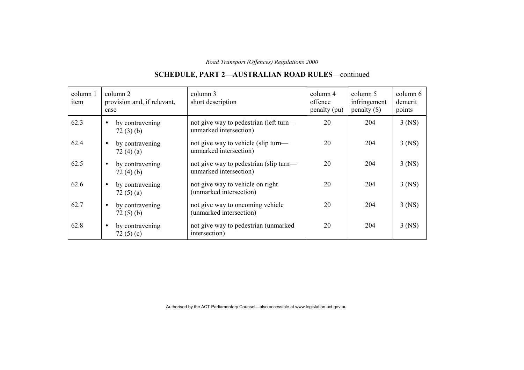#### column 1item column 2 provision and, if relevant, case column 3 short description column 4 offence penalty (pu) column 5 infringement penalty (\$) column 6demerit points 62.3 • by contravening 72 (3) (b) not give way to pedestrian (left turn unmarked intersection) 20 204 3 (NS) 62.4 • by contravening 72 (4) (a) not give way to vehicle (slip turn unmarked intersection) 20 204 3 (NS)  $62.5$  • by contravening 72 (4) (b) not give way to pedestrian (slip turn unmarked intersection) 20 204 3 (NS) 62.6 • by contravening 72 (5) (a) not give way to vehicle on right (unmarked intersection) 20 204 3 (NS)  $62.7$  • by contravening 72 (5) (b) not give way to oncoming vehicle (unmarked intersection) 20 204 3 (NS) 62.8 • by contravening 72 $(5)$  $(c)$ not give way to pedestrian (unmarked intersection) 20 204 3 (NS)

# **SCHEDULE, PART 2—AUSTRALIAN ROAD RULES**—continued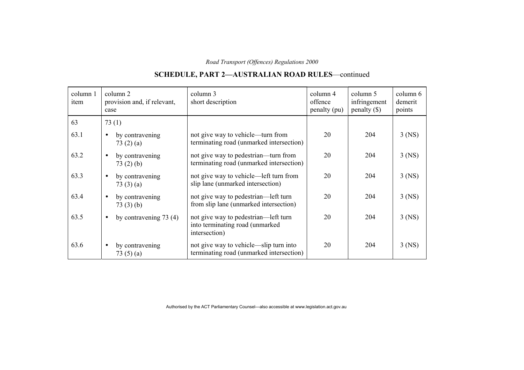#### column 1item column 2 provision and, if relevant, case column 3 short description column 4 offence penalty (pu) column 5 infringement penalty (\$) column 6demerit points 63  $\boxed{73 (1)}$ 63.1 • by contravening 73 (2) (a) not give way to vehicle—turn from terminating road (unmarked intersection) 20 204 3 (NS)  $63.2$  • by contravening 73 (2) (b) not give way to pedestrian—turn from terminating road (unmarked intersection) 20 204 3 (NS) 63.3 • by contravening 73 (3) (a) not give way to vehicle—left turn from slip lane (unmarked intersection) 20 204 3 (NS)  $63.4$  • by contravening 73 (3) (b) not give way to pedestrian—left turn from slip lane (unmarked intersection) 20 204 3 (NS) 63.5 • by contravening 73 (4) not give way to pedestrian—left turn into terminating road (unmarked intersection) 20 204 3 (NS) 63.6 • by contravening 73 (5) (a) not give way to vehicle—slip turn into terminating road (unmarked intersection) 20 204 3 (NS)

# **SCHEDULE, PART 2—AUSTRALIAN ROAD RULES**—continued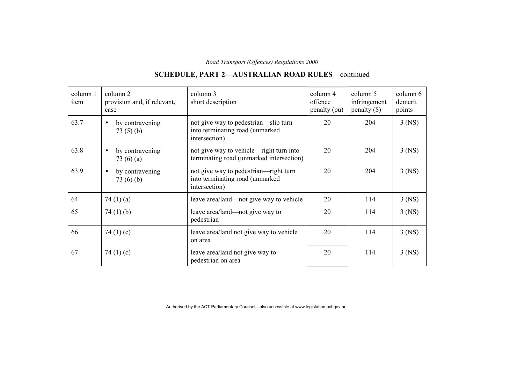#### column 1item column 2 provision and, if relevant, case column 3 short description column 4 offence penalty (pu) column 5 infringement penalty (\$) column 6demerit points 63.7 • by contravening 73 (5) (b) not give way to pedestrian—slip turn into terminating road (unmarked intersection) 20 204 3 (NS) 63.8 • by contravening  $73(6)(a)$ not give way to vehicle—right turn into terminating road (unmarked intersection) 20 204 3 (NS) 63.9 • by contravening 73 (6) (b) not give way to pedestrian—right turn into terminating road (unmarked intersection) 20 204 3 (NS) 64  $\vert$  74 (1) (a) leave area/land—not give way to vehicle  $\vert$  20  $\vert$  114  $\vert$  3 (NS)  $65$  74 (1) (b) leave area/land—not give way to pedestrian 20 114 3 (NS)  $66$  | 74 (1) (c) leave area/land not give way to vehicle on area 20 114 3 (NS)  $\begin{array}{c|c|c|c|c} \hline 67 & 74 & (1) & (c) \end{array}$  leave area/land not give way to pedestrian on area 20 114 3 (NS)

# **SCHEDULE, PART 2—AUSTRALIAN ROAD RULES**—continued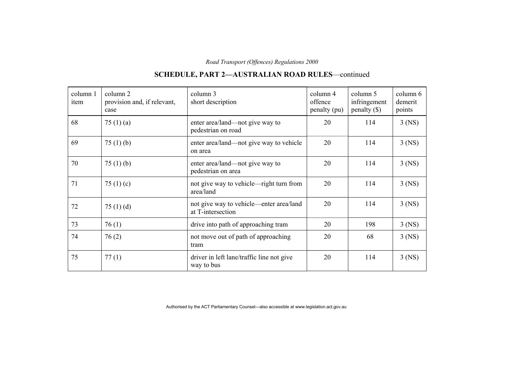## **SCHEDULE, PART 2—AUSTRALIAN ROAD RULES**—continued

| column 1<br>item | column 2<br>provision and, if relevant,<br>case | column 3<br>short description                                | column 4<br>offence<br>penalty (pu) | column 5<br>infringement<br>$penalty$ (\$) | column 6<br>demerit<br>points |
|------------------|-------------------------------------------------|--------------------------------------------------------------|-------------------------------------|--------------------------------------------|-------------------------------|
| 68               | 75 $(1)(a)$                                     | enter area/land—not give way to<br>pedestrian on road        | 20                                  | 114                                        | $3$ (NS)                      |
| 69               | 75 $(1)$ $(b)$                                  | enter area/land—not give way to vehicle<br>on area           | 20                                  | 114                                        | $3$ (NS)                      |
| 70               | 75(1)(b)                                        | enter area/land—not give way to<br>pedestrian on area        | 20                                  | 114                                        | $3$ (NS)                      |
| 71               | 75 $(1)(c)$                                     | not give way to vehicle—right turn from<br>area/land         | 20                                  | 114                                        | $3$ (NS)                      |
| 72               | 75 $(1)$ $(d)$                                  | not give way to vehicle—enter area/land<br>at T-intersection | 20                                  | 114                                        | $3$ (NS)                      |
| 73               | 76(1)                                           | drive into path of approaching tram                          | 20                                  | 198                                        | $3$ (NS)                      |
| 74               | 76(2)                                           | not move out of path of approaching<br>tram                  | 20                                  | 68                                         | $3$ (NS)                      |
| 75               | 77(1)                                           | driver in left lane/traffic line not give<br>way to bus      | 20                                  | 114                                        | $3$ (NS)                      |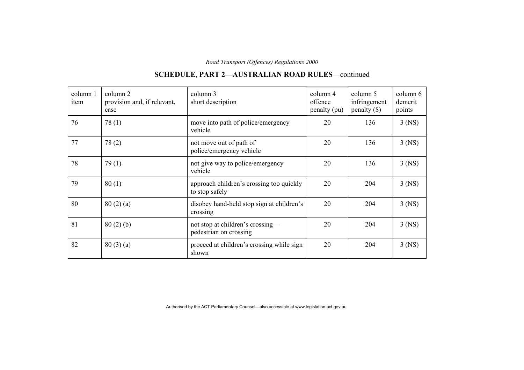#### column 1item column 2 provision and, if relevant, case column 3 short description column 4 offence penalty (pu) column 5 infringement penalty (\$) column 6demerit points 76 78 (1) move into path of police/emergency vehicle 20 136 3 (NS)  $77$  |  $78$  (2) | not move out of path of police/emergency vehicle 20 136 3 (NS) 78 79 (1) not give way to police/emergency vehicle 20 136 3 (NS) 79 80 (1) approach children's crossing too quickly to stop safely 20 204 3 (NS) 80  $\begin{array}{|l|l|} \hline 80(2)(a) \end{array}$  disobey hand-held stop sign at children's crossing 20 204 3 (NS)  $81$   $80$  (2) (b) not stop at children's crossing pedestrian on crossing 20 204 3 (NS)  $82$   $80$  (3) (a) proceed at children's crossing while sign shown 20 204 3 (NS)

### **SCHEDULE, PART 2—AUSTRALIAN ROAD RULES**—continued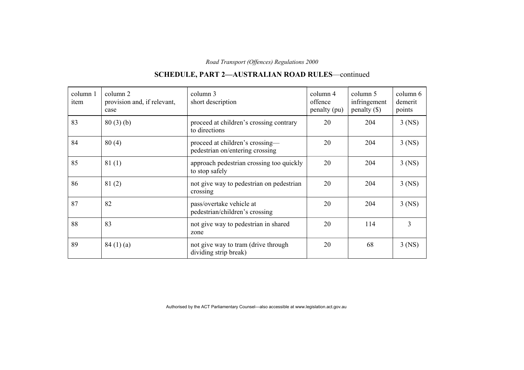#### column 1item column 2 provision and, if relevant, case column 3 short description column 4 offence penalty (pu) column 5 infringement penalty (\$) column 6demerit points  $83$   $80(3)$  (b) proceed at children's crossing contrary to directions 20 204 3 (NS)  $84$   $\mid$   $80$  (4) proceed at children's crossing pedestrian on/entering crossing 20 204 3 (NS) 85 81 (1) approach pedestrian crossing too quickly to stop safely 20 204 3 (NS) 86 81 (2) hot give way to pedestrian on pedestrian crossing 20 204 3 (NS) 87 82 pass/overtake vehicle at pedestrian/children's crossing 20 204 3 (NS) 88 83 83 and 83 and 83 and 83 and 83 and 83 and 83 and 83 and 83 and 83 and 83 and 83 and 83 and 84 and 84 and 84 and 85 and 86 and 86 and 86 and 86 and 86 and 86 and 86 and 86 and 86 and 86 and 86 and 86 and 86 and 86 and zone 20 114 3 89  $\begin{array}{|l|l|} \hline 84 (1) (a) \end{array}$  not give way to tram (drive through dividing strip break) 20 68 3 (NS)

### **SCHEDULE, PART 2—AUSTRALIAN ROAD RULES**—continued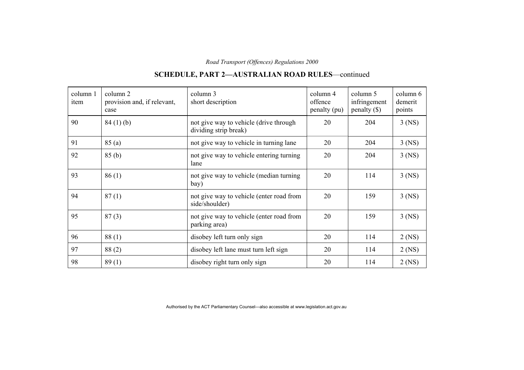#### column 1item column 2 provision and, if relevant, case column 3 short description column 4 offence penalty (pu) column 5 infringement penalty (\$) column 6demerit points 90  $\begin{array}{|l|l|} \hline 90 & 84 (1) (b) \end{array}$  not give way to vehicle (drive through dividing strip break) 20 204 3 (NS) 91  $\vert$  85 (a)  $\vert$  not give way to vehicle in turning lane  $\vert$  20  $\vert$  204  $\vert$  3 (NS) 92 85 (b) not give way to vehicle entering turning lane 20 204 3 (NS) 93 86 (1) not give way to vehicle (median turning bay) 20 114 3 (NS) 94 87 (1) not give way to vehicle (enter road from side/shoulder) 20 159 3 (NS) 95 87 (3) not give way to vehicle (enter road from parking area) 20 159 3 (NS) 96 88 (1) disobey left turn only sign 20 114 2 (NS) 97  $88 (2)$  disobey left lane must turn left sign 20 114 2 (NS) 98  $\vert$  89 (1) disobey right turn only sign  $\vert$  20 114 2 (NS)

### **SCHEDULE, PART 2—AUSTRALIAN ROAD RULES**—continued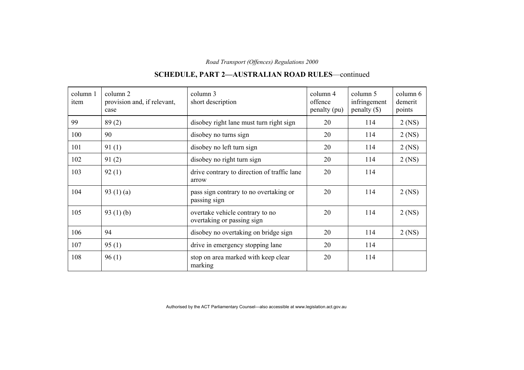| column 1<br>item | column 2<br>provision and, if relevant,<br>case | column 3<br>short description                                 | column 4<br>offence<br>penalty (pu) | column 5<br>infringement<br>penalty $(\$)$ | column $6$<br>demerit<br>points |
|------------------|-------------------------------------------------|---------------------------------------------------------------|-------------------------------------|--------------------------------------------|---------------------------------|
| 99               | 89(2)                                           | disobey right lane must turn right sign                       | 20                                  | 114                                        | $2$ (NS)                        |
| 100              | 90                                              | disobey no turns sign                                         | 20                                  | 114                                        | $2$ (NS)                        |
| 101              | 91(1)                                           | disobey no left turn sign                                     | 20                                  | 114                                        | $2$ (NS)                        |
| 102              | 91(2)                                           | disobey no right turn sign                                    | 20                                  | 114                                        | $2$ (NS)                        |
| 103              | 92(1)                                           | drive contrary to direction of traffic lane<br>arrow          | 20                                  | 114                                        |                                 |
| 104              | 93 $(1)(a)$                                     | pass sign contrary to no overtaking or<br>passing sign        | 20                                  | 114                                        | $2$ (NS)                        |
| 105              | 93 $(1)$ (b)                                    | overtake vehicle contrary to no<br>overtaking or passing sign | 20                                  | 114                                        | $2$ (NS)                        |
| 106              | 94                                              | disobey no overtaking on bridge sign                          | 20                                  | 114                                        | $2$ (NS)                        |
| 107              | 95(1)                                           | drive in emergency stopping lane                              | 20                                  | 114                                        |                                 |
| 108              | 96(1)                                           | stop on area marked with keep clear<br>marking                | 20                                  | 114                                        |                                 |

## **SCHEDULE, PART 2—AUSTRALIAN ROAD RULES**—continued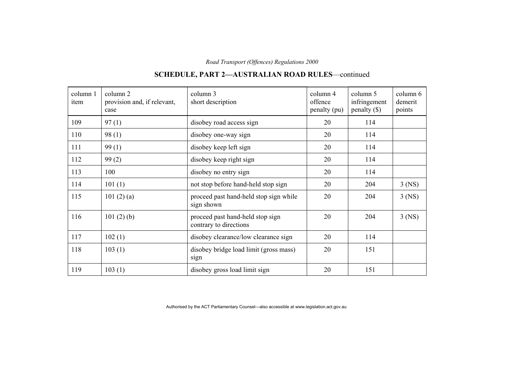#### column 1item column 2 provision and, if relevant, case column 3 short description column 4 offence penalty (pu) column 5 infringement penalty (\$) column 6demerit points  $109$  97 (1) disobey road access sign 20 114 110 98 (1) disobey one-way sign 20 114 111 99 (1) disobey keep left sign 20 114  $112$  99 (2) disobey keep right sign 20 114 113 100 disobey no entry sign 20 114 114  $\vert$  101 (1) hot stop before hand-held stop sign  $\vert$  20  $\vert$  204  $\vert$  3 (NS) 115 101 (2) (a) proceed past hand-held stop sign while sign shown 20 204 3 (NS) 116 101 (2) (b) proceed past hand-held stop sign contrary to directions 20 204 3 (NS) 117 102 (1) disobey clearance/low clearance sign 20 114 118 103 (1) disobey bridge load limit (gross mass) sign 20 151 119 103 (1) disobey gross load limit sign 20 151

### **SCHEDULE, PART 2—AUSTRALIAN ROAD RULES**—continued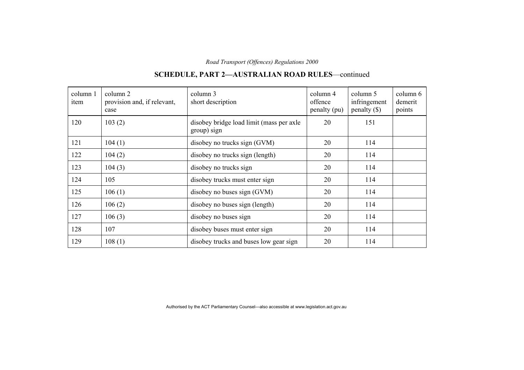#### column 1item column 2 provision and, if relevant, case column 3 short description column 4 offence penalty (pu) column 5 infringement penalty (\$) column 6demerit points 120 103 (2) disobey bridge load limit (mass per axle group) sign 20 151  $121$  |  $104$  (1) disobey no trucks sign (GVM) | 20 | 114 122 | 104 (2) disobey no trucks sign (length) 20 | 114 123 104 (3) disobey no trucks sign 20 114 124 105 disobey trucks must enter sign 20 114 125  $106 (1)$  disobey no buses sign (GVM)  $20$  114  $126$  106 (2) disobey no buses sign (length) 20 114  $127$  106 (3) disobey no buses sign 20 114 128 107 disobey buses must enter sign 20 114  $129$  | 108 (1) disobey trucks and buses low gear sign | 20 | 114

### **SCHEDULE, PART 2—AUSTRALIAN ROAD RULES**—continued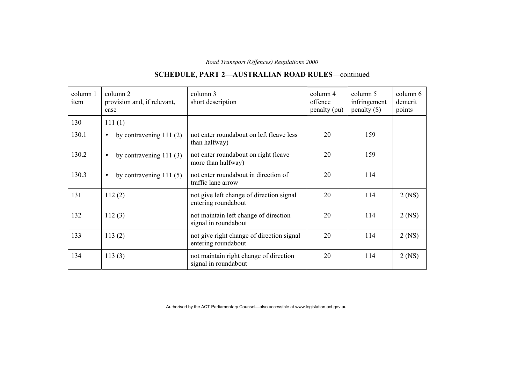## **SCHEDULE, PART 2—AUSTRALIAN ROAD RULES**—continued

| column 1<br>item | column 2<br>provision and, if relevant,<br>case | column 3<br>short description                                    | column 4<br>offence<br>penalty (pu) | column 5<br>infringement<br>$penalty$ (\$) | column 6<br>demerit<br>points |
|------------------|-------------------------------------------------|------------------------------------------------------------------|-------------------------------------|--------------------------------------------|-------------------------------|
| 130              | 111(1)                                          |                                                                  |                                     |                                            |                               |
| 130.1            | by contravening $111(2)$<br>$\bullet$           | not enter roundabout on left (leave less<br>than halfway)        | 20                                  | 159                                        |                               |
| 130.2            | by contravening $111(3)$<br>$\bullet$           | not enter roundabout on right (leave<br>more than halfway)       | 20                                  | 159                                        |                               |
| 130.3            | by contravening $111(5)$<br>$\bullet$           | not enter roundabout in direction of<br>traffic lane arrow       | 20                                  | 114                                        |                               |
| 131              | 112(2)                                          | not give left change of direction signal<br>entering roundabout  | 20                                  | 114                                        | $2$ (NS)                      |
| 132              | 112(3)                                          | not maintain left change of direction<br>signal in roundabout    | 20                                  | 114                                        | $2$ (NS)                      |
| 133              | 113(2)                                          | not give right change of direction signal<br>entering roundabout | 20                                  | 114                                        | $2$ (NS)                      |
| 134              | 113(3)                                          | not maintain right change of direction<br>signal in roundabout   | 20                                  | 114                                        | $2$ (NS)                      |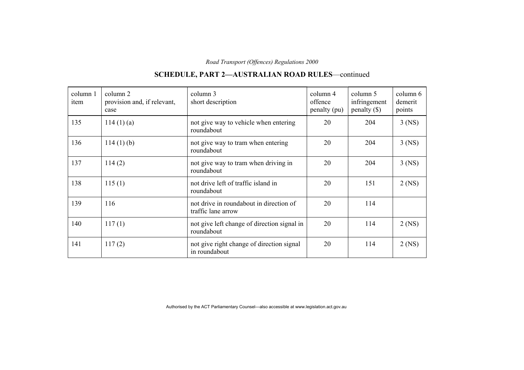#### column 1item column 2 provision and, if relevant, case column 3 short description column 4 offence penalty (pu) column 5 infringement penalty (\$) column 6demerit points 135 114 (1) (a) not give way to vehicle when entering roundabout 20 204 3 (NS) 136 114 (1) (b) not give way to tram when entering roundabout 20 204 3 (NS) 137 114 (2) hot give way to tram when driving in roundabout 20 204 3 (NS) 138 115 (1) not drive left of traffic island in roundabout 20 151 2 (NS) 139 116 116 not drive in roundabout in direction of traffic lane arrow 20 114 140 117 (1) not give left change of direction signal in roundabout 20 | 114 | 2 (NS) 141 117 (2) hot give right change of direction signal in roundabout 20 114 2 (NS)

### **SCHEDULE, PART 2—AUSTRALIAN ROAD RULES**—continued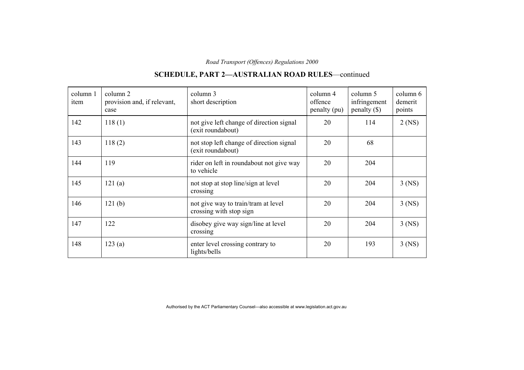#### column 1item column 2 provision and, if relevant, case column 3 short description column 4 offence penalty (pu) column 5 infringement penalty (\$) column 6demerit points 142 | 118 (1) | not give left change of direction signal (exit roundabout) 20 | 114 | 2 (NS) 143 118 (2) not stop left change of direction signal (exit roundabout) 20 68 144 119 119 rider on left in roundabout not give way to vehicle 20 204 145 121 (a) not stop at stop line/sign at level crossing 20 204 3 (NS) 146 121 (b) not give way to train/tram at level crossing with stop sign 20 204 3 (NS) 147 | 122 | disobey give way sign/line at level crossing 20 204 3 (NS) 148 123 (a) enter level crossing contrary to lights/bells 20 193 3 (NS)

### **SCHEDULE, PART 2—AUSTRALIAN ROAD RULES**—continued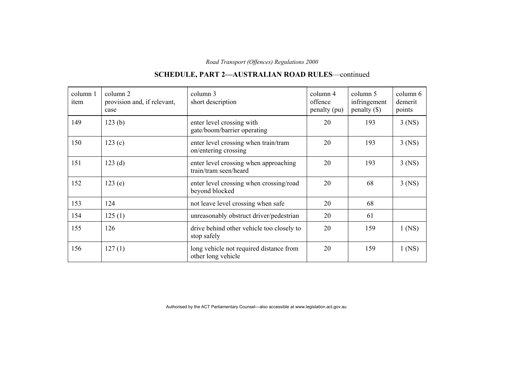#### column 1item column 2 provision and, if relevant, case column 3 short description column 4 offence penalty (pu) column 5 infringement penalty (\$) column 6demerit points 149 123 (b) enter level crossing with gate/boom/barrier operating 20 | 193 | 3 (NS) 150 123 (c) enter level crossing when train/tram on/entering crossing 20 193 3 (NS) 151 123 (d) enter level crossing when approaching train/tram seen/heard 20 193 3 (NS) 152 123 (e) enter level crossing when crossing/road beyond blocked 20 68 3 (NS) 153 124 not leave level crossing when safe 20 124 68 154 125 (1) unreasonably obstruct driver/pedestrian 20 161 155 126 126 drive behind other vehicle too closely to stop safely 20 159 1 (NS) 156 127 (1) long vehicle not required distance from other long vehicle 20 159 1 (NS)

### **SCHEDULE, PART 2—AUSTRALIAN ROAD RULES**—continued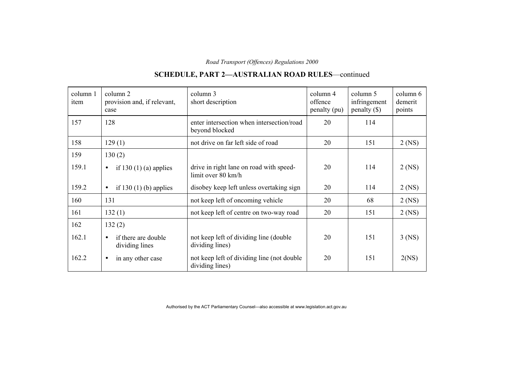## **SCHEDULE, PART 2—AUSTRALIAN ROAD RULES**—continued

| column 1<br>item | column 2<br>provision and, if relevant,<br>case    | column 3<br>short description                                  | column 4<br>offence<br>penalty (pu) | column 5<br>infringement<br>$penalty (\$))$ | column 6<br>demerit<br>points |
|------------------|----------------------------------------------------|----------------------------------------------------------------|-------------------------------------|---------------------------------------------|-------------------------------|
| 157              | 128                                                | enter intersection when intersection/road<br>beyond blocked    | 20                                  | 114                                         |                               |
| 158              | 129(1)                                             | not drive on far left side of road                             | 20                                  | 151                                         | $2$ (NS)                      |
| 159              | 130(2)                                             |                                                                |                                     |                                             |                               |
| 159.1            | if $130(1)$ (a) applies<br>$\bullet$               | drive in right lane on road with speed-<br>limit over 80 km/h  | 20                                  | 114                                         | $2$ (NS)                      |
| 159.2            | if 130 $(1)$ (b) applies<br>$\bullet$              | disobey keep left unless overtaking sign                       | 20                                  | 114                                         | $2$ (NS)                      |
| 160              | 131                                                | not keep left of oncoming vehicle                              | 20                                  | 68                                          | $2$ (NS)                      |
| 161              | 132(1)                                             | not keep left of centre on two-way road                        | 20                                  | 151                                         | $2$ (NS)                      |
| 162              | 132(2)                                             |                                                                |                                     |                                             |                               |
| 162.1            | if there are double<br>$\bullet$<br>dividing lines | not keep left of dividing line (double)<br>dividing lines)     | 20                                  | 151                                         | $3$ (NS)                      |
| 162.2            | in any other case<br>$\bullet$                     | not keep left of dividing line (not double)<br>dividing lines) | 20                                  | 151                                         | 2(NS)                         |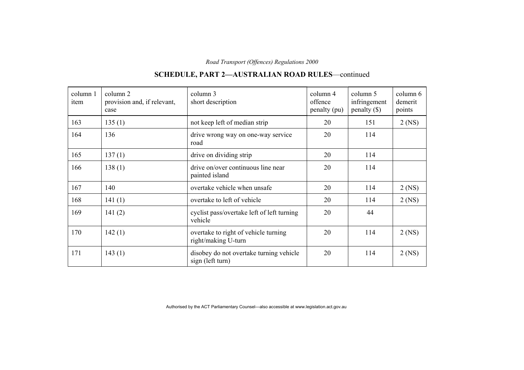#### column 1item column 2 provision and, if relevant, case column 3 short description column 4 offence penalty (pu) column 5 infringement penalty (\$) column 6demerit points 163 135 (1) hot keep left of median strip 20 151 2 (NS) 164 136 164 136 road 20 114 165 137 (1) drive on dividing strip 20 114 166 138 (1) drive on/over continuous line near painted island 20 114 167 140 vertake vehicle when unsafe 20 114 2 (NS)  $168$  | 141 (1) overtake to left of vehicle  $20$  | 114 | 2 (NS) 169 141 (2) cyclist pass/overtake left of left turning vehicle 20 44 170 | 142 (1) vertake to right of vehicle turning right/making U-turn 20 114 2 (NS) 171 143 (1) disobey do not overtake turning vehicle sign (left turn) 20 114 2 (NS)

### **SCHEDULE, PART 2—AUSTRALIAN ROAD RULES**—continued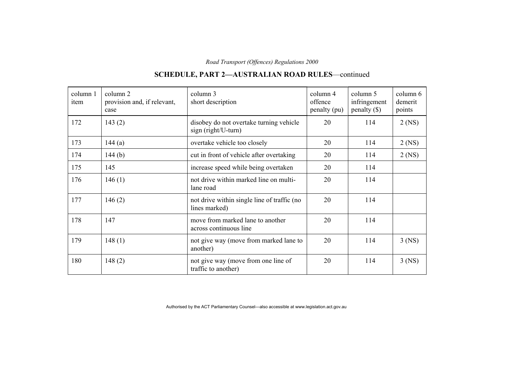#### column 1item column 2 provision and, if relevant, case column 3 short description column 4 offence penalty (pu) column 5 infringement penalty (\$) column 6demerit points 172 | 143 (2) | disobey do not overtake turning vehicle sign (right/U-turn) 20 | 114 | 2 (NS)  $173$  | 144 (a) | overtake vehicle too closely | 20 | 114 | 2 (NS)  $174$  | 144 (b) cut in front of vehicle after overtaking | 20 | 114 | 2 (NS) 175 145 increase speed while being overtaken 20 114  $176$  146 (1) hot drive within marked line on multi-<br>and  $\begin{array}{|l|l|} \hline \end{array}$  20 114 177 146 (2) not drive within single line of traffic (no lines marked) 20 114 178 147 147 move from marked lane to another across continuous line 20 114 179 148 (1) not give way (move from marked lane to another) 20 | 114 | 3 (NS) 180 148 (2) hot give way (move from one line of traffic to another) 20 114 3 (NS)

### **SCHEDULE, PART 2—AUSTRALIAN ROAD RULES**—continued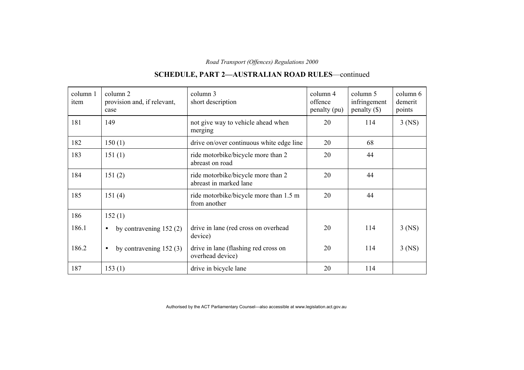#### column 1item column 2 provision and, if relevant, case column 3 short description column 4 offence penalty (pu) column 5 infringement penalty (\$) column 6demerit points 181 149 149 not give way to vehicle ahead when merging 20 | 114 | 3 (NS) 182 150 (1) drive on/over continuous white edge line 20 68 183 151 (1) ride motorbike/bicycle more than 2 abreast on road 20 44 184 151 (2) ride motorbike/bicycle more than 2 abreast in marked lane 20 44 185 151 (4) ride motorbike/bicycle more than 1.5 m from another 20 44 186 152 (1) 186.1 • by contravening 152 (2) drive in lane (red cross on overhead device) 20 114 3 (NS) 186.2 • by contravening 152 (3) drive in lane (flashing red cross on overhead device) 20 114 3 (NS) 187 153 (1) drive in bicycle lane 20 114

### **SCHEDULE, PART 2—AUSTRALIAN ROAD RULES**—continued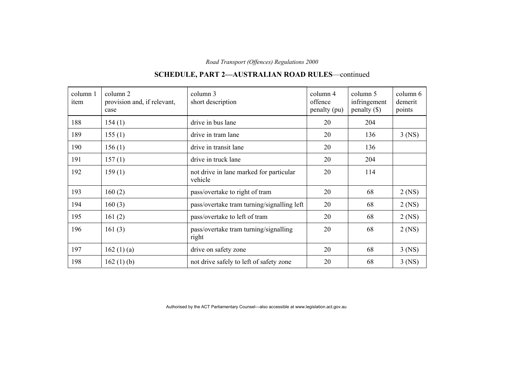| column 1<br>item | column 2<br>provision and, if relevant,<br>case | column 3<br>short description                      | column 4<br>offence<br>penalty (pu) | column 5<br>infringement<br>penalty $(\$)$ | column 6<br>demerit<br>points |
|------------------|-------------------------------------------------|----------------------------------------------------|-------------------------------------|--------------------------------------------|-------------------------------|
| 188              | 154(1)                                          | drive in bus lane                                  | 20                                  | 204                                        |                               |
| 189              | 155(1)                                          | drive in tram lane                                 | 20                                  | 136                                        | $3$ (NS)                      |
| 190              | 156(1)                                          | drive in transit lane                              | 20                                  | 136                                        |                               |
| 191              | 157(1)                                          | drive in truck lane                                | 20                                  | 204                                        |                               |
| 192              | 159(1)                                          | not drive in lane marked for particular<br>vehicle | 20                                  | 114                                        |                               |
| 193              | 160(2)                                          | pass/overtake to right of tram                     | 20                                  | 68                                         | $2$ (NS)                      |
| 194              | 160(3)                                          | pass/overtake tram turning/signalling left         | 20                                  | 68                                         | $2$ (NS)                      |
| 195              | 161(2)                                          | pass/overtake to left of tram                      | 20                                  | 68                                         | $2$ (NS)                      |
| 196              | 161 $(3)$                                       | pass/overtake tram turning/signalling<br>right     | 20                                  | 68                                         | $2$ (NS)                      |
| 197              | 162 $(1)$ $(a)$                                 | drive on safety zone                               | 20                                  | 68                                         | $3$ (NS)                      |
| 198              | 162(1)(b)                                       | not drive safely to left of safety zone            | 20                                  | 68                                         | $3$ (NS)                      |

## **SCHEDULE, PART 2—AUSTRALIAN ROAD RULES**—continued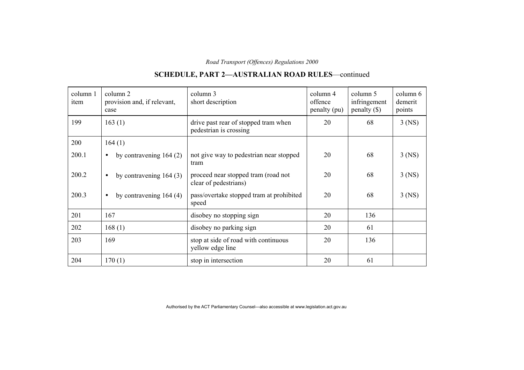## **SCHEDULE, PART 2—AUSTRALIAN ROAD RULES**—continued

| column 1<br>item | column 2<br>provision and, if relevant,<br>case | column 3<br>short description                                  | column 4<br>offence<br>penalty (pu) | column 5<br>infringement<br>$penalty$ (\$) | column 6<br>demerit<br>points |
|------------------|-------------------------------------------------|----------------------------------------------------------------|-------------------------------------|--------------------------------------------|-------------------------------|
| 199              | 163(1)                                          | drive past rear of stopped tram when<br>pedestrian is crossing | 20                                  | 68                                         | $3$ (NS)                      |
| 200              | 164(1)                                          |                                                                |                                     |                                            |                               |
| 200.1            | by contravening $164(2)$                        | not give way to pedestrian near stopped<br>tram                | 20                                  | 68                                         | $3$ (NS)                      |
| 200.2            | by contravening $164(3)$<br>$\bullet$           | proceed near stopped tram (road not<br>clear of pedestrians)   | 20                                  | 68                                         | $3$ (NS)                      |
| 200.3            | by contravening $164(4)$<br>$\bullet$           | pass/overtake stopped tram at prohibited<br>speed              | 20                                  | 68                                         | $3$ (NS)                      |
| 201              | 167                                             | disobey no stopping sign                                       | 20                                  | 136                                        |                               |
| 202              | 168(1)                                          | disobey no parking sign                                        | 20                                  | 61                                         |                               |
| 203              | 169                                             | stop at side of road with continuous<br>yellow edge line       | 20                                  | 136                                        |                               |
| 204              | 170(1)                                          | stop in intersection                                           | 20                                  | 61                                         |                               |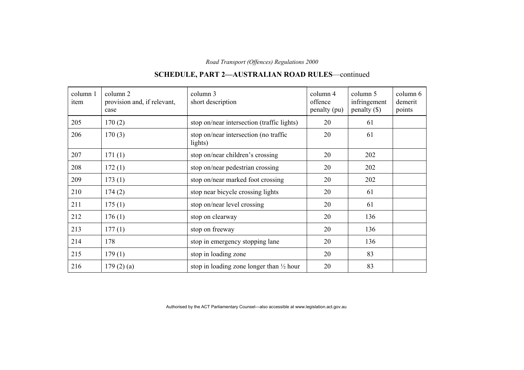### column 1item column 2 provision and, if relevant, case column 3 short description column 4 offence penalty (pu) column 5 infringement penalty (\$) column 6demerit points  $205$  170 (2) stop on/near intersection (traffic lights) 20 61 206 170 (3) stop on/near intersection (no traffic lights) 20 61  $207$  171 (1) stop on/near children's crossing 20 202  $208$  172 (1) stop on/near pedestrian crossing 20 202  $209$  | 173 (1) stop on/near marked foot crossing | 20 | 202 210 174 (2) stop near bicycle crossing lights 20 61 211  $\begin{array}{|c|c|c|c|c|c|c|c|c|} \hline \end{array}$  175 (1) stop on/near level crossing 20 61 212  $|176 (1)$  stop on clearway 20 136 213  $\begin{array}{|c|c|c|c|c|c|} \hline 177 & (1) \end{array}$  stop on freeway  $\begin{array}{|c|c|c|c|c|c|} \hline 20 & 136 \end{array}$ 214 178 stop in emergency stopping lane 20 136 215 179 (1) stop in loading zone 20 83 216  $\vert$  179 (2) (a) stop in loading zone longer than  $\frac{1}{2}$  hour  $\vert$  20  $\vert$  83

### **SCHEDULE, PART 2—AUSTRALIAN ROAD RULES**—continued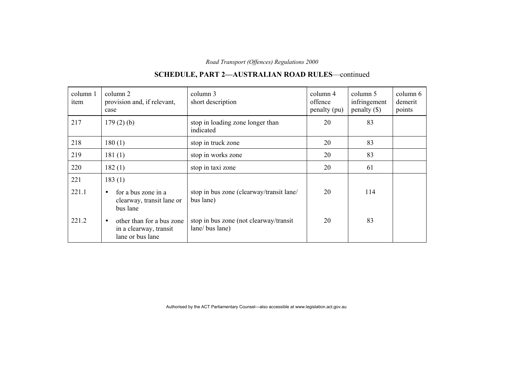#### column 1item column 2 provision and, if relevant, case column 3 short description column 4 offence penalty (pu) column 5 infringement penalty (\$) column 6demerit points 217  $\vert$  179 (2) (b) stop in loading zone longer than indicated 20 83 218  $\begin{array}{|c|c|c|c|c|c|c|c|c|} \hline 208 & 180 & 1 \end{array}$  stop in truck zone  $\begin{array}{|c|c|c|c|c|c|c|} \hline 20 & 83 & 20 \end{array}$ 219 181 (1) stop in works zone 20 33 220  $182 (1)$  stop in taxi zone 20 61 221  $\vert$  183 (1) 221.1 • for a bus zone in a clearway, transit lane or bus lane stop in bus zone (clearway/transit lane/ bus lane) 20 114 221.2  $\bullet$  other than for a bus zone in a clearway, transit lane or bus lane stop in bus zone (not clearway/transit lane/ bus lane) 20 83

### **SCHEDULE, PART 2—AUSTRALIAN ROAD RULES**—continued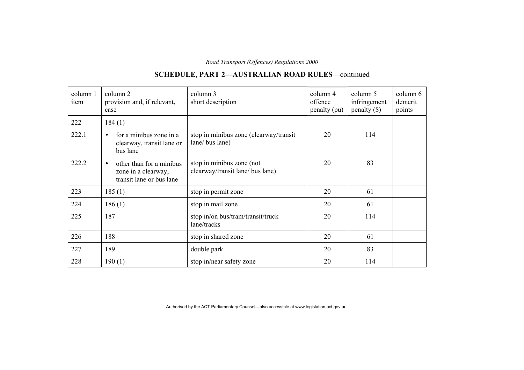## **SCHEDULE, PART 2—AUSTRALIAN ROAD RULES**—continued

| column 1<br>item | column 2<br>provision and, if relevant,<br>case                                          | column 3<br>short description                                 | column 4<br>offence<br>penalty (pu) | column 5<br>infringement<br>$penalty (\$))$ | column 6<br>demerit<br>points |
|------------------|------------------------------------------------------------------------------------------|---------------------------------------------------------------|-------------------------------------|---------------------------------------------|-------------------------------|
| 222              | 184(1)                                                                                   |                                                               |                                     |                                             |                               |
| 222.1            | for a minibus zone in a<br>$\bullet$<br>clearway, transit lane or<br>bus lane            | stop in minibus zone (clearway/transit<br>lane/ bus lane)     | 20                                  | 114                                         |                               |
| 222.2            | other than for a minibus<br>$\bullet$<br>zone in a clearway,<br>transit lane or bus lane | stop in minibus zone (not<br>clearway/transit lane/ bus lane) | 20                                  | 83                                          |                               |
| 223              | 185(1)                                                                                   | stop in permit zone                                           | 20                                  | 61                                          |                               |
| 224              | 186(1)                                                                                   | stop in mail zone                                             | 20                                  | 61                                          |                               |
| 225              | 187                                                                                      | stop in/on bus/tram/transit/truck<br>lane/tracks              | 20                                  | 114                                         |                               |
| 226              | 188                                                                                      | stop in shared zone                                           | 20                                  | 61                                          |                               |
| 227              | 189                                                                                      | double park                                                   | 20                                  | 83                                          |                               |
| 228              | 190(1)                                                                                   | stop in/near safety zone                                      | 20                                  | 114                                         |                               |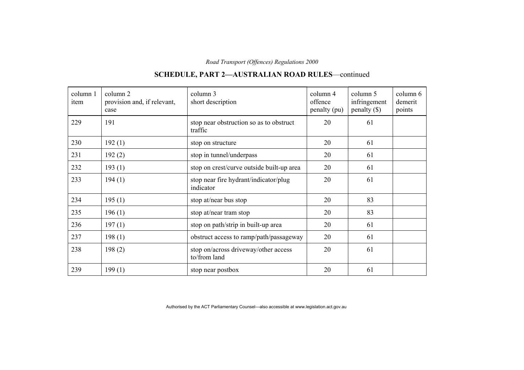#### column 1item column 2 provision and, if relevant, case column 3 short description column 4 offence penalty (pu) column 5 infringement penalty (\$) column 6demerit points 229 191 stop near obstruction so as to obstruct traffic 20 61 230  $\begin{array}{|c|c|c|c|c|c|} \hline 192 (1) & \multicolumn{1}{|c|}{\text{stop on structure}} & 20 & 61 \ \hline \end{array}$ 231  $\vert$  192 (2) stop in tunnel/underpass  $\vert$  20  $\vert$  61 232 193 (1) stop on crest/curve outside built-up area  $\begin{array}{|l|l|} 20 & 61 \end{array}$ 233 194 (1) stop near fire hydrant/indicator/plug indicator 20 61 234  $\vert$  195 (1) stop at/near bus stop 20 83 235  $\vert$  196 (1) stop at/near tram stop 20 83 236  $\vert$  197 (1) stop on path/strip in built-up area  $\vert$  20  $\vert$  61 237 198 (1) bostruct access to ramp/path/passageway 20 61 238 198 (2) stop on/across driveway/other access to/from land 20 61 239  $199 (1)$  stop near postbox 20  $\begin{array}{|l|l|} \hline \end{array}$  20  $\begin{array}{|l|l|} \hline \end{array}$  61

### **SCHEDULE, PART 2—AUSTRALIAN ROAD RULES**—continued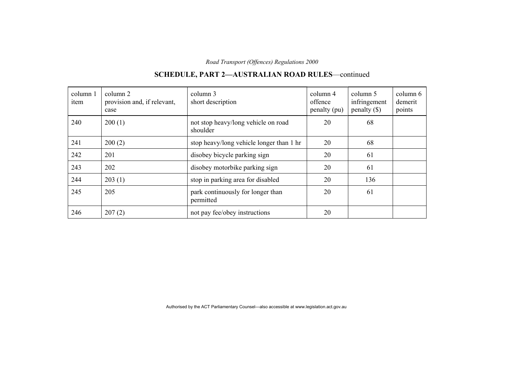#### column 1item column 2 provision and, if relevant, case column 3 short description column 4 offence penalty (pu) column 5 infringement penalty (\$) column 6demerit points 240 200 (1) hot stop heavy/long vehicle on road shoulder 20 68 241 200 (2) stop heavy/long vehicle longer than 1 hr 20 68 242 201 disobey bicycle parking sign 20 61 243 202 disobey motorbike parking sign 20 61 244  $\vert$  203 (1) stop in parking area for disabled  $\vert$  20  $\vert$  136 245 205 205 park continuously for longer than permitted 20 61 246  $\Big| 207 (2)$  not pay fee/obey instructions  $\Big| 20$

### **SCHEDULE, PART 2—AUSTRALIAN ROAD RULES**—continued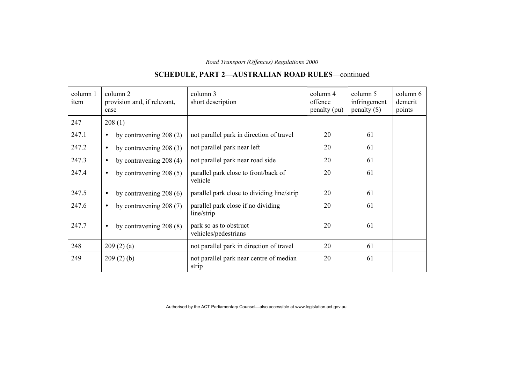#### column 1item column 2 provision and, if relevant, case column 3 short description column 4 offence penalty (pu) column 5 infringement penalty (\$) column 6demerit points  $247$  208 (1) 247.1 • by contravening 208 (2) not parallel park in direction of travel  $\begin{array}{|l|l|} \hline \end{array}$  20 61 247.2 • by contravening 208 (3) not parallel park near left 20  $\vert$  20 61 247.3 • by contravening 208 (4) not parallel park near road side 20  $\vert$  20 61 247.4 • by contravening 208 (5) parallel park close to front/back of vehicle 20 61 247.5 • by contravening 208 (6) parallel park close to dividing line/strip  $\vert$  20 61 247.6 • by contravening 208 (7) parallel park close if no dividing line/strip 20 61 247.7 • by contravening 208 (8) park so as to obstruct vehicles/pedestrians 20 61 248  $\vert$  209 (2) (a)  $\vert$  not parallel park in direction of travel  $\vert$  20  $\vert$  61 249 209 (2) (b) not parallel park near centre of median strip 20 61

### **SCHEDULE, PART 2—AUSTRALIAN ROAD RULES**—continued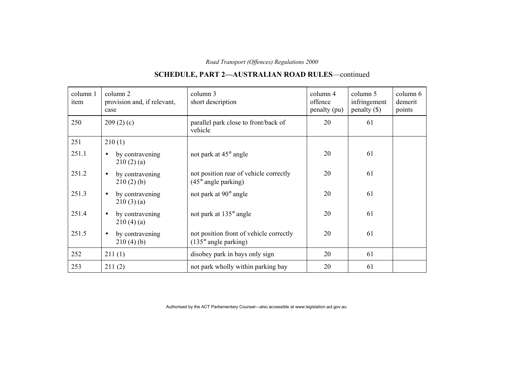## **SCHEDULE, PART 2—AUSTRALIAN ROAD RULES**—continued

| column 1<br>item | column 2<br>provision and, if relevant,<br>case | column 3<br>short description                                            | column 4<br>offence<br>penalty (pu) | column 5<br>infringement<br>$penalty$ (\$) | column 6<br>demerit<br>points |
|------------------|-------------------------------------------------|--------------------------------------------------------------------------|-------------------------------------|--------------------------------------------|-------------------------------|
| 250              | 209(2)(c)                                       | parallel park close to front/back of<br>vehicle                          | 20                                  | 61                                         |                               |
| 251              | 210(1)                                          |                                                                          |                                     |                                            |                               |
| 251.1            | by contravening<br>$\bullet$<br>210(2)(a)       | not park at 45° angle                                                    | 20                                  | 61                                         |                               |
| 251.2            | by contravening<br>$\bullet$<br>210(2)(b)       | not position rear of vehicle correctly<br>$(45^{\circ}$ angle parking)   | 20                                  | 61                                         |                               |
| 251.3            | by contravening<br>$\bullet$<br>210(3)(a)       | not park at 90° angle                                                    | 20                                  | 61                                         |                               |
| 251.4            | by contravening<br>$\bullet$<br>210(4)(a)       | not park at 135° angle                                                   | 20                                  | 61                                         |                               |
| 251.5            | by contravening<br>$\bullet$<br>210(4)(b)       | not position front of vehicle correctly<br>$(135^{\circ}$ angle parking) | 20                                  | 61                                         |                               |
| 252              | 211(1)                                          | disobey park in bays only sign                                           | 20                                  | 61                                         |                               |
| 253              | 211(2)                                          | not park wholly within parking bay                                       | 20                                  | 61                                         |                               |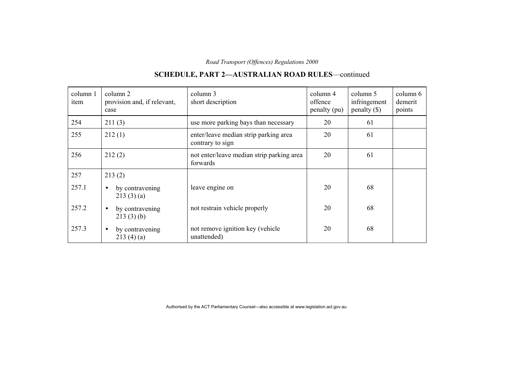#### column 1item column 2 provision and, if relevant, case column 3 short description column 4 offence penalty (pu) column 5 infringement penalty (\$) column 6demerit points 254  $\vert$  211 (3) use more parking bays than necessary  $\vert$  20  $\vert$  61 255 212 (1) enter/leave median strip parking area contrary to sign 20 61 256 212 (2) hot enter/leave median strip parking area forwards 20 61 257 | 213 (2) 257.1  $\bullet$  by contravening  $213(3)(a)$ leave engine on 20 68 257.2 • by contravening  $213(3)(b)$ not restrain vehicle properly 20 68 257.3  $\bullet$  by contravening  $213(4)(a)$ not remove ignition key (vehicle unattended) 20 68

**SCHEDULE, PART 2—AUSTRALIAN ROAD RULES**—continued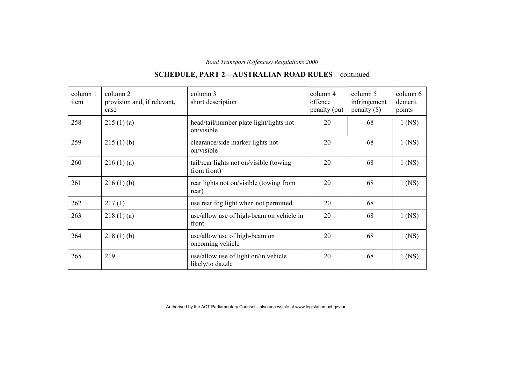| column 1<br>item | column 2<br>provision and, if relevant,<br>case | column 3<br>short description                            | column 4<br>offence<br>penalty (pu) | column 5<br>infringement<br>penalty $(\$)$ | column 6<br>demerit<br>points |
|------------------|-------------------------------------------------|----------------------------------------------------------|-------------------------------------|--------------------------------------------|-------------------------------|
| 258              | 215(1)(a)                                       | head/tail/number plate light/lights not<br>on/visible    | 20                                  | 68                                         | $1$ (NS)                      |
| 259              | 215(1)(b)                                       | clearance/side marker lights not<br>on/visible           | 20                                  | 68                                         | $1$ (NS)                      |
| 260              | 216(1)(a)                                       | tail/rear lights not on/visible (towing<br>from front)   | 20                                  | 68                                         | $1$ (NS)                      |
| 261              | 216(1)(b)                                       | rear lights not on/visible (towing from<br>rear)         | 20                                  | 68                                         | $1$ (NS)                      |
| 262              | 217(1)                                          | use rear fog light when not permitted                    | 20                                  | 68                                         |                               |
| 263              | 218(1)(a)                                       | use/allow use of high-beam on vehicle in<br>front        | 20                                  | 68                                         | $1$ (NS)                      |
| 264              | 218(1)(b)                                       | use/allow use of high-beam on<br>oncoming vehicle        | 20                                  | 68                                         | $1$ (NS)                      |
| 265              | 219                                             | use/allow use of light on/in vehicle<br>likely/to dazzle | 20                                  | 68                                         | $1$ (NS)                      |

## **SCHEDULE, PART 2—AUSTRALIAN ROAD RULES**—continued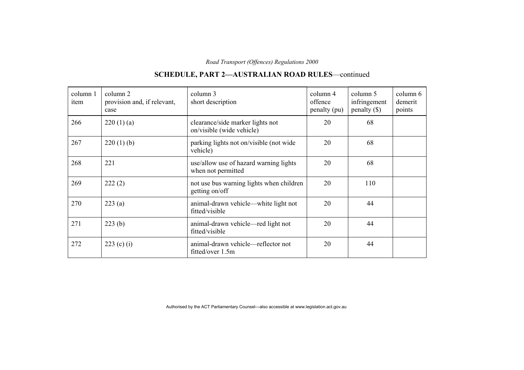## **SCHEDULE, PART 2—AUSTRALIAN ROAD RULES**—continued

| column 1<br>item | column 2<br>provision and, if relevant,<br>case | column 3<br>short description                                 | column 4<br>offence<br>penalty (pu) | column 5<br>infringement<br>penalty $(\$)$ | column 6<br>demerit<br>points |
|------------------|-------------------------------------------------|---------------------------------------------------------------|-------------------------------------|--------------------------------------------|-------------------------------|
| 266              | 220(1)(a)                                       | clearance/side marker lights not<br>on/visible (wide vehicle) | 20                                  | 68                                         |                               |
| 267              | 220(1)(b)                                       | parking lights not on/visible (not wide)<br>vehicle)          | 20                                  | 68                                         |                               |
| 268              | 221                                             | use/allow use of hazard warning lights<br>when not permitted  | 20                                  | 68                                         |                               |
| 269              | 222(2)                                          | not use bus warning lights when children<br>getting on/off    | 20                                  | 110                                        |                               |
| 270              | 223(a)                                          | animal-drawn vehicle—white light not<br>fitted/visible        | 20                                  | 44                                         |                               |
| 271              | 223(b)                                          | animal-drawn vehicle—red light not<br>fitted/visible          | 20                                  | 44                                         |                               |
| 272              | 223 (c) (i)                                     | animal-drawn vehicle—reflector not<br>fitted/over 1.5m        | 20                                  | 44                                         |                               |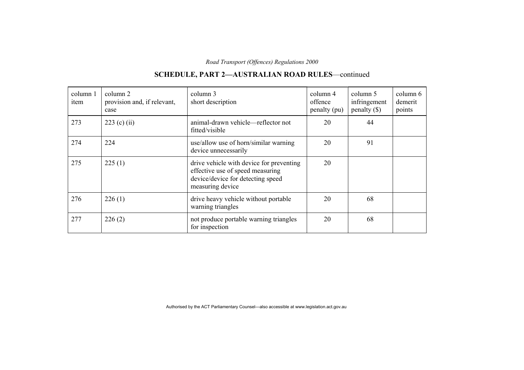#### column 1item column 2 provision and, if relevant, case column 3 short description column 4 offence penalty (pu) column 5 infringement penalty (\$) column 6demerit points 273  $\vert$  223 (c) (ii) animal-drawn vehicle—reflector not fitted/visible 20 44 274 224 use/allow use of horn/similar warning device unnecessarily 20 91 275  $\vert$  225 (1) drive vehicle with device for preventing effective use of speed measuring device/device for detecting speed measuring device 20 276 226 (1) drive heavy vehicle without portable warning triangles 20 68 277 226 (2) not produce portable warning triangles for inspection 20 68

### **SCHEDULE, PART 2—AUSTRALIAN ROAD RULES**—continued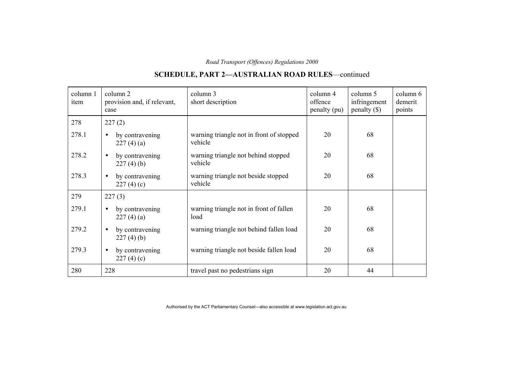#### column 1item column 2 provision and, if relevant, case column 3 short description column 4 offence penalty (pu) column 5 infringement penalty (\$) column 6demerit points 278 227 (2) 278.1 • by contravening 227 (4) (a) warning triangle not in front of stopped vehicle 20 68 278.2 • by contravening  $227(4)(b)$ warning triangle not behind stopped vehicle 20 68 278.3 • by contravening  $227(4)(c)$ warning triangle not beside stopped vehicle 20 68 279  $227 (3)$ 279.1 • by contravening 227 (4) (a) warning triangle not in front of fallen load 20 68 279.2 • by contravening 227 (4) (b) warning triangle not behind fallen load 20 68 279.3 • by contravening  $227(4)(c)$ warning triangle not beside fallen load 20 68 280 228travel past no pedestrians sign 20 44

### **SCHEDULE, PART 2—AUSTRALIAN ROAD RULES**—continued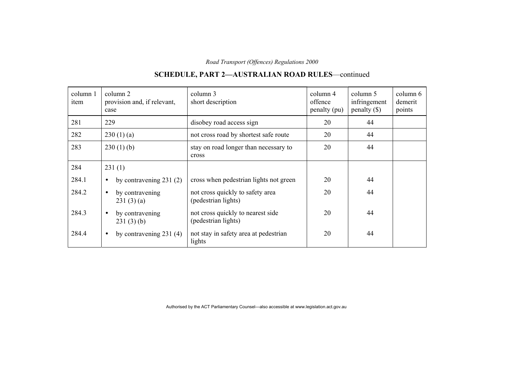## **SCHEDULE, PART 2—AUSTRALIAN ROAD RULES**—continued

| column 1<br>item | column 2<br>provision and, if relevant,<br>case | column 3<br>short description                            | column 4<br>offence<br>penalty (pu) | column 5<br>infringement<br>$penalty$ (\$) | column 6<br>demerit<br>points |
|------------------|-------------------------------------------------|----------------------------------------------------------|-------------------------------------|--------------------------------------------|-------------------------------|
| 281              | 229                                             | disobey road access sign                                 | 20                                  | 44                                         |                               |
| 282              | 230(1)(a)                                       | not cross road by shortest safe route                    | 20                                  | 44                                         |                               |
| 283              | 230(1)(b)                                       | stay on road longer than necessary to<br>cross           | 20                                  | 44                                         |                               |
| 284              | 231(1)                                          |                                                          |                                     |                                            |                               |
| 284.1            | by contravening $231(2)$<br>$\bullet$           | cross when pedestrian lights not green                   | 20                                  | 44                                         |                               |
| 284.2            | by contravening<br>$\bullet$<br>231(3)(a)       | not cross quickly to safety area<br>(pedestrian lights)  | 20                                  | 44                                         |                               |
| 284.3            | by contravening<br>231(3)(b)                    | not cross quickly to nearest side<br>(pedestrian lights) | 20                                  | 44                                         |                               |
| 284.4            | by contravening $231(4)$<br>$\bullet$           | not stay in safety area at pedestrian<br>lights          | 20                                  | 44                                         |                               |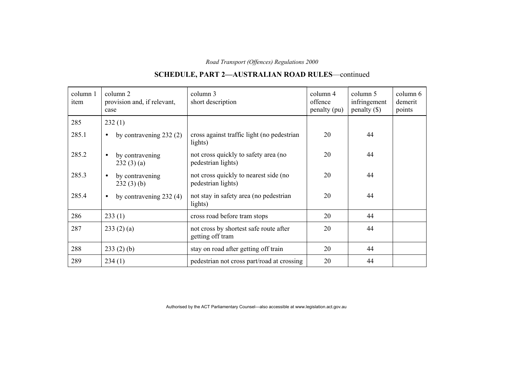# **SCHEDULE, PART 2—AUSTRALIAN ROAD RULES**—continued

| column 1<br>item | column 2<br>provision and, if relevant,<br>case | column 3<br>short description                               | column 4<br>offence<br>penalty (pu) | column 5<br>infringement<br>$penalty (\$))$ | column 6<br>demerit<br>points |
|------------------|-------------------------------------------------|-------------------------------------------------------------|-------------------------------------|---------------------------------------------|-------------------------------|
| 285              | 232(1)                                          |                                                             |                                     |                                             |                               |
| 285.1            | by contravening $232(2)$<br>$\bullet$           | cross against traffic light (no pedestrian<br>lights)       | 20                                  | 44                                          |                               |
| 285.2            | by contravening<br>$\bullet$<br>232(3)(a)       | not cross quickly to safety area (no<br>pedestrian lights)  | 20                                  | 44                                          |                               |
| 285.3            | by contravening<br>$\bullet$<br>232(3)(b)       | not cross quickly to nearest side (no<br>pedestrian lights) | 20                                  | 44                                          |                               |
| 285.4            | by contravening $232(4)$<br>$\bullet$           | not stay in safety area (no pedestrian<br>lights)           | 20                                  | 44                                          |                               |
| 286              | 233(1)                                          | cross road before tram stops                                | 20                                  | 44                                          |                               |
| 287              | 233(2)(a)                                       | not cross by shortest safe route after<br>getting off tram  | 20                                  | 44                                          |                               |
| 288              | 233(2)(b)                                       | stay on road after getting off train                        | 20                                  | 44                                          |                               |
| 289              | 234(1)                                          | pedestrian not cross part/road at crossing                  | 20                                  | 44                                          |                               |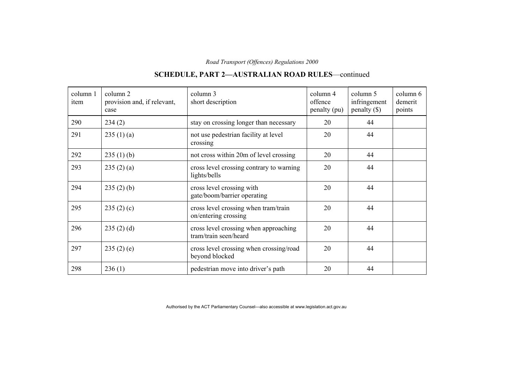#### column 1item column 2 provision and, if relevant, case column 3 short description column 4 offence penalty (pu) column 5 infringement penalty (\$) column 6demerit points 290  $\begin{array}{|l|c|c|c|c|c|c|c|c|} \hline \end{array}$  20  $\begin{array}{|l|c|c|c|c|c|c|c|c|} \hline \end{array}$  20  $\begin{array}{|l|c|c|c|c|c|c|c|c|} \hline \end{array}$  44 291  $\begin{array}{|c|c|c|c|c|}\n\hline\n235 (1) (a) & \text{not use pedestrian facility at level}\n\end{array}$ crossing 20 44 292  $\begin{array}{|l|l|} \hline \end{array}$  235 (1) (b) hot cross within 20m of level crossing 20  $\begin{array}{|l|l|} \hline \end{array}$  20  $\begin{array}{|l|l|} \hline \end{array}$ 293  $\begin{array}{c|c} 293 & 235 (2) (a) \end{array}$  cross level crossing contrary to warning lights/bells 20 44 294 235 (2) (b) cross level crossing with gate/boom/barrier operating 20 44 295 235 (2) (c) cross level crossing when tram/train on/entering crossing 20 44 296  $\begin{array}{|c|c|c|c|c|}\n\hline\n235 (2) (d) & & \text{cross level crossing when approaching}\n\end{array}$ tram/train seen/heard 20 44 297 235 (2) (e) cross level crossing when crossing/road beyond blocked 20 44 298 236 (1) pedestrian move into driver's path 20 44

### **SCHEDULE, PART 2—AUSTRALIAN ROAD RULES**—continued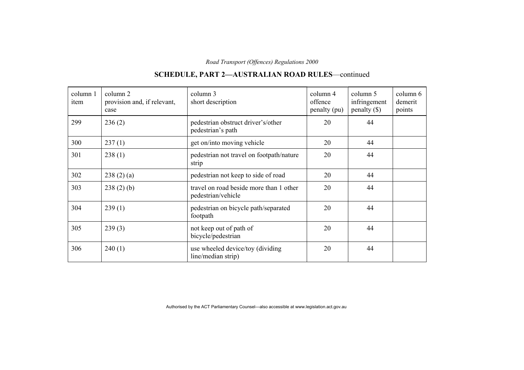#### column 1item column 2 provision and, if relevant, case column 3 short description column 4 offence penalty (pu) column 5 infringement penalty (\$) column 6demerit points 299 236 (2) pedestrian obstruct driver's/other pedestrian's path 20 44  $300$   $237(1)$  get on/into moving vehicle 20 44 301 238 (1) pedestrian not travel on footpath/nature strip 20 44  $302$  238 (2) (a) pedestrian not keep to side of road 20 44  $303$  238 (2) (b) travel on road beside more than 1 other pedestrian/vehicle 20 44 304 239 (1) pedestrian on bicycle path/separated footpath 20 44 305 239 (3) not keep out of path of bicycle/pedestrian 20 44  $306$  | 240 (1) | use wheeled device/toy (dividing line/median strip) 20 44

### **SCHEDULE, PART 2—AUSTRALIAN ROAD RULES**—continued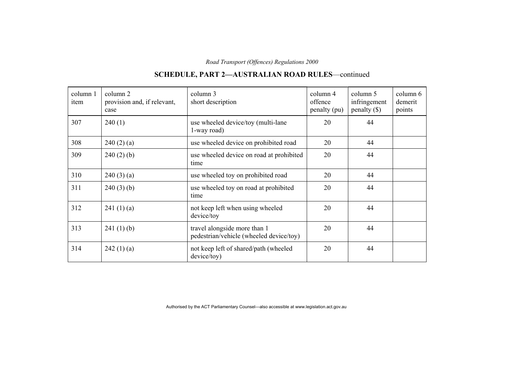# **SCHEDULE, PART 2—AUSTRALIAN ROAD RULES**—continued

| column 1<br>item | column 2<br>provision and, if relevant,<br>case | column 3<br>short description                                           | column 4<br>offence<br>penalty (pu) | column 5<br>infringement<br>$penalty (\$))$ | column 6<br>demerit<br>points |
|------------------|-------------------------------------------------|-------------------------------------------------------------------------|-------------------------------------|---------------------------------------------|-------------------------------|
| 307              | 240(1)                                          | use wheeled device/toy (multi-lane<br>1-way road)                       | 20                                  | 44                                          |                               |
| 308              | 240(2)(a)                                       | use wheeled device on prohibited road                                   | 20                                  | 44                                          |                               |
| 309              | 240(2)(b)                                       | use wheeled device on road at prohibited<br>time                        | 20                                  | 44                                          |                               |
| 310              | 240(3)(a)                                       | use wheeled toy on prohibited road                                      | 20                                  | 44                                          |                               |
| 311              | 240(3)(b)                                       | use wheeled toy on road at prohibited<br>time                           | 20                                  | 44                                          |                               |
| 312              | 241(1)(a)                                       | not keep left when using wheeled<br>device/toy                          | 20                                  | 44                                          |                               |
| 313              | 241(1)(b)                                       | travel alongside more than 1<br>pedestrian/vehicle (wheeled device/toy) | 20                                  | 44                                          |                               |
| 314              | 242(1)(a)                                       | not keep left of shared/path (wheeled<br>device/toy)                    | 20                                  | 44                                          |                               |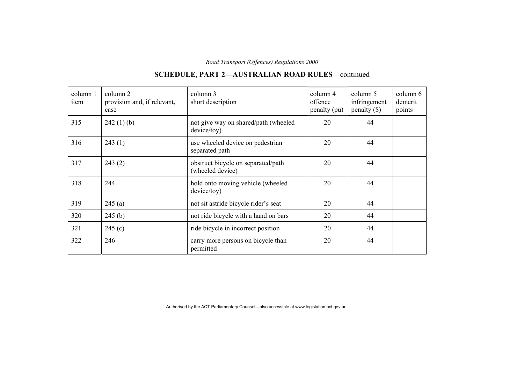#### column 1item column 2 provision and, if relevant, case column 3 short description column 4 offence penalty (pu) column 5 infringement penalty (\$) column 6demerit points  $315$  242 (1) (b) not give way on shared/path (wheeled device/toy) 20 44  $316$  243 (1) use wheeled device on pedestrian separated path 20 44 317 243 (2) obstruct bicycle on separated/path (wheeled device) 20 44 318 244 hold onto moving vehicle (wheeled device/toy) 20 44  $319$   $245$  (a) not sit astride bicycle rider's seat 20 44  $320$  245 (b) not ride bicycle with a hand on bars 20 44  $321$  245 (c) ride bicycle in incorrect position 20 44 322 246 246 carry more persons on bicycle than permitted 20 44

### **SCHEDULE, PART 2—AUSTRALIAN ROAD RULES**—continued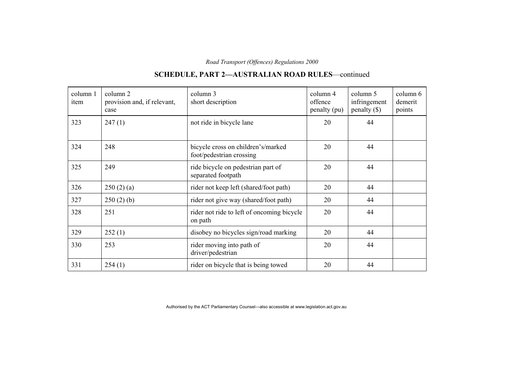#### column 1item column 2 provision and, if relevant, case column 3 short description column 4 offence penalty (pu) column 5 infringement penalty (\$) column 6demerit points  $323$  247 (1) hot ride in bicycle lane 20 44 324 248 bicycle cross on children's/marked foot/pedestrian crossing 20 44 325 249 and 249 ride bicycle on pedestrian part of separated footpath 20 44  $326$   $\big| 250 (2) (a)$  rider not keep left (shared/foot path) 20  $\big| 44$  $327$  250 (2) (b) rider not give way (shared/foot path) 20 44 328 251 rider not ride to left of oncoming bicycle on path 20 44  $329$  252 (1) disobey no bicycles sign/road marking 20 44 330 253 rider moving into path of driver/pedestrian 20 44  $331$  254 (1) rider on bicycle that is being towed 20 44

### **SCHEDULE, PART 2—AUSTRALIAN ROAD RULES**—continued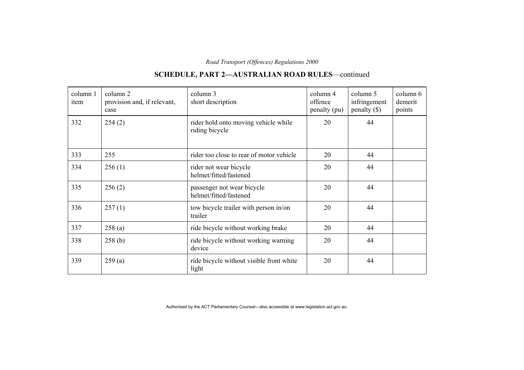#### column 1item column 2 provision and, if relevant, case column 3 short description column 4 offence penalty (pu) column 5 infringement penalty (\$) column 6demerit points 332 254 (2) rider hold onto moving vehicle while riding bicycle 20 44 333 255 rider too close to rear of motor vehicle 20 44  $334$  256 (1) rider not wear bicycle helmet/fitted/fastened 20 44 335 256 (2) passenger not wear bicycle helmet/fitted/fastened 20 44  $336$  257 (1) tow bicycle trailer with person in/on trailer 20 44  $337$  258 (a) ride bicycle without working brake 20 44 338 258 (b) ride bicycle without working warning device 20 44  $339$  259 (a) ride bicycle without visible front white light 20 44

### **SCHEDULE, PART 2—AUSTRALIAN ROAD RULES**—continued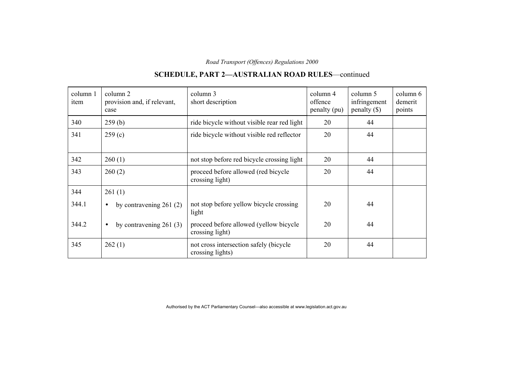#### column 1item column 2 provision and, if relevant, case column 3 short description column 4 offence penalty (pu) column 5 infringement penalty (\$) column 6demerit points  $340$   $259$  (b) ride bicycle without visible rear red light  $20$  44  $341$  259 (c) ride bicycle without visible red reflector  $\begin{array}{|c|c|c|c|c|c|} \hline 20 & 44 \end{array}$  $342$  260 (1) hot stop before red bicycle crossing light 20 44 343 260 (2) proceed before allowed (red bicycle crossing light) 20 44  $344$  | 261 (1) 344.1 • by contravening 261 (2) not stop before yellow bicycle crossing light 20 44 344.2 • by contravening 261 (3) proceed before allowed (yellow bicycle crossing light) 20 44 345 262 (1) not cross intersection safely (bicycle crossing lights) 20 44

### **SCHEDULE, PART 2—AUSTRALIAN ROAD RULES**—continued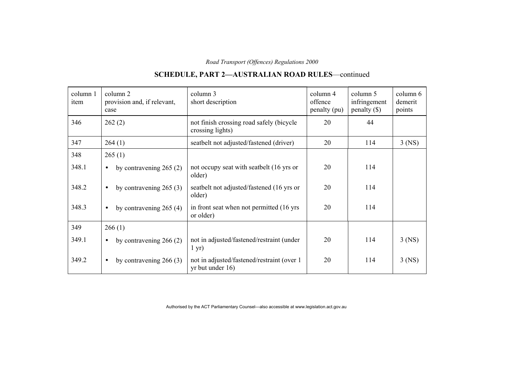## **SCHEDULE, PART 2—AUSTRALIAN ROAD RULES**—continued

| column 1<br>item | column 2<br>provision and, if relevant,<br>case | column 3<br>short description                                     | column 4<br>offence<br>penalty (pu) | column 5<br>infringement<br>$penalty (\$))$ | column 6<br>demerit<br>points |
|------------------|-------------------------------------------------|-------------------------------------------------------------------|-------------------------------------|---------------------------------------------|-------------------------------|
| 346              | 262(2)                                          | not finish crossing road safely (bicycle<br>crossing lights)      | 20                                  | 44                                          |                               |
| 347              | 264(1)                                          | seatbelt not adjusted/fastened (driver)                           | 20                                  | 114                                         | $3$ (NS)                      |
| 348              | 265(1)                                          |                                                                   |                                     |                                             |                               |
| 348.1            | by contravening $265(2)$<br>$\bullet$           | not occupy seat with seatbelt (16 yrs or<br>older)                | 20                                  | 114                                         |                               |
| 348.2            | by contravening $265(3)$<br>$\bullet$           | seatbelt not adjusted/fastened (16 yrs or<br>older)               | 20                                  | 114                                         |                               |
| 348.3            | by contravening $265(4)$<br>$\bullet$           | in front seat when not permitted (16 yrs)<br>or older)            | 20                                  | 114                                         |                               |
| 349              | 266(1)                                          |                                                                   |                                     |                                             |                               |
| 349.1            | by contravening $266(2)$<br>$\bullet$           | not in adjusted/fastened/restraint (under<br>$1 \text{ yr}$ )     | 20                                  | 114                                         | $3$ (NS)                      |
| 349.2            | by contravening $266(3)$<br>$\bullet$           | not in adjusted/fastened/restraint (over 1)<br>$yr$ but under 16) | 20                                  | 114                                         | $3$ (NS)                      |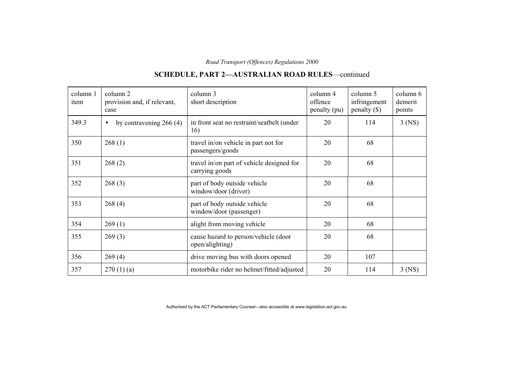## **SCHEDULE, PART 2—AUSTRALIAN ROAD RULES**—continued

| column 1<br>item | column 2<br>provision and, if relevant,<br>case | column 3<br>short description                               | column 4<br>offence<br>penalty (pu) | column 5<br>infringement<br>$penalty$ (\$) | column 6<br>demerit<br>points |
|------------------|-------------------------------------------------|-------------------------------------------------------------|-------------------------------------|--------------------------------------------|-------------------------------|
| 349.3            | by contravening $266(4)$<br>$\bullet$           | in front seat no restraint/seatbelt (under<br>16)           | 20                                  | 114                                        | $3$ (NS)                      |
| 350              | 268(1)                                          | travel in/on vehicle in part not for<br>passengers/goods    | 20                                  | 68                                         |                               |
| 351              | 268(2)                                          | travel in/on part of vehicle designed for<br>carrying goods | 20                                  | 68                                         |                               |
| 352              | 268(3)                                          | part of body outside vehicle<br>window/door (driver)        | 20                                  | 68                                         |                               |
| 353              | 268(4)                                          | part of body outside vehicle<br>window/door (passenger)     | 20                                  | 68                                         |                               |
| 354              | 269(1)                                          | alight from moving vehicle                                  | 20                                  | 68                                         |                               |
| 355              | 269(3)                                          | cause hazard to person/vehicle (door<br>open/alighting)     | 20                                  | 68                                         |                               |
| 356              | 269(4)                                          | drive moving bus with doors opened                          | 20                                  | 107                                        |                               |
| 357              | 270(1)(a)                                       | motorbike rider no helmet/fitted/adjusted                   | 20                                  | 114                                        | $3$ (NS)                      |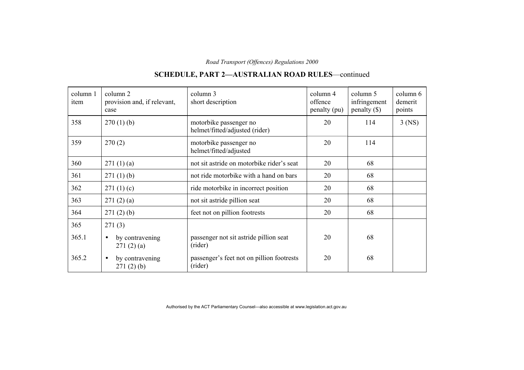#### column 1item column 2 provision and, if relevant, case column 3 short description column 4 offence penalty (pu) column 5 infringement penalty (\$) column 6demerit points 358 270 (1) (b) motorbike passenger no helmet/fitted/adjusted (rider) 20 114 3 (NS) 359 270 (2) motorbike passenger no helmet/fitted/adjusted 20 114  $360$   $271 (1) (a)$  not sit astride on motorbike rider's seat  $20$  68  $361$  271 (1) (b) not ride motorbike with a hand on bars 20 68  $362$  271 (1) (c) ride motorbike in incorrect position 20 68  $363$  271 (2) (a) hot sit astride pillion seat 20 68  $364$  271 (2) (b) feet not on pillion footrests 20 68 365 271 (3)  $365.1$  • by contravening  $271(2)(a)$ passenger not sit astride pillion seat (rider) 20 68 365.2 • by contravening 271 (2) (b) passenger's feet not on pillion footrests (rider) 20 68

### **SCHEDULE, PART 2—AUSTRALIAN ROAD RULES**—continued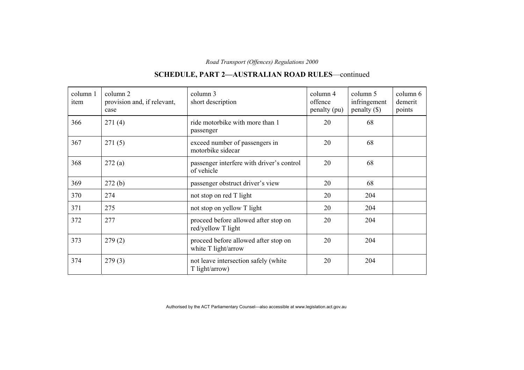#### column 1item column 2 provision and, if relevant, case column 3 short description column 4 offence penalty (pu) column 5 infringement penalty (\$) column 6demerit points 366 271 (4) ride motorbike with more than 1 passenger 20 68 367 271 (5) exceed number of passengers in motorbike sidecar 20 68 368 272 (a) passenger interfere with driver's control of vehicle 20 68 369 272 (b) passenger obstruct driver's view 20 68  $370$  274 not stop on red T light 20 204  $371$  275 not stop on yellow T light 20 204 372 277 proceed before allowed after stop on red/yellow T light 20 204 373 279 (2) proceed before allowed after stop on white T light/arrow 20 204  $374$  279 (3) not leave intersection safely (white T light/arrow) 20 204

### **SCHEDULE, PART 2—AUSTRALIAN ROAD RULES**—continued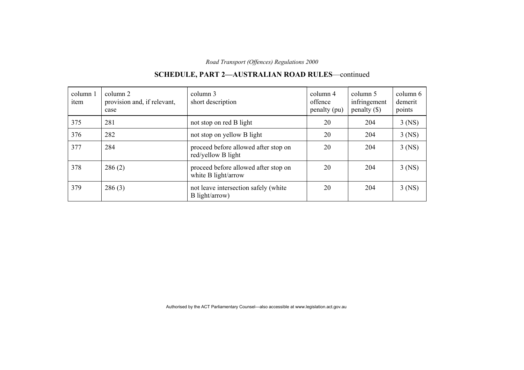| column 1<br>item | column 2<br>provision and, if relevant,<br>case | column 3<br>short description                               | column 4<br>offence<br>penalty (pu) | column 5<br>infringement<br>$penalty (\$))$ | column 6<br>demerit<br>points |
|------------------|-------------------------------------------------|-------------------------------------------------------------|-------------------------------------|---------------------------------------------|-------------------------------|
| 375              | 281                                             | not stop on red B light                                     | 20                                  | 204                                         | $3$ (NS)                      |
| 376              | 282                                             | not stop on yellow B light                                  | 20                                  | 204                                         | $3$ (NS)                      |
| 377              | 284                                             | proceed before allowed after stop on<br>red/yellow B light  | 20                                  | 204                                         | $3$ (NS)                      |
| 378              | 286(2)                                          | proceed before allowed after stop on<br>white B light/arrow | 20                                  | 204                                         | $3$ (NS)                      |
| 379              | 286(3)                                          | not leave intersection safely (white<br>B light/arrow)      | 20                                  | 204                                         | $3$ (NS)                      |

## **SCHEDULE, PART 2—AUSTRALIAN ROAD RULES**—continued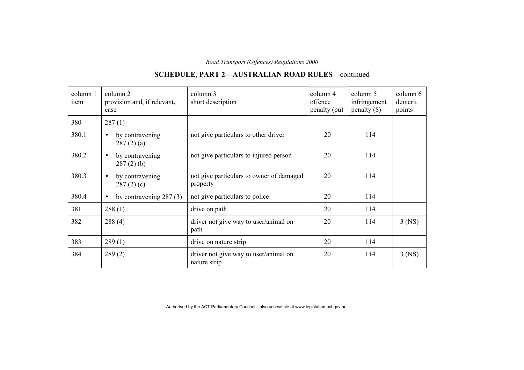# **SCHEDULE, PART 2—AUSTRALIAN ROAD RULES**—continued

| column 1<br>item | column 2<br>provision and, if relevant,<br>case | column 3<br>short description                         | column 4<br>offence<br>penalty (pu) | column 5<br>infringement<br>$penalty$ (\$) | column 6<br>demerit<br>points |
|------------------|-------------------------------------------------|-------------------------------------------------------|-------------------------------------|--------------------------------------------|-------------------------------|
| 380              | 287(1)                                          |                                                       |                                     |                                            |                               |
| 380.1            | by contravening<br>287(2)(a)                    | not give particulars to other driver                  | 20                                  | 114                                        |                               |
| 380.2            | by contravening<br>$\bullet$<br>$287(2)$ (b)    | not give particulars to injured person                | 20                                  | 114                                        |                               |
| 380.3            | by contravening<br>$\bullet$<br>287(2)(c)       | not give particulars to owner of damaged<br>property  | 20                                  | 114                                        |                               |
| 380.4            | by contravening $287(3)$<br>$\bullet$           | not give particulars to police                        | 20                                  | 114                                        |                               |
| 381              | 288(1)                                          | drive on path                                         | 20                                  | 114                                        |                               |
| 382              | 288(4)                                          | driver not give way to user/animal on<br>path         | 20                                  | 114                                        | $3$ (NS)                      |
| 383              | 289(1)                                          | drive on nature strip                                 | 20                                  | 114                                        |                               |
| 384              | 289(2)                                          | driver not give way to user/animal on<br>nature strip | 20                                  | 114                                        | $3$ (NS)                      |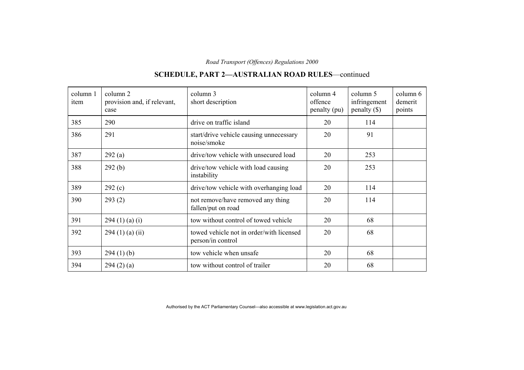#### column 1item column 2 provision and, if relevant, case column 3 short description column 4 offence penalty (pu) column 5 infringement penalty (\$) column 6demerit points 385 290drive on traffic island  $20$  114 386 291 201 noise/smoke 20 91  $387$  292 (a) drive/tow vehicle with unsecured load 20 253 388 292 (b) drive/tow vehicle with load causing instability 20 253  $389$  292 (c) drive/tow vehicle with overhanging load 20 114 390 293 (2) not remove/have removed any thing fallen/put on road 20 114  $391$  294 (1) (a) (i) tow without control of towed vehicle 20 68  $392$  294 (1) (a) (ii) towed vehicle not in order/with licensed person/in control 20 68  $393$  294 (1) (b) tow vehicle when unsafe 20 68  $394$   $294 (2) (a)$  tow without control of trailer 20 68

### **SCHEDULE, PART 2—AUSTRALIAN ROAD RULES**—continued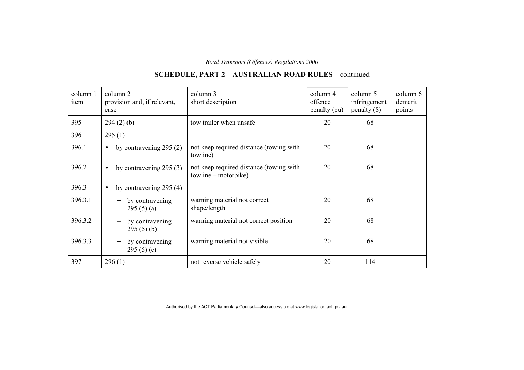## **SCHEDULE, PART 2—AUSTRALIAN ROAD RULES**—continued

| column 1<br>item | column 2<br>provision and, if relevant,<br>case | column 3<br>short description                                   | column 4<br>offence<br>penalty (pu) | column 5<br>infringement<br>$penalty (\$))$ | column 6<br>demerit<br>points |
|------------------|-------------------------------------------------|-----------------------------------------------------------------|-------------------------------------|---------------------------------------------|-------------------------------|
| 395              | 294(2)(b)                                       | tow trailer when unsafe                                         | 20                                  | 68                                          |                               |
| 396              | 295(1)                                          |                                                                 |                                     |                                             |                               |
| 396.1            | by contravening $295(2)$<br>$\bullet$           | not keep required distance (towing with<br>towline)             | 20                                  | 68                                          |                               |
| 396.2            | by contravening $295(3)$<br>$\bullet$           | not keep required distance (towing with<br>towline – motorbike) | 20                                  | 68                                          |                               |
| 396.3            | by contravening $295(4)$<br>$\bullet$           |                                                                 |                                     |                                             |                               |
| 396.3.1          | by contravening<br>295(5)(a)                    | warning material not correct<br>shape/length                    | 20                                  | 68                                          |                               |
| 396.3.2          | by contravening<br>295(5)(b)                    | warning material not correct position                           | 20                                  | 68                                          |                               |
| 396.3.3          | by contravening<br>295 $(5)(c)$                 | warning material not visible                                    | 20                                  | 68                                          |                               |
| 397              | 296(1)                                          | not reverse vehicle safely                                      | 20                                  | 114                                         |                               |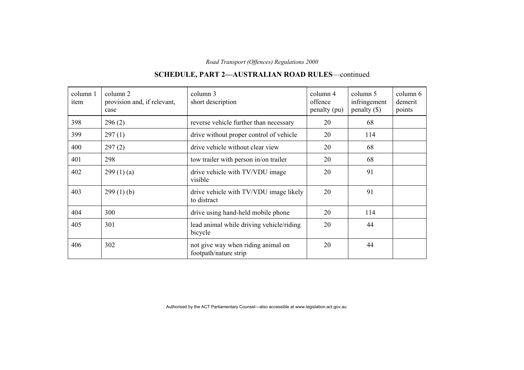#### column 1item column 2 provision and, if relevant, case column 3 short description column 4 offence penalty (pu) column 5 infringement penalty (\$) column 6demerit points  $398$  296 (2) reverse vehicle further than necessary 20 68  $399$  297 (1) drive without proper control of vehicle 20 114 400 297 (2) drive vehicle without clear view 20 68 401 298 tow trailer with person in/on trailer 20 68  $402$  299 (1) (a) drive vehicle with TV/VDU image visible 20 91 403 299 (1) (b) drive vehicle with TV/VDU image likely to distract 20 91 404 300 drive using hand-held mobile phone 20 114 405 301 lead animal while driving vehicle/riding bicycle 20 44 406 302 not give way when riding animal on footpath/nature strip 20 44

### **SCHEDULE, PART 2—AUSTRALIAN ROAD RULES**—continued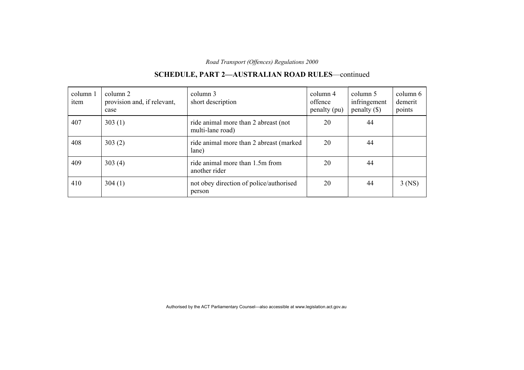| column 1<br>item | column 2<br>provision and, if relevant,<br>case | column 3<br>short description                            | column 4<br>offence<br>penalty (pu) | column 5<br>infringement<br>$penalty (\$))$ | column 6<br>demerit<br>points |
|------------------|-------------------------------------------------|----------------------------------------------------------|-------------------------------------|---------------------------------------------|-------------------------------|
| 407              | 303(1)                                          | ride animal more than 2 abreast (not<br>multi-lane road) | 20                                  | 44                                          |                               |
| 408              | 303(2)                                          | ride animal more than 2 abreast (marked)<br>lane)        | 20                                  | 44                                          |                               |
| 409              | 303(4)                                          | ride animal more than 1.5m from<br>another rider         | 20                                  | 44                                          |                               |
| 410              | 304(1)                                          | not obey direction of police/authorised<br>person        | 20                                  | 44                                          | $3$ (NS)                      |

## **SCHEDULE, PART 2—AUSTRALIAN ROAD RULES**—continued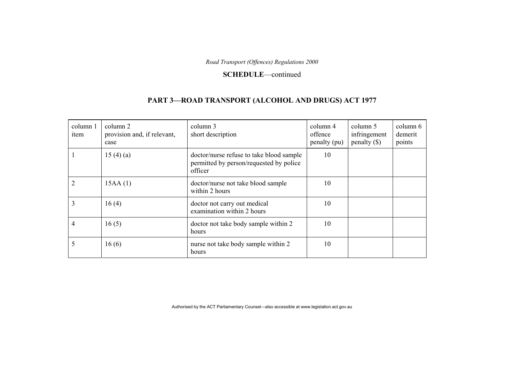#### **SCHEDULE**—continued

## **PART 3—ROAD TRANSPORT (ALCOHOL AND DRUGS) ACT 1977**

| column 1<br>item | column 2<br>provision and, if relevant,<br>case | column 3<br>short description                                                                  | column 4<br>offence<br>penalty (pu) | column 5<br>infringement<br>penalty $(\$)$ | column 6<br>demerit<br>points |
|------------------|-------------------------------------------------|------------------------------------------------------------------------------------------------|-------------------------------------|--------------------------------------------|-------------------------------|
|                  | 15(4)(a)                                        | doctor/nurse refuse to take blood sample<br>permitted by person/requested by police<br>officer | 10                                  |                                            |                               |
| 2                | 15AA(1)                                         | doctor/nurse not take blood sample<br>within 2 hours                                           | 10                                  |                                            |                               |
| 3                | 16(4)                                           | doctor not carry out medical<br>examination within 2 hours                                     | 10                                  |                                            |                               |
| 4                | 16(5)                                           | doctor not take body sample within 2<br>hours                                                  | 10                                  |                                            |                               |
| 5                | 16(6)                                           | nurse not take body sample within 2<br>hours                                                   | 10                                  |                                            |                               |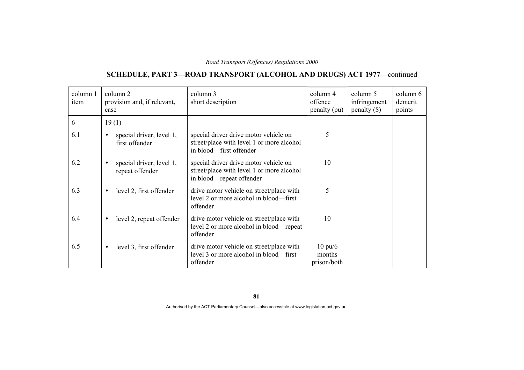## **SCHEDULE, PART 3—ROAD TRANSPORT (ALCOHOL AND DRUGS) ACT 1977**—continued

| column 1<br>item | column 2<br>provision and, if relevant,<br>case          | column 3<br>short description                                                                                  | column 4<br>offence<br>penalty (pu)        | column 5<br>infringement<br>$penalty$ (\$) | column 6<br>demerit<br>points |
|------------------|----------------------------------------------------------|----------------------------------------------------------------------------------------------------------------|--------------------------------------------|--------------------------------------------|-------------------------------|
| 6                | 19(1)                                                    |                                                                                                                |                                            |                                            |                               |
| 6.1              | special driver, level 1,<br>$\bullet$<br>first offender  | special driver drive motor vehicle on<br>street/place with level 1 or more alcohol<br>in blood-first offender  | 5                                          |                                            |                               |
| 6.2              | special driver, level 1,<br>$\bullet$<br>repeat offender | special driver drive motor vehicle on<br>street/place with level 1 or more alcohol<br>in blood—repeat offender | 10                                         |                                            |                               |
| 6.3              | level 2, first offender<br>$\bullet$                     | drive motor vehicle on street/place with<br>level 2 or more alcohol in blood—first<br>offender                 | 5                                          |                                            |                               |
| 6.4              | level 2, repeat offender<br>$\bullet$                    | drive motor vehicle on street/place with<br>level 2 or more alcohol in blood—repeat<br>offender                | 10                                         |                                            |                               |
| 6.5              | level 3, first offender<br>$\bullet$                     | drive motor vehicle on street/place with<br>level 3 or more alcohol in blood—first<br>offender                 | $10 \text{ pu}/6$<br>months<br>prison/both |                                            |                               |

**81**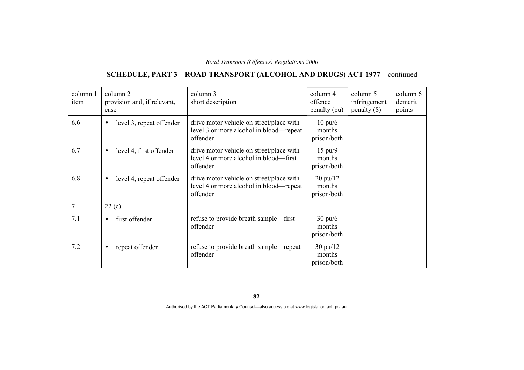### **SCHEDULE, PART 3—ROAD TRANSPORT (ALCOHOL AND DRUGS) ACT 1977**—continued

| column 1<br>item | column 2<br>provision and, if relevant,<br>case | column 3<br>short description                                                                   | column 4<br>offence<br>penalty (pu)                | column 5<br>infringement<br>$penalty$ (\$) | column 6<br>demerit<br>points |
|------------------|-------------------------------------------------|-------------------------------------------------------------------------------------------------|----------------------------------------------------|--------------------------------------------|-------------------------------|
| 6.6              | level 3, repeat offender<br>$\bullet$           | drive motor vehicle on street/place with<br>level 3 or more alcohol in blood—repeat<br>offender | $10 \text{ pu}/6$<br>months<br>prison/both         |                                            |                               |
| 6.7              | level 4, first offender<br>$\bullet$            | drive motor vehicle on street/place with<br>level 4 or more alcohol in blood—first<br>offender  | $15 \text{ pu}/9$<br>months<br>prison/both         |                                            |                               |
| 6.8              | level 4, repeat offender<br>$\bullet$           | drive motor vehicle on street/place with<br>level 4 or more alcohol in blood—repeat<br>offender | $20 \frac{\text{pu}}{12}$<br>months<br>prison/both |                                            |                               |
| 7                | 22(c)                                           |                                                                                                 |                                                    |                                            |                               |
| 7.1              | first offender<br>$\bullet$                     | refuse to provide breath sample—first<br>offender                                               | $30 \text{ pu/6}$<br>months<br>prison/both         |                                            |                               |
| 7.2              | repeat offender<br>$\bullet$                    | refuse to provide breath sample—repeat<br>offender                                              | $30 \text{ pu}/12$<br>months<br>prison/both        |                                            |                               |

**82**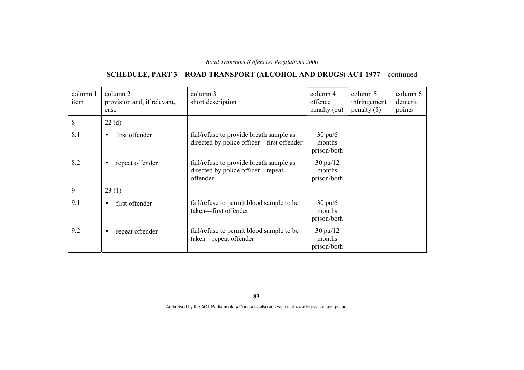## **SCHEDULE, PART 3—ROAD TRANSPORT (ALCOHOL AND DRUGS) ACT 1977**—continued

| column 1<br>item | column 2<br>provision and, if relevant,<br>case | column 3<br>short description                                                            | column 4<br>offence<br>penalty (pu)         | column 5<br>infringement<br>penalty $(\$)$ | column 6<br>demerit<br>points |
|------------------|-------------------------------------------------|------------------------------------------------------------------------------------------|---------------------------------------------|--------------------------------------------|-------------------------------|
| 8                | 22(d)                                           |                                                                                          |                                             |                                            |                               |
| 8.1              | first offender<br>$\bullet$                     | fail/refuse to provide breath sample as<br>directed by police officer—first offender     | $30 \text{ pu/6}$<br>months<br>prison/both  |                                            |                               |
| 8.2              | repeat offender                                 | fail/refuse to provide breath sample as<br>directed by police officer-repeat<br>offender | $30 \text{ pu}/12$<br>months<br>prison/both |                                            |                               |
| 9                | 23(1)                                           |                                                                                          |                                             |                                            |                               |
| 9.1              | first offender<br>$\bullet$                     | fail/refuse to permit blood sample to be<br>taken-first offender                         | $30 \text{ pu}/6$<br>months<br>prison/both  |                                            |                               |
| 9.2              | repeat offender                                 | fail/refuse to permit blood sample to be<br>taken—repeat offender                        | $30 \text{ pu}/12$<br>months<br>prison/both |                                            |                               |

**83**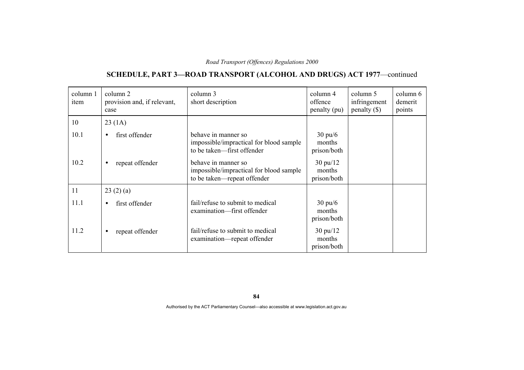## **SCHEDULE, PART 3—ROAD TRANSPORT (ALCOHOL AND DRUGS) ACT 1977**—continued

| column 1<br>item | column 2<br>provision and, if relevant,<br>case | column 3<br>short description                                                                 | column 4<br>offence<br>penalty (pu)         | column 5<br>infringement<br>penalty $(\$)$ | column 6<br>demerit<br>points |
|------------------|-------------------------------------------------|-----------------------------------------------------------------------------------------------|---------------------------------------------|--------------------------------------------|-------------------------------|
| 10               | 23(1A)                                          |                                                                                               |                                             |                                            |                               |
| 10.1             | first offender<br>$\bullet$                     | behave in manner so<br>impossible/impractical for blood sample<br>to be taken—first offender  | $30 \text{ pu/6}$<br>months<br>prison/both  |                                            |                               |
| 10.2             | repeat offender<br>$\bullet$                    | behave in manner so<br>impossible/impractical for blood sample<br>to be taken-repeat offender | $30 \text{ pu}/12$<br>months<br>prison/both |                                            |                               |
| 11               | 23(2)(a)                                        |                                                                                               |                                             |                                            |                               |
| 11.1             | first offender<br>$\bullet$                     | fail/refuse to submit to medical<br>examination-first offender                                | $30 \text{ pu}/6$<br>months<br>prison/both  |                                            |                               |
| 11.2             | repeat offender<br>$\bullet$                    | fail/refuse to submit to medical<br>examination—repeat offender                               | $30 \text{ pu}/12$<br>months<br>prison/both |                                            |                               |

**84**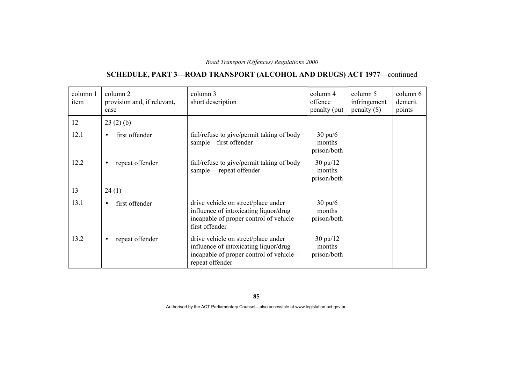## **SCHEDULE, PART 3—ROAD TRANSPORT (ALCOHOL AND DRUGS) ACT 1977**—continued

| column 1<br>item | column 2<br>provision and, if relevant,<br>case | column 3<br>short description                                                                                                              | column 4<br>offence<br>penalty (pu)         | column 5<br>infringement<br>penalty $(\$)$ | column 6<br>demerit<br>points |
|------------------|-------------------------------------------------|--------------------------------------------------------------------------------------------------------------------------------------------|---------------------------------------------|--------------------------------------------|-------------------------------|
| 12               | 23(2)(b)                                        |                                                                                                                                            |                                             |                                            |                               |
| 12.1             | first offender<br>$\bullet$                     | fail/refuse to give/permit taking of body<br>sample-first offender                                                                         | $30 \text{ pu}/6$<br>months<br>prison/both  |                                            |                               |
| 12.2             | repeat offender<br>$\bullet$                    | fail/refuse to give/permit taking of body<br>sample - repeat offender                                                                      | $30 \text{ pu}/12$<br>months<br>prison/both |                                            |                               |
| 13               | 24(1)                                           |                                                                                                                                            |                                             |                                            |                               |
| 13.1             | first offender<br>$\bullet$                     | drive vehicle on street/place under<br>influence of intoxicating liquor/drug<br>incapable of proper control of vehicle-<br>first offender  | $30 \text{ pu}/6$<br>months<br>prison/both  |                                            |                               |
| 13.2             | repeat offender<br>$\bullet$                    | drive vehicle on street/place under<br>influence of intoxicating liquor/drug<br>incapable of proper control of vehicle—<br>repeat offender | $30 \text{ pu}/12$<br>months<br>prison/both |                                            |                               |

**85**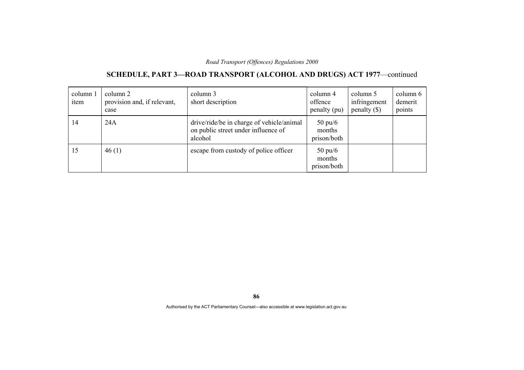### **SCHEDULE, PART 3—ROAD TRANSPORT (ALCOHOL AND DRUGS) ACT 1977**—continued

| column 1<br>item | column 2<br>provision and, if relevant,<br>case | column 3<br>short description                                                               | column 4<br>offence<br>penalty (pu)        | column 5<br>infringement<br>penalty $(\$)$ | column 6<br>demerit<br>points |
|------------------|-------------------------------------------------|---------------------------------------------------------------------------------------------|--------------------------------------------|--------------------------------------------|-------------------------------|
| 14               | 24A                                             | drive/ride/be in charge of vehicle/animal<br>on public street under influence of<br>alcohol | $50 \text{ pu}/6$<br>months<br>prison/both |                                            |                               |
| 15               | 46(1)                                           | escape from custody of police officer                                                       | $50 \text{ pu}/6$<br>months<br>prison/both |                                            |                               |

**86**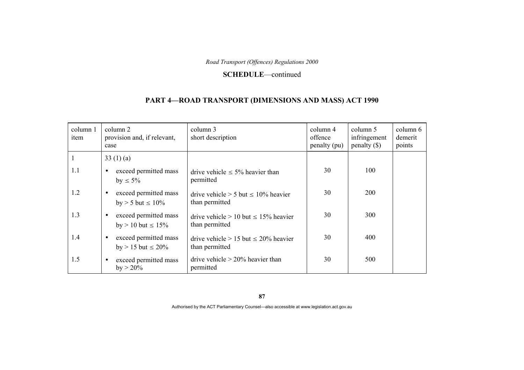#### **SCHEDULE**—continued

### **PART 4—ROAD TRANSPORT (DIMENSIONS AND MASS) ACT 1990**

| column 1<br>item | column 2<br>provision and, if relevant,<br>case                 | column 3<br>short description                                  | column 4<br>offence<br>penalty (pu) | column 5<br>infringement<br>$penalty (\$))$ | column 6<br>demerit<br>points |
|------------------|-----------------------------------------------------------------|----------------------------------------------------------------|-------------------------------------|---------------------------------------------|-------------------------------|
| 1                | 33 $(1)(a)$                                                     |                                                                |                                     |                                             |                               |
| 1.1              | exceed permitted mass<br>$\bullet$<br>by $\leq 5\%$             | drive vehicle $\leq 5\%$ heavier than<br>permitted             | 30                                  | 100                                         |                               |
| 1.2              | exceed permitted mass<br>$\bullet$<br>$by > 5$ but $\leq 10\%$  | drive vehicle $> 5$ but $\leq 10\%$ heavier<br>than permitted  | 30                                  | 200                                         |                               |
| 1.3              | exceed permitted mass<br>$\bullet$<br>by $> 10$ but $\leq 15\%$ | drive vehicle $> 10$ but $\leq 15\%$ heavier<br>than permitted | 30                                  | 300                                         |                               |
| 1.4              | exceed permitted mass<br>$\bullet$<br>by $> 15$ but $\leq 20\%$ | drive vehicle $> 15$ but $\leq 20\%$ heavier<br>than permitted | 30                                  | 400                                         |                               |
| 1.5              | exceed permitted mass<br>$\bullet$<br>$by > 20\%$               | drive vehicle $> 20\%$ heavier than<br>permitted               | 30                                  | 500                                         |                               |

**87**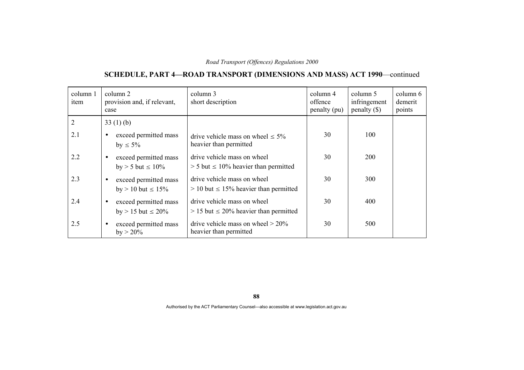# **SCHEDULE, PART 4—ROAD TRANSPORT (DIMENSIONS AND MASS) ACT 1990**—continued

| column 1<br>item | column 2<br>provision and, if relevant,<br>case                 | column 3<br>short description                                                | column 4<br>offence<br>penalty (pu) | column 5<br>infringement<br>$penalty (\$))$ | column 6<br>demerit<br>points |
|------------------|-----------------------------------------------------------------|------------------------------------------------------------------------------|-------------------------------------|---------------------------------------------|-------------------------------|
| $\overline{2}$   | 33(1)(b)                                                        |                                                                              |                                     |                                             |                               |
| 2.1              | exceed permitted mass<br>$\bullet$<br>by $\leq 5\%$             | drive vehicle mass on wheel $\leq 5\%$<br>heavier than permitted             | 30                                  | 100                                         |                               |
| 2.2              | exceed permitted mass<br>$\bullet$<br>by $> 5$ but $\leq 10\%$  | drive vehicle mass on wheel<br>$>$ 5 but $\leq$ 10% heavier than permitted   | 30                                  | <b>200</b>                                  |                               |
| 2.3              | exceed permitted mass<br>$\bullet$<br>$by > 10$ but $\leq 15\%$ | drive vehicle mass on wheel<br>$> 10$ but $\leq 15\%$ heavier than permitted | 30                                  | 300                                         |                               |
| 2.4              | exceed permitted mass<br>$\bullet$<br>by $> 15$ but $\leq 20\%$ | drive vehicle mass on wheel<br>$> 15$ but $\leq 20\%$ heavier than permitted | 30                                  | 400                                         |                               |
| 2.5              | exceed permitted mass<br>$\bullet$<br>$by > 20\%$               | drive vehicle mass on wheel $> 20\%$<br>heavier than permitted               | 30                                  | 500                                         |                               |

Authorised by the ACT Parliamentary Counsel—also accessible at www.legislation.act.gov.au

**88**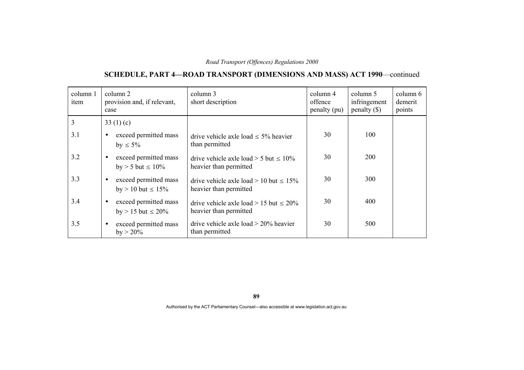# **SCHEDULE, PART 4—ROAD TRANSPORT (DIMENSIONS AND MASS) ACT 1990**—continued

| column 1<br>item | column 2<br>provision and, if relevant,<br>case                 | column 3<br>short description                                            | column 4<br>offence<br>penalty (pu) | column 5<br>infringement<br>penalty $(\$)$ | column 6<br>demerit<br>points |
|------------------|-----------------------------------------------------------------|--------------------------------------------------------------------------|-------------------------------------|--------------------------------------------|-------------------------------|
| $\overline{3}$   | 33 $(1)(c)$                                                     |                                                                          |                                     |                                            |                               |
| 3.1              | exceed permitted mass<br>$\bullet$<br>by $\leq 5\%$             | drive vehicle axle load $\leq 5\%$ heavier<br>than permitted             | 30                                  | 100                                        |                               |
| 3.2              | exceed permitted mass<br>$\bullet$<br>by $> 5$ but $\leq 10\%$  | drive vehicle axle load $> 5$ but $\leq 10\%$<br>heavier than permitted  | 30                                  | <b>200</b>                                 |                               |
| 3.3              | exceed permitted mass<br>$\bullet$<br>by $> 10$ but $\leq 15\%$ | drive vehicle axle load $> 10$ but $\leq 15\%$<br>heavier than permitted | 30                                  | 300                                        |                               |
| 3.4              | exceed permitted mass<br>$\bullet$<br>by $> 15$ but $\leq 20\%$ | drive vehicle axle load > 15 but $\leq 20\%$<br>heavier than permitted   | 30                                  | 400                                        |                               |
| 3.5              | exceed permitted mass<br>$\bullet$<br>$by > 20\%$               | drive vehicle axle load $>$ 20% heavier<br>than permitted                | 30                                  | 500                                        |                               |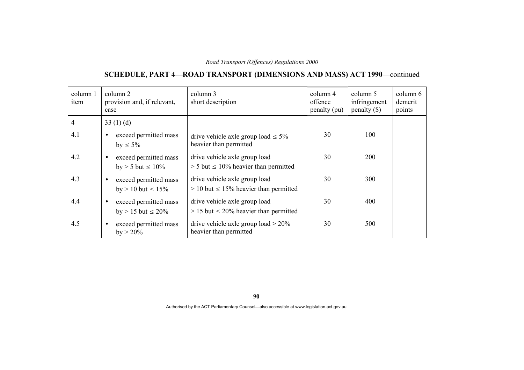# **SCHEDULE, PART 4—ROAD TRANSPORT (DIMENSIONS AND MASS) ACT 1990**—continued

| column 1<br>item | column 2<br>provision and, if relevant,<br>case                 | column 3<br>short description                                                  | column 4<br>offence<br>penalty (pu) | column 5<br>infringement<br>penalty $(\$)$ | column 6<br>demerit<br>points |
|------------------|-----------------------------------------------------------------|--------------------------------------------------------------------------------|-------------------------------------|--------------------------------------------|-------------------------------|
| 4                | 33 $(1)(d)$                                                     |                                                                                |                                     |                                            |                               |
| 4.1              | exceed permitted mass<br>$\bullet$<br>by $\leq 5\%$             | drive vehicle axle group load $\leq 5\%$<br>heavier than permitted             | 30                                  | 100                                        |                               |
| 4.2              | exceed permitted mass<br>$\bullet$<br>by $> 5$ but $\leq 10\%$  | drive vehicle axle group load<br>$> 5$ but $\leq 10\%$ heavier than permitted  | 30                                  | <b>200</b>                                 |                               |
| 4.3              | exceed permitted mass<br>$\bullet$<br>$by > 10$ but $\leq 15\%$ | drive vehicle axle group load<br>$> 10$ but $\leq 15\%$ heavier than permitted | 30                                  | 300                                        |                               |
| 4.4              | exceed permitted mass<br>$\bullet$<br>by $> 15$ but $\leq 20\%$ | drive vehicle axle group load<br>$> 15$ but $\leq 20\%$ heavier than permitted | 30                                  | 400                                        |                               |
| 4.5              | exceed permitted mass<br>$\bullet$<br>$by > 20\%$               | drive vehicle axle group load $> 20\%$<br>heavier than permitted               | 30                                  | 500                                        |                               |

**90**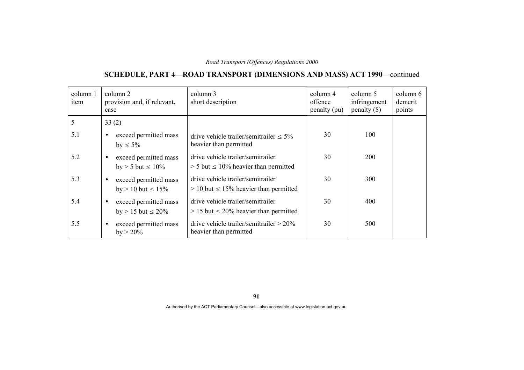# **SCHEDULE, PART 4—ROAD TRANSPORT (DIMENSIONS AND MASS) ACT 1990**—continued

| column 1<br>item | column 2<br>provision and, if relevant,<br>case                 | column 3<br>short description                                                      | column 4<br>offence<br>penalty (pu) | column 5<br>infringement<br>$penalty (\$))$ | column 6<br>demerit<br>points |
|------------------|-----------------------------------------------------------------|------------------------------------------------------------------------------------|-------------------------------------|---------------------------------------------|-------------------------------|
| 5                | 33(2)                                                           |                                                                                    |                                     |                                             |                               |
| 5.1              | exceed permitted mass<br>$\bullet$<br>by $\leq 5\%$             | drive vehicle trailer/semitrailer $\leq 5\%$<br>heavier than permitted             | 30                                  | 100                                         |                               |
| 5.2              | exceed permitted mass<br>$\bullet$<br>by $> 5$ but $\leq 10\%$  | drive vehicle trailer/semitrailer<br>$>$ 5 but $\leq$ 10% heavier than permitted   | 30                                  | <b>200</b>                                  |                               |
| 5.3              | exceed permitted mass<br>$\bullet$<br>$by > 10$ but $\leq 15\%$ | drive vehicle trailer/semitrailer<br>$> 10$ but $\leq 15\%$ heavier than permitted | 30                                  | 300                                         |                               |
| 5.4              | exceed permitted mass<br>$\bullet$<br>by $> 15$ but $\leq 20\%$ | drive vehicle trailer/semitrailer<br>$> 15$ but $\leq 20\%$ heavier than permitted | 30                                  | 400                                         |                               |
| 5.5              | exceed permitted mass<br>$\bullet$<br>$by > 20\%$               | drive vehicle trailer/semitrailer $> 20\%$<br>heavier than permitted               | 30                                  | 500                                         |                               |

**91**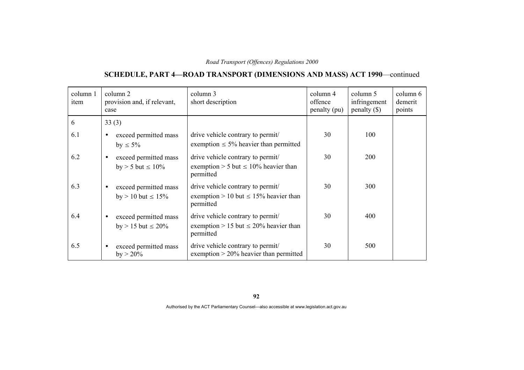# **SCHEDULE, PART 4—ROAD TRANSPORT (DIMENSIONS AND MASS) ACT 1990**—continued

| column 1<br>item | column 2<br>provision and, if relevant,<br>case                 | column 3<br>short description                                                                | column 4<br>offence<br>penalty (pu) | column 5<br>infringement<br>penalty $(\$)$ | column 6<br>demerit<br>points |
|------------------|-----------------------------------------------------------------|----------------------------------------------------------------------------------------------|-------------------------------------|--------------------------------------------|-------------------------------|
| 6                | 33(3)                                                           |                                                                                              |                                     |                                            |                               |
| 6.1              | exceed permitted mass<br>$\bullet$<br>by $\leq 5\%$             | drive vehicle contrary to permit/<br>exemption $\leq$ 5% heavier than permitted              | 30                                  | 100                                        |                               |
| 6.2              | exceed permitted mass<br>$\bullet$<br>by $> 5$ but $\leq 10\%$  | drive vehicle contrary to permit/<br>exemption > 5 but $\leq 10\%$ heavier than<br>permitted | 30                                  | 200                                        |                               |
| 6.3              | exceed permitted mass<br>$\bullet$<br>by $> 10$ but $\leq 15\%$ | drive vehicle contrary to permit/<br>exemption > 10 but $\leq$ 15% heavier than<br>permitted | 30                                  | 300                                        |                               |
| 6.4              | exceed permitted mass<br>$\bullet$<br>by $> 15$ but $\leq 20\%$ | drive vehicle contrary to permit/<br>exemption > 15 but $\leq$ 20% heavier than<br>permitted | 30                                  | 400                                        |                               |
| 6.5              | exceed permitted mass<br>$\bullet$<br>$by > 20\%$               | drive vehicle contrary to permit/<br>exemption $> 20\%$ heavier than permitted               | 30                                  | 500                                        |                               |

**92**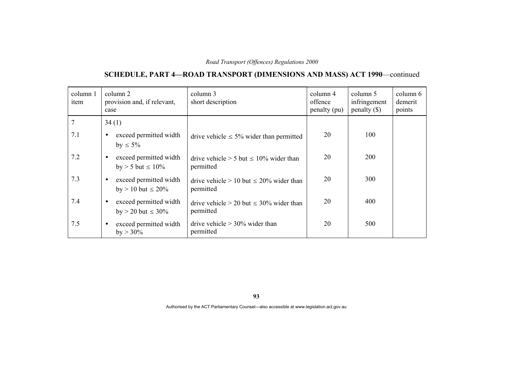# **SCHEDULE, PART 4—ROAD TRANSPORT (DIMENSIONS AND MASS) ACT 1990**—continued

| column 1<br>item | column 2<br>provision and, if relevant,<br>case                  | column 3<br>short description                                | column 4<br>offence<br>penalty (pu) | column 5<br>infringement<br>$penalty$ (\$) | column 6<br>demerit<br>points |
|------------------|------------------------------------------------------------------|--------------------------------------------------------------|-------------------------------------|--------------------------------------------|-------------------------------|
|                  | 34(1)                                                            |                                                              |                                     |                                            |                               |
| 7.1              | exceed permitted width<br>$\bullet$<br>by $\leq 5\%$             | drive vehicle $\leq 5\%$ wider than permitted                | 20                                  | 100                                        |                               |
| 7.2              | exceed permitted width<br>$\bullet$<br>by $> 5$ but $\leq 10\%$  | drive vehicle $> 5$ but $\leq 10\%$ wider than<br>permitted  | 20                                  | <b>200</b>                                 |                               |
| 7.3              | exceed permitted width<br>$\bullet$<br>by $> 10$ but $\leq 20\%$ | drive vehicle $> 10$ but $\leq 20\%$ wider than<br>permitted | 20                                  | 300                                        |                               |
| 7.4              | exceed permitted width<br>$\bullet$<br>by $> 20$ but $\leq 30\%$ | drive vehicle $> 20$ but $\leq 30\%$ wider than<br>permitted | 20                                  | 400                                        |                               |
| 7.5              | exceed permitted width<br>$\bullet$<br>$by > 30\%$               | drive vehicle $> 30\%$ wider than<br>permitted               | 20                                  | 500                                        |                               |

**93**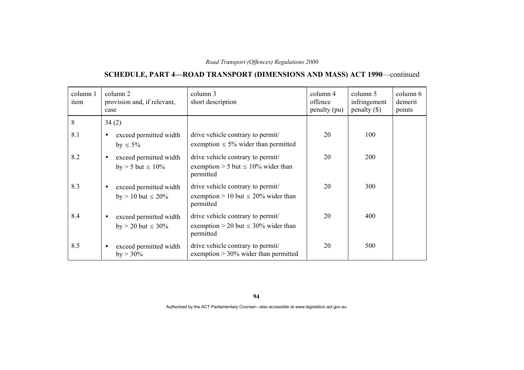# **SCHEDULE, PART 4—ROAD TRANSPORT (DIMENSIONS AND MASS) ACT 1990**—continued

| column 1<br>item | column 2<br>provision and, if relevant,<br>case                  | column 3<br>short description                                                              | column 4<br>offence<br>penalty (pu) | column 5<br>infringement<br>penalty $(\$)$ | column 6<br>demerit<br>points |
|------------------|------------------------------------------------------------------|--------------------------------------------------------------------------------------------|-------------------------------------|--------------------------------------------|-------------------------------|
| 8                | 34(2)                                                            |                                                                                            |                                     |                                            |                               |
| 8.1              | exceed permitted width<br>$\bullet$<br>by $\leq 5\%$             | drive vehicle contrary to permit/<br>exemption $\leq 5\%$ wider than permitted             | 20                                  | 100                                        |                               |
| 8.2              | exceed permitted width<br>$\bullet$<br>by $> 5$ but $\leq 10\%$  | drive vehicle contrary to permit/<br>exemption > 5 but $\leq 10\%$ wider than<br>permitted | 20                                  | 200                                        |                               |
| 8.3              | exceed permitted width<br>$\bullet$<br>by $> 10$ but $\leq 20\%$ | drive vehicle contrary to permit/<br>exemption > 10 but $\leq$ 20% wider than<br>permitted | 20                                  | 300                                        |                               |
| 8.4              | exceed permitted width<br>$\bullet$<br>by > 20 but $\leq 30\%$   | drive vehicle contrary to permit/<br>exemption > 20 but $\leq$ 30% wider than<br>permitted | 20                                  | 400                                        |                               |
| 8.5              | exceed permitted width<br>$\bullet$<br>$by > 30\%$               | drive vehicle contrary to permit/<br>exemption $> 30\%$ wider than permitted               | 20                                  | 500                                        |                               |

**94**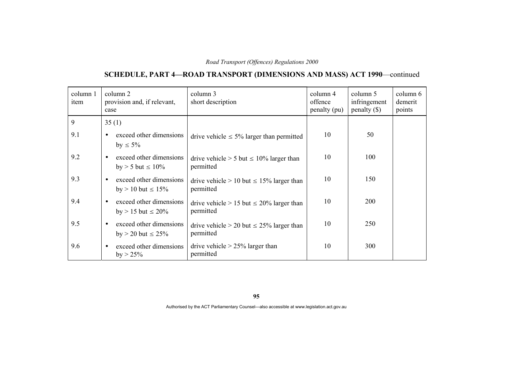# **SCHEDULE, PART 4—ROAD TRANSPORT (DIMENSIONS AND MASS) ACT 1990**—continued

| column 1<br>item | column 2<br>provision and, if relevant,<br>case                   | column 3<br>short description                                 | column 4<br>offence<br>penalty (pu) | column 5<br>infringement<br>$penalty (\$))$ | column 6<br>demerit<br>points |
|------------------|-------------------------------------------------------------------|---------------------------------------------------------------|-------------------------------------|---------------------------------------------|-------------------------------|
| 9                | 35(1)                                                             |                                                               |                                     |                                             |                               |
| 9.1              | exceed other dimensions<br>by $\leq 5\%$                          | drive vehicle $\leq 5\%$ larger than permitted                | 10                                  | 50                                          |                               |
| 9.2              | exceed other dimensions<br>$\bullet$<br>$by > 5$ but $\leq 10\%$  | drive vehicle $> 5$ but $\leq 10\%$ larger than<br>permitted  | 10                                  | 100                                         |                               |
| 9.3              | exceed other dimensions<br>$\bullet$<br>by $> 10$ but $\leq 15\%$ | drive vehicle $> 10$ but $\leq 15\%$ larger than<br>permitted | 10                                  | 150                                         |                               |
| 9.4              | exceed other dimensions<br>$\bullet$<br>by $> 15$ but $\leq 20\%$ | drive vehicle $> 15$ but $\leq 20\%$ larger than<br>permitted | 10                                  | 200                                         |                               |
| 9.5              | exceed other dimensions<br>$\bullet$<br>by $> 20$ but $\le 25\%$  | drive vehicle $> 20$ but $\leq 25\%$ larger than<br>permitted | 10                                  | 250                                         |                               |
| 9.6              | exceed other dimensions<br>$\bullet$<br>$by > 25\%$               | drive vehicle $> 25\%$ larger than<br>permitted               | 10                                  | 300                                         |                               |

**95**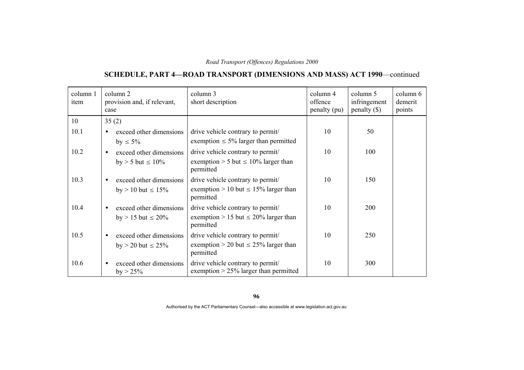# **SCHEDULE, PART 4—ROAD TRANSPORT (DIMENSIONS AND MASS) ACT 1990**—continued

| column 1<br>item | column 2<br>provision and, if relevant,<br>case      | column 3<br>short description                                                               | column 4<br>offence<br>penalty (pu) | column 5<br>infringement<br>$penalty$ (\$) | column 6<br>demerit<br>points |
|------------------|------------------------------------------------------|---------------------------------------------------------------------------------------------|-------------------------------------|--------------------------------------------|-------------------------------|
| 10               | 35(2)                                                |                                                                                             |                                     |                                            |                               |
| 10.1             | exceed other dimensions<br>by $\leq 5\%$             | drive vehicle contrary to permit/<br>exemption $\leq 5\%$ larger than permitted             | 10                                  | 50                                         |                               |
| 10.2             | exceed other dimensions<br>$by > 5$ but $\leq 10\%$  | drive vehicle contrary to permit/<br>exemption > 5 but $\leq 10\%$ larger than<br>permitted | 10                                  | 100                                        |                               |
| 10.3             | exceed other dimensions<br>by $> 10$ but $\leq 15\%$ | drive vehicle contrary to permit/<br>exemption > 10 but $\leq$ 15% larger than<br>permitted | 10                                  | 150                                        |                               |
| 10.4             | exceed other dimensions<br>by > 15 but $\leq$ 20%    | drive vehicle contrary to permit/<br>exemption > 15 but $\leq$ 20% larger than<br>permitted | 10                                  | 200                                        |                               |
| 10.5             | exceed other dimensions<br>by $> 20$ but $\le 25\%$  | drive vehicle contrary to permit/<br>exemption > 20 but $\leq$ 25% larger than<br>permitted | 10                                  | 250                                        |                               |
| 10.6             | exceed other dimensions<br>$by > 25\%$               | drive vehicle contrary to permit/<br>exemption $> 25\%$ larger than permitted               | 10                                  | 300                                        |                               |

**96**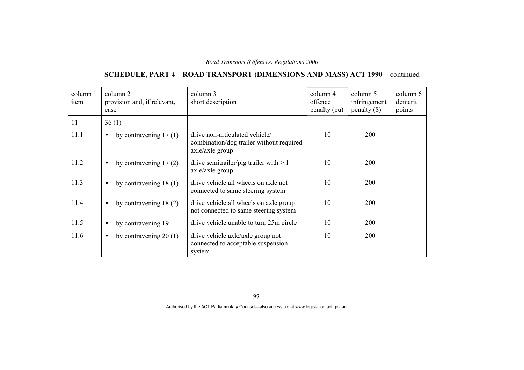# **SCHEDULE, PART 4—ROAD TRANSPORT (DIMENSIONS AND MASS) ACT 1990**—continued

| column 1<br>item | column 2<br>provision and, if relevant,<br>case | column 3<br>short description                                                                 | column 4<br>offence<br>penalty (pu) | column 5<br>infringement<br>penalty $(\$)$ | column 6<br>demerit<br>points |
|------------------|-------------------------------------------------|-----------------------------------------------------------------------------------------------|-------------------------------------|--------------------------------------------|-------------------------------|
| 11               | 36(1)                                           |                                                                                               |                                     |                                            |                               |
| 11.1             | by contravening $17(1)$<br>$\bullet$            | drive non-articulated vehicle/<br>combination/dog trailer without required<br>axle/axle group | 10                                  | <b>200</b>                                 |                               |
| 11.2             | by contravening $17(2)$<br>$\bullet$            | drive semitrailer/pig trailer with $> 1$<br>$axle/axle$ group                                 | 10                                  | 200                                        |                               |
| 11.3             | by contravening $18(1)$<br>$\bullet$            | drive vehicle all wheels on axle not<br>connected to same steering system                     | 10                                  | 200                                        |                               |
| 11.4             | by contravening $18(2)$<br>$\bullet$            | drive vehicle all wheels on axle group<br>not connected to same steering system               | 10                                  | 200                                        |                               |
| 11.5             | by contravening 19<br>$\bullet$                 | drive vehicle unable to turn 25m circle                                                       | 10                                  | 200                                        |                               |
| 11.6             | by contravening $20(1)$<br>$\bullet$            | drive vehicle axle/axle group not<br>connected to acceptable suspension<br>system             | 10                                  | 200                                        |                               |

**97**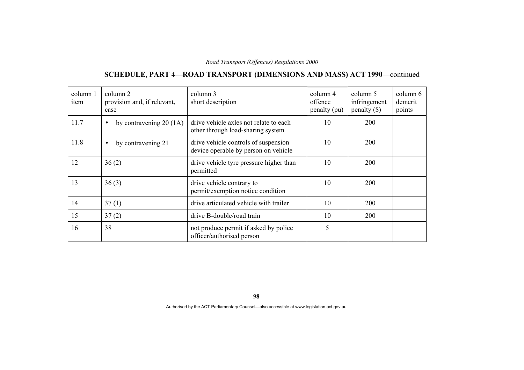# **SCHEDULE, PART 4—ROAD TRANSPORT (DIMENSIONS AND MASS) ACT 1990**—continued

| column 1<br>item | column 2<br>provision and, if relevant,<br>case | column 3<br>short description                                                | column 4<br>offence<br>penalty (pu) | column 5<br>infringement<br>penalty $(\$)$ | column 6<br>demerit<br>points |
|------------------|-------------------------------------------------|------------------------------------------------------------------------------|-------------------------------------|--------------------------------------------|-------------------------------|
| 11.7             | by contravening $20(1A)$<br>$\bullet$           | drive vehicle axles not relate to each<br>other through load-sharing system  | 10                                  | <b>200</b>                                 |                               |
| 11.8             | by contravening 21<br>$\bullet$                 | drive vehicle controls of suspension<br>device operable by person on vehicle | 10                                  | 200                                        |                               |
| 12               | 36(2)                                           | drive vehicle tyre pressure higher than<br>permitted                         | 10                                  | 200                                        |                               |
| 13               | 36(3)                                           | drive vehicle contrary to<br>permit/exemption notice condition               | 10                                  | <b>200</b>                                 |                               |
| 14               | 37(1)                                           | drive articulated vehicle with trailer                                       | 10                                  | 200                                        |                               |
| 15               | 37(2)                                           | drive B-double/road train                                                    | 10                                  | 200                                        |                               |
| 16               | 38                                              | not produce permit if asked by police<br>officer/authorised person           | 5                                   |                                            |                               |

**98**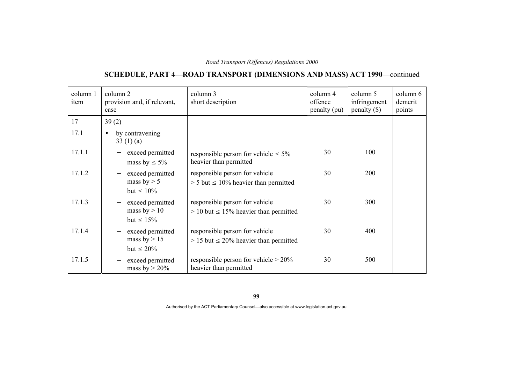# **SCHEDULE, PART 4—ROAD TRANSPORT (DIMENSIONS AND MASS) ACT 1990**—continued

| column 1<br>item | column 2<br>provision and, if relevant,<br>case                                   | column 3<br>short description                                                   | column 4<br>offence<br>penalty (pu) | column 5<br>infringement<br>penalty $(\$)$ | column 6<br>demerit<br>points |
|------------------|-----------------------------------------------------------------------------------|---------------------------------------------------------------------------------|-------------------------------------|--------------------------------------------|-------------------------------|
| 17               | 39(2)                                                                             |                                                                                 |                                     |                                            |                               |
| 17.1             | by contravening<br>$\bullet$<br>33(1)(a)                                          |                                                                                 |                                     |                                            |                               |
| 17.1.1           | exceed permitted<br>mass by $\leq 5\%$                                            | responsible person for vehicle $\leq 5\%$<br>heavier than permitted             | 30                                  | 100                                        |                               |
| 17.1.2           | exceed permitted<br>$\overline{\phantom{m}}$<br>mass by $> 5$<br>but $\leq 10\%$  | responsible person for vehicle<br>$> 5$ but $\leq 10\%$ heavier than permitted  | 30                                  | 200                                        |                               |
| 17.1.3           | exceed permitted<br>$\overline{\phantom{m}}$<br>mass by $> 10$<br>but $\leq 15\%$ | responsible person for vehicle<br>$> 10$ but $\leq 15\%$ heavier than permitted | 30                                  | 300                                        |                               |
| 17.1.4           | exceed permitted<br>mass by $> 15$<br>but $\leq 20\%$                             | responsible person for vehicle<br>$> 15$ but $\leq 20\%$ heavier than permitted | 30                                  | 400                                        |                               |
| 17.1.5           | exceed permitted<br>$\overline{\phantom{m}}$<br>mass by $> 20\%$                  | responsible person for vehicle $> 20\%$<br>heavier than permitted               | 30                                  | 500                                        |                               |

**99**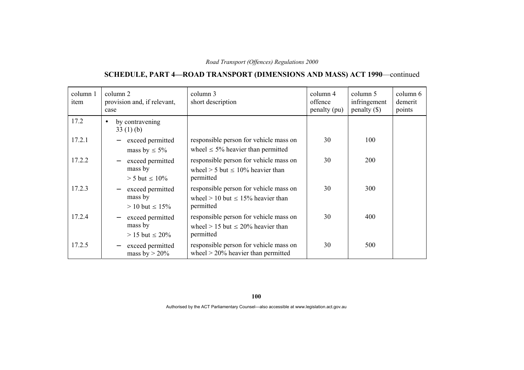# **SCHEDULE, PART 4—ROAD TRANSPORT (DIMENSIONS AND MASS) ACT 1990**—continued

| column 1<br>item | column 2<br>provision and, if relevant,<br>case                                   | column 3<br>short description                                                                    | column 4<br>offence<br>penalty (pu) | column 5<br>infringement<br>penalty $(\$)$ | column 6<br>demerit<br>points |
|------------------|-----------------------------------------------------------------------------------|--------------------------------------------------------------------------------------------------|-------------------------------------|--------------------------------------------|-------------------------------|
| 17.2             | by contravening<br>$\bullet$<br>33(1)(b)                                          |                                                                                                  |                                     |                                            |                               |
| 17.2.1           | exceed permitted<br>mass by $\leq 5\%$                                            | responsible person for vehicle mass on<br>wheel $\leq$ 5% heavier than permitted                 | 30                                  | 100                                        |                               |
| 17.2.2           | exceed permitted<br>mass by<br>$> 5$ but $\leq 10\%$                              | responsible person for vehicle mass on<br>wheel $> 5$ but $\leq 10\%$ heavier than<br>permitted  | 30                                  | <b>200</b>                                 |                               |
| 17.2.3           | exceed permitted<br>$\overline{\phantom{m}}$<br>mass by<br>$> 10$ but $\leq 15\%$ | responsible person for vehicle mass on<br>wheel $> 10$ but $\leq 15\%$ heavier than<br>permitted | 30                                  | 300                                        |                               |
| 17.2.4           | exceed permitted<br>$\overline{\phantom{m}}$<br>mass by<br>$> 15$ but $\leq 20\%$ | responsible person for vehicle mass on<br>wheel > 15 but $\leq$ 20% heavier than<br>permitted    | 30                                  | 400                                        |                               |
| 17.2.5           | exceed permitted<br>$\overline{\phantom{m}}$<br>mass by $>$ 20%                   | responsible person for vehicle mass on<br>wheel $>$ 20% heavier than permitted                   | 30                                  | 500                                        |                               |

**100**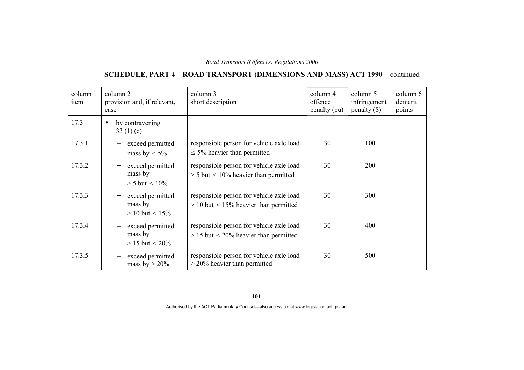# **SCHEDULE, PART 4—ROAD TRANSPORT (DIMENSIONS AND MASS) ACT 1990**—continued

| column 1<br>item | column 2<br>provision and, if relevant,<br>case                                   | column 3<br>short description                                                             | column 4<br>offence<br>penalty (pu) | column 5<br>infringement<br>$penalty$ (\$) | column 6<br>demerit<br>points |
|------------------|-----------------------------------------------------------------------------------|-------------------------------------------------------------------------------------------|-------------------------------------|--------------------------------------------|-------------------------------|
| 17.3             | by contravening<br>$\bullet$<br>33 $(1)(c)$                                       |                                                                                           |                                     |                                            |                               |
| 17.3.1           | exceed permitted<br>mass by $\leq 5\%$                                            | responsible person for vehicle axle load<br>$\leq$ 5% heavier than permitted              | 30                                  | 100                                        |                               |
| 17.3.2           | exceed permitted<br>$\overline{\phantom{m}}$<br>mass by<br>$> 5$ but $\leq 10\%$  | responsible person for vehicle axle load<br>$> 5$ but $\leq 10\%$ heavier than permitted  | 30                                  | <b>200</b>                                 |                               |
| 17.3.3           | exceed permitted<br>$\overline{\phantom{m}}$<br>mass by<br>$> 10$ but $\leq 15\%$ | responsible person for vehicle axle load<br>$> 10$ but $\leq 15\%$ heavier than permitted | 30                                  | 300                                        |                               |
| 17.3.4           | exceed permitted<br>mass by<br>$> 15$ but $\leq 20\%$                             | responsible person for vehicle axle load<br>$> 15$ but $\leq 20\%$ heavier than permitted | 30                                  | 400                                        |                               |
| 17.3.5           | exceed permitted<br>$\overline{\phantom{m}}$<br>mass by $> 20\%$                  | responsible person for vehicle axle load<br>$>$ 20% heavier than permitted                | 30                                  | 500                                        |                               |

**101**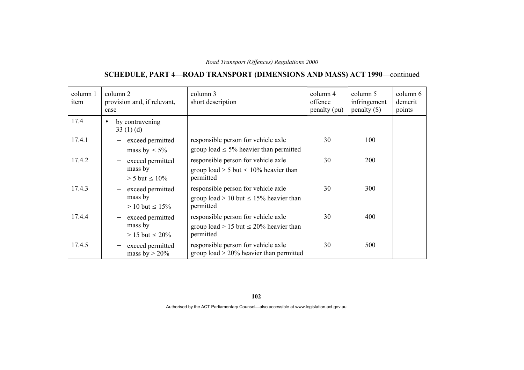# **SCHEDULE, PART 4—ROAD TRANSPORT (DIMENSIONS AND MASS) ACT 1990**—continued

| column 1<br>item | column 2<br>provision and, if relevant,<br>case                                   | column 3<br>short description                                                                   | column 4<br>offence<br>penalty (pu) | column 5<br>infringement<br>penalty $(\$)$ | column 6<br>demerit<br>points |
|------------------|-----------------------------------------------------------------------------------|-------------------------------------------------------------------------------------------------|-------------------------------------|--------------------------------------------|-------------------------------|
| 17.4             | by contravening<br>$\bullet$<br>33 $(1)(d)$                                       |                                                                                                 |                                     |                                            |                               |
| 17.4.1           | exceed permitted<br>mass by $\leq 5\%$                                            | responsible person for vehicle axle<br>group load $\leq$ 5% heavier than permitted              | 30                                  | 100                                        |                               |
| 17.4.2           | exceed permitted<br>$\overline{\phantom{m}}$<br>mass by<br>$> 5$ but $\leq 10\%$  | responsible person for vehicle axle<br>group load > 5 but $\leq 10\%$ heavier than<br>permitted | 30                                  | 200                                        |                               |
| 17.4.3           | exceed permitted<br>$\overline{\phantom{m}}$<br>mass by<br>$> 10$ but $\leq 15\%$ | responsible person for vehicle axle<br>group load > 10 but $\leq$ 15% heavier than<br>permitted | 30                                  | 300                                        |                               |
| 17.4.4           | exceed permitted<br>$\overline{\phantom{m}}$<br>mass by<br>$> 15$ but $\leq 20\%$ | responsible person for vehicle axle<br>group load > 15 but $\leq$ 20% heavier than<br>permitted | 30                                  | 400                                        |                               |
| 17.4.5           | exceed permitted<br>$\overline{\phantom{m}}$<br>mass by $> 20\%$                  | responsible person for vehicle axle<br>group load $> 20\%$ heavier than permitted               | 30                                  | 500                                        |                               |

**102**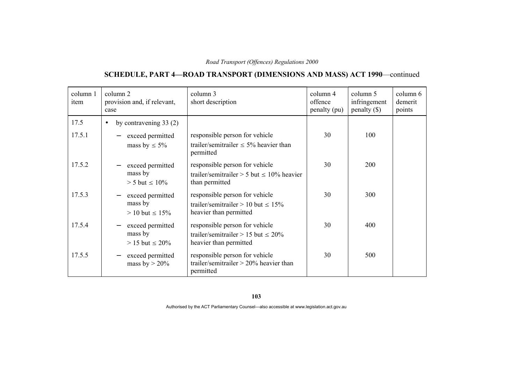# **SCHEDULE, PART 4—ROAD TRANSPORT (DIMENSIONS AND MASS) ACT 1990**—continued

| column 1<br>item | column 2<br>provision and, if relevant,<br>case                                   | column 3<br>short description                                                                        | column 4<br>offence<br>penalty (pu) | column 5<br>infringement<br>$penalty$ (\$) | column 6<br>demerit<br>points |
|------------------|-----------------------------------------------------------------------------------|------------------------------------------------------------------------------------------------------|-------------------------------------|--------------------------------------------|-------------------------------|
| 17.5             | by contravening $33(2)$<br>$\bullet$                                              |                                                                                                      |                                     |                                            |                               |
| 17.5.1           | exceed permitted<br>mass by $\leq 5\%$                                            | responsible person for vehicle<br>trailer/semitrailer $\leq 5\%$ heavier than<br>permitted           | 30                                  | 100                                        |                               |
| 17.5.2           | exceed permitted<br>mass by<br>$> 5$ but $\leq 10\%$                              | responsible person for vehicle<br>trailer/semitrailer > 5 but $\leq 10\%$ heavier<br>than permitted  | 30                                  | <b>200</b>                                 |                               |
| 17.5.3           | exceed permitted<br>mass by<br>$> 10$ but $\leq 15\%$                             | responsible person for vehicle<br>trailer/semitrailer > 10 but $\leq 15\%$<br>heavier than permitted | 30                                  | 300                                        |                               |
| 17.5.4           | exceed permitted<br>$\overline{\phantom{m}}$<br>mass by<br>$> 15$ but $\leq 20\%$ | responsible person for vehicle<br>trailer/semitrailer > 15 but $\leq 20\%$<br>heavier than permitted | 30                                  | 400                                        |                               |
| 17.5.5           | exceed permitted<br>mass by $> 20\%$                                              | responsible person for vehicle<br>trailer/semitrailer $> 20\%$ heavier than<br>permitted             | 30                                  | 500                                        |                               |

**103**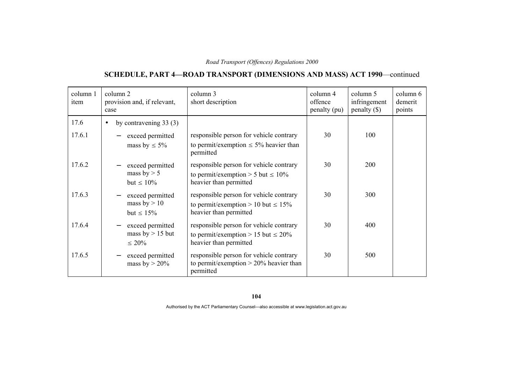# **SCHEDULE, PART 4—ROAD TRANSPORT (DIMENSIONS AND MASS) ACT 1990**—continued

| column 1<br>item | column 2<br>provision and, if relevant,<br>case                                   | column 3<br>short description                                                                                 | column 4<br>offence<br>penalty (pu) | column 5<br>infringement<br>$penalty$ (\$) | column 6<br>demerit<br>points |
|------------------|-----------------------------------------------------------------------------------|---------------------------------------------------------------------------------------------------------------|-------------------------------------|--------------------------------------------|-------------------------------|
| 17.6             | by contravening $33(3)$<br>$\bullet$                                              |                                                                                                               |                                     |                                            |                               |
| 17.6.1           | exceed permitted<br>mass by $\leq 5\%$                                            | responsible person for vehicle contrary<br>to permit/exemption $\leq 5\%$ heavier than<br>permitted           | 30                                  | 100                                        |                               |
| 17.6.2           | exceed permitted<br>mass by $> 5$<br>but $\leq 10\%$                              | responsible person for vehicle contrary<br>to permit/exemption > 5 but $\leq 10\%$<br>heavier than permitted  | 30                                  | 200                                        |                               |
| 17.6.3           | exceed permitted<br>mass by $> 10$<br>but $\leq 15\%$                             | responsible person for vehicle contrary<br>to permit/exemption > 10 but $\leq 15\%$<br>heavier than permitted | 30                                  | 300                                        |                               |
| 17.6.4           | exceed permitted<br>$\overline{\phantom{m}}$<br>mass by $> 15$ but<br>$\leq 20\%$ | responsible person for vehicle contrary<br>to permit/exemption > 15 but $\leq 20\%$<br>heavier than permitted | 30                                  | 400                                        |                               |
| 17.6.5           | exceed permitted<br>mass by $> 20\%$                                              | responsible person for vehicle contrary<br>to permit/exemption $> 20\%$ heavier than<br>permitted             | 30                                  | 500                                        |                               |

**104**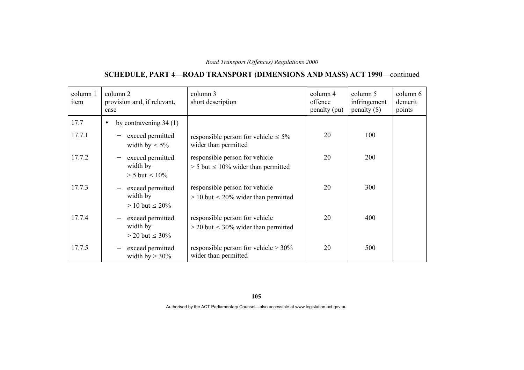# **SCHEDULE, PART 4—ROAD TRANSPORT (DIMENSIONS AND MASS) ACT 1990**—continued

| column 1<br>item | column 2<br>provision and, if relevant,<br>case                                   | column 3<br>short description                                                 | column 4<br>offence<br>penalty (pu) | column 5<br>infringement<br>$penalty$ (\$) | column 6<br>demerit<br>points |
|------------------|-----------------------------------------------------------------------------------|-------------------------------------------------------------------------------|-------------------------------------|--------------------------------------------|-------------------------------|
| 17.7             | by contravening $34(1)$<br>$\bullet$                                              |                                                                               |                                     |                                            |                               |
| 17.7.1           | exceed permitted<br>width by $\leq 5\%$                                           | responsible person for vehicle $\leq 5\%$<br>wider than permitted             | 20                                  | 100                                        |                               |
| 17.7.2           | exceed permitted<br>width by<br>$> 5$ but $\leq 10\%$                             | responsible person for vehicle<br>$>$ 5 but $\leq$ 10% wider than permitted   | 20                                  | <b>200</b>                                 |                               |
| 17.7.3           | exceed permitted<br>width by<br>$> 10$ but $\leq 20\%$                            | responsible person for vehicle<br>$> 10$ but $\leq 20\%$ wider than permitted | 20                                  | 300                                        |                               |
| 17.7.4           | exceed permitted<br>$\overline{\phantom{m}}$<br>width by<br>$>$ 20 but $\leq$ 30% | responsible person for vehicle<br>$>$ 20 but $\leq$ 30% wider than permitted  | 20                                  | 400                                        |                               |
| 17.7.5           | exceed permitted<br>$\overline{\phantom{m}}$<br>width by $> 30\%$                 | responsible person for vehicle $> 30\%$<br>wider than permitted               | 20                                  | 500                                        |                               |

**105**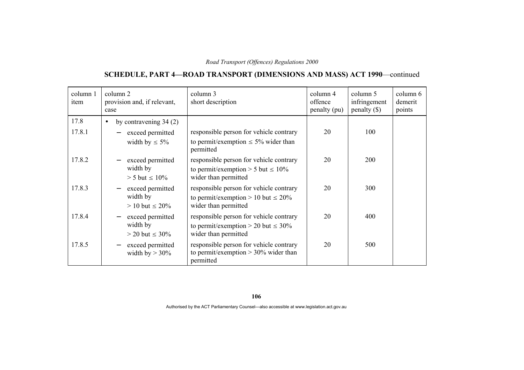# **SCHEDULE, PART 4—ROAD TRANSPORT (DIMENSIONS AND MASS) ACT 1990**—continued

| column 1<br>item | column 2<br>provision and, if relevant,<br>case | column 3<br>short description                                                      | column 4<br>offence<br>penalty (pu) | column 5<br>infringement<br>$penalty$ (\$) | column 6<br>demerit<br>points |
|------------------|-------------------------------------------------|------------------------------------------------------------------------------------|-------------------------------------|--------------------------------------------|-------------------------------|
| 17.8             | by contravening $34(2)$<br>$\bullet$            |                                                                                    |                                     |                                            |                               |
| 17.8.1           | exceed permitted                                | responsible person for vehicle contrary                                            | 20                                  | 100                                        |                               |
|                  | width by $\leq 5\%$                             | to permit/exemption $\leq 5\%$ wider than<br>permitted                             |                                     |                                            |                               |
| 17.8.2           | exceed permitted                                | responsible person for vehicle contrary                                            | 20                                  | <b>200</b>                                 |                               |
|                  | width by<br>$> 5$ but $\leq 10\%$               | to permit/exemption > 5 but $\leq 10\%$<br>wider than permitted                    |                                     |                                            |                               |
| 17.8.3           | exceed permitted                                | responsible person for vehicle contrary                                            | 20                                  | 300                                        |                               |
|                  | width by<br>$> 10$ but $\leq 20\%$              | to permit/exemption > 10 but $\leq 20\%$<br>wider than permitted                   |                                     |                                            |                               |
| 17.8.4           | exceed permitted<br>$\overline{\phantom{m}}$    | responsible person for vehicle contrary                                            | 20                                  | 400                                        |                               |
|                  | width by                                        | to permit/exemption > 20 but $\leq 30\%$                                           |                                     |                                            |                               |
|                  | $>$ 20 but $\leq$ 30%                           | wider than permitted                                                               |                                     |                                            |                               |
| 17.8.5           | exceed permitted<br>width by $>$ 30%            | responsible person for vehicle contrary<br>to permit/exemption $> 30\%$ wider than | 20                                  | 500                                        |                               |
|                  |                                                 | permitted                                                                          |                                     |                                            |                               |

**106**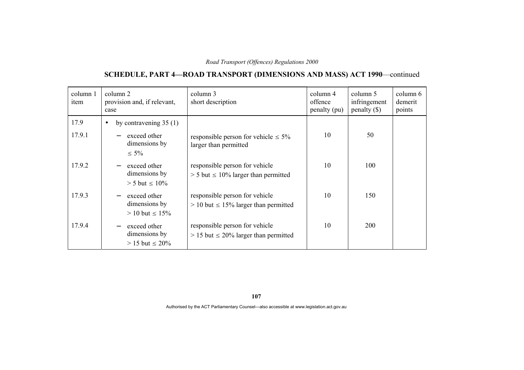# **SCHEDULE, PART 4—ROAD TRANSPORT (DIMENSIONS AND MASS) ACT 1990**—continued

| column 1<br>item | column 2<br>provision and, if relevant,<br>case                                     | column 3<br>short description                                                  | column 4<br>offence<br>penalty (pu) | column 5<br>infringement<br>penalty $(\$)$ | column 6<br>demerit<br>points |
|------------------|-------------------------------------------------------------------------------------|--------------------------------------------------------------------------------|-------------------------------------|--------------------------------------------|-------------------------------|
| 17.9<br>17.9.1   | by contravening $35(1)$<br>$\bullet$<br>exceed other<br>dimensions by<br>$\leq 5\%$ | responsible person for vehicle $\leq 5\%$<br>larger than permitted             | 10                                  | 50                                         |                               |
| 17.9.2           | exceed other<br>dimensions by<br>$> 5$ but $\leq 10\%$                              | responsible person for vehicle<br>$> 5$ but $\leq 10\%$ larger than permitted  | 10                                  | 100                                        |                               |
| 17.9.3           | exceed other<br>dimensions by<br>$> 10$ but $\leq 15\%$                             | responsible person for vehicle<br>$> 10$ but $\leq 15\%$ larger than permitted | 10                                  | 150                                        |                               |
| 17.9.4           | exceed other<br>dimensions by<br>$> 15$ but $\leq 20\%$                             | responsible person for vehicle<br>$> 15$ but $\leq 20\%$ larger than permitted | 10                                  | <b>200</b>                                 |                               |

**107**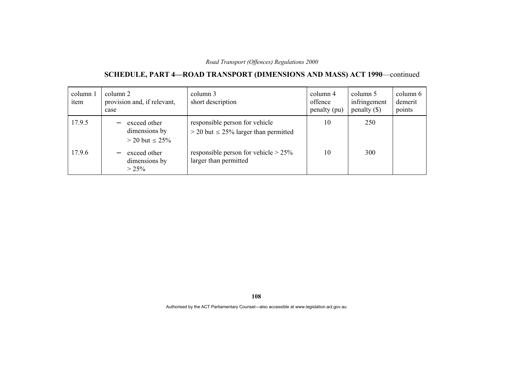# **SCHEDULE, PART 4—ROAD TRANSPORT (DIMENSIONS AND MASS) ACT 1990**—continued

| column 1<br>item | column 2<br>provision and, if relevant,<br>case        | column 3<br>short description                                                 | column 4<br>offence<br>penalty (pu) | column 5<br>infringement<br>penalty $(\$)$ | column 6<br>demerit<br>points |
|------------------|--------------------------------------------------------|-------------------------------------------------------------------------------|-------------------------------------|--------------------------------------------|-------------------------------|
| 17.9.5           | exceed other<br>dimensions by<br>$>$ 20 but $\leq$ 25% | responsible person for vehicle<br>$>$ 20 but $\leq$ 25% larger than permitted | 10                                  | 250                                        |                               |
| 17.9.6           | exceed other<br>dimensions by<br>$> 25\%$              | responsible person for vehicle $> 25\%$<br>larger than permitted              | 10                                  | 300                                        |                               |

**108**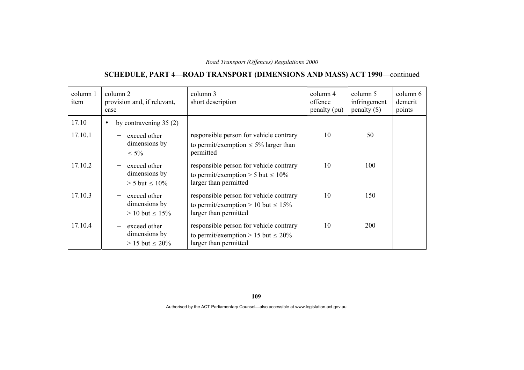# **SCHEDULE, PART 4—ROAD TRANSPORT (DIMENSIONS AND MASS) ACT 1990**—continued

| column 1<br>item | column 2<br>provision and, if relevant,<br>case         | column 3<br>short description                                                                                | column 4<br>offence<br>penalty (pu) | column 5<br>infringement<br>penalty $(\$)$ | column 6<br>demerit<br>points |
|------------------|---------------------------------------------------------|--------------------------------------------------------------------------------------------------------------|-------------------------------------|--------------------------------------------|-------------------------------|
| 17.10            | by contravening $35(2)$<br>$\bullet$                    |                                                                                                              |                                     |                                            |                               |
| 17.10.1          | exceed other<br>dimensions by<br>$\leq 5\%$             | responsible person for vehicle contrary<br>to permit/exemption $\leq 5\%$ larger than<br>permitted           | 10                                  | 50                                         |                               |
| 17.10.2          | exceed other<br>dimensions by<br>$> 5$ but $\leq 10\%$  | responsible person for vehicle contrary<br>to permit/exemption > 5 but $\leq 10\%$<br>larger than permitted  | 10                                  | 100                                        |                               |
| 17.10.3          | exceed other<br>dimensions by<br>$> 10$ but $\leq 15\%$ | responsible person for vehicle contrary<br>to permit/exemption > 10 but $\leq 15\%$<br>larger than permitted | 10                                  | 150                                        |                               |
| 17.10.4          | exceed other<br>dimensions by<br>$> 15$ but $\leq 20\%$ | responsible person for vehicle contrary<br>to permit/exemption > 15 but $\leq 20\%$<br>larger than permitted | 10                                  | 200                                        |                               |

**109**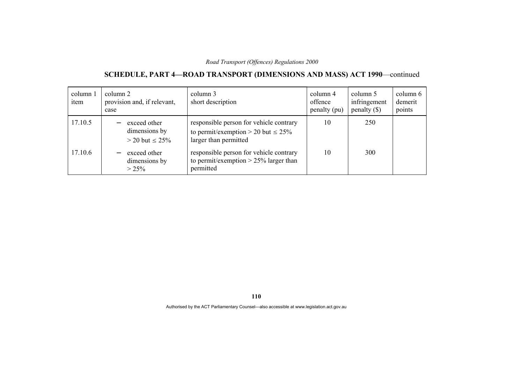# **SCHEDULE, PART 4—ROAD TRANSPORT (DIMENSIONS AND MASS) ACT 1990**—continued

| column 1<br>item | column 2<br>provision and, if relevant,<br>case        | column 3<br>short description                                                                                | column 4<br>offence<br>penalty (pu) | column 5<br>infringement<br>penalty $(\$)$ | column 6<br>demerit<br>points |
|------------------|--------------------------------------------------------|--------------------------------------------------------------------------------------------------------------|-------------------------------------|--------------------------------------------|-------------------------------|
| 17.10.5          | exceed other<br>dimensions by<br>$>$ 20 but $\leq$ 25% | responsible person for vehicle contrary<br>to permit/exemption > 20 but $\leq 25\%$<br>larger than permitted | 10                                  | 250                                        |                               |
| 17.10.6          | exceed other<br>dimensions by<br>$> 25\%$              | responsible person for vehicle contrary<br>to permit/exemption $> 25\%$ larger than<br>permitted             | 10                                  | 300                                        |                               |

**110**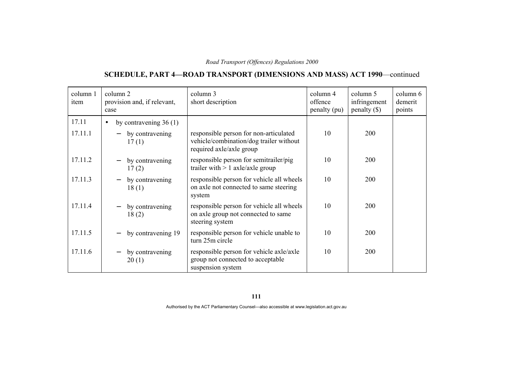# **SCHEDULE, PART 4—ROAD TRANSPORT (DIMENSIONS AND MASS) ACT 1990**—continued

| column 1<br>item | column 2<br>provision and, if relevant,<br>case | column 3<br>short description                                                                                 | column 4<br>offence<br>penalty (pu) | column 5<br>infringement<br>$penalty$ (\$) | column 6<br>demerit<br>points |
|------------------|-------------------------------------------------|---------------------------------------------------------------------------------------------------------------|-------------------------------------|--------------------------------------------|-------------------------------|
| 17.11            | by contravening $36(1)$<br>$\bullet$            |                                                                                                               |                                     |                                            |                               |
| 17.11.1          | by contravening<br>17(1)                        | responsible person for non-articulated<br>vehicle/combination/dog trailer without<br>required axle/axle group | 10                                  | 200                                        |                               |
| 17.11.2          | by contravening<br>17(2)                        | responsible person for semitrailer/pig<br>trailer with $> 1$ axle/axle group                                  | 10                                  | <b>200</b>                                 |                               |
| 17.11.3          | by contravening<br>18(1)                        | responsible person for vehicle all wheels<br>on axle not connected to same steering<br>system                 | 10                                  | 200                                        |                               |
| 17.11.4          | by contravening<br>18(2)                        | responsible person for vehicle all wheels<br>on axle group not connected to same<br>steering system           | 10                                  | 200                                        |                               |
| 17.11.5          | by contravening 19                              | responsible person for vehicle unable to<br>turn 25m circle                                                   | 10                                  | <b>200</b>                                 |                               |
| 17.11.6          | by contravening<br>20(1)                        | responsible person for vehicle axle/axle<br>group not connected to acceptable<br>suspension system            | 10                                  | 200                                        |                               |

**111**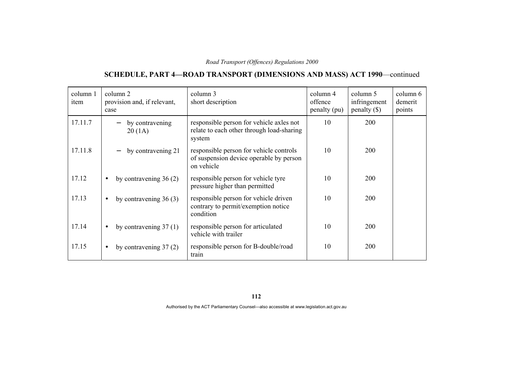# **SCHEDULE, PART 4—ROAD TRANSPORT (DIMENSIONS AND MASS) ACT 1990**—continued

| column 1<br>item | column 2<br>provision and, if relevant,<br>case | column 3<br>short description                                                                    | column 4<br>offence<br>penalty (pu) | column 5<br>infringement<br>$penalty (\$))$ | column 6<br>demerit<br>points |
|------------------|-------------------------------------------------|--------------------------------------------------------------------------------------------------|-------------------------------------|---------------------------------------------|-------------------------------|
| 17.11.7          | by contravening<br>20(1A)                       | responsible person for vehicle axles not<br>relate to each other through load-sharing<br>system  | 10                                  | 200                                         |                               |
| 17.11.8          | by contravening 21                              | responsible person for vehicle controls<br>of suspension device operable by person<br>on vehicle | 10                                  | 200                                         |                               |
| 17.12            | by contravening $36(2)$<br>$\bullet$            | responsible person for vehicle tyre<br>pressure higher than permitted                            | 10                                  | 200                                         |                               |
| 17.13            | by contravening $36(3)$<br>$\bullet$            | responsible person for vehicle driven<br>contrary to permit/exemption notice<br>condition        | 10                                  | 200                                         |                               |
| 17.14            | by contravening $37(1)$<br>$\bullet$            | responsible person for articulated<br>vehicle with trailer                                       | 10                                  | <b>200</b>                                  |                               |
| 17.15            | by contravening $37(2)$<br>$\bullet$            | responsible person for B-double/road<br>train                                                    | 10                                  | 200                                         |                               |

**112**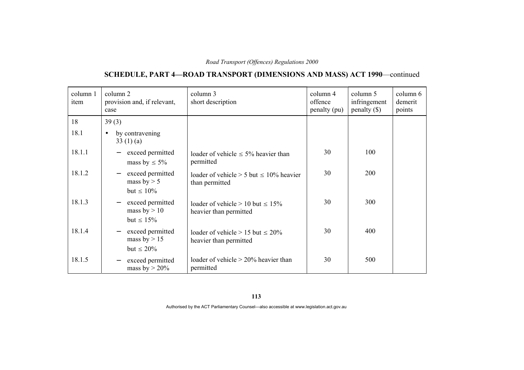# **SCHEDULE, PART 4—ROAD TRANSPORT (DIMENSIONS AND MASS) ACT 1990**—continued

| column 1<br>item | column 2<br>provision and, if relevant,<br>case                                   | column 3<br>short description                                      | column 4<br>offence<br>penalty (pu) | column 5<br>infringement<br>$penalty$ (\$) | column 6<br>demerit<br>points |
|------------------|-----------------------------------------------------------------------------------|--------------------------------------------------------------------|-------------------------------------|--------------------------------------------|-------------------------------|
| 18               | 39(3)                                                                             |                                                                    |                                     |                                            |                               |
| 18.1             | by contravening<br>$\bullet$<br>33(1)(a)                                          |                                                                    |                                     |                                            |                               |
| 18.1.1           | exceed permitted<br>mass by $\leq 5\%$                                            | loader of vehicle $\leq 5\%$ heavier than<br>permitted             | 30                                  | 100                                        |                               |
| 18.1.2           | exceed permitted<br>mass by $> 5$<br>but $\leq 10\%$                              | loader of vehicle $> 5$ but $\leq 10\%$ heavier<br>than permitted  | 30                                  | 200                                        |                               |
| 18.1.3           | exceed permitted<br>$\overline{\phantom{m}}$<br>mass by $> 10$<br>but $\leq 15\%$ | loader of vehicle $> 10$ but $\leq 15\%$<br>heavier than permitted | 30                                  | 300                                        |                               |
| 18.1.4           | exceed permitted<br>$\qquad \qquad -$<br>mass by $> 15$<br>but $\leq 20\%$        | loader of vehicle $> 15$ but $\leq 20\%$<br>heavier than permitted | 30                                  | 400                                        |                               |
| 18.1.5           | exceed permitted<br>mass by $> 20\%$                                              | loader of vehicle $> 20\%$ heavier than<br>permitted               | 30                                  | 500                                        |                               |

**113**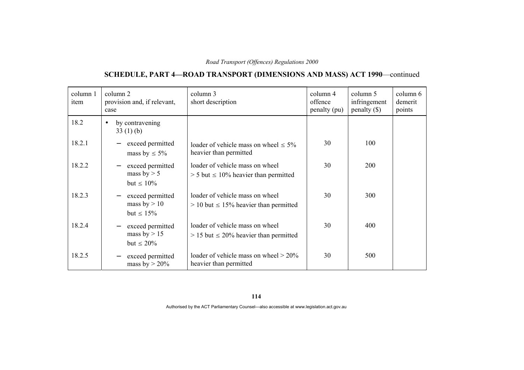### **SCHEDULE, PART 4—ROAD TRANSPORT (DIMENSIONS AND MASS) ACT 1990**—continued

| column 1<br>item | column 2<br>provision and, if relevant,<br>case                                   | column 3<br>short description                                                    | column 4<br>offence<br>penalty (pu) | column 5<br>infringement<br>$penalty (\$))$ | column 6<br>demerit<br>points |
|------------------|-----------------------------------------------------------------------------------|----------------------------------------------------------------------------------|-------------------------------------|---------------------------------------------|-------------------------------|
| 18.2             | by contravening<br>$\bullet$<br>33(1)(b)                                          |                                                                                  |                                     |                                             |                               |
| 18.2.1           | exceed permitted<br>mass by $\leq 5\%$                                            | loader of vehicle mass on wheel $\leq 5\%$<br>heavier than permitted             | 30                                  | 100                                         |                               |
| 18.2.2           | exceed permitted<br>$\overline{\phantom{m}}$<br>mass by $> 5$<br>but $\leq 10\%$  | loader of vehicle mass on wheel<br>$>$ 5 but $\leq$ 10% heavier than permitted   | 30                                  | <b>200</b>                                  |                               |
| 18.2.3           | exceed permitted<br>$\overline{\phantom{m}}$<br>mass by $> 10$<br>but $\leq 15\%$ | loader of vehicle mass on wheel<br>$> 10$ but $\leq 15\%$ heavier than permitted | 30                                  | 300                                         |                               |
| 18.2.4           | exceed permitted<br>$\overline{\phantom{m}}$<br>mass by $> 15$<br>but $\leq 20\%$ | loader of vehicle mass on wheel<br>$> 15$ but $\leq 20\%$ heavier than permitted | 30                                  | 400                                         |                               |
| 18.2.5           | exceed permitted<br>mass by $> 20\%$                                              | loader of vehicle mass on wheel $> 20\%$<br>heavier than permitted               | 30                                  | 500                                         |                               |

**114**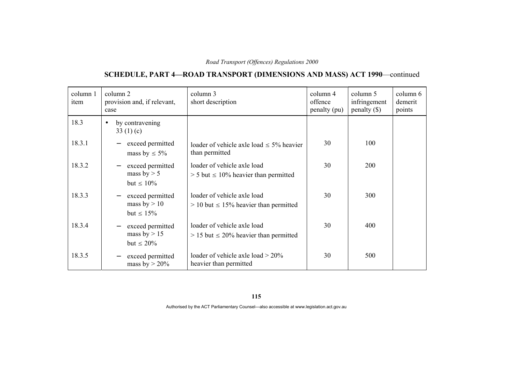# **SCHEDULE, PART 4—ROAD TRANSPORT (DIMENSIONS AND MASS) ACT 1990**—continued

| column 1<br>item | column 2<br>provision and, if relevant,<br>case                                   | column 3<br>short description                                                | column 4<br>offence<br>penalty (pu) | column 5<br>infringement<br>$penalty$ (\$) | column 6<br>demerit<br>points |
|------------------|-----------------------------------------------------------------------------------|------------------------------------------------------------------------------|-------------------------------------|--------------------------------------------|-------------------------------|
| 18.3             | by contravening<br>$\bullet$<br>33 $(1)(c)$                                       |                                                                              |                                     |                                            |                               |
| 18.3.1           | exceed permitted<br>mass by $\leq 5\%$                                            | loader of vehicle axle load $\leq$ 5% heavier<br>than permitted              | 30                                  | 100                                        |                               |
| 18.3.2           | exceed permitted<br>$\overline{\phantom{m}}$<br>mass by $> 5$<br>but $\leq 10\%$  | loader of vehicle axle load<br>$>$ 5 but $\leq$ 10% heavier than permitted   | 30                                  | <b>200</b>                                 |                               |
| 18.3.3           | exceed permitted<br>$\overline{\phantom{m}}$<br>mass by $> 10$<br>but $\leq 15\%$ | loader of vehicle axle load<br>$> 10$ but $\leq 15\%$ heavier than permitted | 30                                  | 300                                        |                               |
| 18.3.4           | exceed permitted<br>$\overline{\phantom{m}}$<br>mass by $> 15$<br>but $\leq 20\%$ | loader of vehicle axle load<br>$> 15$ but $\leq 20\%$ heavier than permitted | 30                                  | 400                                        |                               |
| 18.3.5           | exceed permitted<br>$\overline{\phantom{m}}$<br>mass by $> 20\%$                  | loader of vehicle axle load $> 20\%$<br>heavier than permitted               | 30                                  | 500                                        |                               |

**115**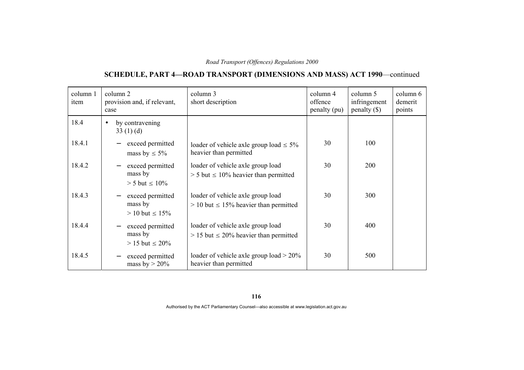# **SCHEDULE, PART 4—ROAD TRANSPORT (DIMENSIONS AND MASS) ACT 1990**—continued

| column 1<br>item | column 2<br>provision and, if relevant,<br>case                                   | column 3<br>short description                                                      | column 4<br>offence<br>penalty (pu) | column 5<br>infringement<br>$penalty$ (\$) | column 6<br>demerit<br>points |
|------------------|-----------------------------------------------------------------------------------|------------------------------------------------------------------------------------|-------------------------------------|--------------------------------------------|-------------------------------|
| 18.4             | by contravening<br>$\bullet$<br>33(1)(d)                                          |                                                                                    |                                     |                                            |                               |
| 18.4.1           | exceed permitted<br>mass by $\leq 5\%$                                            | loader of vehicle axle group load $\leq 5\%$<br>heavier than permitted             | 30                                  | 100                                        |                               |
| 18.4.2           | exceed permitted<br>$\overline{\phantom{m}}$<br>mass by<br>$> 5$ but $\leq 10\%$  | loader of vehicle axle group load<br>$> 5$ but $\leq 10\%$ heavier than permitted  | 30                                  | 200                                        |                               |
| 18.4.3           | exceed permitted<br>$\overline{\phantom{m}}$<br>mass by<br>$> 10$ but $\leq 15\%$ | loader of vehicle axle group load<br>$> 10$ but $\leq 15\%$ heavier than permitted | 30                                  | 300                                        |                               |
| 18.4.4           | exceed permitted<br>$\overline{\phantom{m}}$<br>mass by<br>$> 15$ but $\leq 20\%$ | loader of vehicle axle group load<br>$> 15$ but $\leq 20\%$ heavier than permitted | 30                                  | 400                                        |                               |
| 18.4.5           | exceed permitted<br>mass by $> 20\%$                                              | loader of vehicle axle group load $> 20\%$<br>heavier than permitted               | 30                                  | 500                                        |                               |

**116**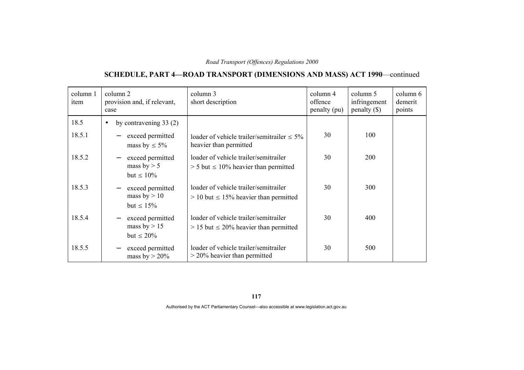# **SCHEDULE, PART 4—ROAD TRANSPORT (DIMENSIONS AND MASS) ACT 1990**—continued

| column 1<br>item | column 2<br>provision and, if relevant,<br>case                                   | column 3<br>short description                                                          | column 4<br>offence<br>penalty (pu) | column 5<br>infringement<br>$penalty$ (\$) | column 6<br>demerit<br>points |
|------------------|-----------------------------------------------------------------------------------|----------------------------------------------------------------------------------------|-------------------------------------|--------------------------------------------|-------------------------------|
| 18.5             | by contravening $33(2)$<br>$\bullet$                                              |                                                                                        |                                     |                                            |                               |
| 18.5.1           | exceed permitted<br>mass by $\leq 5\%$                                            | loader of vehicle trailer/semitrailer $\leq 5\%$<br>heavier than permitted             | 30                                  | 100                                        |                               |
| 18.5.2           | exceed permitted<br>$\overline{\phantom{m}}$<br>mass by $> 5$<br>but $\leq 10\%$  | loader of vehicle trailer/semitrailer<br>$> 5$ but $\leq 10\%$ heavier than permitted  | 30                                  | <b>200</b>                                 |                               |
| 18.5.3           | exceed permitted<br>$\overline{\phantom{m}}$<br>mass by $> 10$<br>but $\leq 15\%$ | loader of vehicle trailer/semitrailer<br>$> 10$ but $\leq 15\%$ heavier than permitted | 30                                  | 300                                        |                               |
| 18.5.4           | exceed permitted<br>mass by $> 15$<br>but $\leq 20\%$                             | loader of vehicle trailer/semitrailer<br>$> 15$ but $\leq 20\%$ heavier than permitted | 30                                  | 400                                        |                               |
| 18.5.5           | exceed permitted<br>$\qquad \qquad -$<br>mass by $> 20\%$                         | loader of vehicle trailer/semitrailer<br>$>$ 20% heavier than permitted                | 30                                  | 500                                        |                               |

**117**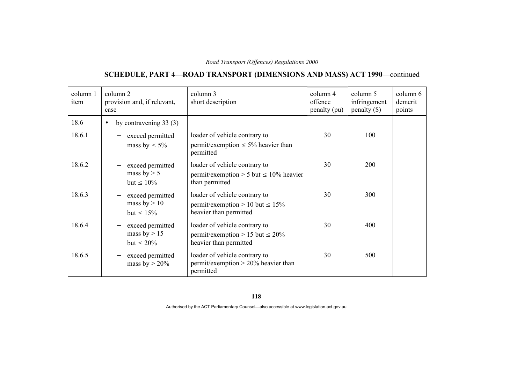# **SCHEDULE, PART 4—ROAD TRANSPORT (DIMENSIONS AND MASS) ACT 1990**—continued

| column 1<br>item | column 2<br>provision and, if relevant,<br>case       | column 3<br>short description                                                                    | column 4<br>offence<br>penalty (pu) | column 5<br>infringement<br>$penalty$ (\$) | column 6<br>demerit<br>points |
|------------------|-------------------------------------------------------|--------------------------------------------------------------------------------------------------|-------------------------------------|--------------------------------------------|-------------------------------|
| 18.6             | by contravening $33(3)$<br>$\bullet$                  |                                                                                                  |                                     |                                            |                               |
| 18.6.1           | exceed permitted<br>mass by $\leq 5\%$                | loader of vehicle contrary to<br>permit/exemption $\leq$ 5% heavier than<br>permitted            | 30                                  | 100                                        |                               |
| 18.6.2           | exceed permitted<br>mass by $> 5$<br>but $\leq 10\%$  | loader of vehicle contrary to<br>permit/exemption > 5 but $\leq 10\%$ heavier<br>than permitted  | 30                                  | 200                                        |                               |
| 18.6.3           | exceed permitted<br>mass by $> 10$<br>but $\leq 15\%$ | loader of vehicle contrary to<br>permit/exemption > 10 but $\leq 15\%$<br>heavier than permitted | 30                                  | 300                                        |                               |
| 18.6.4           | exceed permitted<br>mass by $> 15$<br>but $\leq 20\%$ | loader of vehicle contrary to<br>permit/exemption > 15 but $\leq 20\%$<br>heavier than permitted | 30                                  | 400                                        |                               |
| 18.6.5           | exceed permitted<br>mass by $> 20\%$                  | loader of vehicle contrary to<br>permit/exemption $> 20\%$ heavier than<br>permitted             | 30                                  | 500                                        |                               |

**118**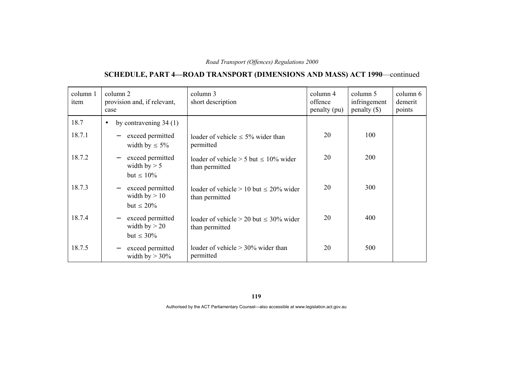# **SCHEDULE, PART 4—ROAD TRANSPORT (DIMENSIONS AND MASS) ACT 1990**—continued

| column 1<br>item | column 2<br>provision and, if relevant,<br>case                                    | column 3<br>short description                                    | column 4<br>offence<br>penalty (pu) | column 5<br>infringement<br>$penalty$ (\$) | column 6<br>demerit<br>points |
|------------------|------------------------------------------------------------------------------------|------------------------------------------------------------------|-------------------------------------|--------------------------------------------|-------------------------------|
| 18.7             | by contravening $34(1)$<br>$\bullet$                                               |                                                                  |                                     |                                            |                               |
| 18.7.1           | exceed permitted<br>width by $\leq 5\%$                                            | loader of vehicle $\leq 5\%$ wider than<br>permitted             | 20                                  | 100                                        |                               |
| 18.7.2           | exceed permitted<br>$\overline{\phantom{m}}$<br>width by $> 5$<br>but $\leq 10\%$  | loader of vehicle $> 5$ but $\leq 10\%$ wider<br>than permitted  | 20                                  | 200                                        |                               |
| 18.7.3           | exceed permitted<br>$\overline{\phantom{m}}$<br>width by $> 10$<br>but $\leq 20\%$ | loader of vehicle $> 10$ but $\leq 20\%$ wider<br>than permitted | 20                                  | 300                                        |                               |
| 18.7.4           | exceed permitted<br>width by $> 20$<br>but $\leq 30\%$                             | loader of vehicle $> 20$ but $\leq 30\%$ wider<br>than permitted | 20                                  | 400                                        |                               |
| 18.7.5           | exceed permitted<br>$\overline{\phantom{m}}$<br>width by $> 30\%$                  | loader of vehicle $> 30\%$ wider than<br>permitted               | 20                                  | 500                                        |                               |

**119**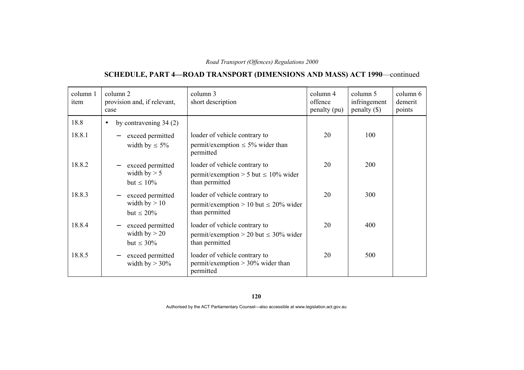# **SCHEDULE, PART 4—ROAD TRANSPORT (DIMENSIONS AND MASS) ACT 1990**—continued

| column 1<br>item | column 2<br>provision and, if relevant,<br>case                                    | column 3<br>short description                                                                 | column 4<br>offence<br>penalty (pu) | column 5<br>infringement<br>$penalty$ (\$) | column 6<br>demerit<br>points |
|------------------|------------------------------------------------------------------------------------|-----------------------------------------------------------------------------------------------|-------------------------------------|--------------------------------------------|-------------------------------|
| 18.8             | by contravening $34(2)$<br>$\bullet$                                               |                                                                                               |                                     |                                            |                               |
| 18.8.1           | exceed permitted<br>width by $\leq 5\%$                                            | loader of vehicle contrary to<br>permit/exemption $\leq$ 5% wider than<br>permitted           | 20                                  | 100                                        |                               |
| 18.8.2           | exceed permitted<br>width by $> 5$<br>but $\leq 10\%$                              | loader of vehicle contrary to<br>permit/exemption > 5 but $\leq 10\%$ wider<br>than permitted | 20                                  | 200                                        |                               |
| 18.8.3           | exceed permitted<br>width by $> 10$<br>but $\leq 20\%$                             | loader of vehicle contrary to<br>permit/exemption > 10 but $\leq$ 20% wider<br>than permitted | 20                                  | 300                                        |                               |
| 18.8.4           | exceed permitted<br>$\overline{\phantom{m}}$<br>width by $> 20$<br>but $\leq 30\%$ | loader of vehicle contrary to<br>permit/exemption > 20 but $\leq$ 30% wider<br>than permitted | 20                                  | 400                                        |                               |
| 18.8.5           | exceed permitted<br>width by $> 30\%$                                              | loader of vehicle contrary to<br>permit/exemption $> 30\%$ wider than<br>permitted            | 20                                  | 500                                        |                               |

**120**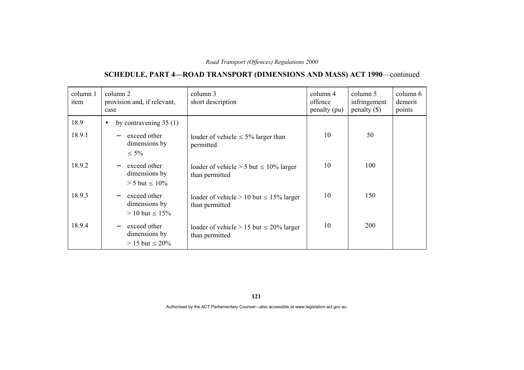# **SCHEDULE, PART 4—ROAD TRANSPORT (DIMENSIONS AND MASS) ACT 1990**—continued

| column 1<br>item | column 2<br>provision and, if relevant,<br>case                                     | column 3<br>short description                                     | column 4<br>offence<br>penalty (pu) | column 5<br>infringement<br>penalty $(\$)$ | column 6<br>demerit<br>points |
|------------------|-------------------------------------------------------------------------------------|-------------------------------------------------------------------|-------------------------------------|--------------------------------------------|-------------------------------|
| 18.9<br>18.9.1   | by contravening $35(1)$<br>$\bullet$<br>exceed other<br>dimensions by<br>$\leq 5\%$ | loader of vehicle $\leq 5\%$ larger than<br>permitted             | 10                                  | 50                                         |                               |
| 18.9.2           | exceed other<br>dimensions by<br>$> 5$ but $\leq 10\%$                              | loader of vehicle $> 5$ but $\leq 10\%$ larger<br>than permitted  | 10                                  | 100                                        |                               |
| 18.9.3           | exceed other<br>dimensions by<br>$> 10$ but $\leq 15\%$                             | loader of vehicle $> 10$ but $\leq 15\%$ larger<br>than permitted | 10                                  | 150                                        |                               |
| 18.9.4           | exceed other<br>$\overline{\phantom{m}}$<br>dimensions by<br>$> 15$ but $\leq 20\%$ | loader of vehicle $> 15$ but $\leq 20\%$ larger<br>than permitted | 10                                  | <b>200</b>                                 |                               |

**121**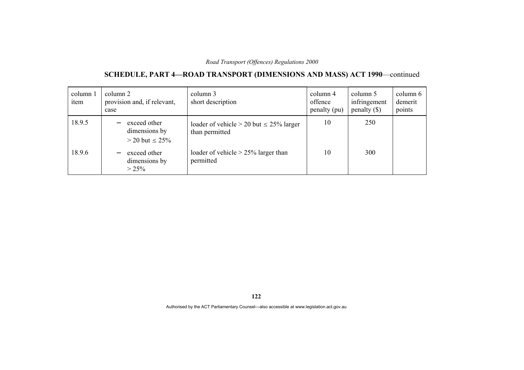# **SCHEDULE, PART 4—ROAD TRANSPORT (DIMENSIONS AND MASS) ACT 1990**—continued

| column 1<br>item | column 2<br>provision and, if relevant,<br>case        | column 3<br>short description                                     | column 4<br>offence<br>penalty (pu) | column 5<br>infringement<br>penalty $(\$)$ | column 6<br>demerit<br>points |
|------------------|--------------------------------------------------------|-------------------------------------------------------------------|-------------------------------------|--------------------------------------------|-------------------------------|
| 18.9.5           | exceed other<br>dimensions by<br>$>$ 20 but $\leq$ 25% | loader of vehicle $> 20$ but $\leq 25\%$ larger<br>than permitted | 10                                  | 250                                        |                               |
| 18.9.6           | exceed other<br>dimensions by<br>$> 25\%$              | loader of vehicle $> 25\%$ larger than<br>permitted               | 10                                  | 300                                        |                               |

**122**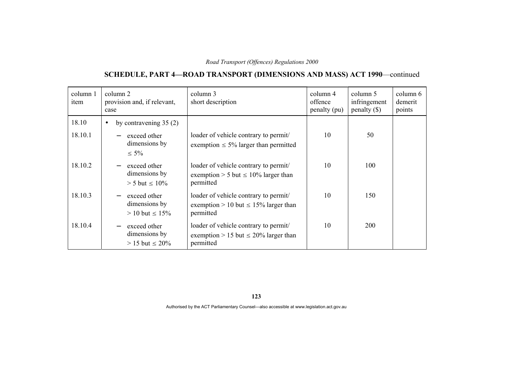# **SCHEDULE, PART 4—ROAD TRANSPORT (DIMENSIONS AND MASS) ACT 1990**—continued

| column 1<br>item | column 2<br>provision and, if relevant,<br>case         | column 3<br>short description                                                                   | column 4<br>offence<br>penalty (pu) | column 5<br>infringement<br>penalty $(\$)$ | column 6<br>demerit<br>points |
|------------------|---------------------------------------------------------|-------------------------------------------------------------------------------------------------|-------------------------------------|--------------------------------------------|-------------------------------|
| 18.10            | by contravening $35(2)$<br>$\bullet$                    |                                                                                                 |                                     |                                            |                               |
| 18.10.1          | exceed other<br>dimensions by<br>$\leq 5\%$             | loader of vehicle contrary to permit/<br>exemption $\leq 5\%$ larger than permitted             | 10                                  | 50                                         |                               |
| 18.10.2          | exceed other<br>dimensions by<br>$> 5$ but $\leq 10\%$  | loader of vehicle contrary to permit/<br>exemption > 5 but $\leq 10\%$ larger than<br>permitted | 10                                  | 100                                        |                               |
| 18.10.3          | exceed other<br>dimensions by<br>$> 10$ but $\leq 15\%$ | loader of vehicle contrary to permit/<br>exemption > 10 but $\leq$ 15% larger than<br>permitted | 10                                  | 150                                        |                               |
| 18.10.4          | exceed other<br>dimensions by<br>$> 15$ but $\leq 20\%$ | loader of vehicle contrary to permit/<br>exemption > 15 but $\leq$ 20% larger than<br>permitted | 10                                  | 200                                        |                               |

**123**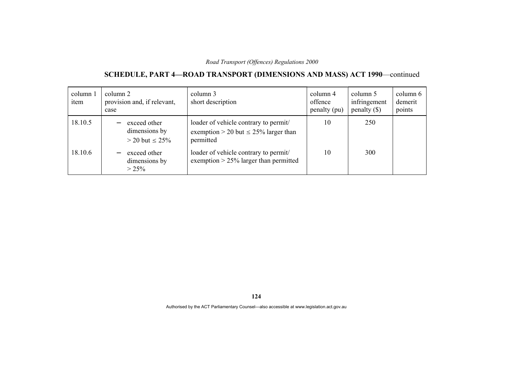# **SCHEDULE, PART 4—ROAD TRANSPORT (DIMENSIONS AND MASS) ACT 1990**—continued

| column 1<br>item | column 2<br>provision and, if relevant,<br>case        | column 3<br>short description                                                                   | column 4<br>offence<br>penalty (pu) | column 5<br>infringement<br>penalty $(\$)$ | column 6<br>demerit<br>points |
|------------------|--------------------------------------------------------|-------------------------------------------------------------------------------------------------|-------------------------------------|--------------------------------------------|-------------------------------|
| 18.10.5          | exceed other<br>dimensions by<br>$>$ 20 but $\leq$ 25% | loader of vehicle contrary to permit/<br>exemption > 20 but $\leq$ 25% larger than<br>permitted | 10                                  | 250                                        |                               |
| 18.10.6          | exceed other<br>dimensions by<br>$> 25\%$              | loader of vehicle contrary to permit/<br>exemption $> 25\%$ larger than permitted               | 10                                  | 300                                        |                               |

**124**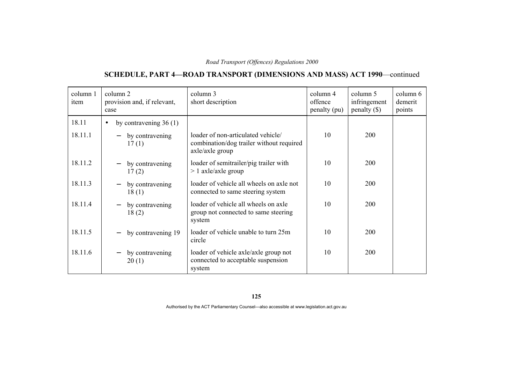# **SCHEDULE, PART 4—ROAD TRANSPORT (DIMENSIONS AND MASS) ACT 1990**—continued

| column 1<br>item | column 2<br>provision and, if relevant,<br>case | column 3<br>short description                                                                     | column 4<br>offence<br>penalty (pu) | column 5<br>infringement<br>$penalty$ (\$) | column 6<br>demerit<br>points |
|------------------|-------------------------------------------------|---------------------------------------------------------------------------------------------------|-------------------------------------|--------------------------------------------|-------------------------------|
| 18.11            | by contravening $36(1)$<br>$\bullet$            |                                                                                                   |                                     |                                            |                               |
| 18.11.1          | by contravening<br>17(1)                        | loader of non-articulated vehicle/<br>combination/dog trailer without required<br>axle/axle group | 10                                  | <b>200</b>                                 |                               |
| 18.11.2          | by contravening<br>17(2)                        | loader of semitrailer/pig trailer with<br>$> 1$ axle/axle group                                   | 10                                  | 200                                        |                               |
| 18.11.3          | by contravening<br>18(1)                        | loader of vehicle all wheels on axle not<br>connected to same steering system                     | 10                                  | 200                                        |                               |
| 18.11.4          | by contravening<br>18(2)                        | loader of vehicle all wheels on axle<br>group not connected to same steering<br>system            | 10                                  | 200                                        |                               |
| 18.11.5          | by contravening 19                              | loader of vehicle unable to turn 25m<br>circle                                                    | 10                                  | <b>200</b>                                 |                               |
| 18.11.6          | by contravening<br>20(1)                        | loader of vehicle axle/axle group not<br>connected to acceptable suspension<br>system             | 10                                  | 200                                        |                               |

**125**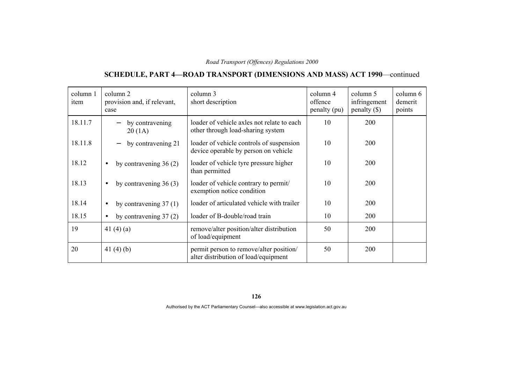# **SCHEDULE, PART 4—ROAD TRANSPORT (DIMENSIONS AND MASS) ACT 1990**—continued

| column 1<br>item | column 2<br>provision and, if relevant,<br>case | column 3<br>short description                                                    | column 4<br>offence<br>penalty (pu) | column 5<br>infringement<br>$penalty (\$))$ | column 6<br>demerit<br>points |
|------------------|-------------------------------------------------|----------------------------------------------------------------------------------|-------------------------------------|---------------------------------------------|-------------------------------|
| 18.11.7          | by contravening<br>20(1A)                       | loader of vehicle axles not relate to each<br>other through load-sharing system  | 10                                  | 200                                         |                               |
| 18.11.8          | by contravening 21                              | loader of vehicle controls of suspension<br>device operable by person on vehicle | 10                                  | <b>200</b>                                  |                               |
| 18.12            | by contravening $36(2)$<br>$\bullet$            | loader of vehicle tyre pressure higher<br>than permitted                         | 10                                  | 200                                         |                               |
| 18.13            | by contravening $36(3)$<br>$\bullet$            | loader of vehicle contrary to permit/<br>exemption notice condition              | 10                                  | 200                                         |                               |
| 18.14            | by contravening $37(1)$<br>$\bullet$            | loader of articulated vehicle with trailer                                       | 10                                  | 200                                         |                               |
| 18.15            | by contravening $37(2)$<br>$\bullet$            | loader of B-double/road train                                                    | 10                                  | 200                                         |                               |
| 19               | 41 $(4)(a)$                                     | remove/alter position/alter distribution<br>of load/equipment                    | 50                                  | 200                                         |                               |
| 20               | 41 $(4)(b)$                                     | permit person to remove/alter position/<br>alter distribution of load/equipment  | 50                                  | 200                                         |                               |

**126**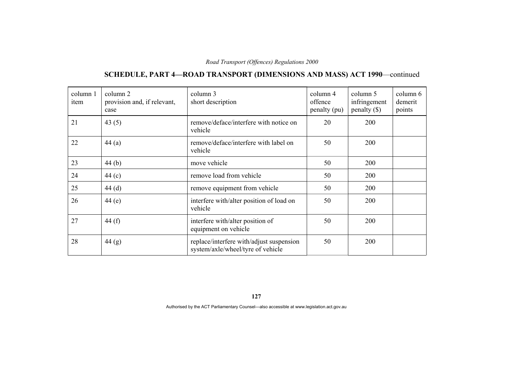# **SCHEDULE, PART 4—ROAD TRANSPORT (DIMENSIONS AND MASS) ACT 1990**—continued

| column 1<br>item | column 2<br>provision and, if relevant,<br>case | column 3<br>short description                                                 | column 4<br>offence<br>penalty (pu) | column 5<br>infringement<br>penalty $(\$)$ | column 6<br>demerit<br>points |
|------------------|-------------------------------------------------|-------------------------------------------------------------------------------|-------------------------------------|--------------------------------------------|-------------------------------|
| 21               | 43 $(5)$                                        | remove/deface/interfere with notice on<br>vehicle                             | 20                                  | 200                                        |                               |
| 22               | 44(a)                                           | remove/deface/interfere with label on<br>vehicle                              | 50                                  | 200                                        |                               |
| 23               | 44(b)                                           | move vehicle                                                                  | 50                                  | 200                                        |                               |
| 24               | 44 $(c)$                                        | remove load from vehicle                                                      | 50                                  | 200                                        |                               |
| 25               | 44(d)                                           | remove equipment from vehicle                                                 | 50                                  | 200                                        |                               |
| 26               | 44(e)                                           | interfere with/alter position of load on<br>vehicle                           | 50                                  | 200                                        |                               |
| 27               | 44 $(f)$                                        | interfere with/alter position of<br>equipment on vehicle                      | 50                                  | 200                                        |                               |
| 28               | 44(g)                                           | replace/interfere with/adjust suspension<br>system/axle/wheel/tyre of vehicle | 50                                  | 200                                        |                               |

**127**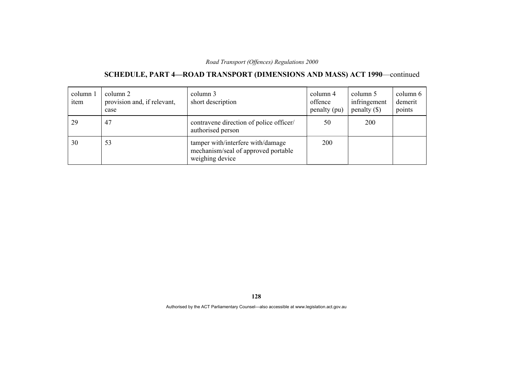# **SCHEDULE, PART 4—ROAD TRANSPORT (DIMENSIONS AND MASS) ACT 1990**—continued

| column 1<br>item | column 2<br>provision and, if relevant,<br>case | column 3<br>short description                                                               | column 4<br>offence<br>penalty (pu) | column 5<br>infringement<br>penalty $(\$)$ | column 6<br>demerit<br>points |
|------------------|-------------------------------------------------|---------------------------------------------------------------------------------------------|-------------------------------------|--------------------------------------------|-------------------------------|
| 29               | 47                                              | contravene direction of police officer/<br>authorised person                                | 50                                  | 200                                        |                               |
| 30               | 53                                              | tamper with/interfere with/damage<br>mechanism/seal of approved portable<br>weighing device | 200                                 |                                            |                               |

**128**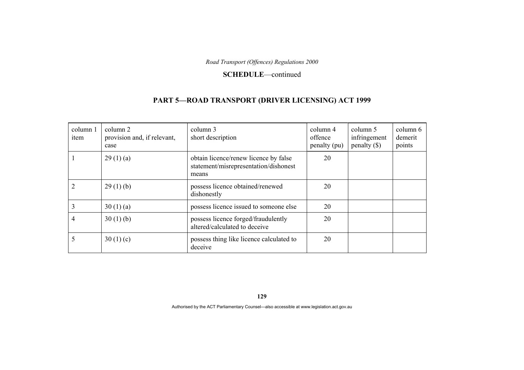#### **SCHEDULE**—continued

### **PART 5—ROAD TRANSPORT (DRIVER LICENSING) ACT 1999**

| column 1<br>item | column 2<br>provision and, if relevant,<br>case | column 3<br>short description                                                           | column 4<br>offence<br>penalty (pu) | column 5<br>infringement<br>penalty $(\$)$ | column 6<br>demerit<br>points |
|------------------|-------------------------------------------------|-----------------------------------------------------------------------------------------|-------------------------------------|--------------------------------------------|-------------------------------|
|                  | 29(1)(a)                                        | obtain licence/renew licence by false<br>statement/misrepresentation/dishonest<br>means | 20                                  |                                            |                               |
|                  | 29(1)(b)                                        | possess licence obtained/renewed<br>dishonestly                                         | 20                                  |                                            |                               |
|                  | 30(1)(a)                                        | possess licence issued to someone else                                                  | 20                                  |                                            |                               |
| 4                | 30(1)(b)                                        | possess licence forged/fraudulently<br>altered/calculated to deceive                    | 20                                  |                                            |                               |
|                  | 30 $(1)(c)$                                     | possess thing like licence calculated to<br>deceive                                     | 20                                  |                                            |                               |

**129**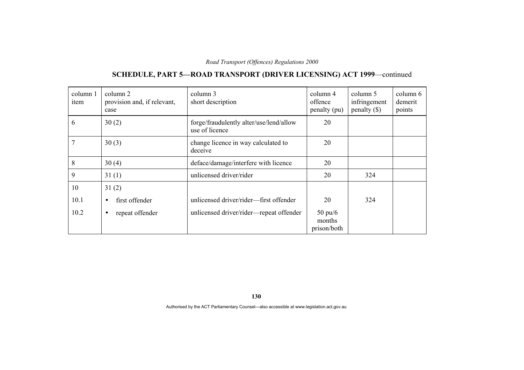# **SCHEDULE, PART 5—ROAD TRANSPORT (DRIVER LICENSING) ACT 1999**—continued

| column 1<br>item | column 2<br>provision and, if relevant,<br>case | column 3<br>short description                             | column 4<br>offence<br>penalty (pu)        | column 5<br>infringement<br>penalty $(\$)$ | column 6<br>demerit<br>points |
|------------------|-------------------------------------------------|-----------------------------------------------------------|--------------------------------------------|--------------------------------------------|-------------------------------|
| 6                | 30(2)                                           | forge/fraudulently alter/use/lend/allow<br>use of licence | 20                                         |                                            |                               |
| 7                | 30(3)                                           | change licence in way calculated to<br>deceive            | 20                                         |                                            |                               |
| 8                | 30(4)                                           | deface/damage/interfere with licence                      | 20                                         |                                            |                               |
| 9                | 31(1)                                           | unlicensed driver/rider                                   | 20                                         | 324                                        |                               |
| 10               | 31(2)                                           |                                                           |                                            |                                            |                               |
| 10.1             | first offender<br>$\bullet$                     | unlicensed driver/rider-first offender                    | 20                                         | 324                                        |                               |
| 10.2             | repeat offender<br>٠                            | unlicensed driver/rider-repeat offender                   | $50 \text{ pu}/6$<br>months<br>prison/both |                                            |                               |

**130**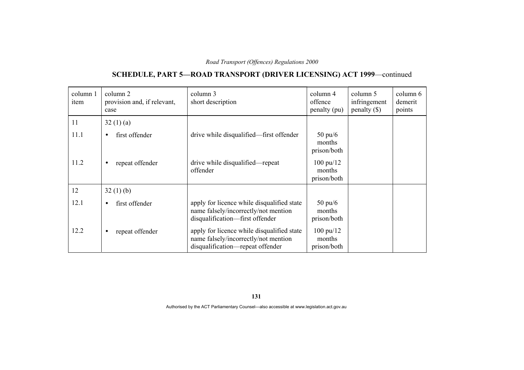# **SCHEDULE, PART 5—ROAD TRANSPORT (DRIVER LICENSING) ACT 1999**—continued

| column 1<br>item | column 2<br>provision and, if relevant,<br>case | column 3<br>short description                                                                                          | column 4<br>offence<br>penalty (pu)          | column 5<br>infringement<br>penalty $(\$)$ | column 6<br>demerit<br>points |
|------------------|-------------------------------------------------|------------------------------------------------------------------------------------------------------------------------|----------------------------------------------|--------------------------------------------|-------------------------------|
| 11               | 32(1)(a)                                        |                                                                                                                        |                                              |                                            |                               |
| 11.1             | first offender<br>$\bullet$                     | drive while disqualified—first offender                                                                                | $50 \text{ pu}/6$<br>months<br>prison/both   |                                            |                               |
| 11.2             | repeat offender<br>$\bullet$                    | drive while disqualified—repeat<br>offender                                                                            | $100 \text{ pu}/12$<br>months<br>prison/both |                                            |                               |
| 12               | 32(1)(b)                                        |                                                                                                                        |                                              |                                            |                               |
| 12.1             | first offender<br>$\bullet$                     | apply for licence while disqualified state<br>name falsely/incorrectly/not mention<br>disqualification-first offender  | $50 \text{ pu}/6$<br>months<br>prison/both   |                                            |                               |
| 12.2             | repeat offender<br>$\bullet$                    | apply for licence while disqualified state<br>name falsely/incorrectly/not mention<br>disqualification-repeat offender | $100 \text{ pu}/12$<br>months<br>prison/both |                                            |                               |

**131**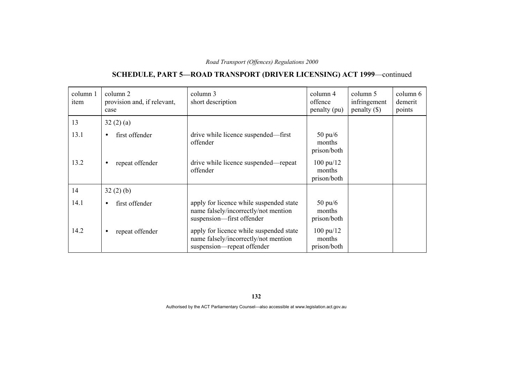# **SCHEDULE, PART 5—ROAD TRANSPORT (DRIVER LICENSING) ACT 1999**—continued

| column 1<br>item | column 2<br>provision and, if relevant,<br>case | column 3<br>short description                                                                                 | column 4<br>offence<br>penalty (pu)          | column 5<br>infringement<br>penalty $(\$)$ | column 6<br>demerit<br>points |
|------------------|-------------------------------------------------|---------------------------------------------------------------------------------------------------------------|----------------------------------------------|--------------------------------------------|-------------------------------|
| 13               | 32(2)(a)                                        |                                                                                                               |                                              |                                            |                               |
| 13.1             | first offender<br>$\bullet$                     | drive while licence suspended—first<br>offender                                                               | $50 \text{ pu}/6$<br>months<br>prison/both   |                                            |                               |
| 13.2             | repeat offender<br>$\bullet$                    | drive while licence suspended—repeat<br>offender                                                              | $100 \text{ pu}/12$<br>months<br>prison/both |                                            |                               |
| 14               | 32(2)(b)                                        |                                                                                                               |                                              |                                            |                               |
| 14.1             | first offender<br>$\bullet$                     | apply for licence while suspended state<br>name falsely/incorrectly/not mention<br>suspension-first offender  | $50 \text{ pu}/6$<br>months<br>prison/both   |                                            |                               |
| 14.2             | repeat offender<br>$\bullet$                    | apply for licence while suspended state<br>name falsely/incorrectly/not mention<br>suspension—repeat offender | $100 \text{ pu}/12$<br>months<br>prison/both |                                            |                               |

**132**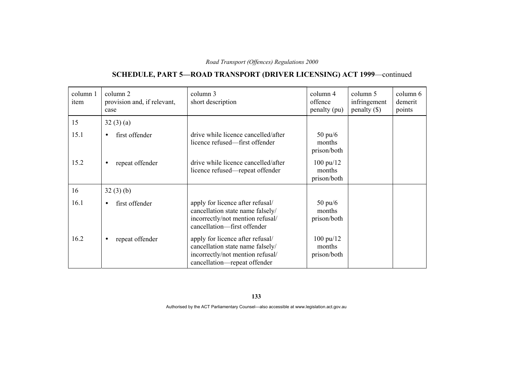# **SCHEDULE, PART 5—ROAD TRANSPORT (DRIVER LICENSING) ACT 1999**—continued

| column 1<br>item | column 2<br>provision and, if relevant,<br>case | column 3<br>short description                                                                                                            | column 4<br>offence<br>penalty (pu)          | column 5<br>infringement<br>penalty $(\$)$ | column 6<br>demerit<br>points |
|------------------|-------------------------------------------------|------------------------------------------------------------------------------------------------------------------------------------------|----------------------------------------------|--------------------------------------------|-------------------------------|
| 15               | 32(3)(a)                                        |                                                                                                                                          |                                              |                                            |                               |
| 15.1             | first offender<br>$\bullet$                     | drive while licence cancelled/after<br>licence refused—first offender                                                                    | $50 \text{ pu}/6$<br>months<br>prison/both   |                                            |                               |
| 15.2             | repeat offender<br>$\bullet$                    | drive while licence cancelled/after<br>licence refused—repeat offender                                                                   | $100 \text{ pu}/12$<br>months<br>prison/both |                                            |                               |
| 16               | 32(3)(b)                                        |                                                                                                                                          |                                              |                                            |                               |
| 16.1             | first offender<br>$\bullet$                     | apply for licence after refusal/<br>cancellation state name falsely/<br>incorrectly/not mention refusal/<br>cancellation-first offender  | $50 \text{ pu}/6$<br>months<br>prison/both   |                                            |                               |
| 16.2             | repeat offender<br>$\bullet$                    | apply for licence after refusal/<br>cancellation state name falsely/<br>incorrectly/not mention refusal/<br>cancellation—repeat offender | $100 \text{ pu}/12$<br>months<br>prison/both |                                            |                               |

**133**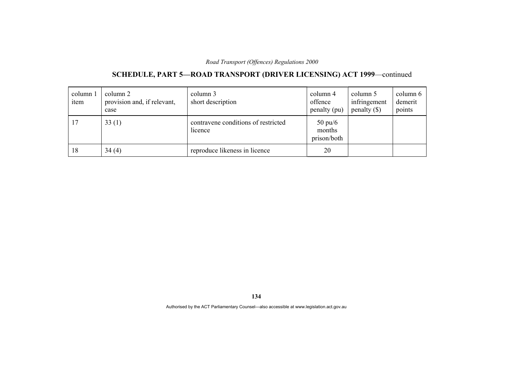# **SCHEDULE, PART 5—ROAD TRANSPORT (DRIVER LICENSING) ACT 1999**—continued

| column 1<br>item | column 2<br>provision and, if relevant,<br>case | column 3<br>short description                  | column 4<br>offence<br>penalty (pu)        | column 5<br>infringement<br>penalty $(\$)$ | column 6<br>demerit<br>points |
|------------------|-------------------------------------------------|------------------------------------------------|--------------------------------------------|--------------------------------------------|-------------------------------|
| 17               | 33(1)                                           | contravene conditions of restricted<br>licence | $50 \text{ pu/6}$<br>months<br>prison/both |                                            |                               |
| 18               | 34(4)                                           | reproduce likeness in licence                  | 20                                         |                                            |                               |

**134**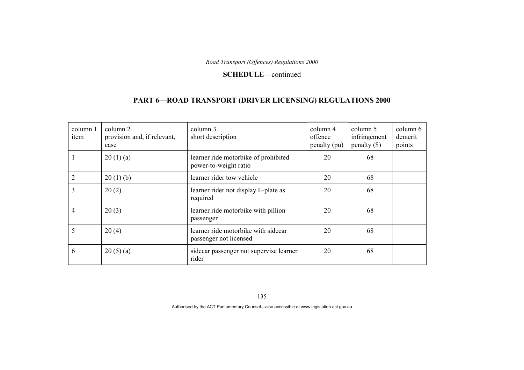#### **SCHEDULE**—continued

### **PART 6—ROAD TRANSPORT (DRIVER LICENSING) REGULATIONS 2000**

| column 1<br>item | column 2<br>provision and, if relevant,<br>case | column 3<br>short description                                 | column 4<br>offence<br>penalty (pu) | column 5<br>infringement<br>penalty $(\$)$ | column 6<br>demerit<br>points |
|------------------|-------------------------------------------------|---------------------------------------------------------------|-------------------------------------|--------------------------------------------|-------------------------------|
|                  | 20(1)(a)                                        | learner ride motorbike of prohibited<br>power-to-weight ratio | 20                                  | 68                                         |                               |
|                  | 20(1)(b)                                        | learner rider tow vehicle                                     | 20                                  | 68                                         |                               |
| 3                | 20(2)                                           | learner rider not display L-plate as<br>required              | 20                                  | 68                                         |                               |
| 4                | 20(3)                                           | learner ride motorbike with pillion<br>passenger              | 20                                  | 68                                         |                               |
| 5                | 20(4)                                           | learner ride motorbike with sidecar<br>passenger not licensed | 20                                  | 68                                         |                               |
| 6                | 20(5)(a)                                        | sidecar passenger not supervise learner<br>rider              | 20                                  | 68                                         |                               |

135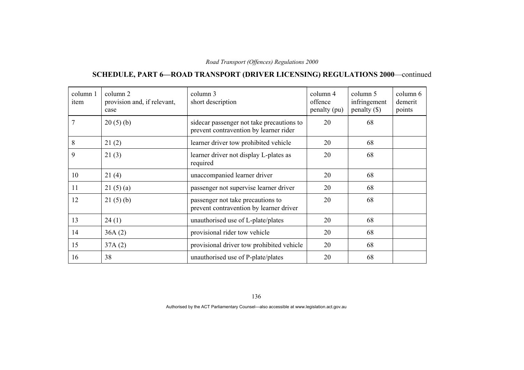### **SCHEDULE, PART 6—ROAD TRANSPORT (DRIVER LICENSING) REGULATIONS 2000**—continued

| column 1<br>item | column 2<br>provision and, if relevant,<br>case | column 3<br>short description                                                       | column 4<br>offence<br>penalty (pu) | column 5<br>infringement<br>penalty $(\$)$ | column 6<br>demerit<br>points |
|------------------|-------------------------------------------------|-------------------------------------------------------------------------------------|-------------------------------------|--------------------------------------------|-------------------------------|
| 7                | 20(5)(b)                                        | sidecar passenger not take precautions to<br>prevent contravention by learner rider | 20                                  | 68                                         |                               |
| 8                | 21(2)                                           | learner driver tow prohibited vehicle                                               | 20                                  | 68                                         |                               |
| 9                | 21(3)                                           | learner driver not display L-plates as<br>required                                  | 20                                  | 68                                         |                               |
| 10               | 21(4)                                           | unaccompanied learner driver                                                        | 20                                  | 68                                         |                               |
| 11               | 21(5)(a)                                        | passenger not supervise learner driver                                              | 20                                  | 68                                         |                               |
| 12               | 21(5)(b)                                        | passenger not take precautions to<br>prevent contravention by learner driver        | 20                                  | 68                                         |                               |
| 13               | 24(1)                                           | unauthorised use of L-plate/plates                                                  | 20                                  | 68                                         |                               |
| 14               | 36A(2)                                          | provisional rider tow vehicle                                                       | 20                                  | 68                                         |                               |
| 15               | 37A(2)                                          | provisional driver tow prohibited vehicle                                           | 20                                  | 68                                         |                               |
| 16               | 38                                              | unauthorised use of P-plate/plates                                                  | 20                                  | 68                                         |                               |

136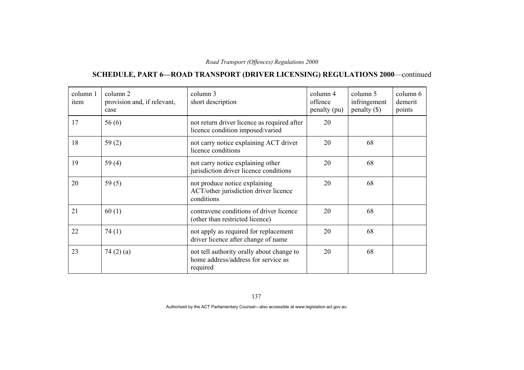### **SCHEDULE, PART 6—ROAD TRANSPORT (DRIVER LICENSING) REGULATIONS 2000**—continued

| column 1<br>item | column 2<br>provision and, if relevant,<br>case | column 3<br>short description                                                                | column 4<br>offence<br>penalty (pu) | column 5<br>infringement<br>penalty $(\$)$ | column 6<br>demerit<br>points |
|------------------|-------------------------------------------------|----------------------------------------------------------------------------------------------|-------------------------------------|--------------------------------------------|-------------------------------|
| 17               | 56(6)                                           | not return driver licence as required after<br>licence condition imposed/varied              | 20                                  |                                            |                               |
| 18               | 59(2)                                           | not carry notice explaining ACT driver<br>licence conditions                                 | 20                                  | 68                                         |                               |
| 19               | 59 $(4)$                                        | not carry notice explaining other<br>jurisdiction driver licence conditions                  | 20                                  | 68                                         |                               |
| 20               | 59 $(5)$                                        | not produce notice explaining<br>ACT/other jurisdiction driver licence<br>conditions         | 20                                  | 68                                         |                               |
| 21               | 60(1)                                           | contravene conditions of driver licence<br>(other than restricted licence)                   | 20                                  | 68                                         |                               |
| 22               | 74(1)                                           | not apply as required for replacement<br>driver licence after change of name                 | 20                                  | 68                                         |                               |
| 23               | 74(2)(a)                                        | not tell authority orally about change to<br>home address/address for service as<br>required | 20                                  | 68                                         |                               |

137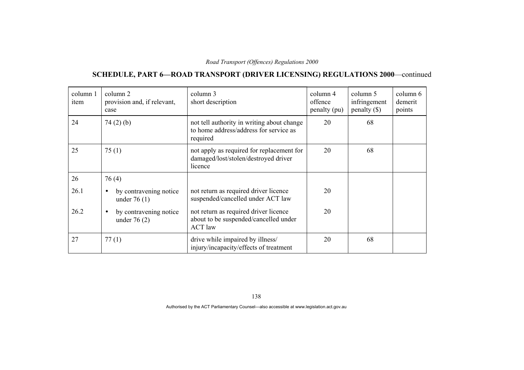### **SCHEDULE, PART 6—ROAD TRANSPORT (DRIVER LICENSING) REGULATIONS 2000**—continued

| column 1<br>item | column 2<br>provision and, if relevant,<br>case | column 3<br>short description                                                                    | column 4<br>offence<br>penalty (pu) | column 5<br>infringement<br>$penalty$ (\$) | column 6<br>demerit<br>points |
|------------------|-------------------------------------------------|--------------------------------------------------------------------------------------------------|-------------------------------------|--------------------------------------------|-------------------------------|
| 24               | 74(2)(b)                                        | not tell authority in writing about change<br>to home address/address for service as<br>required | 20                                  | 68                                         |                               |
| 25               | 75(1)                                           | not apply as required for replacement for<br>damaged/lost/stolen/destroyed driver<br>licence     | 20                                  | 68                                         |                               |
| 26               | 76 (4)                                          |                                                                                                  |                                     |                                            |                               |
| 26.1             | by contravening notice<br>under $76(1)$         | not return as required driver licence<br>suspended/cancelled under ACT law                       | 20                                  |                                            |                               |
| 26.2             | by contravening notice<br>under $76(2)$         | not return as required driver licence<br>about to be suspended/cancelled under<br><b>ACT</b> law | 20                                  |                                            |                               |
| 27               | 77(1)                                           | drive while impaired by illness/<br>injury/incapacity/effects of treatment                       | 20                                  | 68                                         |                               |

138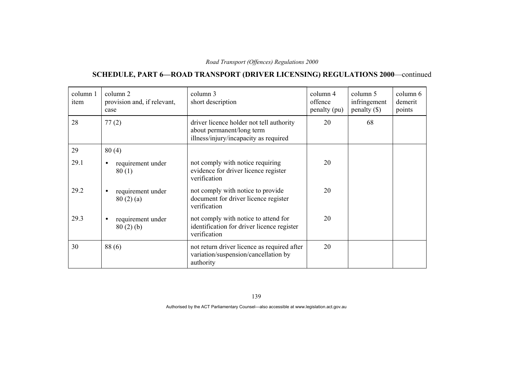### **SCHEDULE, PART 6—ROAD TRANSPORT (DRIVER LICENSING) REGULATIONS 2000**—continued

| column 1<br>item | column 2<br>provision and, if relevant,<br>case | column 3<br>short description                                                                                  | column 4<br>offence<br>penalty (pu) | column 5<br>infringement<br>$penalty$ (\$) | column 6<br>demerit<br>points |
|------------------|-------------------------------------------------|----------------------------------------------------------------------------------------------------------------|-------------------------------------|--------------------------------------------|-------------------------------|
| 28               | 77(2)                                           | driver licence holder not tell authority<br>about permanent/long term<br>illness/injury/incapacity as required | 20                                  | 68                                         |                               |
| 29               | 80(4)                                           |                                                                                                                |                                     |                                            |                               |
| 29.1             | requirement under<br>$\bullet$<br>80(1)         | not comply with notice requiring<br>evidence for driver licence register<br>verification                       | 20                                  |                                            |                               |
| 29.2             | requirement under<br>80(2)(a)                   | not comply with notice to provide<br>document for driver licence register<br>verification                      | 20                                  |                                            |                               |
| 29.3             | requirement under<br>$\bullet$<br>80(2)(b)      | not comply with notice to attend for<br>identification for driver licence register<br>verification             | 20                                  |                                            |                               |
| 30               | 88(6)                                           | not return driver licence as required after<br>variation/suspension/cancellation by<br>authority               | 20                                  |                                            |                               |

139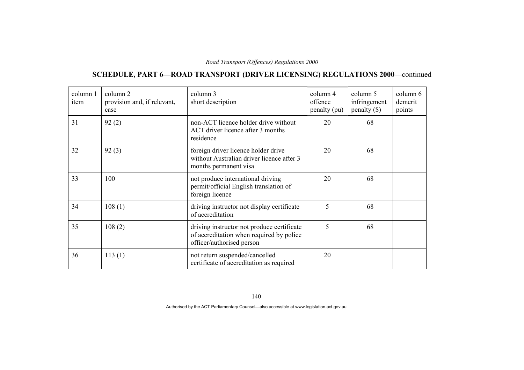## **SCHEDULE, PART 6—ROAD TRANSPORT (DRIVER LICENSING) REGULATIONS 2000**—continued

| column 1<br>item | column 2<br>provision and, if relevant,<br>case | column 3<br>short description                                                                                       | column 4<br>offence<br>penalty (pu) | column 5<br>infringement<br>penalty $(\$)$ | column 6<br>demerit<br>points |
|------------------|-------------------------------------------------|---------------------------------------------------------------------------------------------------------------------|-------------------------------------|--------------------------------------------|-------------------------------|
| 31               | 92(2)                                           | non-ACT licence holder drive without<br>ACT driver licence after 3 months<br>residence                              | 20                                  | 68                                         |                               |
| 32               | 92(3)                                           | foreign driver licence holder drive<br>without Australian driver licence after 3<br>months permanent visa           | 20                                  | 68                                         |                               |
| 33               | 100                                             | not produce international driving<br>permit/official English translation of<br>foreign licence                      | 20                                  | 68                                         |                               |
| 34               | 108(1)                                          | driving instructor not display certificate<br>of accreditation                                                      | 5                                   | 68                                         |                               |
| 35               | 108(2)                                          | driving instructor not produce certificate<br>of accreditation when required by police<br>officer/authorised person | 5                                   | 68                                         |                               |
| 36               | 113(1)                                          | not return suspended/cancelled<br>certificate of accreditation as required                                          | 20                                  |                                            |                               |

140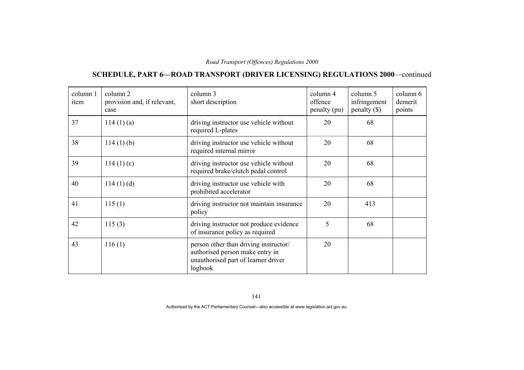## **SCHEDULE, PART 6—ROAD TRANSPORT (DRIVER LICENSING) REGULATIONS 2000**—continued

| column 1<br>item | column 2<br>provision and, if relevant,<br>case | column 3<br>short description                                                                                              | column 4<br>offence<br>penalty (pu) | column 5<br>infringement<br>penalty $(\$)$ | column 6<br>demerit<br>points |
|------------------|-------------------------------------------------|----------------------------------------------------------------------------------------------------------------------------|-------------------------------------|--------------------------------------------|-------------------------------|
| 37               | 114(1)(a)                                       | driving instructor use vehicle without<br>required L-plates                                                                | 20                                  | 68                                         |                               |
| 38               | $114(1)$ (b)                                    | driving instructor use vehicle without<br>required internal mirror                                                         | 20                                  | 68                                         |                               |
| 39               | 114(1)(c)                                       | driving instructor use vehicle without<br>required brake/clutch pedal control                                              | 20                                  | 68                                         |                               |
| 40               | 114(1)(d)                                       | driving instructor use vehicle with<br>prohibited accelerator                                                              | 20                                  | 68                                         |                               |
| 41               | 115(1)                                          | driving instructor not maintain insurance<br>policy                                                                        | 20                                  | 413                                        |                               |
| 42               | 115(3)                                          | driving instructor not produce evidence<br>of insurance policy as required                                                 | 5                                   | 68                                         |                               |
| 43               | 116(1)                                          | person other than driving instructor/<br>authorised person make entry in<br>unauthorised part of learner driver<br>logbook | 20                                  |                                            |                               |

141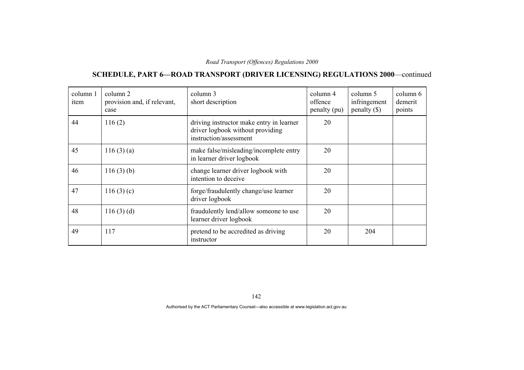## **SCHEDULE, PART 6—ROAD TRANSPORT (DRIVER LICENSING) REGULATIONS 2000**—continued

| column 1<br>item | column 2<br>provision and, if relevant,<br>case | column 3<br>short description                                                                          | column 4<br>offence<br>penalty (pu) | column 5<br>infringement<br>penalty $(\$)$ | column 6<br>demerit<br>points |
|------------------|-------------------------------------------------|--------------------------------------------------------------------------------------------------------|-------------------------------------|--------------------------------------------|-------------------------------|
| 44               | 116(2)                                          | driving instructor make entry in learner<br>driver logbook without providing<br>instruction/assessment | 20                                  |                                            |                               |
| 45               | 116(3)(a)                                       | make false/misleading/incomplete entry<br>in learner driver logbook                                    | 20                                  |                                            |                               |
| 46               | 116(3)(b)                                       | change learner driver logbook with<br>intention to deceive                                             | 20                                  |                                            |                               |
| 47               | 116(3)(c)                                       | forge/fraudulently change/use learner<br>driver logbook                                                | 20                                  |                                            |                               |
| 48               | 116(3)(d)                                       | fraudulently lend/allow someone to use<br>learner driver logbook                                       | 20                                  |                                            |                               |
| 49               | 117                                             | pretend to be accredited as driving<br>instructor                                                      | 20                                  | 204                                        |                               |

142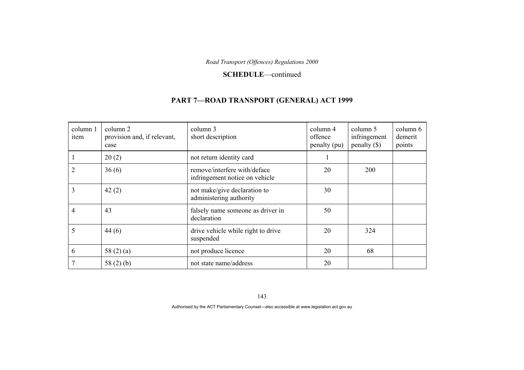#### **SCHEDULE**—continued

### **PART 7—ROAD TRANSPORT (GENERAL) ACT 1999**

| column 1<br>item | column 2<br>provision and, if relevant,<br>case | column 3<br>short description                                  | column 4<br>offence<br>penalty (pu) | column 5<br>infringement<br>$penalty$ (\$) | column 6<br>demerit<br>points |
|------------------|-------------------------------------------------|----------------------------------------------------------------|-------------------------------------|--------------------------------------------|-------------------------------|
|                  | 20(2)                                           | not return identity card                                       |                                     |                                            |                               |
|                  | 36(6)                                           | remove/interfere with/deface<br>infringement notice on vehicle | 20                                  | 200                                        |                               |
| 3                | 42(2)                                           | not make/give declaration to<br>administering authority        | 30                                  |                                            |                               |
| 4                | 43                                              | falsely name someone as driver in<br>declaration               | 50                                  |                                            |                               |
| 5                | 44(6)                                           | drive vehicle while right to drive<br>suspended                | 20                                  | 324                                        |                               |
| 6                | 58 $(2)$ $(a)$                                  | not produce licence                                            | 20                                  | 68                                         |                               |
|                  | 58 $(2)$ $(b)$                                  | not state name/address                                         | 20                                  |                                            |                               |

143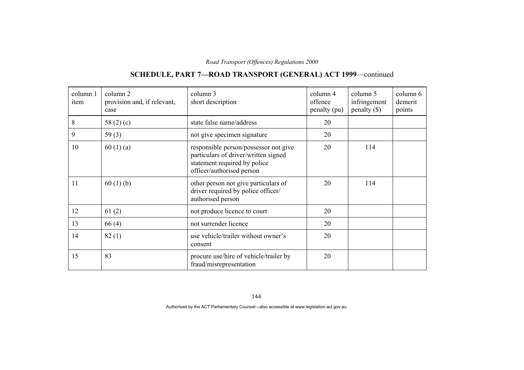# **SCHEDULE, PART 7—ROAD TRANSPORT (GENERAL) ACT 1999**—continued

| column 1<br>item | column 2<br>provision and, if relevant,<br>case | column 3<br>short description                                                                                                              | column 4<br>offence<br>penalty (pu) | column 5<br>infringement<br>$penalty$ (\$) | column 6<br>demerit<br>points |
|------------------|-------------------------------------------------|--------------------------------------------------------------------------------------------------------------------------------------------|-------------------------------------|--------------------------------------------|-------------------------------|
| 8                | 58 $(2)(c)$                                     | state false name/address                                                                                                                   | 20                                  |                                            |                               |
| 9                | 59(3)                                           | not give specimen signature                                                                                                                | 20                                  |                                            |                               |
| 10               | 60(1)(a)                                        | responsible person/possessor not give<br>particulars of driver/written signed<br>statement required by police<br>officer/authorised person | 20                                  | 114                                        |                               |
| 11               | 60(1)(b)                                        | other person not give particulars of<br>driver required by police officer/<br>authorised person                                            | 20                                  | 114                                        |                               |
| 12               | 61(2)                                           | not produce licence to court                                                                                                               | 20                                  |                                            |                               |
| 13               | 66(4)                                           | not surrender licence                                                                                                                      | 20                                  |                                            |                               |
| 14               | 82(1)                                           | use vehicle/trailer without owner's<br>consent                                                                                             | 20                                  |                                            |                               |
| 15               | 83                                              | procure use/hire of vehicle/trailer by<br>fraud/misrepresentation                                                                          | 20                                  |                                            |                               |

144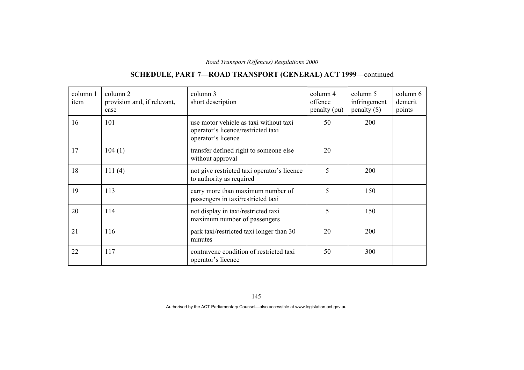## **SCHEDULE, PART 7—ROAD TRANSPORT (GENERAL) ACT 1999**—continued

| column 1<br>item | column 2<br>provision and, if relevant,<br>case | column 3<br>short description                                                                      | column 4<br>offence<br>penalty (pu) | column 5<br>infringement<br>$penalty$ (\$) | column 6<br>demerit<br>points |
|------------------|-------------------------------------------------|----------------------------------------------------------------------------------------------------|-------------------------------------|--------------------------------------------|-------------------------------|
| 16               | 101                                             | use motor vehicle as taxi without taxi<br>operator's licence/restricted taxi<br>operator's licence | 50                                  | 200                                        |                               |
| 17               | 104(1)                                          | transfer defined right to someone else<br>without approval                                         | 20                                  |                                            |                               |
| 18               | 111(4)                                          | not give restricted taxi operator's licence<br>to authority as required                            | 5                                   | 200                                        |                               |
| 19               | 113                                             | carry more than maximum number of<br>passengers in taxi/restricted taxi                            | 5                                   | 150                                        |                               |
| 20               | 114                                             | not display in taxi/restricted taxi<br>maximum number of passengers                                | 5                                   | 150                                        |                               |
| 21               | 116                                             | park taxi/restricted taxi longer than 30<br>minutes                                                | 20                                  | 200                                        |                               |
| 22               | 117                                             | contravene condition of restricted taxi<br>operator's licence                                      | 50                                  | 300                                        |                               |

145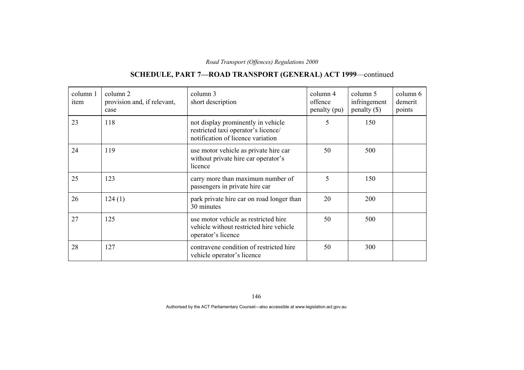## **SCHEDULE, PART 7—ROAD TRANSPORT (GENERAL) ACT 1999**—continued

| column 1<br>item | column 2<br>provision and, if relevant,<br>case | column 3<br>short description                                                                                  | column 4<br>offence<br>penalty (pu) | column 5<br>infringement<br>$penalty$ (\$) | column 6<br>demerit<br>points |
|------------------|-------------------------------------------------|----------------------------------------------------------------------------------------------------------------|-------------------------------------|--------------------------------------------|-------------------------------|
| 23               | 118                                             | not display prominently in vehicle<br>restricted taxi operator's licence/<br>notification of licence variation | 5                                   | 150                                        |                               |
| 24               | 119                                             | use motor vehicle as private hire car<br>without private hire car operator's<br>licence                        | 50                                  | 500                                        |                               |
| 25               | 123                                             | carry more than maximum number of<br>passengers in private hire car                                            | 5                                   | 150                                        |                               |
| 26               | 124(1)                                          | park private hire car on road longer than<br>30 minutes                                                        | 20                                  | 200                                        |                               |
| 27               | 125                                             | use motor vehicle as restricted hire<br>vehicle without restricted hire vehicle<br>operator's licence          | 50                                  | 500                                        |                               |
| 28               | 127                                             | contravene condition of restricted hire<br>vehicle operator's licence                                          | 50                                  | 300                                        |                               |

146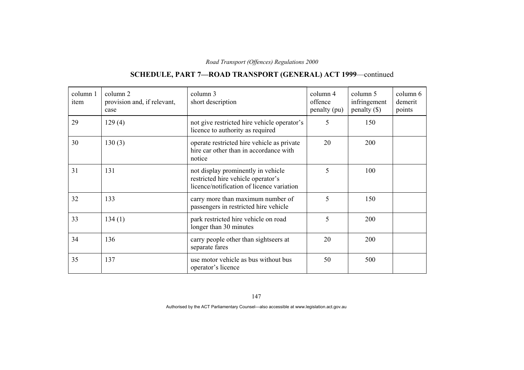## **SCHEDULE, PART 7—ROAD TRANSPORT (GENERAL) ACT 1999**—continued

| column 1<br>item | column 2<br>provision and, if relevant,<br>case | column 3<br>short description                                                                                         | column 4<br>offence<br>penalty (pu) | column 5<br>infringement<br>$penalty$ (\$) | column 6<br>demerit<br>points |
|------------------|-------------------------------------------------|-----------------------------------------------------------------------------------------------------------------------|-------------------------------------|--------------------------------------------|-------------------------------|
| 29               | 129(4)                                          | not give restricted hire vehicle operator's<br>licence to authority as required                                       | 5                                   | 150                                        |                               |
| 30               | 130(3)                                          | operate restricted hire vehicle as private<br>hire car other than in accordance with<br>notice                        | 20                                  | 200                                        |                               |
| 31               | 131                                             | not display prominently in vehicle<br>restricted hire vehicle operator's<br>licence/notification of licence variation | 5                                   | 100                                        |                               |
| 32               | 133                                             | carry more than maximum number of<br>passengers in restricted hire vehicle                                            | 5                                   | 150                                        |                               |
| 33               | 134(1)                                          | park restricted hire vehicle on road<br>longer than 30 minutes                                                        | 5                                   | <b>200</b>                                 |                               |
| 34               | 136                                             | carry people other than sightseers at<br>separate fares                                                               | 20                                  | 200                                        |                               |
| 35               | 137                                             | use motor vehicle as bus without bus<br>operator's licence                                                            | 50                                  | 500                                        |                               |

147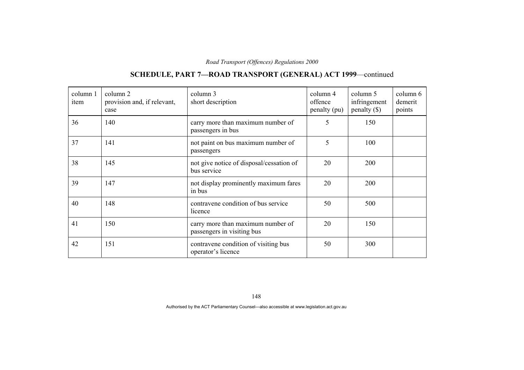## **SCHEDULE, PART 7—ROAD TRANSPORT (GENERAL) ACT 1999**—continued

| column 1<br>item | column 2<br>provision and, if relevant,<br>case | column 3<br>short description                                   | column 4<br>offence<br>penalty (pu) | column 5<br>infringement<br>penalty $(\$)$ | column 6<br>demerit<br>points |
|------------------|-------------------------------------------------|-----------------------------------------------------------------|-------------------------------------|--------------------------------------------|-------------------------------|
| 36               | 140                                             | carry more than maximum number of<br>passengers in bus          | 5                                   | 150                                        |                               |
| 37               | 141                                             | not paint on bus maximum number of<br>passengers                | 5                                   | 100                                        |                               |
| 38               | 145                                             | not give notice of disposal/cessation of<br>bus service         | 20                                  | 200                                        |                               |
| 39               | 147                                             | not display prominently maximum fares<br>in bus                 | 20                                  | 200                                        |                               |
| 40               | 148                                             | contravene condition of bus service<br>licence                  | 50                                  | 500                                        |                               |
| 41               | 150                                             | carry more than maximum number of<br>passengers in visiting bus | 20                                  | 150                                        |                               |
| 42               | 151                                             | contravene condition of visiting bus<br>operator's licence      | 50                                  | 300                                        |                               |

148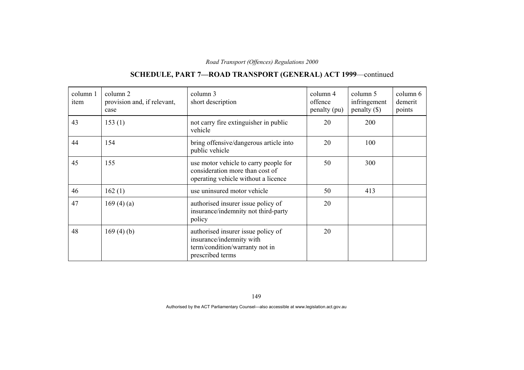## **SCHEDULE, PART 7—ROAD TRANSPORT (GENERAL) ACT 1999**—continued

| column 1<br>item | column 2<br>provision and, if relevant,<br>case | column 3<br>short description                                                                                        | column 4<br>offence<br>penalty (pu) | column 5<br>infringement<br>$penalty$ (\$) | column 6<br>demerit<br>points |
|------------------|-------------------------------------------------|----------------------------------------------------------------------------------------------------------------------|-------------------------------------|--------------------------------------------|-------------------------------|
| 43               | 153(1)                                          | not carry fire extinguisher in public<br>vehicle                                                                     | 20                                  | 200                                        |                               |
| 44               | 154                                             | bring offensive/dangerous article into<br>public vehicle                                                             | 20                                  | 100                                        |                               |
| 45               | 155                                             | use motor vehicle to carry people for<br>consideration more than cost of<br>operating vehicle without a licence      | 50                                  | 300                                        |                               |
| 46               | 162(1)                                          | use uninsured motor vehicle                                                                                          | 50                                  | 413                                        |                               |
| 47               | 169(4)(a)                                       | authorised insurer issue policy of<br>insurance/indemnity not third-party<br>policy                                  | 20                                  |                                            |                               |
| 48               | 169(4)(b)                                       | authorised insurer issue policy of<br>insurance/indemnity with<br>term/condition/warranty not in<br>prescribed terms | 20                                  |                                            |                               |

149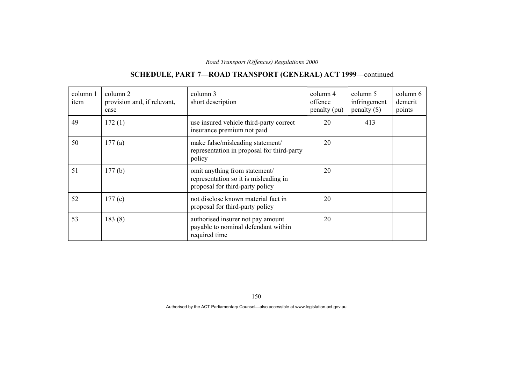## **SCHEDULE, PART 7—ROAD TRANSPORT (GENERAL) ACT 1999**—continued

| column 1<br>item | column 2<br>provision and, if relevant,<br>case | column 3<br>short description                                                                             | column 4<br>offence<br>penalty (pu) | column 5<br>infringement<br>penalty $(\$)$ | column 6<br>demerit<br>points |
|------------------|-------------------------------------------------|-----------------------------------------------------------------------------------------------------------|-------------------------------------|--------------------------------------------|-------------------------------|
| 49               | 172(1)                                          | use insured vehicle third-party correct<br>insurance premium not paid                                     | 20                                  | 413                                        |                               |
| 50               | 177(a)                                          | make false/misleading statement/<br>representation in proposal for third-party<br>policy                  | 20                                  |                                            |                               |
| 51               | 177(b)                                          | omit anything from statement/<br>representation so it is misleading in<br>proposal for third-party policy | 20                                  |                                            |                               |
| 52               | 177(c)                                          | not disclose known material fact in<br>proposal for third-party policy                                    | 20                                  |                                            |                               |
| 53               | 183(8)                                          | authorised insurer not pay amount<br>payable to nominal defendant within<br>required time                 | 20                                  |                                            |                               |

150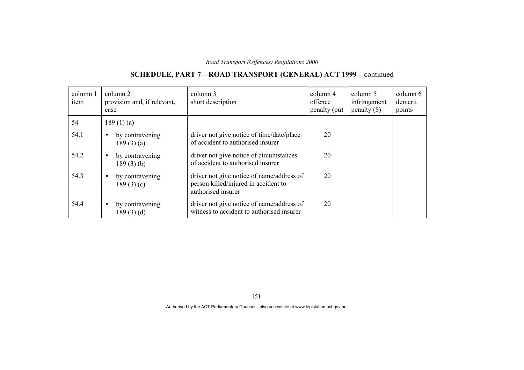### **SCHEDULE, PART 7—ROAD TRANSPORT (GENERAL) ACT 1999**—continued

| column 1<br>item | column 2<br>provision and, if relevant,<br>case | column 3<br>short description                                                                           | column 4<br>offence<br>penalty (pu) | column 5<br>infringement<br>$penalty$ (\$) | column 6<br>demerit<br>points |
|------------------|-------------------------------------------------|---------------------------------------------------------------------------------------------------------|-------------------------------------|--------------------------------------------|-------------------------------|
| 54               | 189(1)(a)                                       |                                                                                                         |                                     |                                            |                               |
| 54.1             | by contravening<br>189(3)(a)                    | driver not give notice of time/date/place<br>of accident to authorised insurer                          | 20                                  |                                            |                               |
| 54.2             | by contravening<br>$\bullet$<br>$189(3)$ (b)    | driver not give notice of circumstances<br>of accident to authorised insurer                            | 20                                  |                                            |                               |
| 54.3             | by contravening<br>189(3)(c)                    | driver not give notice of name/address of<br>person killed/injured in accident to<br>authorised insurer | 20                                  |                                            |                               |
| 54.4             | by contravening<br>٠<br>189(3)(d)               | driver not give notice of name/address of<br>witness to accident to authorised insurer                  | 20                                  |                                            |                               |

151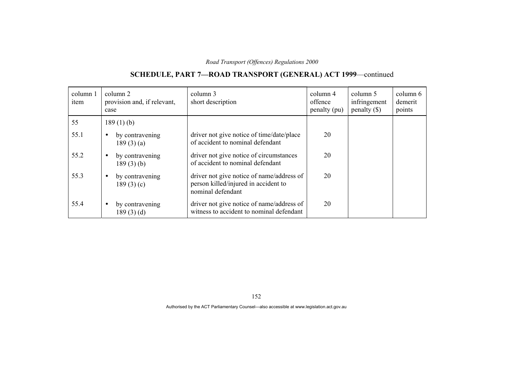### **SCHEDULE, PART 7—ROAD TRANSPORT (GENERAL) ACT 1999**—continued

| column 1<br>item | column 2<br>provision and, if relevant,<br>case | column 3<br>short description                                                                          | column 4<br>offence<br>penalty (pu) | column 5<br>infringement<br>$penalty$ (\$) | column 6<br>demerit<br>points |
|------------------|-------------------------------------------------|--------------------------------------------------------------------------------------------------------|-------------------------------------|--------------------------------------------|-------------------------------|
| 55               | $189(1)$ (b)                                    |                                                                                                        |                                     |                                            |                               |
| 55.1             | by contravening<br>$\bullet$<br>189(3)(a)       | driver not give notice of time/date/place<br>of accident to nominal defendant                          | 20                                  |                                            |                               |
| 55.2             | by contravening<br>$\bullet$<br>$189(3)$ (b)    | driver not give notice of circumstances<br>of accident to nominal defendant                            | 20                                  |                                            |                               |
| 55.3             | by contravening<br>$\bullet$<br>189(3)(c)       | driver not give notice of name/address of<br>person killed/injured in accident to<br>nominal defendant | 20                                  |                                            |                               |
| 55.4             | by contravening<br>$\bullet$<br>189(3)(d)       | driver not give notice of name/address of<br>witness to accident to nominal defendant                  | 20                                  |                                            |                               |

152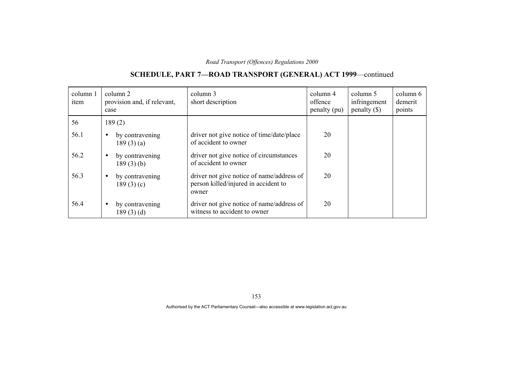### **SCHEDULE, PART 7—ROAD TRANSPORT (GENERAL) ACT 1999**—continued

| column 1<br>item | column 2<br>provision and, if relevant,<br>case | column 3<br>short description                                                              | column 4<br>offence<br>penalty (pu) | column 5<br>infringement<br>$penalty$ (\$) | column 6<br>demerit<br>points |
|------------------|-------------------------------------------------|--------------------------------------------------------------------------------------------|-------------------------------------|--------------------------------------------|-------------------------------|
| 56               | 189(2)                                          |                                                                                            |                                     |                                            |                               |
| 56.1             | by contravening<br>$\bullet$<br>189(3)(a)       | driver not give notice of time/date/place<br>of accident to owner                          | 20                                  |                                            |                               |
| 56.2             | by contravening<br>$\bullet$<br>$189(3)$ (b)    | driver not give notice of circumstances<br>of accident to owner                            | 20                                  |                                            |                               |
| 56.3             | by contravening<br>$\bullet$<br>189(3)(c)       | driver not give notice of name/address of<br>person killed/injured in accident to<br>owner | 20                                  |                                            |                               |
| 56.4             | by contravening<br>$\bullet$<br>189(3)(d)       | driver not give notice of name/address of<br>witness to accident to owner                  | 20                                  |                                            |                               |

153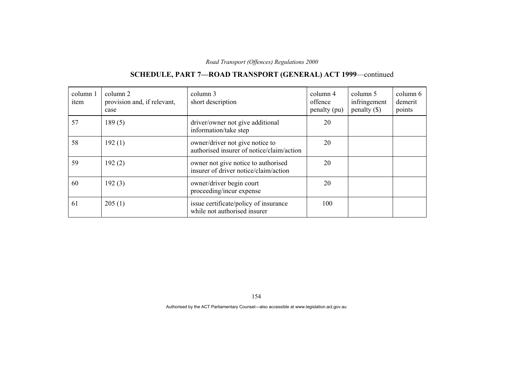#### column 1 item column 2 provision and, if relevant, case column 3 short description column 4 offence penalty (pu) column 5 infringement penalty (\$) column 6 demerit points 57 189 (5) driver/owner not give additional information/take step 20 58 192 (1) wher/driver not give notice to authorised insurer of notice/claim/action 20 59 192 (2) owner not give notice to authorised insurer of driver notice/claim/action 20 60 192 (3) owner/driver begin court proceeding/incur expense 20 61 205 (1) issue certificate/policy of insurance while not authorised insurer 100

### **SCHEDULE, PART 7—ROAD TRANSPORT (GENERAL) ACT 1999**—continued

154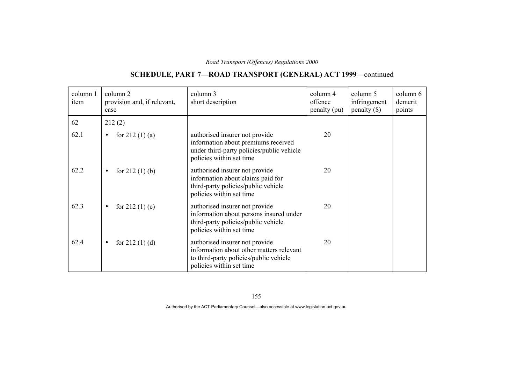# **SCHEDULE, PART 7—ROAD TRANSPORT (GENERAL) ACT 1999**—continued

| column 1<br>item | column 2<br>provision and, if relevant,<br>case | column 3<br>short description                                                                                                                    | column 4<br>offence<br>penalty (pu) | column 5<br>infringement<br>$penalty$ (\$) | column 6<br>demerit<br>points |
|------------------|-------------------------------------------------|--------------------------------------------------------------------------------------------------------------------------------------------------|-------------------------------------|--------------------------------------------|-------------------------------|
| 62               | 212(2)                                          |                                                                                                                                                  |                                     |                                            |                               |
| 62.1             | for $212(1)(a)$<br>$\bullet$                    | authorised insurer not provide<br>information about premiums received<br>under third-party policies/public vehicle<br>policies within set time   | 20                                  |                                            |                               |
| 62.2             | for $212(1)$ (b)<br>$\bullet$                   | authorised insurer not provide<br>information about claims paid for<br>third-party policies/public vehicle<br>policies within set time           | 20                                  |                                            |                               |
| 62.3             | for $212(1)(c)$<br>$\bullet$                    | authorised insurer not provide<br>information about persons insured under<br>third-party policies/public vehicle<br>policies within set time     | 20                                  |                                            |                               |
| 62.4             | for $212(1)(d)$<br>$\bullet$                    | authorised insurer not provide<br>information about other matters relevant<br>to third-party policies/public vehicle<br>policies within set time | 20                                  |                                            |                               |

155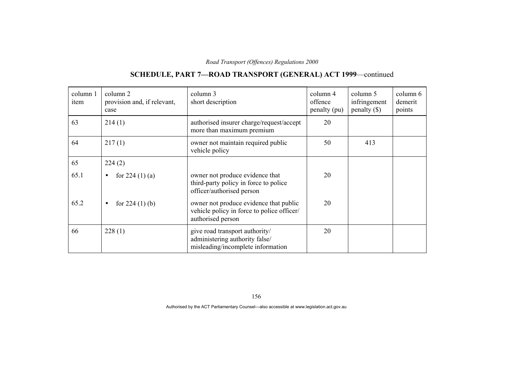## **SCHEDULE, PART 7—ROAD TRANSPORT (GENERAL) ACT 1999**—continued

| column 1<br>item | column 2<br>provision and, if relevant,<br>case | column 3<br>short description                                                                             | column 4<br>offence<br>penalty (pu) | column 5<br>infringement<br>$penalty (\$))$ | column 6<br>demerit<br>points |
|------------------|-------------------------------------------------|-----------------------------------------------------------------------------------------------------------|-------------------------------------|---------------------------------------------|-------------------------------|
| 63               | 214(1)                                          | authorised insurer charge/request/accept<br>more than maximum premium                                     | 20                                  |                                             |                               |
| 64               | 217(1)                                          | owner not maintain required public<br>vehicle policy                                                      | 50                                  | 413                                         |                               |
| 65               | 224(2)                                          |                                                                                                           |                                     |                                             |                               |
| 65.1             | for $224(1)(a)$<br>$\bullet$                    | owner not produce evidence that<br>third-party policy in force to police<br>officer/authorised person     | 20                                  |                                             |                               |
| 65.2             | for $224(1)$ (b)<br>$\bullet$                   | owner not produce evidence that public<br>vehicle policy in force to police officer/<br>authorised person | 20                                  |                                             |                               |
| 66               | 228(1)                                          | give road transport authority/<br>administering authority false/<br>misleading/incomplete information     | 20                                  |                                             |                               |

156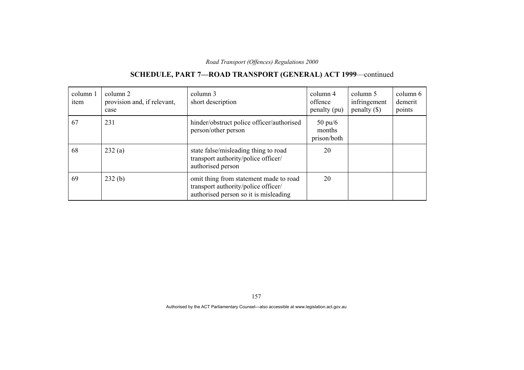#### column 1 item column 2 provision and, if relevant, case column 3 short description column 4 offence penalty (pu) column 5 infringement penalty (\$) column 6 demerit points 67 231 hinder/obstruct police officer/authorised person/other person 50 pu/6 months prison/both 68 232 (a) state false/misleading thing to road transport authority/police officer/ authorised person 20 69 232 (b) omit thing from statement made to road transport authority/police officer/ authorised person so it is misleading 20

### **SCHEDULE, PART 7—ROAD TRANSPORT (GENERAL) ACT 1999**—continued

157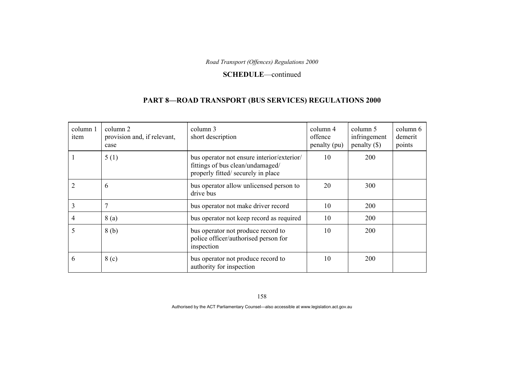#### **SCHEDULE**—continued

### **PART 8—ROAD TRANSPORT (BUS SERVICES) REGULATIONS 2000**

| column 1<br>item | column 2<br>provision and, if relevant,<br>case | column 3<br>short description                                                                                        | column 4<br>offence<br>penalty (pu) | column 5<br>infringement<br>penalty $(\$)$ | column 6<br>demerit<br>points |
|------------------|-------------------------------------------------|----------------------------------------------------------------------------------------------------------------------|-------------------------------------|--------------------------------------------|-------------------------------|
|                  | 5(1)                                            | bus operator not ensure interior/exterior/<br>fittings of bus clean/undamaged/<br>properly fitted/ securely in place | 10                                  | <b>200</b>                                 |                               |
|                  | 6                                               | bus operator allow unlicensed person to<br>drive bus                                                                 | 20                                  | 300                                        |                               |
| 3                | 7                                               | bus operator not make driver record                                                                                  | 10                                  | 200                                        |                               |
| 4                | 8 (a)                                           | bus operator not keep record as required                                                                             | 10                                  | 200                                        |                               |
| 5                | 8(b)                                            | bus operator not produce record to<br>police officer/authorised person for<br>inspection                             | 10                                  | <b>200</b>                                 |                               |
| 6                | 8 <sub>(c)</sub>                                | bus operator not produce record to<br>authority for inspection                                                       | 10                                  | <b>200</b>                                 |                               |

158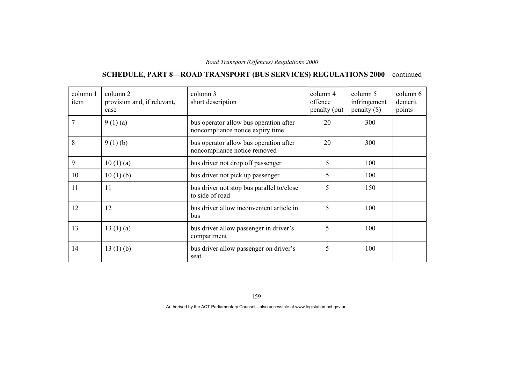# **SCHEDULE, PART 8—ROAD TRANSPORT (BUS SERVICES) REGULATIONS 2000**—continued

| column 1<br>item | column 2<br>provision and, if relevant,<br>case | column 3<br>short description                                              | column 4<br>offence<br>penalty (pu) | column 5<br>infringement<br>penalty $(\$)$ | column 6<br>demerit<br>points |
|------------------|-------------------------------------------------|----------------------------------------------------------------------------|-------------------------------------|--------------------------------------------|-------------------------------|
|                  | 9(1)(a)                                         | bus operator allow bus operation after<br>noncompliance notice expiry time | 20                                  | 300                                        |                               |
| 8                | 9(1)(b)                                         | bus operator allow bus operation after<br>noncompliance notice removed     | 20                                  | 300                                        |                               |
| 9                | 10(1)(a)                                        | bus driver not drop off passenger                                          | 5                                   | 100                                        |                               |
| 10               | 10(1)(b)                                        | bus driver not pick up passenger                                           | 5                                   | 100                                        |                               |
| 11               | 11                                              | bus driver not stop bus parallel to/close<br>to side of road               | 5                                   | 150                                        |                               |
| 12               | 12                                              | bus driver allow inconvenient article in<br>bus                            | 5                                   | 100                                        |                               |
| 13               | 13(1)(a)                                        | bus driver allow passenger in driver's<br>compartment                      | 5                                   | 100                                        |                               |
| 14               | 13(1)(b)                                        | bus driver allow passenger on driver's<br>seat                             | 5                                   | 100                                        |                               |

159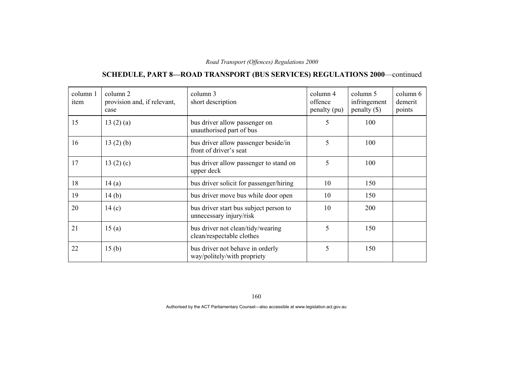# **SCHEDULE, PART 8—ROAD TRANSPORT (BUS SERVICES) REGULATIONS 2000**—continued

| column 1<br>item | column 2<br>provision and, if relevant,<br>case | column 3<br>short description                                     | column 4<br>offence<br>penalty (pu) | column 5<br>infringement<br>$penalty (\$))$ | column 6<br>demerit<br>points |
|------------------|-------------------------------------------------|-------------------------------------------------------------------|-------------------------------------|---------------------------------------------|-------------------------------|
| 15               | 13(2)(a)                                        | bus driver allow passenger on<br>unauthorised part of bus         | 5                                   | 100                                         |                               |
| 16               | 13(2)(b)                                        | bus driver allow passenger beside/in<br>front of driver's seat    | 5                                   | 100                                         |                               |
| 17               | 13 $(2)(c)$                                     | bus driver allow passenger to stand on<br>upper deck              | 5                                   | 100                                         |                               |
| 18               | 14(a)                                           | bus driver solicit for passenger/hiring                           | 10                                  | 150                                         |                               |
| 19               | 14(b)                                           | bus driver move bus while door open                               | 10                                  | 150                                         |                               |
| 20               | 14(c)                                           | bus driver start bus subject person to<br>unnecessary injury/risk | 10                                  | 200                                         |                               |
| 21               | 15(a)                                           | bus driver not clean/tidy/wearing<br>clean/respectable clothes    | 5                                   | 150                                         |                               |
| 22               | 15 <sub>(b)</sub>                               | bus driver not behave in orderly<br>way/politely/with propriety   | 5                                   | 150                                         |                               |

160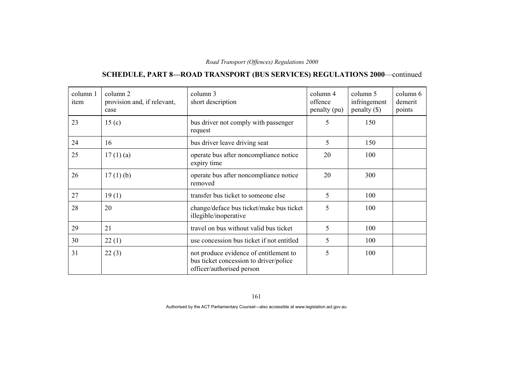# **SCHEDULE, PART 8—ROAD TRANSPORT (BUS SERVICES) REGULATIONS 2000**—continued

| column 1<br>item | column 2<br>provision and, if relevant,<br>case | column 3<br>short description                                                                                 | column 4<br>offence<br>penalty (pu) | column 5<br>infringement<br>$penalty$ (\$) | column 6<br>demerit<br>points |
|------------------|-------------------------------------------------|---------------------------------------------------------------------------------------------------------------|-------------------------------------|--------------------------------------------|-------------------------------|
| 23               | 15 <sub>(c)</sub>                               | bus driver not comply with passenger<br>request                                                               | 5                                   | 150                                        |                               |
| 24               | 16                                              | bus driver leave driving seat                                                                                 | 5                                   | 150                                        |                               |
| 25               | 17(1)(a)                                        | operate bus after noncompliance notice<br>expiry time                                                         | 20                                  | 100                                        |                               |
| 26               | $17(1)$ (b)                                     | operate bus after noncompliance notice<br>removed                                                             | 20                                  | 300                                        |                               |
| 27               | 19(1)                                           | transfer bus ticket to someone else                                                                           | 5                                   | 100                                        |                               |
| 28               | 20                                              | change/deface bus ticket/make bus ticket<br>illegible/inoperative                                             | 5                                   | 100                                        |                               |
| 29               | 21                                              | travel on bus without valid bus ticket                                                                        | 5                                   | 100                                        |                               |
| 30               | 22(1)                                           | use concession bus ticket if not entitled                                                                     | 5                                   | 100                                        |                               |
| 31               | 22(3)                                           | not produce evidence of entitlement to<br>bus ticket concession to driver/police<br>officer/authorised person | 5                                   | 100                                        |                               |

161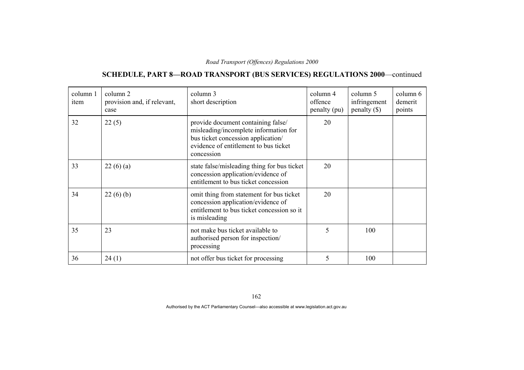# **SCHEDULE, PART 8—ROAD TRANSPORT (BUS SERVICES) REGULATIONS 2000**—continued

| column 1<br>item | column 2<br>provision and, if relevant,<br>case | column 3<br>short description                                                                                                                                            | column 4<br>offence<br>penalty (pu) | column 5<br>infringement<br>$penalty$ (\$) | column 6<br>demerit<br>points |
|------------------|-------------------------------------------------|--------------------------------------------------------------------------------------------------------------------------------------------------------------------------|-------------------------------------|--------------------------------------------|-------------------------------|
| 32               | 22(5)                                           | provide document containing false/<br>misleading/incomplete information for<br>bus ticket concession application/<br>evidence of entitlement to bus ticket<br>concession | 20                                  |                                            |                               |
| 33               | 22(6)(a)                                        | state false/misleading thing for bus ticket<br>concession application/evidence of<br>entitlement to bus ticket concession                                                | 20                                  |                                            |                               |
| 34               | 22(6)(b)                                        | omit thing from statement for bus ticket<br>concession application/evidence of<br>entitlement to bus ticket concession so it<br>is misleading                            | 20                                  |                                            |                               |
| 35               | 23                                              | not make bus ticket available to<br>authorised person for inspection/<br>processing                                                                                      | 5                                   | 100                                        |                               |
| 36               | 24(1)                                           | not offer bus ticket for processing                                                                                                                                      | 5                                   | 100                                        |                               |

162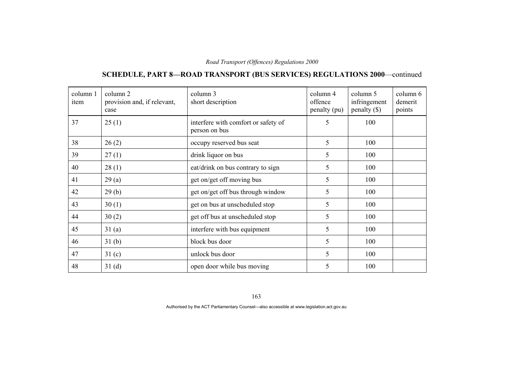# **SCHEDULE, PART 8—ROAD TRANSPORT (BUS SERVICES) REGULATIONS 2000**—continued

| column 1<br>item | column 2<br>provision and, if relevant,<br>case | column 3<br>short description                        | column 4<br>offence<br>penalty (pu) | column 5<br>infringement<br>$penalty$ (\$) | column 6<br>demerit<br>points |
|------------------|-------------------------------------------------|------------------------------------------------------|-------------------------------------|--------------------------------------------|-------------------------------|
| 37               | 25(1)                                           | interfere with comfort or safety of<br>person on bus | 5                                   | 100                                        |                               |
| 38               | 26(2)                                           | occupy reserved bus seat                             | 5                                   | 100                                        |                               |
| 39               | 27(1)                                           | drink liquor on bus                                  | 5                                   | 100                                        |                               |
| 40               | 28(1)                                           | eat/drink on bus contrary to sign                    | 5                                   | 100                                        |                               |
| 41               | 29(a)                                           | get on/get off moving bus                            | 5                                   | 100                                        |                               |
| 42               | 29(b)                                           | get on/get off bus through window                    | 5                                   | 100                                        |                               |
| 43               | 30(1)                                           | get on bus at unscheduled stop                       | 5                                   | 100                                        |                               |
| 44               | 30(2)                                           | get off bus at unscheduled stop                      | 5                                   | 100                                        |                               |
| 45               | 31(a)                                           | interfere with bus equipment                         | 5                                   | 100                                        |                               |
| 46               | 31 <sub>(b)</sub>                               | block bus door                                       | 5                                   | 100                                        |                               |
| 47               | 31 <sub>(c)</sub>                               | unlock bus door                                      | 5                                   | 100                                        |                               |
| 48               | 31 <sub>(d)</sub>                               | open door while bus moving                           | 5                                   | 100                                        |                               |

163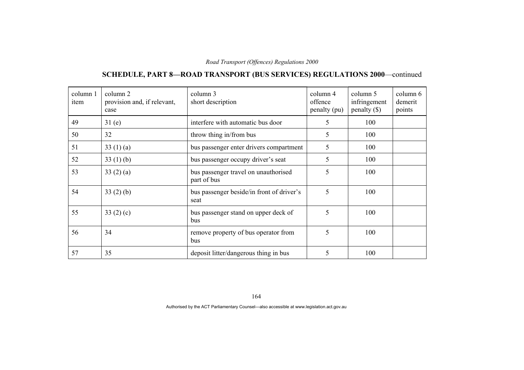# **SCHEDULE, PART 8—ROAD TRANSPORT (BUS SERVICES) REGULATIONS 2000**—continued

| column 1<br>item | column 2<br>provision and, if relevant,<br>case | column 3<br>short description                       | column 4<br>offence<br>penalty (pu) | column 5<br>infringement<br>penalty $(\$)$ | column 6<br>demerit<br>points |
|------------------|-------------------------------------------------|-----------------------------------------------------|-------------------------------------|--------------------------------------------|-------------------------------|
| 49               | 31(e)                                           | interfere with automatic bus door                   | 5                                   | 100                                        |                               |
| 50               | 32                                              | throw thing in/from bus                             | 5                                   | 100                                        |                               |
| 51               | 33 $(1)(a)$                                     | bus passenger enter drivers compartment             | 5                                   | 100                                        |                               |
| 52               | 33 $(1)$ (b)                                    | bus passenger occupy driver's seat                  | 5                                   | 100                                        |                               |
| 53               | 33(2)(a)                                        | bus passenger travel on unauthorised<br>part of bus | 5                                   | 100                                        |                               |
| 54               | 33(2)(b)                                        | bus passenger beside/in front of driver's<br>seat   | 5                                   | 100                                        |                               |
| 55               | 33 $(2)(c)$                                     | bus passenger stand on upper deck of<br>bus         | 5                                   | 100                                        |                               |
| 56               | 34                                              | remove property of bus operator from<br>bus         | 5                                   | 100                                        |                               |
| 57               | 35                                              | deposit litter/dangerous thing in bus               | 5                                   | 100                                        |                               |

164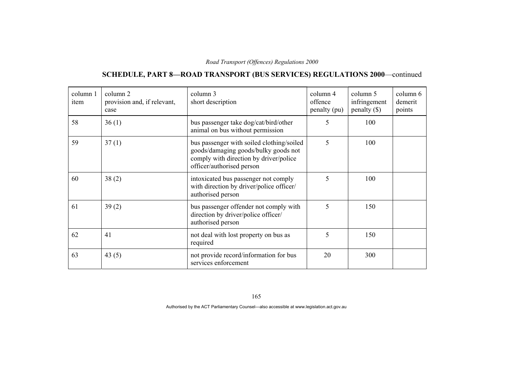# **SCHEDULE, PART 8—ROAD TRANSPORT (BUS SERVICES) REGULATIONS 2000**—continued

| column 1<br>item | column 2<br>provision and, if relevant,<br>case | column 3<br>short description                                                                                                                            | column 4<br>offence<br>penalty (pu) | column 5<br>infringement<br>$penalty$ (\$) | column 6<br>demerit<br>points |
|------------------|-------------------------------------------------|----------------------------------------------------------------------------------------------------------------------------------------------------------|-------------------------------------|--------------------------------------------|-------------------------------|
| 58               | 36(1)                                           | bus passenger take dog/cat/bird/other<br>animal on bus without permission                                                                                | 5                                   | 100                                        |                               |
| 59               | 37(1)                                           | bus passenger with soiled clothing/soiled<br>goods/damaging goods/bulky goods not<br>comply with direction by driver/police<br>officer/authorised person | 5                                   | 100                                        |                               |
| 60               | 38(2)                                           | intoxicated bus passenger not comply<br>with direction by driver/police officer/<br>authorised person                                                    | 5                                   | 100                                        |                               |
| 61               | 39(2)                                           | bus passenger offender not comply with<br>direction by driver/police officer/<br>authorised person                                                       | 5                                   | 150                                        |                               |
| 62               | 41                                              | not deal with lost property on bus as<br>required                                                                                                        | 5                                   | 150                                        |                               |
| 63               | 43(5)                                           | not provide record/information for bus<br>services enforcement                                                                                           | 20                                  | 300                                        |                               |

165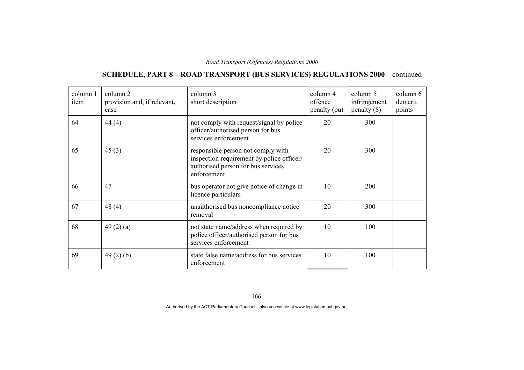# **SCHEDULE, PART 8—ROAD TRANSPORT (BUS SERVICES) REGULATIONS 2000**—continued

| column 1<br>item | column 2<br>provision and, if relevant,<br>case | column 3<br>short description                                                                                                        | column 4<br>offence<br>penalty (pu) | column 5<br>infringement<br>$penalty$ (\$) | column 6<br>demerit<br>points |
|------------------|-------------------------------------------------|--------------------------------------------------------------------------------------------------------------------------------------|-------------------------------------|--------------------------------------------|-------------------------------|
| 64               | 44 $(4)$                                        | not comply with request/signal by police<br>officer/authorised person for bus<br>services enforcement                                | 20                                  | 300                                        |                               |
| 65               | 45(3)                                           | responsible person not comply with<br>inspection requirement by police officer/<br>authorised person for bus services<br>enforcement | 20                                  | 300                                        |                               |
| 66               | 47                                              | bus operator not give notice of change in<br>licence particulars                                                                     | 10                                  | 200                                        |                               |
| 67               | 48(4)                                           | unauthorised bus noncompliance notice<br>removal                                                                                     | 20                                  | 300                                        |                               |
| 68               | 49 $(2)$ $(a)$                                  | not state name/address when required by<br>police officer/authorised person for bus<br>services enforcement                          | 10                                  | 100                                        |                               |
| 69               | 49(2)(b)                                        | state false name/address for bus services<br>enforcement                                                                             | 10                                  | 100                                        |                               |

166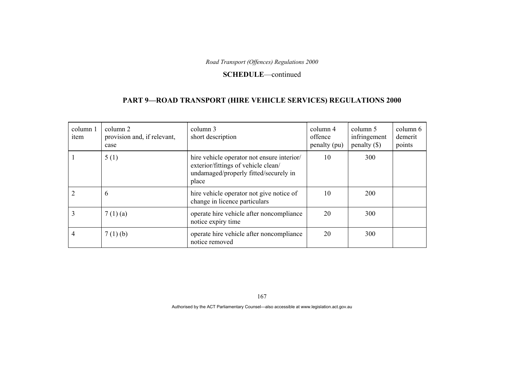#### **SCHEDULE**—continued

### **PART 9—ROAD TRANSPORT (HIRE VEHICLE SERVICES) REGULATIONS 2000**

| column 1<br>item | column 2<br>provision and, if relevant,<br>case | column 3<br>short description                                                                                                       | column 4<br>offence<br>penalty (pu) | column 5<br>infringement<br>penalty $(\$)$ | column 6<br>demerit<br>points |
|------------------|-------------------------------------------------|-------------------------------------------------------------------------------------------------------------------------------------|-------------------------------------|--------------------------------------------|-------------------------------|
|                  | 5(1)                                            | hire vehicle operator not ensure interior/<br>exterior/fittings of vehicle clean/<br>undamaged/properly fitted/securely in<br>place | 10                                  | 300                                        |                               |
|                  | 6                                               | hire vehicle operator not give notice of<br>change in licence particulars                                                           | 10                                  | 200                                        |                               |
|                  | 7(1)(a)                                         | operate hire vehicle after noncompliance<br>notice expiry time                                                                      | 20                                  | 300                                        |                               |
| 4                | $7(1)$ (b)                                      | operate hire vehicle after noncompliance<br>notice removed                                                                          | 20                                  | 300                                        |                               |

167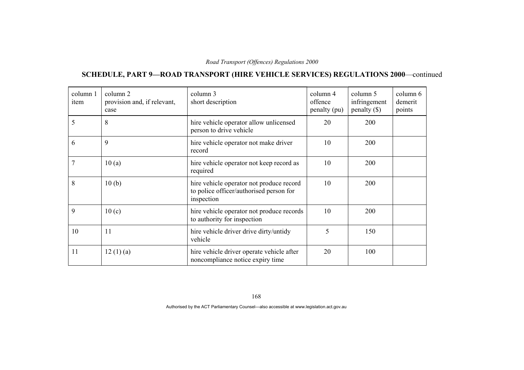# **SCHEDULE, PART 9—ROAD TRANSPORT (HIRE VEHICLE SERVICES) REGULATIONS 2000**—continued

| column 1<br>item | column 2<br>provision and, if relevant,<br>case | column 3<br>short description                                                                     | column 4<br>offence<br>penalty (pu) | column 5<br>infringement<br>penalty $(\$)$ | column 6<br>demerit<br>points |
|------------------|-------------------------------------------------|---------------------------------------------------------------------------------------------------|-------------------------------------|--------------------------------------------|-------------------------------|
| 5                | 8                                               | hire vehicle operator allow unlicensed<br>person to drive vehicle                                 | 20                                  | 200                                        |                               |
| 6                | 9                                               | hire vehicle operator not make driver<br>record                                                   | 10                                  | 200                                        |                               |
|                  | 10(a)                                           | hire vehicle operator not keep record as<br>required                                              | 10                                  | 200                                        |                               |
| 8                | 10(b)                                           | hire vehicle operator not produce record<br>to police officer/authorised person for<br>inspection | 10                                  | 200                                        |                               |
| 9                | 10(c)                                           | hire vehicle operator not produce records<br>to authority for inspection                          | 10                                  | 200                                        |                               |
| 10               | 11                                              | hire vehicle driver drive dirty/untidy<br>vehicle                                                 | 5                                   | 150                                        |                               |
| 11               | 12(1)(a)                                        | hire vehicle driver operate vehicle after<br>noncompliance notice expiry time                     | 20                                  | 100                                        |                               |

168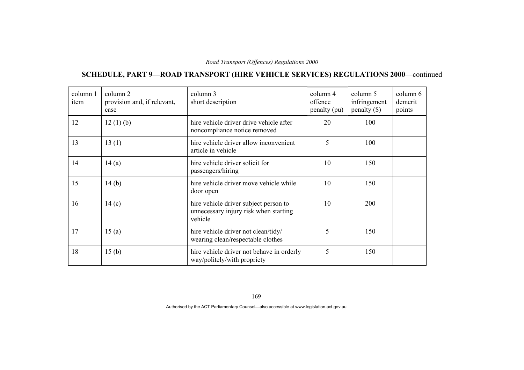# **SCHEDULE, PART 9—ROAD TRANSPORT (HIRE VEHICLE SERVICES) REGULATIONS 2000**—continued

| column 1<br>item | column 2<br>provision and, if relevant,<br>case | column 3<br>short description                                                             | column 4<br>offence<br>penalty (pu) | column 5<br>infringement<br>penalty $(\$)$ | column 6<br>demerit<br>points |
|------------------|-------------------------------------------------|-------------------------------------------------------------------------------------------|-------------------------------------|--------------------------------------------|-------------------------------|
| 12               | 12(1)(b)                                        | hire vehicle driver drive vehicle after<br>noncompliance notice removed                   | 20                                  | 100                                        |                               |
| 13               | 13(1)                                           | hire vehicle driver allow inconvenient<br>article in vehicle                              | 5                                   | 100                                        |                               |
| 14               | 14(a)                                           | hire vehicle driver solicit for<br>passengers/hiring                                      | 10                                  | 150                                        |                               |
| 15               | 14(b)                                           | hire vehicle driver move vehicle while<br>door open                                       | 10                                  | 150                                        |                               |
| 16               | 14(c)                                           | hire vehicle driver subject person to<br>unnecessary injury risk when starting<br>vehicle | 10                                  | 200                                        |                               |
| 17               | 15(a)                                           | hire vehicle driver not clean/tidy/<br>wearing clean/respectable clothes                  | 5                                   | 150                                        |                               |
| 18               | 15 <sub>(b)</sub>                               | hire vehicle driver not behave in orderly<br>way/politely/with propriety                  | 5                                   | 150                                        |                               |

169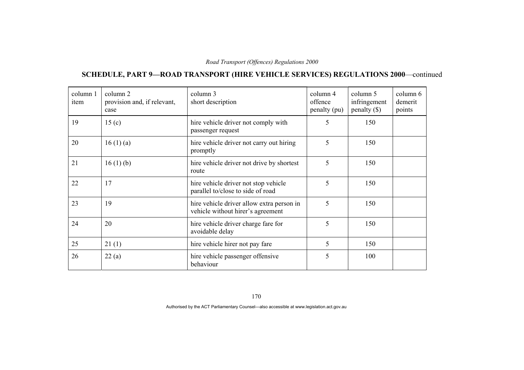# **SCHEDULE, PART 9—ROAD TRANSPORT (HIRE VEHICLE SERVICES) REGULATIONS 2000**—continued

| column 1<br>item | column 2<br>provision and, if relevant,<br>case | column 3<br>short description                                                  | column 4<br>offence<br>penalty (pu) | column 5<br>infringement<br>penalty $(\$)$ | column 6<br>demerit<br>points |
|------------------|-------------------------------------------------|--------------------------------------------------------------------------------|-------------------------------------|--------------------------------------------|-------------------------------|
| 19               | 15 <sub>(c)</sub>                               | hire vehicle driver not comply with<br>passenger request                       | 5                                   | 150                                        |                               |
| 20               | 16(1)(a)                                        | hire vehicle driver not carry out hiring<br>promptly                           | 5                                   | 150                                        |                               |
| 21               | 16(1)(b)                                        | hire vehicle driver not drive by shortest<br>route                             | 5                                   | 150                                        |                               |
| 22               | 17                                              | hire vehicle driver not stop vehicle<br>parallel to/close to side of road      | 5                                   | 150                                        |                               |
| 23               | 19                                              | hire vehicle driver allow extra person in<br>vehicle without hirer's agreement | 5                                   | 150                                        |                               |
| 24               | 20                                              | hire vehicle driver charge fare for<br>avoidable delay                         | 5                                   | 150                                        |                               |
| 25               | 21(1)                                           | hire vehicle hirer not pay fare                                                | 5                                   | 150                                        |                               |
| 26               | 22(a)                                           | hire vehicle passenger offensive<br>behaviour                                  | 5                                   | 100                                        |                               |

170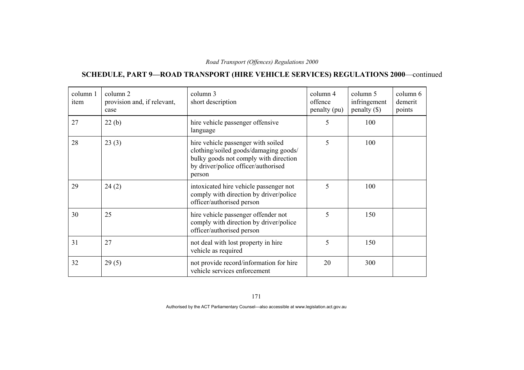# **SCHEDULE, PART 9—ROAD TRANSPORT (HIRE VEHICLE SERVICES) REGULATIONS 2000**—continued

| column 1<br>item | column 2<br>provision and, if relevant,<br>case | column 3<br>short description                                                                                                                                         | column 4<br>offence<br>penalty (pu) | column 5<br>infringement<br>$penalty$ (\$) | column 6<br>demerit<br>points |
|------------------|-------------------------------------------------|-----------------------------------------------------------------------------------------------------------------------------------------------------------------------|-------------------------------------|--------------------------------------------|-------------------------------|
| 27               | 22(b)                                           | hire vehicle passenger offensive<br>language                                                                                                                          | 5                                   | 100                                        |                               |
| 28               | 23(3)                                           | hire vehicle passenger with soiled<br>clothing/soiled goods/damaging goods/<br>bulky goods not comply with direction<br>by driver/police officer/authorised<br>person | 5                                   | 100                                        |                               |
| 29               | 24(2)                                           | intoxicated hire vehicle passenger not<br>comply with direction by driver/police<br>officer/authorised person                                                         | 5                                   | 100                                        |                               |
| 30               | 25                                              | hire vehicle passenger offender not<br>comply with direction by driver/police<br>officer/authorised person                                                            | 5                                   | 150                                        |                               |
| 31               | 27                                              | not deal with lost property in hire<br>vehicle as required                                                                                                            | 5                                   | 150                                        |                               |
| 32               | 29(5)                                           | not provide record/information for hire<br>vehicle services enforcement                                                                                               | 20                                  | 300                                        |                               |

171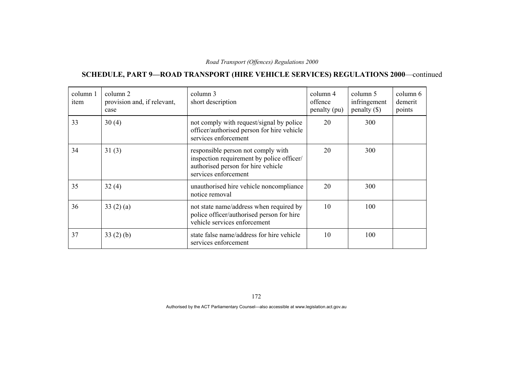# **SCHEDULE, PART 9—ROAD TRANSPORT (HIRE VEHICLE SERVICES) REGULATIONS 2000**—continued

| column 1<br>item | column 2<br>provision and, if relevant,<br>case | column 3<br>short description                                                                                                                 | column 4<br>offence<br>penalty (pu) | column 5<br>infringement<br>penalty $(\$)$ | column 6<br>demerit<br>points |
|------------------|-------------------------------------------------|-----------------------------------------------------------------------------------------------------------------------------------------------|-------------------------------------|--------------------------------------------|-------------------------------|
| 33               | 30(4)                                           | not comply with request/signal by police<br>officer/authorised person for hire vehicle<br>services enforcement                                | 20                                  | 300                                        |                               |
| 34               | 31(3)                                           | responsible person not comply with<br>inspection requirement by police officer/<br>authorised person for hire vehicle<br>services enforcement | 20                                  | 300                                        |                               |
| 35               | 32(4)                                           | unauthorised hire vehicle noncompliance<br>notice removal                                                                                     | 20                                  | 300                                        |                               |
| 36               | 33(2)(a)                                        | not state name/address when required by<br>police officer/authorised person for hire<br>vehicle services enforcement                          | 10                                  | 100                                        |                               |
| 37               | 33(2)(b)                                        | state false name/address for hire vehicle<br>services enforcement                                                                             | 10                                  | 100                                        |                               |

172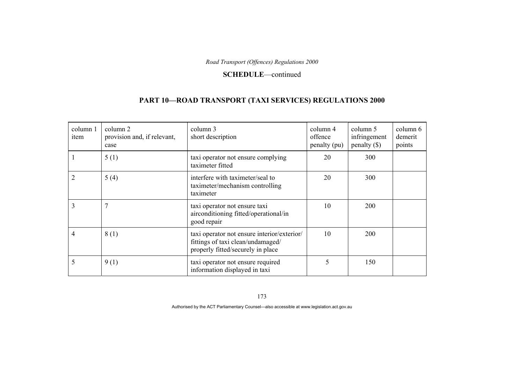#### **SCHEDULE**—continued

### **PART 10—ROAD TRANSPORT (TAXI SERVICES) REGULATIONS 2000**

| column 1<br>item | column 2<br>provision and, if relevant,<br>case | column 3<br>short description                                                                                         | column 4<br>offence<br>penalty (pu) | column 5<br>infringement<br>$penalty$ (\$) | column 6<br>demerit<br>points |
|------------------|-------------------------------------------------|-----------------------------------------------------------------------------------------------------------------------|-------------------------------------|--------------------------------------------|-------------------------------|
|                  | 5(1)                                            | taxi operator not ensure complying<br>taximeter fitted                                                                | 20                                  | 300                                        |                               |
|                  | 5(4)                                            | interfere with taximeter/seal to<br>taximeter/mechanism controlling<br>taximeter                                      | 20                                  | 300                                        |                               |
| 3                | 7                                               | taxi operator not ensure taxi<br>airconditioning fitted/operational/in<br>good repair                                 | 10                                  | <b>200</b>                                 |                               |
| 4                | 8(1)                                            | taxi operator not ensure interior/exterior/<br>fittings of taxi clean/undamaged/<br>properly fitted/securely in place | 10                                  | 200                                        |                               |
| 5                | 9(1)                                            | taxi operator not ensure required<br>information displayed in taxi                                                    | 5                                   | 150                                        |                               |

173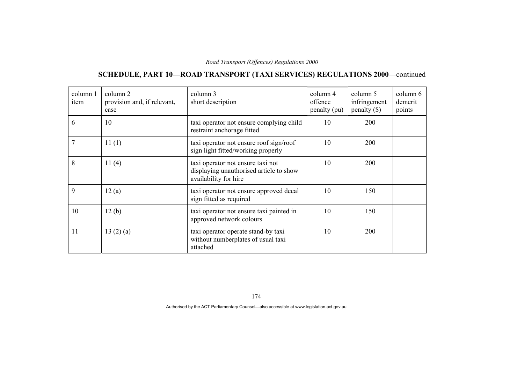# **SCHEDULE, PART 10—ROAD TRANSPORT (TAXI SERVICES) REGULATIONS 2000**—continued

| column 1<br>item | column 2<br>provision and, if relevant,<br>case | column 3<br>short description                                                                         | column 4<br>offence<br>penalty (pu) | column 5<br>infringement<br>$penalty$ (\$) | column 6<br>demerit<br>points |
|------------------|-------------------------------------------------|-------------------------------------------------------------------------------------------------------|-------------------------------------|--------------------------------------------|-------------------------------|
| 6                | 10                                              | taxi operator not ensure complying child<br>restraint anchorage fitted                                | 10                                  | 200                                        |                               |
|                  | 11(1)                                           | taxi operator not ensure roof sign/roof<br>sign light fitted/working properly                         | 10                                  | <b>200</b>                                 |                               |
| 8                | 11(4)                                           | taxi operator not ensure taxi not<br>displaying unauthorised article to show<br>availability for hire | 10                                  | 200                                        |                               |
| 9                | 12(a)                                           | taxi operator not ensure approved decal<br>sign fitted as required                                    | 10                                  | 150                                        |                               |
| 10               | 12(b)                                           | taxi operator not ensure taxi painted in<br>approved network colours                                  | 10                                  | 150                                        |                               |
| 11               | 13(2)(a)                                        | taxi operator operate stand-by taxi<br>without numberplates of usual taxi<br>attached                 | 10                                  | <b>200</b>                                 |                               |

174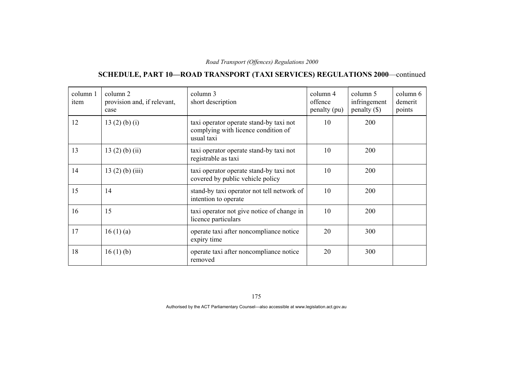# **SCHEDULE, PART 10—ROAD TRANSPORT (TAXI SERVICES) REGULATIONS 2000**—continued

| column 1<br>item | column 2<br>provision and, if relevant,<br>case | column 3<br>short description                                                                | column 4<br>offence<br>penalty (pu) | column 5<br>infringement<br>$penalty$ (\$) | column 6<br>demerit<br>points |
|------------------|-------------------------------------------------|----------------------------------------------------------------------------------------------|-------------------------------------|--------------------------------------------|-------------------------------|
| 12               | 13 $(2)$ $(b)$ $(i)$                            | taxi operator operate stand-by taxi not<br>complying with licence condition of<br>usual taxi | 10                                  | 200                                        |                               |
| 13               | $13(2)$ (b) (ii)                                | taxi operator operate stand-by taxi not<br>registrable as taxi                               | 10                                  | 200                                        |                               |
| 14               | $13(2)$ (b) (iii)                               | taxi operator operate stand-by taxi not<br>covered by public vehicle policy                  | 10                                  | 200                                        |                               |
| 15               | 14                                              | stand-by taxi operator not tell network of<br>intention to operate                           | 10                                  | 200                                        |                               |
| 16               | 15                                              | taxi operator not give notice of change in<br>licence particulars                            | 10                                  | 200                                        |                               |
| 17               | 16(1)(a)                                        | operate taxi after noncompliance notice<br>expiry time                                       | 20                                  | 300                                        |                               |
| 18               | 16(1)(b)                                        | operate taxi after noncompliance notice<br>removed                                           | 20                                  | 300                                        |                               |

175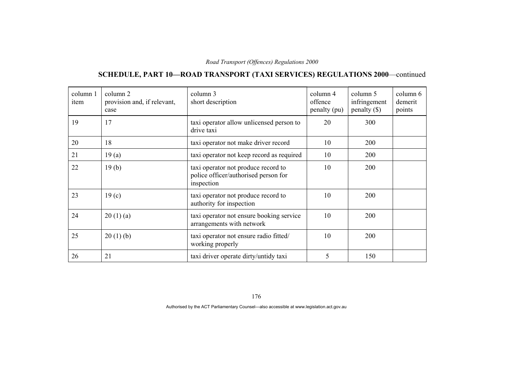# **SCHEDULE, PART 10—ROAD TRANSPORT (TAXI SERVICES) REGULATIONS 2000**—continued

| column 1<br>item | column 2<br>provision and, if relevant,<br>case | column 3<br>short description                                                             | column 4<br>offence<br>penalty (pu) | column 5<br>infringement<br>$penalty$ (\$) | column 6<br>demerit<br>points |
|------------------|-------------------------------------------------|-------------------------------------------------------------------------------------------|-------------------------------------|--------------------------------------------|-------------------------------|
| 19               | 17                                              | taxi operator allow unlicensed person to<br>drive taxi                                    | 20                                  | 300                                        |                               |
| 20               | 18                                              | taxi operator not make driver record                                                      | 10                                  | 200                                        |                               |
| 21               | 19(a)                                           | taxi operator not keep record as required                                                 | 10                                  | 200                                        |                               |
| 22               | 19(b)                                           | taxi operator not produce record to<br>police officer/authorised person for<br>inspection | 10                                  | 200                                        |                               |
| 23               | 19 <sub>(c)</sub>                               | taxi operator not produce record to<br>authority for inspection                           | 10                                  | 200                                        |                               |
| 24               | 20(1)(a)                                        | taxi operator not ensure booking service<br>arrangements with network                     | 10                                  | 200                                        |                               |
| 25               | 20(1)(b)                                        | taxi operator not ensure radio fitted/<br>working properly                                | 10                                  | 200                                        |                               |
| 26               | 21                                              | taxi driver operate dirty/untidy taxi                                                     | 5                                   | 150                                        |                               |

176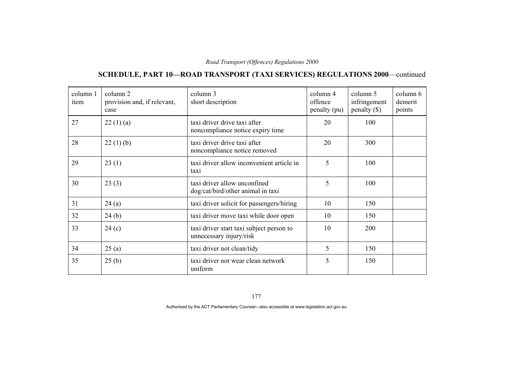# **SCHEDULE, PART 10—ROAD TRANSPORT (TAXI SERVICES) REGULATIONS 2000**—continued

| column 1<br>item | column 2<br>provision and, if relevant,<br>case | column 3<br>short description                                       | column 4<br>offence<br>penalty (pu) | column 5<br>infringement<br>$penalty$ (\$) | column 6<br>demerit<br>points |
|------------------|-------------------------------------------------|---------------------------------------------------------------------|-------------------------------------|--------------------------------------------|-------------------------------|
| 27               | 22(1)(a)                                        | taxi driver drive taxi after<br>noncompliance notice expiry time    | 20                                  | 100                                        |                               |
| 28               | 22(1)(b)                                        | taxi driver drive taxi after<br>noncompliance notice removed        | 20                                  | 300                                        |                               |
| 29               | 23(1)                                           | taxi driver allow inconvenient article in<br>taxi                   | 5                                   | 100                                        |                               |
| 30               | 23(3)                                           | taxi driver allow unconfined<br>dog/cat/bird/other animal in taxi   | 5                                   | 100                                        |                               |
| 31               | 24(a)                                           | taxi driver solicit for passengers/hiring                           | 10                                  | 150                                        |                               |
| 32               | 24(b)                                           | taxi driver move taxi while door open                               | 10                                  | 150                                        |                               |
| 33               | 24(c)                                           | taxi driver start taxi subject person to<br>unnecessary injury/risk | 10                                  | 200                                        |                               |
| 34               | 25(a)                                           | taxi driver not clean/tidy                                          | 5                                   | 150                                        |                               |
| 35               | 25(b)                                           | taxi driver not wear clean network<br>uniform                       | 5                                   | 150                                        |                               |

177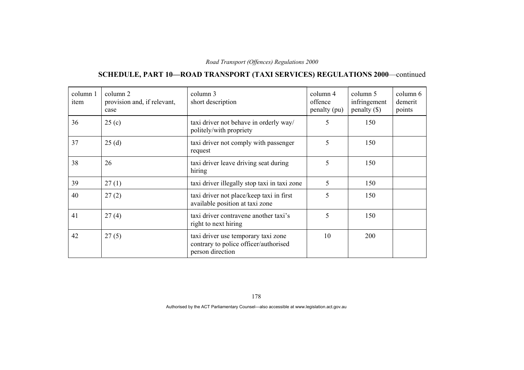# **SCHEDULE, PART 10—ROAD TRANSPORT (TAXI SERVICES) REGULATIONS 2000**—continued

| column 1<br>item | column 2<br>provision and, if relevant,<br>case | column 3<br>short description                                                                    | column 4<br>offence<br>penalty (pu) | column 5<br>infringement<br>$penalty$ (\$) | column 6<br>demerit<br>points |
|------------------|-------------------------------------------------|--------------------------------------------------------------------------------------------------|-------------------------------------|--------------------------------------------|-------------------------------|
| 36               | 25(c)                                           | taxi driver not behave in orderly way/<br>politely/with propriety                                | 5                                   | 150                                        |                               |
| 37               | 25(d)                                           | taxi driver not comply with passenger<br>request                                                 | 5                                   | 150                                        |                               |
| 38               | 26                                              | taxi driver leave driving seat during<br>hiring                                                  | 5                                   | 150                                        |                               |
| 39               | 27(1)                                           | taxi driver illegally stop taxi in taxi zone                                                     | 5                                   | 150                                        |                               |
| 40               | 27(2)                                           | taxi driver not place/keep taxi in first<br>available position at taxi zone                      | 5                                   | 150                                        |                               |
| 41               | 27(4)                                           | taxi driver contravene another taxi's<br>right to next hiring                                    | 5                                   | 150                                        |                               |
| 42               | 27(5)                                           | taxi driver use temporary taxi zone<br>contrary to police officer/authorised<br>person direction | 10                                  | 200                                        |                               |

178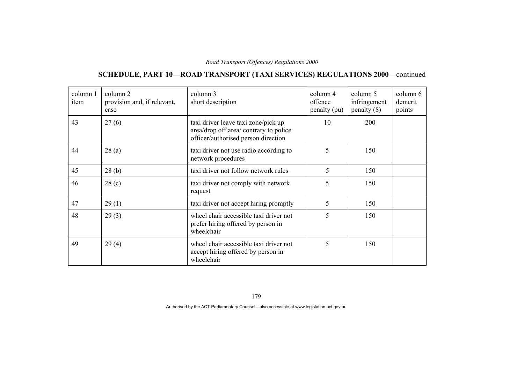# **SCHEDULE, PART 10—ROAD TRANSPORT (TAXI SERVICES) REGULATIONS 2000**—continued

| column 1<br>item | column 2<br>provision and, if relevant,<br>case | column 3<br>short description                                                                                        | column 4<br>offence<br>penalty (pu) | column 5<br>infringement<br>$penalty$ (\$) | column 6<br>demerit<br>points |
|------------------|-------------------------------------------------|----------------------------------------------------------------------------------------------------------------------|-------------------------------------|--------------------------------------------|-------------------------------|
| 43               | 27(6)                                           | taxi driver leave taxi zone/pick up<br>area/drop off area/ contrary to police<br>officer/authorised person direction | 10                                  | 200                                        |                               |
| 44               | 28(a)                                           | taxi driver not use radio according to<br>network procedures                                                         | 5                                   | 150                                        |                               |
| 45               | 28(b)                                           | taxi driver not follow network rules                                                                                 | 5                                   | 150                                        |                               |
| 46               | 28(c)                                           | taxi driver not comply with network<br>request                                                                       | 5                                   | 150                                        |                               |
| 47               | 29(1)                                           | taxi driver not accept hiring promptly                                                                               | 5                                   | 150                                        |                               |
| 48               | 29(3)                                           | wheel chair accessible taxi driver not<br>prefer hiring offered by person in<br>wheelchair                           | 5                                   | 150                                        |                               |
| 49               | 29(4)                                           | wheel chair accessible taxi driver not<br>accept hiring offered by person in<br>wheelchair                           | 5                                   | 150                                        |                               |

179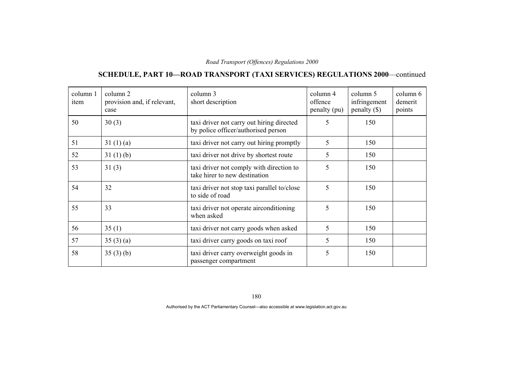# **SCHEDULE, PART 10—ROAD TRANSPORT (TAXI SERVICES) REGULATIONS 2000**—continued

| column 1<br>item | column 2<br>provision and, if relevant,<br>case | column 3<br>short description                                                    | column 4<br>offence<br>penalty (pu) | column 5<br>infringement<br>penalty $(\$)$ | column 6<br>demerit<br>points |
|------------------|-------------------------------------------------|----------------------------------------------------------------------------------|-------------------------------------|--------------------------------------------|-------------------------------|
| 50               | 30(3)                                           | taxi driver not carry out hiring directed<br>by police officer/authorised person | 5                                   | 150                                        |                               |
| 51               | 31(1)(a)                                        | taxi driver not carry out hiring promptly                                        | 5                                   | 150                                        |                               |
| 52               | 31(1)(b)                                        | taxi driver not drive by shortest route                                          | 5                                   | 150                                        |                               |
| 53               | 31(3)                                           | taxi driver not comply with direction to<br>take hirer to new destination        | 5                                   | 150                                        |                               |
| 54               | 32                                              | taxi driver not stop taxi parallel to/close<br>to side of road                   | 5                                   | 150                                        |                               |
| 55               | 33                                              | taxi driver not operate airconditioning<br>when asked                            | 5                                   | 150                                        |                               |
| 56               | 35(1)                                           | taxi driver not carry goods when asked                                           | 5                                   | 150                                        |                               |
| 57               | 35(3)(a)                                        | taxi driver carry goods on taxi roof                                             | 5                                   | 150                                        |                               |
| 58               | 35(3)(b)                                        | taxi driver carry overweight goods in<br>passenger compartment                   | 5                                   | 150                                        |                               |

180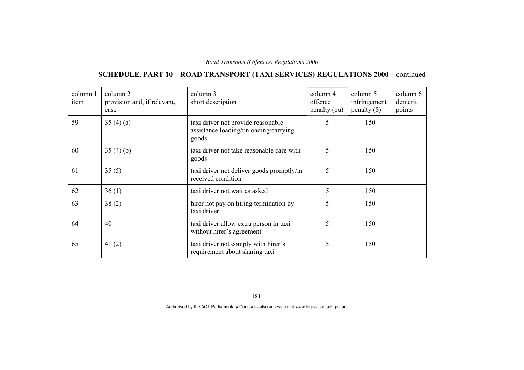# **SCHEDULE, PART 10—ROAD TRANSPORT (TAXI SERVICES) REGULATIONS 2000**—continued

| column 1<br>item | column 2<br>provision and, if relevant,<br>case | column 3<br>short description                                                        | column 4<br>offence<br>penalty (pu) | column 5<br>infringement<br>penalty $(\$)$ | column 6<br>demerit<br>points |
|------------------|-------------------------------------------------|--------------------------------------------------------------------------------------|-------------------------------------|--------------------------------------------|-------------------------------|
| 59               | 35(4)(a)                                        | taxi driver not provide reasonable<br>assistance loading/unloading/carrying<br>goods | 5                                   | 150                                        |                               |
| 60               | 35(4)(b)                                        | taxi driver not take reasonable care with<br>goods                                   | 5                                   | 150                                        |                               |
| 61               | 35(5)                                           | taxi driver not deliver goods promptly/in<br>received condition                      | 5                                   | 150                                        |                               |
| 62               | 36(1)                                           | taxi driver not wait as asked                                                        | 5                                   | 150                                        |                               |
| 63               | 38(2)                                           | hirer not pay on hiring termination by<br>taxi driver                                | 5                                   | 150                                        |                               |
| 64               | 40                                              | taxi driver allow extra person in taxi<br>without hirer's agreement                  | 5                                   | 150                                        |                               |
| 65               | 41 $(2)$                                        | taxi driver not comply with hirer's<br>requirement about sharing taxi                | 5                                   | 150                                        |                               |

181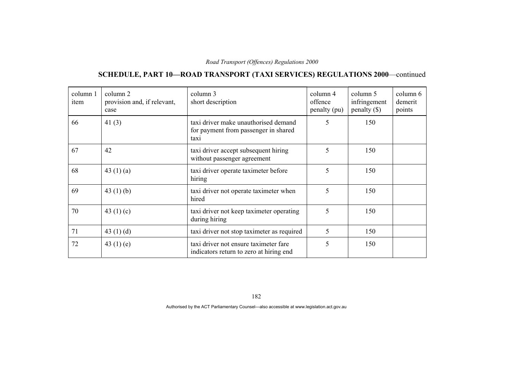# **SCHEDULE, PART 10—ROAD TRANSPORT (TAXI SERVICES) REGULATIONS 2000**—continued

| column 1<br>item | column 2<br>provision and, if relevant,<br>case | column 3<br>short description                                                        | column 4<br>offence<br>penalty (pu) | column 5<br>infringement<br>penalty $(\$)$ | column 6<br>demerit<br>points |
|------------------|-------------------------------------------------|--------------------------------------------------------------------------------------|-------------------------------------|--------------------------------------------|-------------------------------|
| 66               | 41 $(3)$                                        | taxi driver make unauthorised demand<br>for payment from passenger in shared<br>taxi | 5                                   | 150                                        |                               |
| 67               | 42                                              | taxi driver accept subsequent hiring<br>without passenger agreement                  | 5                                   | 150                                        |                               |
| 68               | 43 $(1)(a)$                                     | taxi driver operate taximeter before<br>hiring                                       | 5                                   | 150                                        |                               |
| 69               | 43 $(1)$ $(b)$                                  | taxi driver not operate taximeter when<br>hired                                      | 5                                   | 150                                        |                               |
| 70               | 43 $(1)(c)$                                     | taxi driver not keep taximeter operating<br>during hiring                            | 5                                   | 150                                        |                               |
| 71               | 43 $(1)(d)$                                     | taxi driver not stop taximeter as required                                           | 5                                   | 150                                        |                               |
| 72               | 43 $(1)$ $(e)$                                  | taxi driver not ensure taximeter fare<br>indicators return to zero at hiring end     | 5                                   | 150                                        |                               |

182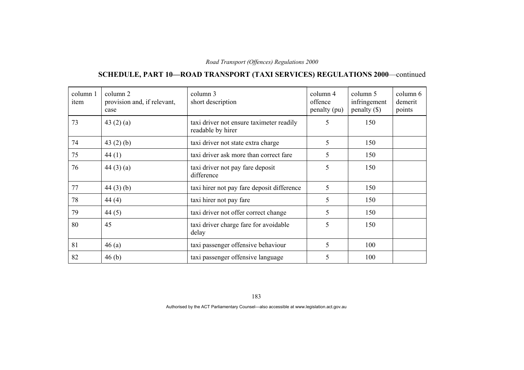# **SCHEDULE, PART 10—ROAD TRANSPORT (TAXI SERVICES) REGULATIONS 2000**—continued

| column 1<br>item | column 2<br>provision and, if relevant,<br>case | column 3<br>short description                                 | column 4<br>offence<br>penalty (pu) | column 5<br>infringement<br>$penalty$ (\$) | column 6<br>demerit<br>points |
|------------------|-------------------------------------------------|---------------------------------------------------------------|-------------------------------------|--------------------------------------------|-------------------------------|
| 73               | 43 $(2)$ $(a)$                                  | taxi driver not ensure taximeter readily<br>readable by hirer | 5                                   | 150                                        |                               |
| 74               | 43 $(2)$ $(b)$                                  | taxi driver not state extra charge                            | 5                                   | 150                                        |                               |
| 75               | 44(1)                                           | taxi driver ask more than correct fare                        | 5                                   | 150                                        |                               |
| 76               | 44(3)(a)                                        | taxi driver not pay fare deposit<br>difference                | 5                                   | 150                                        |                               |
| 77               | 44(3)(b)                                        | taxi hirer not pay fare deposit difference                    | 5                                   | 150                                        |                               |
| 78               | 44(4)                                           | taxi hirer not pay fare                                       | 5                                   | 150                                        |                               |
| 79               | 44(5)                                           | taxi driver not offer correct change                          | 5                                   | 150                                        |                               |
| 80               | 45                                              | taxi driver charge fare for avoidable<br>delay                | 5                                   | 150                                        |                               |
| 81               | 46(a)                                           | taxi passenger offensive behaviour                            | 5                                   | 100                                        |                               |
| 82               | 46(b)                                           | taxi passenger offensive language                             | 5                                   | 100                                        |                               |

183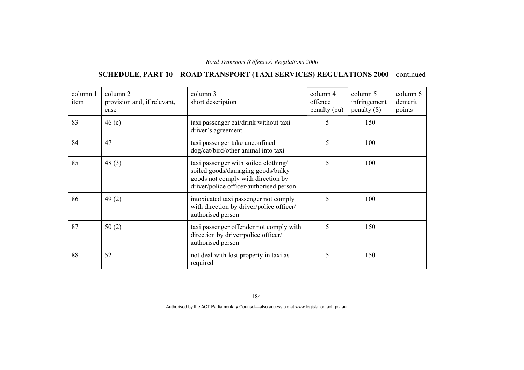# **SCHEDULE, PART 10—ROAD TRANSPORT (TAXI SERVICES) REGULATIONS 2000**—continued

| column 1<br>item | column 2<br>provision and, if relevant,<br>case | column 3<br>short description                                                                                                                              | column 4<br>offence<br>penalty (pu) | column 5<br>infringement<br>$penalty$ (\$) | column 6<br>demerit<br>points |
|------------------|-------------------------------------------------|------------------------------------------------------------------------------------------------------------------------------------------------------------|-------------------------------------|--------------------------------------------|-------------------------------|
| 83               | 46(c)                                           | taxi passenger eat/drink without taxi<br>driver's agreement                                                                                                | 5                                   | 150                                        |                               |
| 84               | 47                                              | taxi passenger take unconfined<br>dog/cat/bird/other animal into taxi                                                                                      | 5                                   | 100                                        |                               |
| 85               | 48 $(3)$                                        | taxi passenger with soiled clothing/<br>soiled goods/damaging goods/bulky<br>goods not comply with direction by<br>driver/police officer/authorised person | 5                                   | 100                                        |                               |
| 86               | 49(2)                                           | intoxicated taxi passenger not comply<br>with direction by driver/police officer/<br>authorised person                                                     | 5                                   | 100                                        |                               |
| 87               | 50(2)                                           | taxi passenger offender not comply with<br>direction by driver/police officer/<br>authorised person                                                        | 5                                   | 150                                        |                               |
| 88               | 52                                              | not deal with lost property in taxi as<br>required                                                                                                         | 5                                   | 150                                        |                               |

184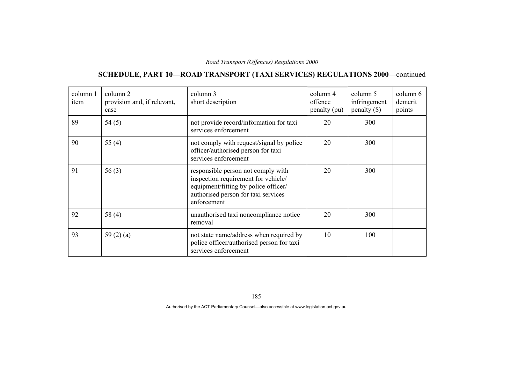# **SCHEDULE, PART 10—ROAD TRANSPORT (TAXI SERVICES) REGULATIONS 2000**—continued

| column 1<br>item | column 2<br>provision and, if relevant,<br>case | column 3<br>short description                                                                                                                                           | column 4<br>offence<br>penalty (pu) | column 5<br>infringement<br>penalty $(\$)$ | column 6<br>demerit<br>points |
|------------------|-------------------------------------------------|-------------------------------------------------------------------------------------------------------------------------------------------------------------------------|-------------------------------------|--------------------------------------------|-------------------------------|
| 89               | 54(5)                                           | not provide record/information for taxi<br>services enforcement                                                                                                         | 20                                  | 300                                        |                               |
| 90               | 55 $(4)$                                        | not comply with request/signal by police<br>officer/authorised person for taxi<br>services enforcement                                                                  | 20                                  | 300                                        |                               |
| 91               | 56(3)                                           | responsible person not comply with<br>inspection requirement for vehicle/<br>equipment/fitting by police officer/<br>authorised person for taxi services<br>enforcement | 20                                  | 300                                        |                               |
| 92               | 58 (4)                                          | unauthorised taxi noncompliance notice<br>removal                                                                                                                       | 20                                  | 300                                        |                               |
| 93               | 59 $(2)$ $(a)$                                  | not state name/address when required by<br>police officer/authorised person for taxi<br>services enforcement                                                            | 10                                  | 100                                        |                               |

185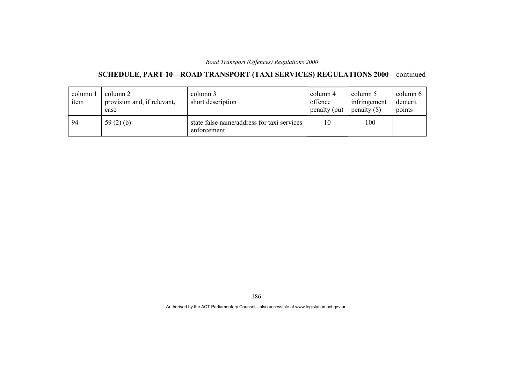# **SCHEDULE, PART 10—ROAD TRANSPORT (TAXI SERVICES) REGULATIONS 2000**—continued

| column!<br>item | column 2<br>provision and, if relevant,<br>case | column 3<br>short description                             | column 4<br>offence<br>penalty (pu) | column 5<br>infringement<br>penalty $(\$)$ | column 6<br>demerit<br>points |
|-----------------|-------------------------------------------------|-----------------------------------------------------------|-------------------------------------|--------------------------------------------|-------------------------------|
| 94              | 59 $(2)$ $(b)$                                  | state false name/address for taxi services<br>enforcement | 10                                  | 100                                        |                               |

186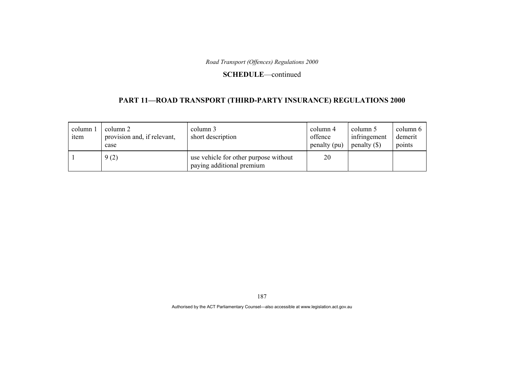#### **SCHEDULE**—continued

### **PART 11—ROAD TRANSPORT (THIRD-PARTY INSURANCE) REGULATIONS 2000**

| column 1<br>item | column 2<br>provision and, if relevant,<br>case | column 3<br>short description                                      | column 4<br>offence<br>penalty (pu) | column 5<br>infringement<br>penalty $(\$)$ | column 6<br>demerit<br>points |
|------------------|-------------------------------------------------|--------------------------------------------------------------------|-------------------------------------|--------------------------------------------|-------------------------------|
|                  | 9(2)                                            | use vehicle for other purpose without<br>paying additional premium | 20                                  |                                            |                               |

187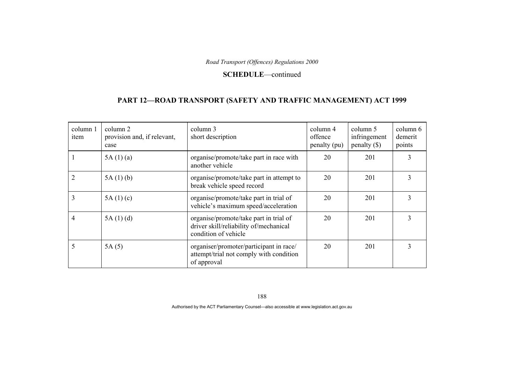#### **SCHEDULE**—continued

### **PART 12—ROAD TRANSPORT (SAFETY AND TRAFFIC MANAGEMENT) ACT 1999**

| column 1<br>item | column 2<br>provision and, if relevant,<br>case | column 3<br>short description                                                                            | column 4<br>offence<br>penalty (pu) | column 5<br>infringement<br>penalty $(\$)$ | column 6<br>demerit<br>points |
|------------------|-------------------------------------------------|----------------------------------------------------------------------------------------------------------|-------------------------------------|--------------------------------------------|-------------------------------|
|                  | 5A(1)(a)                                        | organise/promote/take part in race with<br>another vehicle                                               | 20                                  | 201                                        |                               |
|                  | 5A(1)(b)                                        | organise/promote/take part in attempt to<br>break vehicle speed record                                   | 20                                  | 201                                        | 3                             |
| 3                | 5A(1)(c)                                        | organise/promote/take part in trial of<br>vehicle's maximum speed/acceleration                           | 20                                  | 201                                        |                               |
| 4                | 5A(1)(d)                                        | organise/promote/take part in trial of<br>driver skill/reliability of/mechanical<br>condition of vehicle | 20                                  | 201                                        | 3                             |
| 5                | 5A(5)                                           | organiser/promoter/participant in race/<br>attempt/trial not comply with condition<br>of approval        | 20                                  | 201                                        | 3                             |

188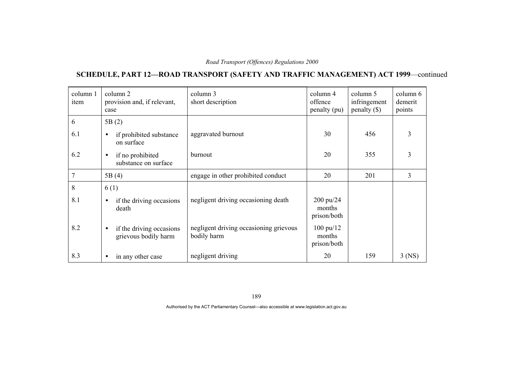## **SCHEDULE, PART 12—ROAD TRANSPORT (SAFETY AND TRAFFIC MANAGEMENT) ACT 1999**—continued

| column 1<br>item | column 2<br>provision and, if relevant,<br>case               | column 3<br>short description                         | column 4<br>offence<br>penalty (pu)          | column 5<br>infringement<br>$penalty$ (\$) | column 6<br>demerit<br>points |
|------------------|---------------------------------------------------------------|-------------------------------------------------------|----------------------------------------------|--------------------------------------------|-------------------------------|
| 6                | 5B(2)                                                         |                                                       |                                              |                                            |                               |
| 6.1              | if prohibited substance<br>$\bullet$<br>on surface            | aggravated burnout                                    | 30                                           | 456                                        | 3                             |
| 6.2              | if no prohibited<br>$\bullet$<br>substance on surface         | burnout                                               | 20                                           | 355                                        | $\overline{3}$                |
| 7                | 5B(4)                                                         | engage in other prohibited conduct                    | 20                                           | 201                                        | 3                             |
| 8                | 6(1)                                                          |                                                       |                                              |                                            |                               |
| 8.1              | if the driving occasions<br>$\bullet$<br>death                | negligent driving occasioning death                   | 200 pu/24<br>months<br>prison/both           |                                            |                               |
| 8.2              | if the driving occasions<br>$\bullet$<br>grievous bodily harm | negligent driving occasioning grievous<br>bodily harm | $100 \text{ pu}/12$<br>months<br>prison/both |                                            |                               |
| 8.3              | in any other case<br>$\bullet$                                | negligent driving                                     | 20                                           | 159                                        | $3$ (NS)                      |

189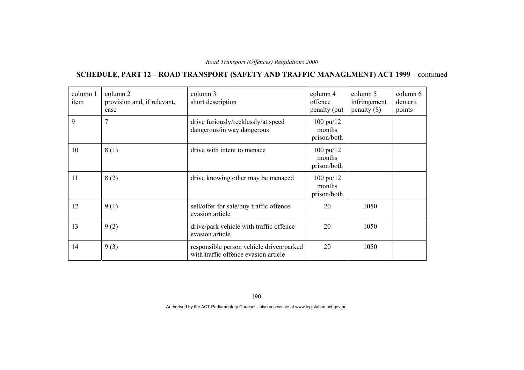## **SCHEDULE, PART 12—ROAD TRANSPORT (SAFETY AND TRAFFIC MANAGEMENT) ACT 1999**—continued

| column 1<br>item | column 2<br>provision and, if relevant,<br>case | column 3<br>short description                                                    | column 4<br>offence<br>penalty (pu)          | column 5<br>infringement<br>penalty $(\$)$ | column 6<br>demerit<br>points |
|------------------|-------------------------------------------------|----------------------------------------------------------------------------------|----------------------------------------------|--------------------------------------------|-------------------------------|
| 9                | 7                                               | drive furiously/recklessly/at speed<br>dangerous/in way dangerous                | $100 \text{ pu}/12$<br>months<br>prison/both |                                            |                               |
| 10               | 8(1)                                            | drive with intent to menace                                                      | 100 pu/12<br>months<br>prison/both           |                                            |                               |
| 11               | 8(2)                                            | drive knowing other may be menaced                                               | $100 \text{ pu}/12$<br>months<br>prison/both |                                            |                               |
| 12               | 9(1)                                            | sell/offer for sale/buy traffic offence<br>evasion article                       | 20                                           | 1050                                       |                               |
| 13               | 9(2)                                            | drive/park vehicle with traffic offence<br>evasion article                       | 20                                           | 1050                                       |                               |
| 14               | 9(3)                                            | responsible person vehicle driven/parked<br>with traffic offence evasion article | 20                                           | 1050                                       |                               |

190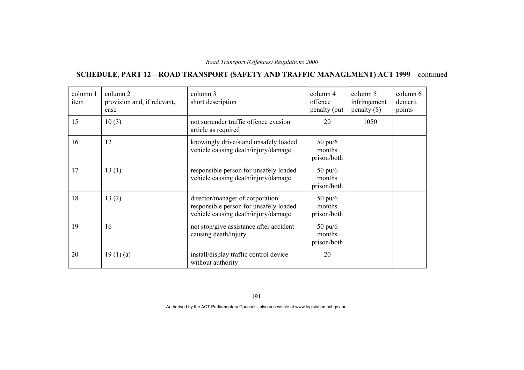## **SCHEDULE, PART 12—ROAD TRANSPORT (SAFETY AND TRAFFIC MANAGEMENT) ACT 1999**—continued

| column 1<br>item | column 2<br>provision and, if relevant,<br>case | column 3<br>short description                                                                                    | column 4<br>offence<br>penalty (pu)        | column 5<br>infringement<br>penalty $(\$)$ | column 6<br>demerit<br>points |
|------------------|-------------------------------------------------|------------------------------------------------------------------------------------------------------------------|--------------------------------------------|--------------------------------------------|-------------------------------|
| 15               | 10(3)                                           | not surrender traffic offence evasion<br>article as required                                                     | 20                                         | 1050                                       |                               |
| 16               | 12                                              | knowingly drive/stand unsafely loaded<br>vehicle causing death/injury/damage                                     | $50 \text{ pu}/6$<br>months<br>prison/both |                                            |                               |
| 17               | 13(1)                                           | responsible person for unsafely loaded<br>vehicle causing death/injury/damage                                    | $50 \text{ pu}/6$<br>months<br>prison/both |                                            |                               |
| 18               | 13(2)                                           | director/manager of corporation<br>responsible person for unsafely loaded<br>vehicle causing death/injury/damage | $50 \text{ pu}/6$<br>months<br>prison/both |                                            |                               |
| 19               | 16                                              | not stop/give assistance after accident<br>causing death/injury                                                  | $50 \text{ pu}/6$<br>months<br>prison/both |                                            |                               |
| 20               | 19(1)(a)                                        | install/display traffic control device<br>without authority                                                      | 20                                         |                                            |                               |

191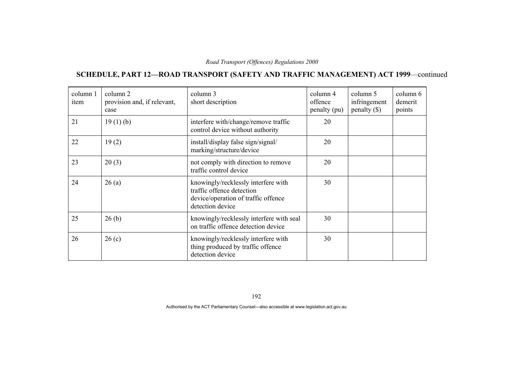## **SCHEDULE, PART 12—ROAD TRANSPORT (SAFETY AND TRAFFIC MANAGEMENT) ACT 1999**—continued

| column 1<br>item | column 2<br>provision and, if relevant,<br>case | column 3<br>short description                                                                                               | column 4<br>offence<br>penalty (pu) | column 5<br>infringement<br>$penalty$ (\$) | column 6<br>demerit<br>points |
|------------------|-------------------------------------------------|-----------------------------------------------------------------------------------------------------------------------------|-------------------------------------|--------------------------------------------|-------------------------------|
| 21               | 19(1)(b)                                        | interfere with/change/remove traffic<br>control device without authority                                                    | 20                                  |                                            |                               |
| 22               | 19(2)                                           | install/display false sign/signal/<br>marking/structure/device                                                              | 20                                  |                                            |                               |
| 23               | 20(3)                                           | not comply with direction to remove<br>traffic control device                                                               | 20                                  |                                            |                               |
| 24               | 26(a)                                           | knowingly/recklessly interfere with<br>traffic offence detection<br>device/operation of traffic offence<br>detection device | 30                                  |                                            |                               |
| 25               | 26(b)                                           | knowingly/recklessly interfere with seal<br>on traffic offence detection device                                             | 30                                  |                                            |                               |
| 26               | 26(c)                                           | knowingly/recklessly interfere with<br>thing produced by traffic offence<br>detection device                                | 30                                  |                                            |                               |

192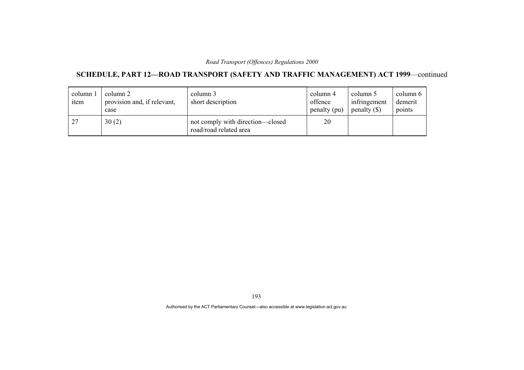## **SCHEDULE, PART 12—ROAD TRANSPORT (SAFETY AND TRAFFIC MANAGEMENT) ACT 1999**—continued

| column 1<br>item | column 2<br>provision and, if relevant,<br>case | column 3<br>short description                              | column 4<br>offence<br>penalty (pu) | column 5<br>infringement<br>penalty $(\$)$ | column 6<br>demerit<br>points |
|------------------|-------------------------------------------------|------------------------------------------------------------|-------------------------------------|--------------------------------------------|-------------------------------|
| 27               | 30(2)                                           | not comply with direction-closed<br>road/road related area | 20                                  |                                            |                               |

193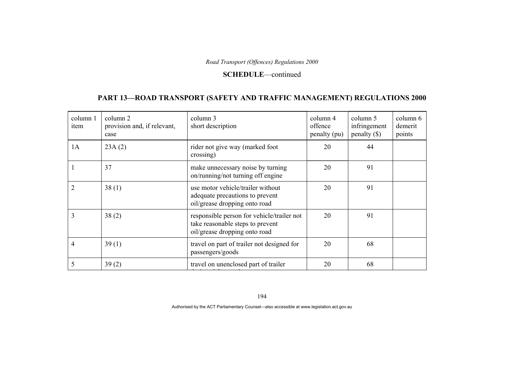#### **SCHEDULE**—continued

### **PART 13—ROAD TRANSPORT (SAFETY AND TRAFFIC MANAGEMENT) REGULATIONS 2000**

| column 1<br>item | column 2<br>provision and, if relevant,<br>case | column 3<br>short description                                                                                   | column 4<br>offence<br>penalty (pu) | column 5<br>infringement<br>$penalty (\$))$ | column 6<br>demerit<br>points |
|------------------|-------------------------------------------------|-----------------------------------------------------------------------------------------------------------------|-------------------------------------|---------------------------------------------|-------------------------------|
| 1A               | 23A(2)                                          | rider not give way (marked foot<br>crossing)                                                                    | 20                                  | 44                                          |                               |
|                  | 37                                              | make unnecessary noise by turning<br>on/running/not turning off engine                                          | 20                                  | 91                                          |                               |
| $\overline{2}$   | 38(1)                                           | use motor vehicle/trailer without<br>adequate precautions to prevent<br>oil/grease dropping onto road           | 20                                  | 91                                          |                               |
| 3                | 38(2)                                           | responsible person for vehicle/trailer not<br>take reasonable steps to prevent<br>oil/grease dropping onto road | 20                                  | 91                                          |                               |
| 4                | 39(1)                                           | travel on part of trailer not designed for<br>passengers/goods                                                  | 20                                  | 68                                          |                               |
| 5                | 39(2)                                           | travel on unenclosed part of trailer                                                                            | 20                                  | 68                                          |                               |

194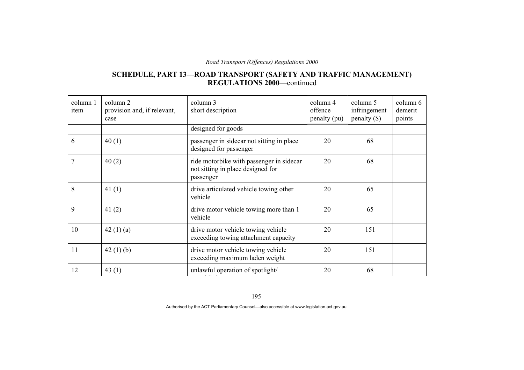### **SCHEDULE, PART 13—ROAD TRANSPORT (SAFETY AND TRAFFIC MANAGEMENT) REGULATIONS 2000**—continued

| column 1<br>item | column 2<br>provision and, if relevant,<br>case | column 3<br>short description                                                              | column 4<br>offence<br>penalty (pu) | column 5<br>infringement<br>$penalty$ (\$) | column 6<br>demerit<br>points |
|------------------|-------------------------------------------------|--------------------------------------------------------------------------------------------|-------------------------------------|--------------------------------------------|-------------------------------|
|                  |                                                 | designed for goods                                                                         |                                     |                                            |                               |
| 6                | 40(1)                                           | passenger in sidecar not sitting in place<br>designed for passenger                        | 20                                  | 68                                         |                               |
| 7                | 40(2)                                           | ride motorbike with passenger in sidecar<br>not sitting in place designed for<br>passenger | 20                                  | 68                                         |                               |
| 8                | 41 $(1)$                                        | drive articulated vehicle towing other<br>vehicle                                          | 20                                  | 65                                         |                               |
| 9                | 41 $(2)$                                        | drive motor vehicle towing more than 1<br>vehicle                                          | 20                                  | 65                                         |                               |
| 10               | 42 $(1)$ $(a)$                                  | drive motor vehicle towing vehicle<br>exceeding towing attachment capacity                 | 20                                  | 151                                        |                               |
| 11               | 42 $(1)$ $(b)$                                  | drive motor vehicle towing vehicle<br>exceeding maximum laden weight                       | 20                                  | 151                                        |                               |
| 12               | 43 $(1)$                                        | unlawful operation of spotlight/                                                           | 20                                  | 68                                         |                               |

195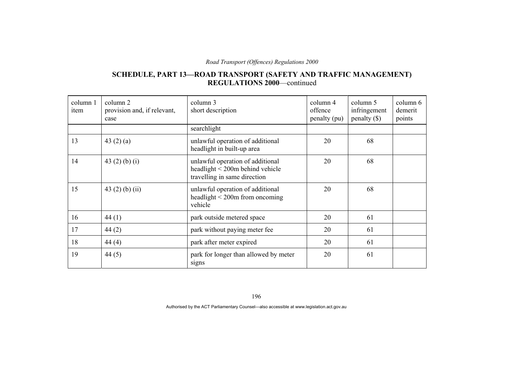### **SCHEDULE, PART 13—ROAD TRANSPORT (SAFETY AND TRAFFIC MANAGEMENT) REGULATIONS 2000**—continued

| column 1<br>item | column 2<br>provision and, if relevant,<br>case | column 3<br>short description                                                                            | column 4<br>offence<br>penalty (pu) | column 5<br>infringement<br>penalty $(\$)$ | column 6<br>demerit<br>points |
|------------------|-------------------------------------------------|----------------------------------------------------------------------------------------------------------|-------------------------------------|--------------------------------------------|-------------------------------|
|                  |                                                 | searchlight                                                                                              |                                     |                                            |                               |
| 13               | 43 $(2)$ $(a)$                                  | unlawful operation of additional<br>headlight in built-up area                                           | 20                                  | 68                                         |                               |
| 14               | 43 $(2)$ $(b)$ $(i)$                            | unlawful operation of additional<br>headlight $\leq$ 200m behind vehicle<br>travelling in same direction | 20                                  | 68                                         |                               |
| 15               | 43 $(2)$ $(b)$ $(ii)$                           | unlawful operation of additional<br>headlight $\leq$ 200m from oncoming<br>vehicle                       | 20                                  | 68                                         |                               |
| 16               | 44(1)                                           | park outside metered space                                                                               | 20                                  | 61                                         |                               |
| 17               | 44(2)                                           | park without paying meter fee                                                                            | 20                                  | 61                                         |                               |
| 18               | 44(4)                                           | park after meter expired                                                                                 | 20                                  | 61                                         |                               |
| 19               | 44 $(5)$                                        | park for longer than allowed by meter<br>signs                                                           | 20                                  | 61                                         |                               |

196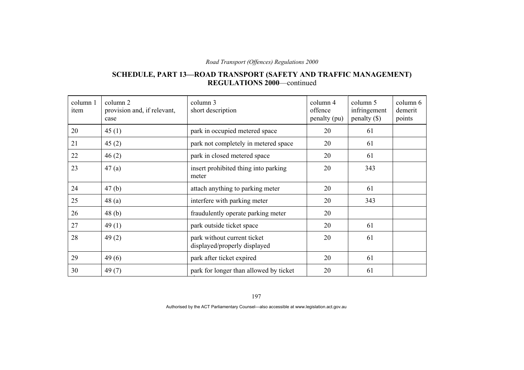#### **SCHEDULE, PART 13—ROAD TRANSPORT (SAFETY AND TRAFFIC MANAGEMENT) REGULATIONS 2000**—continued

| column 1<br>item | column 2<br>provision and, if relevant,<br>case | column 3<br>short description                               | column 4<br>offence<br>penalty (pu) | column 5<br>infringement<br>$penalty (\$))$ | column 6<br>demerit<br>points |
|------------------|-------------------------------------------------|-------------------------------------------------------------|-------------------------------------|---------------------------------------------|-------------------------------|
| 20               | 45(1)                                           | park in occupied metered space                              | 20                                  | 61                                          |                               |
| 21               | 45(2)                                           | park not completely in metered space                        | 20                                  | 61                                          |                               |
| 22               | 46(2)                                           | park in closed metered space                                | 20                                  | 61                                          |                               |
| 23               | 47(a)                                           | insert prohibited thing into parking<br>meter               | 20                                  | 343                                         |                               |
| 24               | 47(b)                                           | attach anything to parking meter                            | 20                                  | 61                                          |                               |
| 25               | 48(a)                                           | interfere with parking meter                                | 20                                  | 343                                         |                               |
| 26               | 48(b)                                           | fraudulently operate parking meter                          | 20                                  |                                             |                               |
| 27               | 49(1)                                           | park outside ticket space                                   | 20                                  | 61                                          |                               |
| 28               | 49(2)                                           | park without current ticket<br>displayed/properly displayed | 20                                  | 61                                          |                               |
| 29               | 49(6)                                           | park after ticket expired                                   | 20                                  | 61                                          |                               |
| 30               | 49(7)                                           | park for longer than allowed by ticket                      | 20                                  | 61                                          |                               |

197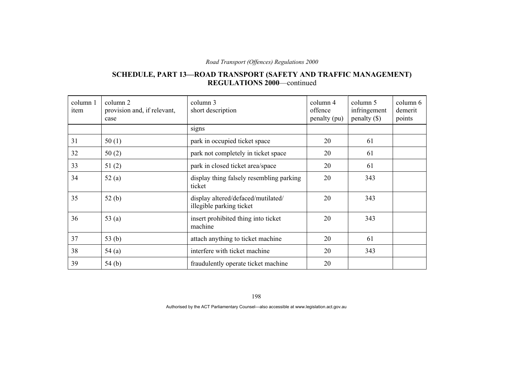#### **SCHEDULE, PART 13—ROAD TRANSPORT (SAFETY AND TRAFFIC MANAGEMENT) REGULATIONS 2000**—continued

| column 1<br>item | column 2<br>provision and, if relevant,<br>case | column 3<br>short description                                  | column 4<br>offence<br>penalty (pu) | column 5<br>infringement<br>penalty $(\$)$ | column 6<br>demerit<br>points |
|------------------|-------------------------------------------------|----------------------------------------------------------------|-------------------------------------|--------------------------------------------|-------------------------------|
|                  |                                                 | signs                                                          |                                     |                                            |                               |
| 31               | 50(1)                                           | park in occupied ticket space                                  | 20                                  | 61                                         |                               |
| 32               | 50(2)                                           | park not completely in ticket space                            | 20                                  | 61                                         |                               |
| 33               | 51(2)                                           | park in closed ticket area/space                               | 20                                  | 61                                         |                               |
| 34               | 52(a)                                           | display thing falsely resembling parking<br>ticket             | 20                                  | 343                                        |                               |
| 35               | 52(b)                                           | display altered/defaced/mutilated/<br>illegible parking ticket | 20                                  | 343                                        |                               |
| 36               | 53 $(a)$                                        | insert prohibited thing into ticket<br>machine                 | 20                                  | 343                                        |                               |
| 37               | 53 $(b)$                                        | attach anything to ticket machine                              | 20                                  | 61                                         |                               |
| 38               | 54(a)                                           | interfere with ticket machine                                  | 20                                  | 343                                        |                               |
| 39               | 54(b)                                           | fraudulently operate ticket machine                            | 20                                  |                                            |                               |

198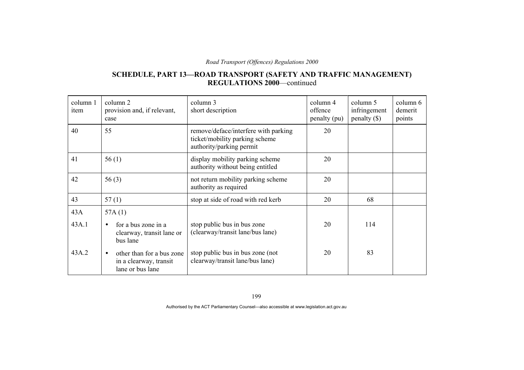### **SCHEDULE, PART 13—ROAD TRANSPORT (SAFETY AND TRAFFIC MANAGEMENT) REGULATIONS 2000**—continued

| column 1<br>item | column 2<br>provision and, if relevant,<br>case                                      | column 3<br>short description                                                                      | column 4<br>offence<br>penalty (pu) | column 5<br>infringement<br>$penalty (\$))$ | column 6<br>demerit<br>points |
|------------------|--------------------------------------------------------------------------------------|----------------------------------------------------------------------------------------------------|-------------------------------------|---------------------------------------------|-------------------------------|
| 40               | 55                                                                                   | remove/deface/interfere with parking<br>ticket/mobility parking scheme<br>authority/parking permit | 20                                  |                                             |                               |
| 41               | 56(1)                                                                                | display mobility parking scheme<br>authority without being entitled                                | 20                                  |                                             |                               |
| 42               | 56(3)                                                                                | not return mobility parking scheme<br>authority as required                                        | 20                                  |                                             |                               |
| 43               | 57(1)                                                                                | stop at side of road with red kerb                                                                 | 20                                  | 68                                          |                               |
| 43A<br>43A.1     | 57A $(1)$<br>for a bus zone in a<br>clearway, transit lane or<br>bus lane            | stop public bus in bus zone<br>(clearway/transit lane/bus lane)                                    | 20                                  | 114                                         |                               |
| 43A.2            | other than for a bus zone<br>$\bullet$<br>in a clearway, transit<br>lane or bus lane | stop public bus in bus zone (not<br>clearway/transit lane/bus lane)                                | 20                                  | 83                                          |                               |

199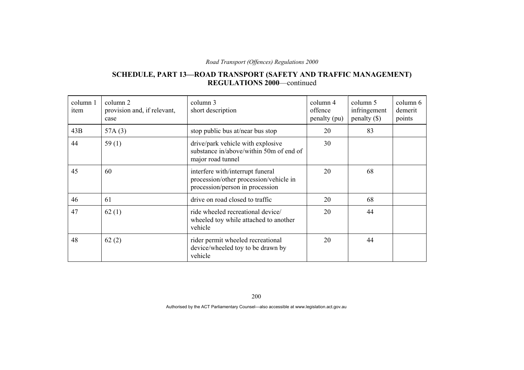### **SCHEDULE, PART 13—ROAD TRANSPORT (SAFETY AND TRAFFIC MANAGEMENT) REGULATIONS 2000**—continued

| column 1<br>item | column 2<br>provision and, if relevant,<br>case | column 3<br>short description                                                                                 | column 4<br>offence<br>penalty (pu) | column 5<br>infringement<br>$penalty$ (\$) | column 6<br>demerit<br>points |
|------------------|-------------------------------------------------|---------------------------------------------------------------------------------------------------------------|-------------------------------------|--------------------------------------------|-------------------------------|
| 43B              | 57A $(3)$                                       | stop public bus at/near bus stop                                                                              | 20                                  | 83                                         |                               |
| 44               | 59 $(1)$                                        | drive/park vehicle with explosive<br>substance in/above/within 50m of end of<br>major road tunnel             | 30                                  |                                            |                               |
| 45               | 60                                              | interfere with/interrupt funeral<br>procession/other procession/vehicle in<br>procession/person in procession | 20                                  | 68                                         |                               |
| 46               | 61                                              | drive on road closed to traffic                                                                               | 20                                  | 68                                         |                               |
| 47               | 62(1)                                           | ride wheeled recreational device/<br>wheeled toy while attached to another<br>vehicle                         | 20                                  | 44                                         |                               |
| 48               | 62(2)                                           | rider permit wheeled recreational<br>device/wheeled toy to be drawn by<br>vehicle                             | 20                                  | 44                                         |                               |

200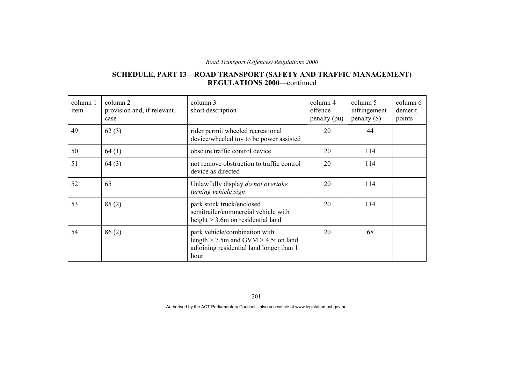### **SCHEDULE, PART 13—ROAD TRANSPORT (SAFETY AND TRAFFIC MANAGEMENT) REGULATIONS 2000**—continued

| column 1<br>item | column 2<br>provision and, if relevant,<br>case | column 3<br>short description                                                                                                 | column 4<br>offence<br>penalty (pu) | column 5<br>infringement<br>penalty $(\$)$ | column 6<br>demerit<br>points |
|------------------|-------------------------------------------------|-------------------------------------------------------------------------------------------------------------------------------|-------------------------------------|--------------------------------------------|-------------------------------|
| 49               | 62(3)                                           | rider permit wheeled recreational<br>device/wheeled toy to be power assisted                                                  | 20                                  | 44                                         |                               |
| 50               | 64(1)                                           | obscure traffic control device                                                                                                | 20                                  | 114                                        |                               |
| 51               | 64(3)                                           | not remove obstruction to traffic control<br>device as directed                                                               | 20                                  | 114                                        |                               |
| 52               | 65                                              | Unlawfully display do not overtake<br>turning vehicle sign                                                                    | 20                                  | 114                                        |                               |
| 53               | 85(2)                                           | park stock truck/enclosed<br>semitrailer/commercial vehicle with<br>height $> 3.6$ m on residential land                      | 20                                  | 114                                        |                               |
| 54               | 86(2)                                           | park vehicle/combination with<br>length $>$ 7.5m and GVM $>$ 4.5t on land<br>adjoining residential land longer than 1<br>hour | 20                                  | 68                                         |                               |

201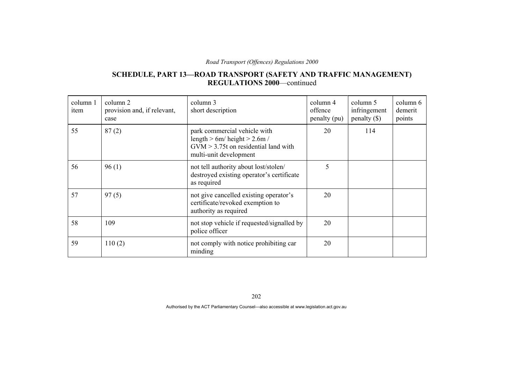### **SCHEDULE, PART 13—ROAD TRANSPORT (SAFETY AND TRAFFIC MANAGEMENT) REGULATIONS 2000**—continued

| column 1<br>item | column 2<br>provision and, if relevant,<br>case | column 3<br>short description                                                                                                       | column 4<br>offence<br>penalty (pu) | column 5<br>infringement<br>penalty $(\$)$ | column 6<br>demerit<br>points |
|------------------|-------------------------------------------------|-------------------------------------------------------------------------------------------------------------------------------------|-------------------------------------|--------------------------------------------|-------------------------------|
| 55               | 87(2)                                           | park commercial vehicle with<br>length $> 6m/h$ eight $> 2.6m/$<br>$GVM > 3.75t$ on residential land with<br>multi-unit development | 20                                  | 114                                        |                               |
| 56               | 96(1)                                           | not tell authority about lost/stolen/<br>destroyed existing operator's certificate<br>as required                                   | 5                                   |                                            |                               |
| 57               | 97(5)                                           | not give cancelled existing operator's<br>certificate/revoked exemption to<br>authority as required                                 | 20                                  |                                            |                               |
| 58               | 109                                             | not stop vehicle if requested/signalled by<br>police officer                                                                        | 20                                  |                                            |                               |
| 59               | 110(2)                                          | not comply with notice prohibiting car<br>minding                                                                                   | 20                                  |                                            |                               |

202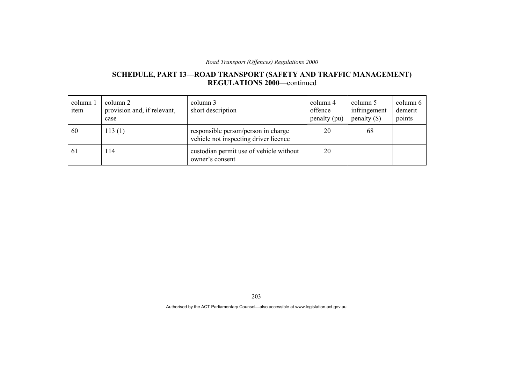### **SCHEDULE, PART 13—ROAD TRANSPORT (SAFETY AND TRAFFIC MANAGEMENT) REGULATIONS 2000**—continued

| column 1<br>item | column 2<br>provision and, if relevant,<br>case | column 3<br>short description                                                | column 4<br>offence<br>penalty (pu) | column 5<br>infringement<br>penalty $(\$)$ | column 6<br>demerit<br>points |
|------------------|-------------------------------------------------|------------------------------------------------------------------------------|-------------------------------------|--------------------------------------------|-------------------------------|
| 60               | 113(1)                                          | responsible person/person in charge<br>vehicle not inspecting driver licence | 20                                  | 68                                         |                               |
| 61               | 114                                             | custodian permit use of vehicle without<br>owner's consent                   | 20                                  |                                            |                               |

203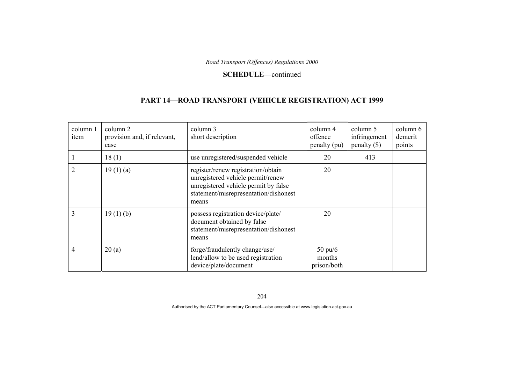#### **SCHEDULE**—continued

## **PART 14—ROAD TRANSPORT (VEHICLE REGISTRATION) ACT 1999**

| column 1<br>item | column 2<br>provision and, if relevant,<br>case | column 3<br>short description                                                                                                                                     | column 4<br>offence<br>penalty (pu)        | column 5<br>infringement<br>penalty $(\$)$ | column 6<br>demerit<br>points |
|------------------|-------------------------------------------------|-------------------------------------------------------------------------------------------------------------------------------------------------------------------|--------------------------------------------|--------------------------------------------|-------------------------------|
|                  | 18(1)                                           | use unregistered/suspended vehicle                                                                                                                                | 20                                         | 413                                        |                               |
| 2                | 19(1)(a)                                        | register/renew registration/obtain<br>unregistered vehicle permit/renew<br>unregistered vehicle permit by false<br>statement/misrepresentation/dishonest<br>means | 20                                         |                                            |                               |
| 3                | 19(1)(b)                                        | possess registration device/plate/<br>document obtained by false<br>statement/misrepresentation/dishonest<br>means                                                | 20                                         |                                            |                               |
| 4                | 20(a)                                           | forge/fraudulently change/use/<br>lend/allow to be used registration<br>device/plate/document                                                                     | $50 \text{ pu/}6$<br>months<br>prison/both |                                            |                               |

204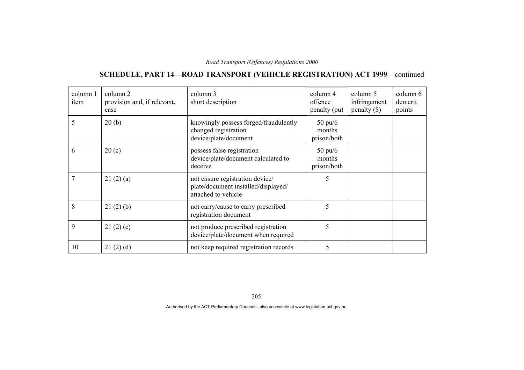## **SCHEDULE, PART 14—ROAD TRANSPORT (VEHICLE REGISTRATION) ACT 1999**—continued

| column 1<br>item | column 2<br>provision and, if relevant,<br>case | column 3<br>short description                                                                 | column 4<br>offence<br>penalty (pu)        | column 5<br>infringement<br>penalty $(\$)$ | column 6<br>demerit<br>points |
|------------------|-------------------------------------------------|-----------------------------------------------------------------------------------------------|--------------------------------------------|--------------------------------------------|-------------------------------|
| 5                | 20(b)                                           | knowingly possess forged/fraudulently<br>changed registration<br>device/plate/document        | $50 \text{ pu}/6$<br>months<br>prison/both |                                            |                               |
| 6                | 20(c)                                           | possess false registration<br>device/plate/document calculated to<br>deceive                  | $50 \text{ pu}/6$<br>months<br>prison/both |                                            |                               |
|                  | 21(2)(a)                                        | not ensure registration device/<br>plate/document installed/displayed/<br>attached to vehicle | 5                                          |                                            |                               |
| 8                | 21(2)(b)                                        | not carry/cause to carry prescribed<br>registration document                                  | 5                                          |                                            |                               |
| 9                | 21(2)(c)                                        | not produce prescribed registration<br>device/plate/document when required                    | 5                                          |                                            |                               |
| 10               | 21(2)(d)                                        | not keep required registration records                                                        | 5                                          |                                            |                               |

205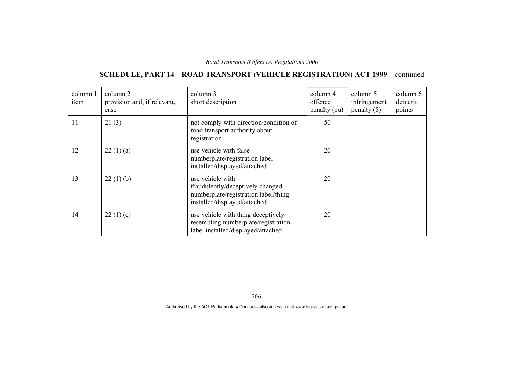## **SCHEDULE, PART 14—ROAD TRANSPORT (VEHICLE REGISTRATION) ACT 1999**—continued

| column 1<br>item | column 2<br>provision and, if relevant,<br>case | column 3<br>short description                                                                                                | column 4<br>offence<br>penalty (pu) | column 5<br>infringement<br>penalty $(\$)$ | column 6<br>demerit<br>points |
|------------------|-------------------------------------------------|------------------------------------------------------------------------------------------------------------------------------|-------------------------------------|--------------------------------------------|-------------------------------|
| 11               | 21(3)                                           | not comply with direction/condition of<br>road transport authority about<br>registration                                     | 50                                  |                                            |                               |
| 12               | 22(1)(a)                                        | use vehicle with false<br>numberplate/registration label<br>installed/displayed/attached                                     | 20                                  |                                            |                               |
| 13               | 22(1)(b)                                        | use vehicle with<br>fraudulently/deceptively changed<br>numberplate/registration label/thing<br>installed/displayed/attached | 20                                  |                                            |                               |
| 14               | 22(1)(c)                                        | use vehicle with thing deceptively<br>resembling numberplate/registration<br>label installed/displayed/attached              | 20                                  |                                            |                               |

206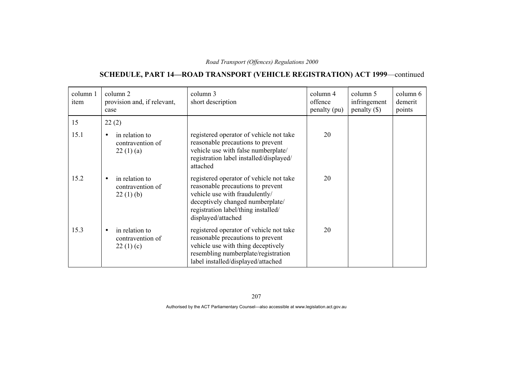## **SCHEDULE, PART 14—ROAD TRANSPORT (VEHICLE REGISTRATION) ACT 1999**—continued

| column 1<br>item | column 2<br>provision and, if relevant,<br>case             | column 3<br>short description                                                                                                                                                                                   | column 4<br>offence<br>penalty (pu) | column 5<br>infringement<br>$penalty$ (\$) | column 6<br>demerit<br>points |
|------------------|-------------------------------------------------------------|-----------------------------------------------------------------------------------------------------------------------------------------------------------------------------------------------------------------|-------------------------------------|--------------------------------------------|-------------------------------|
| 15               | 22(2)                                                       |                                                                                                                                                                                                                 |                                     |                                            |                               |
| 15.1             | in relation to<br>contravention of<br>22(1)(a)              | registered operator of vehicle not take<br>reasonable precautions to prevent<br>vehicle use with false numberplate/<br>registration label installed/displayed/<br>attached                                      | 20                                  |                                            |                               |
| 15.2             | in relation to<br>$\bullet$<br>contravention of<br>22(1)(b) | registered operator of vehicle not take<br>reasonable precautions to prevent<br>vehicle use with fraudulently/<br>deceptively changed numberplate/<br>registration label/thing installed/<br>displayed/attached | 20                                  |                                            |                               |
| 15.3             | in relation to<br>contravention of<br>22(1)(c)              | registered operator of vehicle not take<br>reasonable precautions to prevent<br>vehicle use with thing deceptively<br>resembling numberplate/registration<br>label installed/displayed/attached                 | 20                                  |                                            |                               |

207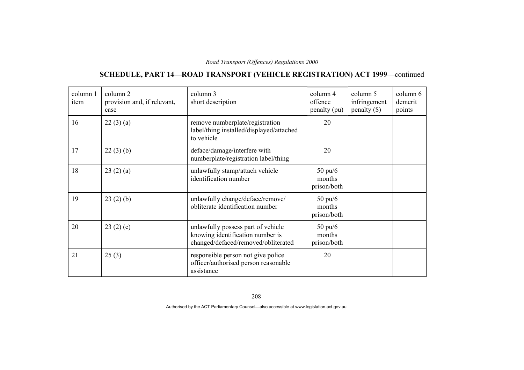## **SCHEDULE, PART 14—ROAD TRANSPORT (VEHICLE REGISTRATION) ACT 1999**—continued

| column 1<br>item | column 2<br>provision and, if relevant,<br>case | column 3<br>short description                                                                                 | column 4<br>offence<br>penalty (pu)        | column 5<br>infringement<br>$penalty$ (\$) | column 6<br>demerit<br>points |
|------------------|-------------------------------------------------|---------------------------------------------------------------------------------------------------------------|--------------------------------------------|--------------------------------------------|-------------------------------|
| 16               | 22(3)(a)                                        | remove numberplate/registration<br>label/thing installed/displayed/attached<br>to vehicle                     | 20                                         |                                            |                               |
| 17               | 22(3)(b)                                        | deface/damage/interfere with<br>numberplate/registration label/thing                                          | 20                                         |                                            |                               |
| 18               | 23(2)(a)                                        | unlawfully stamp/attach vehicle<br>identification number                                                      | $50 \text{ pu}/6$<br>months<br>prison/both |                                            |                               |
| 19               | 23(2)(b)                                        | unlawfully change/deface/remove/<br>obliterate identification number                                          | $50 \text{ pu/6}$<br>months<br>prison/both |                                            |                               |
| 20               | 23(2)(c)                                        | unlawfully possess part of vehicle<br>knowing identification number is<br>changed/defaced/removed/obliterated | $50 \text{ pu}/6$<br>months<br>prison/both |                                            |                               |
| 21               | 25(3)                                           | responsible person not give police<br>officer/authorised person reasonable<br>assistance                      | 20                                         |                                            |                               |

208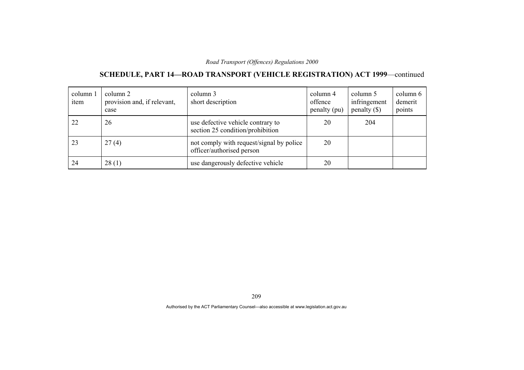## **SCHEDULE, PART 14—ROAD TRANSPORT (VEHICLE REGISTRATION) ACT 1999**—continued

| column 1<br>item | column 2<br>provision and, if relevant,<br>case | column 3<br>short description                                         | column 4<br>offence<br>penalty (pu) | column 5<br>infringement<br>penalty $(\$)$ | column 6<br>demerit<br>points |
|------------------|-------------------------------------------------|-----------------------------------------------------------------------|-------------------------------------|--------------------------------------------|-------------------------------|
| 22               | 26                                              | use defective vehicle contrary to<br>section 25 condition/prohibition | 20                                  | 204                                        |                               |
| 23               | 27(4)                                           | not comply with request/signal by police<br>officer/authorised person | 20                                  |                                            |                               |
| 24               | 28(1)                                           | use dangerously defective vehicle                                     | 20                                  |                                            |                               |

209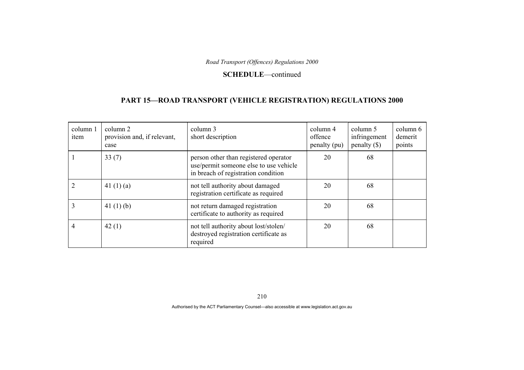#### **SCHEDULE**—continued

## **PART 15—ROAD TRANSPORT (VEHICLE REGISTRATION) REGULATIONS 2000**

| column 1<br>item | column 2<br>provision and, if relevant,<br>case | column 3<br>short description                                                                                          | column 4<br>offence<br>penalty (pu) | column 5<br>infringement<br>$penalty$ (\$) | column 6<br>demerit<br>points |
|------------------|-------------------------------------------------|------------------------------------------------------------------------------------------------------------------------|-------------------------------------|--------------------------------------------|-------------------------------|
|                  | 33(7)                                           | person other than registered operator<br>use/permit someone else to use vehicle<br>in breach of registration condition | 20                                  | 68                                         |                               |
|                  | 41 $(1)(a)$                                     | not tell authority about damaged<br>registration certificate as required                                               | 20                                  | 68                                         |                               |
|                  | 41 $(1)$ $(b)$                                  | not return damaged registration<br>certificate to authority as required                                                | 20                                  | 68                                         |                               |
| 4                | 42(1)                                           | not tell authority about lost/stolen/<br>destroyed registration certificate as<br>required                             | 20                                  | 68                                         |                               |

210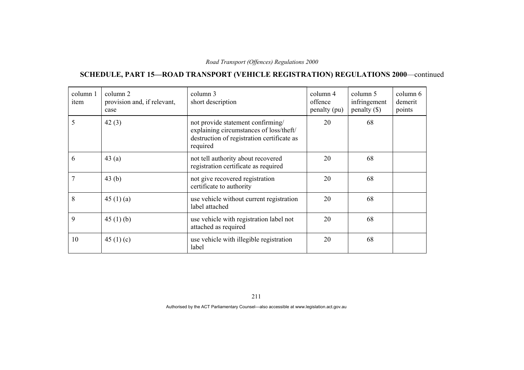# **SCHEDULE, PART 15—ROAD TRANSPORT (VEHICLE REGISTRATION) REGULATIONS 2000**—continued

| column 1<br>item | column 2<br>provision and, if relevant,<br>case | column 3<br>short description                                                                                                          | column 4<br>offence<br>penalty (pu) | column 5<br>infringement<br>$penalty$ (\$) | column 6<br>demerit<br>points |
|------------------|-------------------------------------------------|----------------------------------------------------------------------------------------------------------------------------------------|-------------------------------------|--------------------------------------------|-------------------------------|
| 5                | 42(3)                                           | not provide statement confirming/<br>explaining circumstances of loss/theft/<br>destruction of registration certificate as<br>required | 20                                  | 68                                         |                               |
| 6                | 43(a)                                           | not tell authority about recovered<br>registration certificate as required                                                             | 20                                  | 68                                         |                               |
| 7                | 43 $(b)$                                        | not give recovered registration<br>certificate to authority                                                                            | 20                                  | 68                                         |                               |
| 8                | 45 $(1)(a)$                                     | use vehicle without current registration<br>label attached                                                                             | 20                                  | 68                                         |                               |
| 9                | 45(1)(b)                                        | use vehicle with registration label not<br>attached as required                                                                        | 20                                  | 68                                         |                               |
| 10               | 45 $(1)(c)$                                     | use vehicle with illegible registration<br>label                                                                                       | 20                                  | 68                                         |                               |

211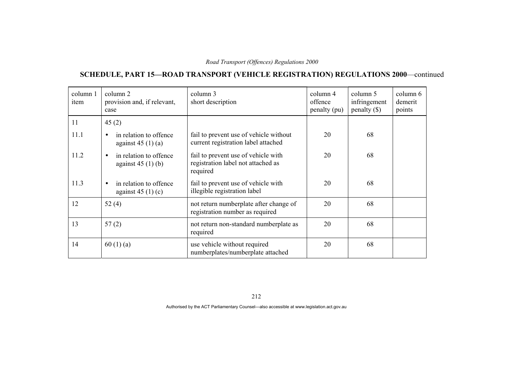# **SCHEDULE, PART 15—ROAD TRANSPORT (VEHICLE REGISTRATION) REGULATIONS 2000**—continued

| column 1<br>item | column 2<br>provision and, if relevant,<br>case           | column 3<br>short description                                                         | column 4<br>offence<br>penalty (pu) | column 5<br>infringement<br>$penalty$ (\$) | column 6<br>demerit<br>points |
|------------------|-----------------------------------------------------------|---------------------------------------------------------------------------------------|-------------------------------------|--------------------------------------------|-------------------------------|
| 11               | 45(2)                                                     |                                                                                       |                                     |                                            |                               |
| 11.1             | in relation to offence<br>$\bullet$<br>against $45(1)(a)$ | fail to prevent use of vehicle without<br>current registration label attached         | 20                                  | 68                                         |                               |
| 11.2             | in relation to offence<br>$\bullet$<br>against $45(1)(b)$ | fail to prevent use of vehicle with<br>registration label not attached as<br>required | 20                                  | 68                                         |                               |
| 11.3             | in relation to offence<br>$\bullet$<br>against $45(1)(c)$ | fail to prevent use of vehicle with<br>illegible registration label                   | 20                                  | 68                                         |                               |
| 12               | 52 $(4)$                                                  | not return numberplate after change of<br>registration number as required             | 20                                  | 68                                         |                               |
| 13               | 57(2)                                                     | not return non-standard numberplate as<br>required                                    | 20                                  | 68                                         |                               |
| 14               | 60(1)(a)                                                  | use vehicle without required<br>numberplates/numberplate attached                     | 20                                  | 68                                         |                               |

212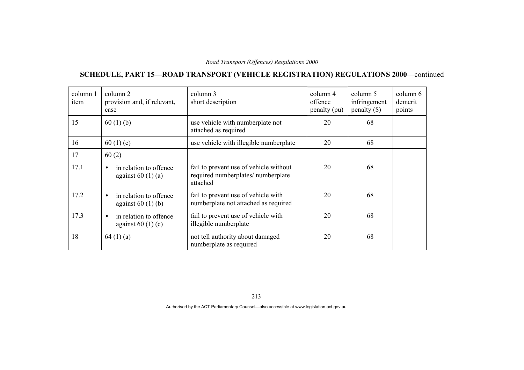# **SCHEDULE, PART 15—ROAD TRANSPORT (VEHICLE REGISTRATION) REGULATIONS 2000**—continued

| column 1<br>item | column 2<br>provision and, if relevant,<br>case           | column 3<br>short description                                                            | column 4<br>offence<br>penalty (pu) | column 5<br>infringement<br>$penalty$ (\$) | column 6<br>demerit<br>points |
|------------------|-----------------------------------------------------------|------------------------------------------------------------------------------------------|-------------------------------------|--------------------------------------------|-------------------------------|
| 15               | 60(1)(b)                                                  | use vehicle with numberplate not<br>attached as required                                 | 20                                  | 68                                         |                               |
| 16               | 60 $(1)(c)$                                               | use vehicle with illegible numberplate                                                   | 20                                  | 68                                         |                               |
| 17               | 60(2)                                                     |                                                                                          |                                     |                                            |                               |
| 17.1             | in relation to offence<br>$\bullet$<br>against $60(1)(a)$ | fail to prevent use of vehicle without<br>required numberplates/ numberplate<br>attached | 20                                  | 68                                         |                               |
| 17.2             | in relation to offence<br>$\bullet$<br>against $60(1)(b)$ | fail to prevent use of vehicle with<br>numberplate not attached as required              | 20                                  | 68                                         |                               |
| 17.3             | in relation to offence<br>$\bullet$<br>against $60(1)(c)$ | fail to prevent use of vehicle with<br>illegible numberplate                             | 20                                  | 68                                         |                               |
| 18               | 64(1)(a)                                                  | not tell authority about damaged<br>numberplate as required                              | 20                                  | 68                                         |                               |

213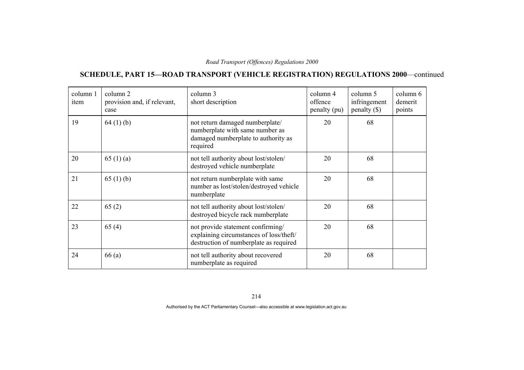# **SCHEDULE, PART 15—ROAD TRANSPORT (VEHICLE REGISTRATION) REGULATIONS 2000**—continued

| column 1<br>item | column 2<br>provision and, if relevant,<br>case | column 3<br>short description                                                                                          | column 4<br>offence<br>penalty (pu) | column 5<br>infringement<br>$penalty$ (\$) | column 6<br>demerit<br>points |
|------------------|-------------------------------------------------|------------------------------------------------------------------------------------------------------------------------|-------------------------------------|--------------------------------------------|-------------------------------|
| 19               | 64(1)(b)                                        | not return damaged numberplate/<br>numberplate with same number as<br>damaged numberplate to authority as<br>required  | 20                                  | 68                                         |                               |
| 20               | 65 $(1)(a)$                                     | not tell authority about lost/stolen/<br>destroyed vehicle numberplate                                                 | 20                                  | 68                                         |                               |
| 21               | 65 $(1)$ (b)                                    | not return numberplate with same<br>number as lost/stolen/destroyed vehicle<br>numberplate                             | 20                                  | 68                                         |                               |
| 22               | 65(2)                                           | not tell authority about lost/stolen/<br>destroyed bicycle rack numberplate                                            | 20                                  | 68                                         |                               |
| 23               | 65(4)                                           | not provide statement confirming/<br>explaining circumstances of loss/theft/<br>destruction of numberplate as required | 20                                  | 68                                         |                               |
| 24               | 66(a)                                           | not tell authority about recovered<br>numberplate as required                                                          | 20                                  | 68                                         |                               |

214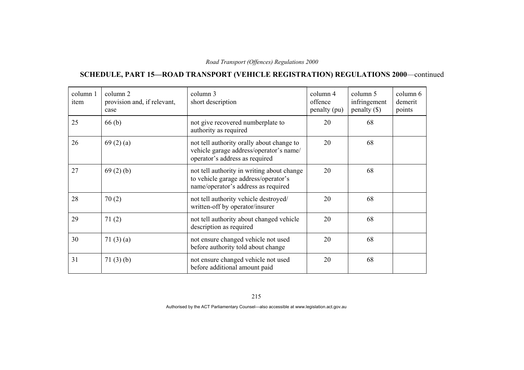# **SCHEDULE, PART 15—ROAD TRANSPORT (VEHICLE REGISTRATION) REGULATIONS 2000**—continued

| column 1<br>item | column 2<br>provision and, if relevant,<br>case | column 3<br>short description                                                                                             | column 4<br>offence<br>penalty (pu) | column 5<br>infringement<br>$penalty$ (\$) | column 6<br>demerit<br>points |
|------------------|-------------------------------------------------|---------------------------------------------------------------------------------------------------------------------------|-------------------------------------|--------------------------------------------|-------------------------------|
| 25               | 66(b)                                           | not give recovered numberplate to<br>authority as required                                                                | 20                                  | 68                                         |                               |
| 26               | 69(2)(a)                                        | not tell authority orally about change to<br>vehicle garage address/operator's name/<br>operator's address as required    | 20                                  | 68                                         |                               |
| 27               | 69(2)(b)                                        | not tell authority in writing about change<br>to vehicle garage address/operator's<br>name/operator's address as required | 20                                  | 68                                         |                               |
| 28               | 70(2)                                           | not tell authority vehicle destroyed/<br>written-off by operator/insurer                                                  | 20                                  | 68                                         |                               |
| 29               | 71(2)                                           | not tell authority about changed vehicle<br>description as required                                                       | 20                                  | 68                                         |                               |
| 30               | 71 $(3)(a)$                                     | not ensure changed vehicle not used<br>before authority told about change                                                 | 20                                  | 68                                         |                               |
| 31               | 71(3)(b)                                        | not ensure changed vehicle not used<br>before additional amount paid                                                      | 20                                  | 68                                         |                               |

215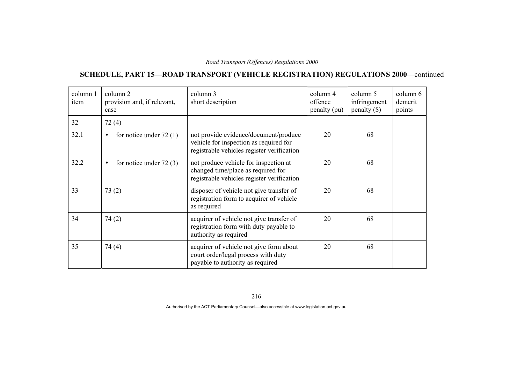# **SCHEDULE, PART 15—ROAD TRANSPORT (VEHICLE REGISTRATION) REGULATIONS 2000**—continued

| column 1<br>item | column 2<br>provision and, if relevant,<br>case | column 3<br>short description                                                                                                 | column 4<br>offence<br>penalty (pu) | column 5<br>infringement<br>$penalty$ (\$) | column 6<br>demerit<br>points |
|------------------|-------------------------------------------------|-------------------------------------------------------------------------------------------------------------------------------|-------------------------------------|--------------------------------------------|-------------------------------|
| 32               | 72(4)                                           |                                                                                                                               |                                     |                                            |                               |
| 32.1             | for notice under $72(1)$<br>$\bullet$           | not provide evidence/document/produce<br>vehicle for inspection as required for<br>registrable vehicles register verification | 20                                  | 68                                         |                               |
| 32.2             | for notice under $72(3)$<br>$\bullet$           | not produce vehicle for inspection at<br>changed time/place as required for<br>registrable vehicles register verification     | 20                                  | 68                                         |                               |
| 33               | 73(2)                                           | disposer of vehicle not give transfer of<br>registration form to acquirer of vehicle<br>as required                           | 20                                  | 68                                         |                               |
| 34               | 74(2)                                           | acquirer of vehicle not give transfer of<br>registration form with duty payable to<br>authority as required                   | 20                                  | 68                                         |                               |
| 35               | 74(4)                                           | acquirer of vehicle not give form about<br>court order/legal process with duty<br>payable to authority as required            | 20                                  | 68                                         |                               |

216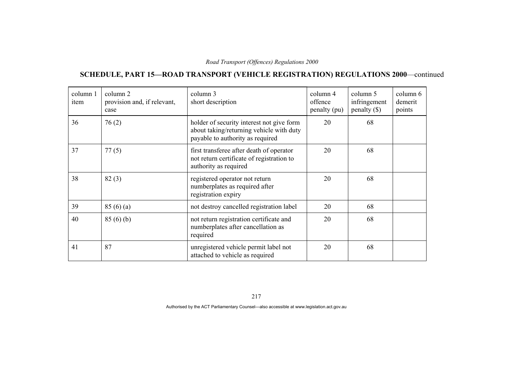# **SCHEDULE, PART 15—ROAD TRANSPORT (VEHICLE REGISTRATION) REGULATIONS 2000**—continued

| column 1<br>item | column 2<br>provision and, if relevant,<br>case | column 3<br>short description                                                                                             | column 4<br>offence<br>penalty (pu) | column 5<br>infringement<br>$penalty$ (\$) | column 6<br>demerit<br>points |
|------------------|-------------------------------------------------|---------------------------------------------------------------------------------------------------------------------------|-------------------------------------|--------------------------------------------|-------------------------------|
| 36               | 76(2)                                           | holder of security interest not give form<br>about taking/returning vehicle with duty<br>payable to authority as required | 20                                  | 68                                         |                               |
| 37               | 77(5)                                           | first transferee after death of operator<br>not return certificate of registration to<br>authority as required            | 20                                  | 68                                         |                               |
| 38               | 82(3)                                           | registered operator not return<br>numberplates as required after<br>registration expiry                                   | 20                                  | 68                                         |                               |
| 39               | 85(6)(a)                                        | not destroy cancelled registration label                                                                                  | 20                                  | 68                                         |                               |
| 40               | 85(6)(b)                                        | not return registration certificate and<br>numberplates after cancellation as<br>required                                 | 20                                  | 68                                         |                               |
| 41               | 87                                              | unregistered vehicle permit label not<br>attached to vehicle as required                                                  | 20                                  | 68                                         |                               |

217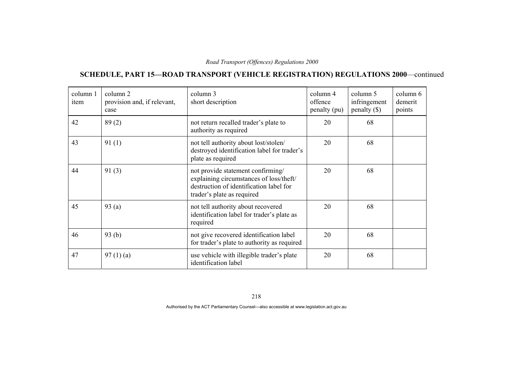# **SCHEDULE, PART 15—ROAD TRANSPORT (VEHICLE REGISTRATION) REGULATIONS 2000**—continued

| column 1<br>item | column 2<br>provision and, if relevant,<br>case | column 3<br>short description                                                                                                                         | column 4<br>offence<br>penalty (pu) | column 5<br>infringement<br>$penalty$ (\$) | column 6<br>demerit<br>points |
|------------------|-------------------------------------------------|-------------------------------------------------------------------------------------------------------------------------------------------------------|-------------------------------------|--------------------------------------------|-------------------------------|
| 42               | 89(2)                                           | not return recalled trader's plate to<br>authority as required                                                                                        | 20                                  | 68                                         |                               |
| 43               | 91(1)                                           | not tell authority about lost/stolen/<br>destroyed identification label for trader's<br>plate as required                                             | 20                                  | 68                                         |                               |
| 44               | 91(3)                                           | not provide statement confirming/<br>explaining circumstances of loss/theft/<br>destruction of identification label for<br>trader's plate as required | 20                                  | 68                                         |                               |
| 45               | 93(a)                                           | not tell authority about recovered<br>identification label for trader's plate as<br>required                                                          | 20                                  | 68                                         |                               |
| 46               | 93(b)                                           | not give recovered identification label<br>for trader's plate to authority as required                                                                | 20                                  | 68                                         |                               |
| 47               | 97(1)(a)                                        | use vehicle with illegible trader's plate<br>identification label                                                                                     | 20                                  | 68                                         |                               |

218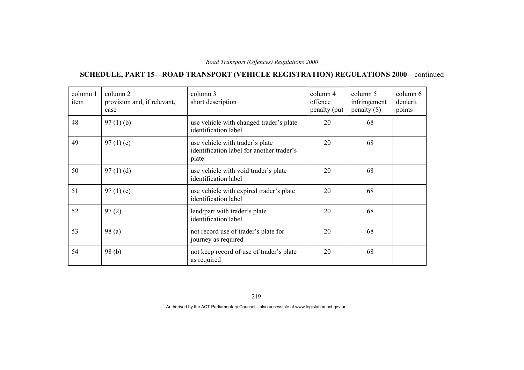# **SCHEDULE, PART 15—ROAD TRANSPORT (VEHICLE REGISTRATION) REGULATIONS 2000**—continued

| column 1<br>item | column 2<br>provision and, if relevant,<br>case | column 3<br>short description                                                         | column 4<br>offence<br>penalty (pu) | column 5<br>infringement<br>penalty $(\$)$ | column 6<br>demerit<br>points |
|------------------|-------------------------------------------------|---------------------------------------------------------------------------------------|-------------------------------------|--------------------------------------------|-------------------------------|
| 48               | $97(1)$ (b)                                     | use vehicle with changed trader's plate<br>identification label                       | 20                                  | 68                                         |                               |
| 49               | 97 $(1)(c)$                                     | use vehicle with trader's plate<br>identification label for another trader's<br>plate | 20                                  | 68                                         |                               |
| 50               | 97(1)(d)                                        | use vehicle with void trader's plate<br>identification label                          | 20                                  | 68                                         |                               |
| 51               | $97(1)$ (e)                                     | use vehicle with expired trader's plate<br>identification label                       | 20                                  | 68                                         |                               |
| 52               | 97(2)                                           | lend/part with trader's plate<br>identification label                                 | 20                                  | 68                                         |                               |
| 53               | 98(a)                                           | not record use of trader's plate for<br>journey as required                           | 20                                  | 68                                         |                               |
| 54               | 98(b)                                           | not keep record of use of trader's plate<br>as required                               | 20                                  | 68                                         |                               |

219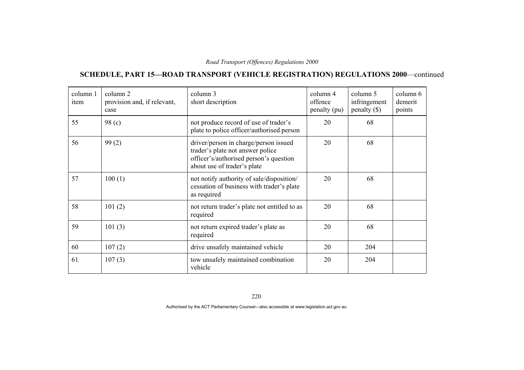# **SCHEDULE, PART 15—ROAD TRANSPORT (VEHICLE REGISTRATION) REGULATIONS 2000**—continued

| column 1<br>item | column 2<br>provision and, if relevant,<br>case | column 3<br>short description                                                                                                                      | column 4<br>offence<br>penalty (pu) | column 5<br>infringement<br>$penalty$ (\$) | column 6<br>demerit<br>points |
|------------------|-------------------------------------------------|----------------------------------------------------------------------------------------------------------------------------------------------------|-------------------------------------|--------------------------------------------|-------------------------------|
| 55               | 98(c)                                           | not produce record of use of trader's<br>plate to police officer/authorised person                                                                 | 20                                  | 68                                         |                               |
| 56               | 99(2)                                           | driver/person in charge/person issued<br>trader's plate not answer police<br>officer's/authorised person's question<br>about use of trader's plate | 20                                  | 68                                         |                               |
| 57               | 100(1)                                          | not notify authority of sale/disposition/<br>cessation of business with trader's plate<br>as required                                              | 20                                  | 68                                         |                               |
| 58               | 101(2)                                          | not return trader's plate not entitled to as<br>required                                                                                           | 20                                  | 68                                         |                               |
| 59               | 101(3)                                          | not return expired trader's plate as<br>required                                                                                                   | 20                                  | 68                                         |                               |
| 60               | 107(2)                                          | drive unsafely maintained vehicle                                                                                                                  | 20                                  | 204                                        |                               |
| 61               | 107(3)                                          | tow unsafely maintained combination<br>vehicle                                                                                                     | 20                                  | 204                                        |                               |

220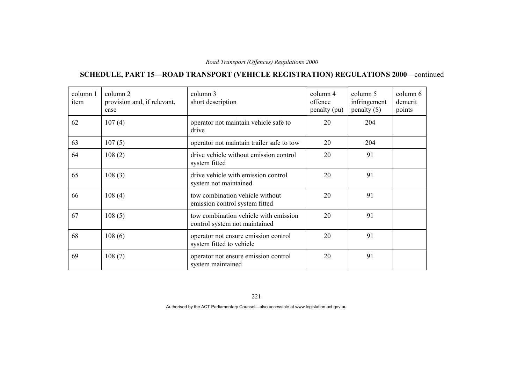# **SCHEDULE, PART 15—ROAD TRANSPORT (VEHICLE REGISTRATION) REGULATIONS 2000**—continued

| column 1<br>item | column 2<br>provision and, if relevant,<br>case | column 3<br>short description                                          | column 4<br>offence<br>penalty (pu) | column 5<br>infringement<br>$penalty$ (\$) | column 6<br>demerit<br>points |
|------------------|-------------------------------------------------|------------------------------------------------------------------------|-------------------------------------|--------------------------------------------|-------------------------------|
| 62               | 107(4)                                          | operator not maintain vehicle safe to<br>drive                         | 20                                  | 204                                        |                               |
| 63               | 107(5)                                          | operator not maintain trailer safe to tow                              | 20                                  | 204                                        |                               |
| 64               | 108(2)                                          | drive vehicle without emission control<br>system fitted                | 20                                  | 91                                         |                               |
| 65               | 108(3)                                          | drive vehicle with emission control<br>system not maintained           | 20                                  | 91                                         |                               |
| 66               | 108(4)                                          | tow combination vehicle without<br>emission control system fitted      | 20                                  | 91                                         |                               |
| 67               | 108(5)                                          | tow combination vehicle with emission<br>control system not maintained | 20                                  | 91                                         |                               |
| 68               | 108(6)                                          | operator not ensure emission control<br>system fitted to vehicle       | 20                                  | 91                                         |                               |
| 69               | 108(7)                                          | operator not ensure emission control<br>system maintained              | 20                                  | 91                                         |                               |

221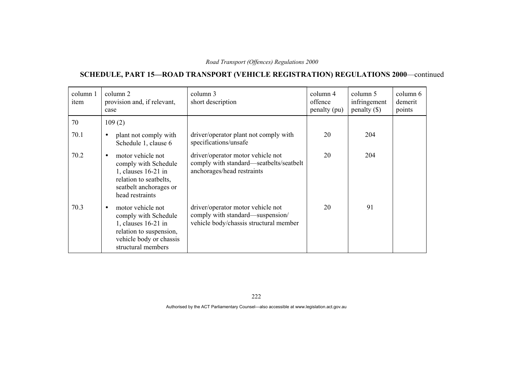# **SCHEDULE, PART 15—ROAD TRANSPORT (VEHICLE REGISTRATION) REGULATIONS 2000**—continued

| column 1<br>item | column 2<br>provision and, if relevant,<br>case                                                                                                           | column 3<br>short description                                                                                   | column 4<br>offence<br>penalty (pu) | column 5<br>infringement<br>$penalty$ (\$) | column 6<br>demerit<br>points |
|------------------|-----------------------------------------------------------------------------------------------------------------------------------------------------------|-----------------------------------------------------------------------------------------------------------------|-------------------------------------|--------------------------------------------|-------------------------------|
| 70               | 109(2)                                                                                                                                                    |                                                                                                                 |                                     |                                            |                               |
| 70.1             | plant not comply with<br>$\bullet$<br>Schedule 1, clause 6                                                                                                | driver/operator plant not comply with<br>specifications/unsafe                                                  | 20                                  | 204                                        |                               |
| 70.2             | motor vehicle not<br>comply with Schedule<br>1, clauses 16-21 in<br>relation to seatbelts,<br>seatbelt anchorages or<br>head restraints                   | driver/operator motor vehicle not<br>comply with standard—seatbelts/seatbelt<br>anchorages/head restraints      | 20                                  | 204                                        |                               |
| 70.3             | motor vehicle not<br>$\bullet$<br>comply with Schedule<br>1, clauses 16-21 in<br>relation to suspension,<br>vehicle body or chassis<br>structural members | driver/operator motor vehicle not<br>comply with standard—suspension/<br>vehicle body/chassis structural member | 20                                  | 91                                         |                               |

222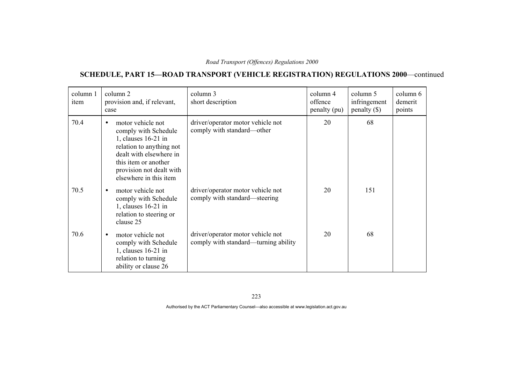# **SCHEDULE, PART 15—ROAD TRANSPORT (VEHICLE REGISTRATION) REGULATIONS 2000**—continued

| column 1<br>item | column 2<br>provision and, if relevant,<br>case                                                                                                                                                                      | column 3<br>short description                                             | column 4<br>offence<br>penalty (pu) | column 5<br>infringement<br>$penalty$ (\$) | column 6<br>demerit<br>points |
|------------------|----------------------------------------------------------------------------------------------------------------------------------------------------------------------------------------------------------------------|---------------------------------------------------------------------------|-------------------------------------|--------------------------------------------|-------------------------------|
| 70.4             | motor vehicle not<br>$\bullet$<br>comply with Schedule<br>1, clauses $16-21$ in<br>relation to anything not<br>dealt with elsewhere in<br>this item or another<br>provision not dealt with<br>elsewhere in this item | driver/operator motor vehicle not<br>comply with standard—other           | 20                                  | 68                                         |                               |
| 70.5             | motor vehicle not<br>$\bullet$<br>comply with Schedule<br>1, clauses $16-21$ in<br>relation to steering or<br>clause 25                                                                                              | driver/operator motor vehicle not<br>comply with standard—steering        | 20                                  | 151                                        |                               |
| 70.6             | motor vehicle not<br>$\bullet$<br>comply with Schedule<br>1, clauses 16-21 in<br>relation to turning<br>ability or clause 26                                                                                         | driver/operator motor vehicle not<br>comply with standard—turning ability | 20                                  | 68                                         |                               |

223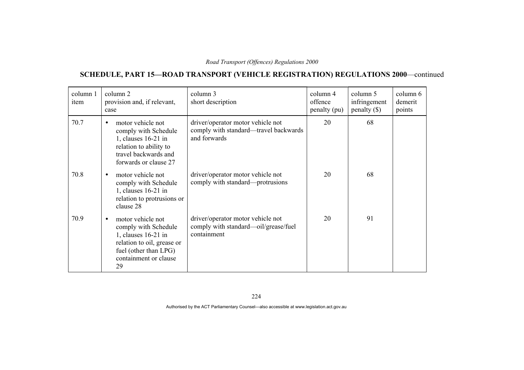# **SCHEDULE, PART 15—ROAD TRANSPORT (VEHICLE REGISTRATION) REGULATIONS 2000**—continued

| column 1<br>item | column 2<br>provision and, if relevant,<br>case                                                                                                                     | column 3<br>short description                                                              | column 4<br>offence<br>penalty (pu) | column 5<br>infringement<br>$penalty$ (\$) | column 6<br>demerit<br>points |
|------------------|---------------------------------------------------------------------------------------------------------------------------------------------------------------------|--------------------------------------------------------------------------------------------|-------------------------------------|--------------------------------------------|-------------------------------|
| 70.7             | motor vehicle not<br>$\bullet$<br>comply with Schedule<br>1, clauses $16-21$ in<br>relation to ability to<br>travel backwards and<br>forwards or clause 27          | driver/operator motor vehicle not<br>comply with standard—travel backwards<br>and forwards | 20                                  | 68                                         |                               |
| 70.8             | motor vehicle not<br>$\bullet$<br>comply with Schedule<br>1, clauses $16-21$ in<br>relation to protrusions or<br>clause 28                                          | driver/operator motor vehicle not<br>comply with standard—protrusions                      | 20                                  | 68                                         |                               |
| 70.9             | motor vehicle not<br>$\bullet$<br>comply with Schedule<br>1, clauses 16-21 in<br>relation to oil, grease or<br>fuel (other than LPG)<br>containment or clause<br>29 | driver/operator motor vehicle not<br>comply with standard—oil/grease/fuel<br>containment   | 20                                  | 91                                         |                               |

224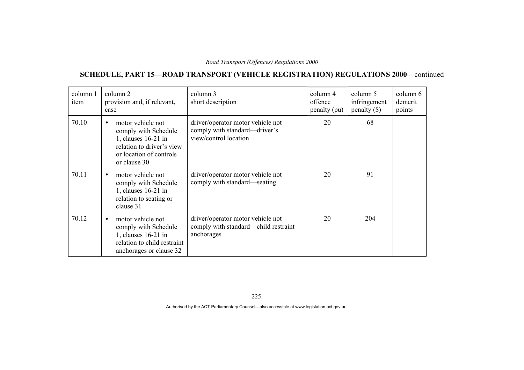# **SCHEDULE, PART 15—ROAD TRANSPORT (VEHICLE REGISTRATION) REGULATIONS 2000**—continued

| column 1<br>item | column 2<br>provision and, if relevant,<br>case                                                                                                       | column 3<br>short description                                                               | column 4<br>offence<br>penalty (pu) | column 5<br>infringement<br>$penalty$ (\$) | column 6<br>demerit<br>points |
|------------------|-------------------------------------------------------------------------------------------------------------------------------------------------------|---------------------------------------------------------------------------------------------|-------------------------------------|--------------------------------------------|-------------------------------|
| 70.10            | motor vehicle not<br>$\bullet$<br>comply with Schedule<br>1, clauses 16-21 in<br>relation to driver's view<br>or location of controls<br>or clause 30 | driver/operator motor vehicle not<br>comply with standard—driver's<br>view/control location | 20                                  | 68                                         |                               |
| 70.11            | motor vehicle not<br>$\bullet$<br>comply with Schedule<br>1, clauses 16-21 in<br>relation to seating or<br>clause 31                                  | driver/operator motor vehicle not<br>comply with standard—seating                           | 20                                  | 91                                         |                               |
| 70.12            | motor vehicle not<br>$\bullet$<br>comply with Schedule<br>1, clauses 16-21 in<br>relation to child restraint<br>anchorages or clause 32               | driver/operator motor vehicle not<br>comply with standard—child restraint<br>anchorages     | 20                                  | 204                                        |                               |

225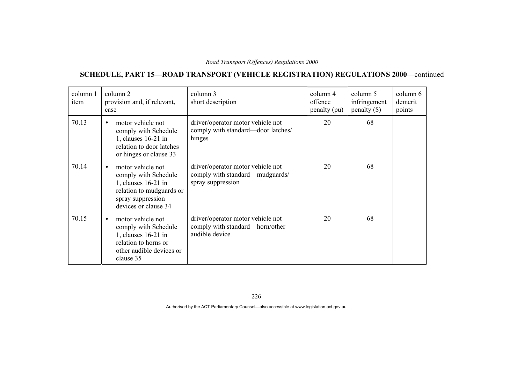# **SCHEDULE, PART 15—ROAD TRANSPORT (VEHICLE REGISTRATION) REGULATIONS 2000**—continued

| column 1<br>item | column 2<br>provision and, if relevant,<br>case                                                                                                        | column 3<br>short description                                                             | column 4<br>offence<br>penalty (pu) | column 5<br>infringement<br>$penalty$ (\$) | column 6<br>demerit<br>points |
|------------------|--------------------------------------------------------------------------------------------------------------------------------------------------------|-------------------------------------------------------------------------------------------|-------------------------------------|--------------------------------------------|-------------------------------|
| 70.13            | motor vehicle not<br>$\bullet$<br>comply with Schedule<br>1, clauses 16-21 in<br>relation to door latches<br>or hinges or clause 33                    | driver/operator motor vehicle not<br>comply with standard-door latches/<br>hinges         | 20                                  | 68                                         |                               |
| 70.14            | motor vehicle not<br>$\bullet$<br>comply with Schedule<br>1, clauses 16-21 in<br>relation to mudguards or<br>spray suppression<br>devices or clause 34 | driver/operator motor vehicle not<br>comply with standard-mudguards/<br>spray suppression | 20                                  | 68                                         |                               |
| 70.15            | motor vehicle not<br>$\bullet$<br>comply with Schedule<br>1, clauses 16-21 in<br>relation to horns or<br>other audible devices or<br>clause 35         | driver/operator motor vehicle not<br>comply with standard—horn/other<br>audible device    | 20                                  | 68                                         |                               |

226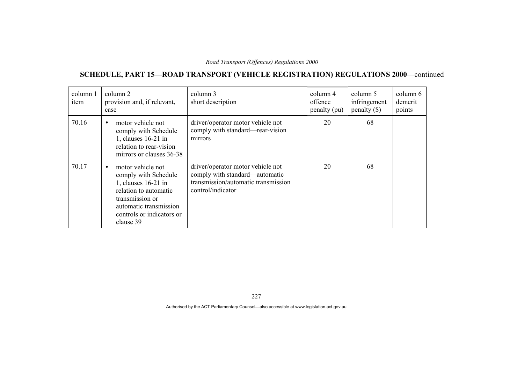# **SCHEDULE, PART 15—ROAD TRANSPORT (VEHICLE REGISTRATION) REGULATIONS 2000**—continued

| column 1<br>item | column 2<br>provision and, if relevant,<br>case                                                                                                                                               | column 3<br>short description                                                                                                   | column 4<br>offence<br>penalty (pu) | column 5<br>infringement<br>penalty $(\$)$ | column 6<br>demerit<br>points |
|------------------|-----------------------------------------------------------------------------------------------------------------------------------------------------------------------------------------------|---------------------------------------------------------------------------------------------------------------------------------|-------------------------------------|--------------------------------------------|-------------------------------|
| 70.16            | motor vehicle not<br>$\bullet$<br>comply with Schedule<br>1, clauses 16-21 in<br>relation to rear-vision<br>mirrors or clauses 36-38                                                          | driver/operator motor vehicle not<br>comply with standard—rear-vision<br>mirrors                                                | 20                                  | 68                                         |                               |
| 70.17            | motor vehicle not<br>$\bullet$<br>comply with Schedule<br>1, clauses 16-21 in<br>relation to automatic<br>transmission or<br>automatic transmission<br>controls or indicators or<br>clause 39 | driver/operator motor vehicle not<br>comply with standard—automatic<br>transmission/automatic transmission<br>control/indicator | 20                                  | 68                                         |                               |

227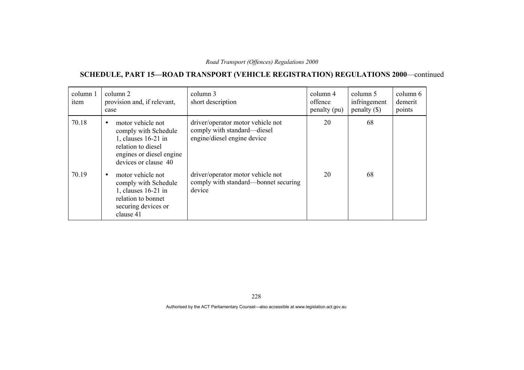# **SCHEDULE, PART 15—ROAD TRANSPORT (VEHICLE REGISTRATION) REGULATIONS 2000**—continued

| column 1<br>item | column 2<br>provision and, if relevant,<br>case                                                                                                         | column 3<br>short description                                                                   | column 4<br>offence<br>penalty (pu) | column 5<br>infringement<br>$penalty$ (\$) | column 6<br>demerit<br>points |
|------------------|---------------------------------------------------------------------------------------------------------------------------------------------------------|-------------------------------------------------------------------------------------------------|-------------------------------------|--------------------------------------------|-------------------------------|
| 70.18            | motor vehicle not<br>$\bullet$<br>comply with Schedule<br>1, clauses 16-21 in<br>relation to diesel<br>engines or diesel engine<br>devices or clause 40 | driver/operator motor vehicle not<br>comply with standard—diesel<br>engine/diesel engine device | 20                                  | 68                                         |                               |
| 70.19            | motor vehicle not<br>comply with Schedule<br>1, clauses 16-21 in<br>relation to bonnet<br>securing devices or<br>clause 41                              | driver/operator motor vehicle not<br>comply with standard—bonnet securing<br>device             | 20                                  | 68                                         |                               |

228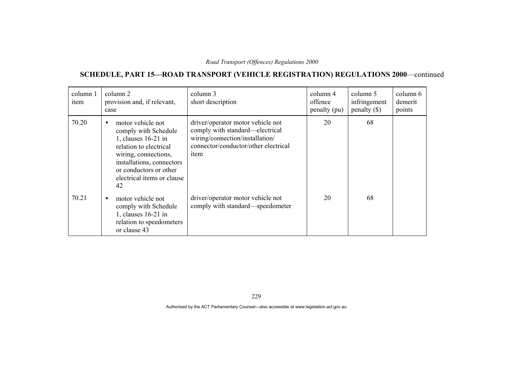# **SCHEDULE, PART 15—ROAD TRANSPORT (VEHICLE REGISTRATION) REGULATIONS 2000**—continued

| column 1<br>item | column 2<br>provision and, if relevant,<br>case                                                                                                                                                                            | column 3<br>short description                                                                                                                           | column 4<br>offence<br>penalty (pu) | column 5<br>infringement<br>$penalty$ (\$) | column 6<br>demerit<br>points |
|------------------|----------------------------------------------------------------------------------------------------------------------------------------------------------------------------------------------------------------------------|---------------------------------------------------------------------------------------------------------------------------------------------------------|-------------------------------------|--------------------------------------------|-------------------------------|
| 70.20            | motor vehicle not<br>$\bullet$<br>comply with Schedule<br>1, clauses 16-21 in<br>relation to electrical<br>wiring, connections,<br>installations, connectors<br>or conductors or other<br>electrical items or clause<br>42 | driver/operator motor vehicle not<br>comply with standard—electrical<br>wiring/connection/installation/<br>connector/conductor/other electrical<br>item | 20                                  | 68                                         |                               |
| 70.21            | motor vehicle not<br>$\bullet$<br>comply with Schedule<br>1, clauses $16-21$ in<br>relation to speedometers<br>or clause 43                                                                                                | driver/operator motor vehicle not<br>comply with standard—speedometer                                                                                   | 20                                  | 68                                         |                               |

229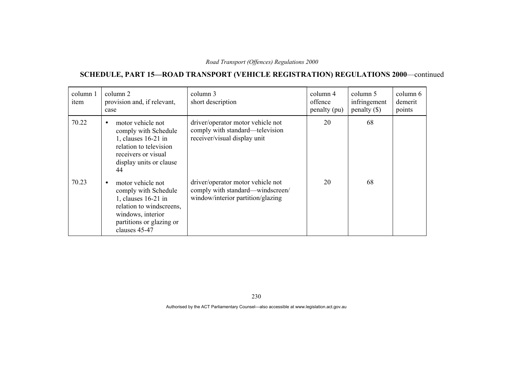# **SCHEDULE, PART 15—ROAD TRANSPORT (VEHICLE REGISTRATION) REGULATIONS 2000**—continued

| column 1<br>item | column 2<br>provision and, if relevant,<br>case                                                                                                                             | column 3<br>short description                                                                              | column 4<br>offence<br>penalty (pu) | column 5<br>infringement<br>penalty $(\$)$ | column 6<br>demerit<br>points |
|------------------|-----------------------------------------------------------------------------------------------------------------------------------------------------------------------------|------------------------------------------------------------------------------------------------------------|-------------------------------------|--------------------------------------------|-------------------------------|
| 70.22            | motor vehicle not<br>$\bullet$<br>comply with Schedule<br>1, clauses 16-21 in<br>relation to television<br>receivers or visual<br>display units or clause<br>44             | driver/operator motor vehicle not<br>comply with standard—television<br>receiver/visual display unit       | 20                                  | 68                                         |                               |
| 70.23            | motor vehicle not<br>$\bullet$<br>comply with Schedule<br>1, clauses 16-21 in<br>relation to windscreens,<br>windows, interior<br>partitions or glazing or<br>clauses 45-47 | driver/operator motor vehicle not<br>comply with standard—windscreen/<br>window/interior partition/glazing | 20                                  | 68                                         |                               |

230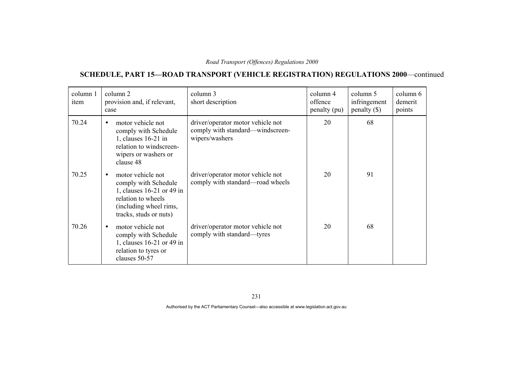# **SCHEDULE, PART 15—ROAD TRANSPORT (VEHICLE REGISTRATION) REGULATIONS 2000**—continued

| column 1<br>item | column 2<br>provision and, if relevant,<br>case                                                                                                  | column 3<br>short description                                                           | column 4<br>offence<br>penalty (pu) | column 5<br>infringement<br>$penalty$ (\$) | column 6<br>demerit<br>points |
|------------------|--------------------------------------------------------------------------------------------------------------------------------------------------|-----------------------------------------------------------------------------------------|-------------------------------------|--------------------------------------------|-------------------------------|
| 70.24            | motor vehicle not<br>$\bullet$<br>comply with Schedule<br>1, clauses 16-21 in<br>relation to windscreen-<br>wipers or washers or<br>clause 48    | driver/operator motor vehicle not<br>comply with standard—windscreen-<br>wipers/washers | 20                                  | 68                                         |                               |
| 70.25            | motor vehicle not<br>comply with Schedule<br>1, clauses 16-21 or 49 in<br>relation to wheels<br>(including wheel rims,<br>tracks, studs or nuts) | driver/operator motor vehicle not<br>comply with standard-road wheels                   | 20                                  | 91                                         |                               |
| 70.26            | motor vehicle not<br>comply with Schedule<br>1, clauses 16-21 or 49 in<br>relation to tyres or<br>clauses 50-57                                  | driver/operator motor vehicle not<br>comply with standard—tyres                         | 20                                  | 68                                         |                               |

231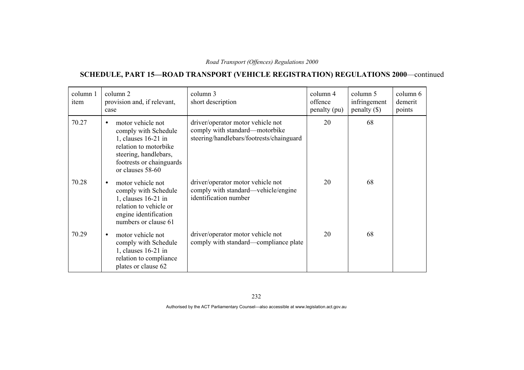# **SCHEDULE, PART 15—ROAD TRANSPORT (VEHICLE REGISTRATION) REGULATIONS 2000**—continued

| column 1<br>item | column 2<br>provision and, if relevant,<br>case                                                                                                                                 | column 3<br>short description                                                                                   | column 4<br>offence<br>penalty (pu) | column 5<br>infringement<br>$penalty$ (\$) | column 6<br>demerit<br>points |
|------------------|---------------------------------------------------------------------------------------------------------------------------------------------------------------------------------|-----------------------------------------------------------------------------------------------------------------|-------------------------------------|--------------------------------------------|-------------------------------|
| 70.27            | motor vehicle not<br>$\bullet$<br>comply with Schedule<br>1, clauses 16-21 in<br>relation to motorbike<br>steering, handlebars,<br>footrests or chainguards<br>or clauses 58-60 | driver/operator motor vehicle not<br>comply with standard—motorbike<br>steering/handlebars/footrests/chainguard | 20                                  | 68                                         |                               |
| 70.28            | motor vehicle not<br>$\bullet$<br>comply with Schedule<br>1, clauses 16-21 in<br>relation to vehicle or<br>engine identification<br>numbers or clause 61                        | driver/operator motor vehicle not<br>comply with standard—vehicle/engine<br>identification number               | 20                                  | 68                                         |                               |
| 70.29            | motor vehicle not<br>$\bullet$<br>comply with Schedule<br>1, clauses 16-21 in<br>relation to compliance<br>plates or clause 62                                                  | driver/operator motor vehicle not<br>comply with standard—compliance plate                                      | 20                                  | 68                                         |                               |

232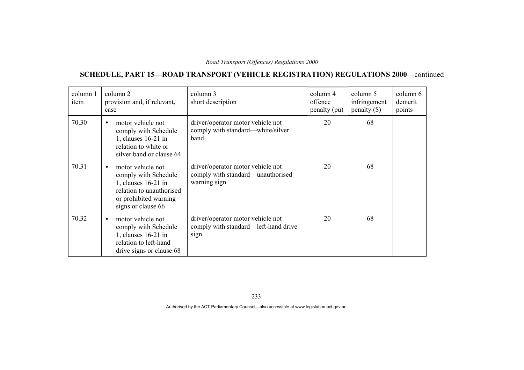# **SCHEDULE, PART 15—ROAD TRANSPORT (VEHICLE REGISTRATION) REGULATIONS 2000**—continued

| column 1<br>item | column 2<br>provision and, if relevant,<br>case                                                                                                          | column 3<br>short description                                                          | column 4<br>offence<br>penalty (pu) | column 5<br>infringement<br>$penalty$ (\$) | column 6<br>demerit<br>points |
|------------------|----------------------------------------------------------------------------------------------------------------------------------------------------------|----------------------------------------------------------------------------------------|-------------------------------------|--------------------------------------------|-------------------------------|
| 70.30            | motor vehicle not<br>$\bullet$<br>comply with Schedule<br>1, clauses 16-21 in<br>relation to white or<br>silver band or clause 64                        | driver/operator motor vehicle not<br>comply with standard—white/silver<br>band         | 20                                  | 68                                         |                               |
| 70.31            | motor vehicle not<br>$\bullet$<br>comply with Schedule<br>1, clauses 16-21 in<br>relation to unauthorised<br>or prohibited warning<br>signs or clause 66 | driver/operator motor vehicle not<br>comply with standard—unauthorised<br>warning sign | 20                                  | 68                                         |                               |
| 70.32            | motor vehicle not<br>$\bullet$<br>comply with Schedule<br>1, clauses 16-21 in<br>relation to left-hand<br>drive signs or clause 68                       | driver/operator motor vehicle not<br>comply with standard—left-hand drive<br>sign      | 20                                  | 68                                         |                               |

233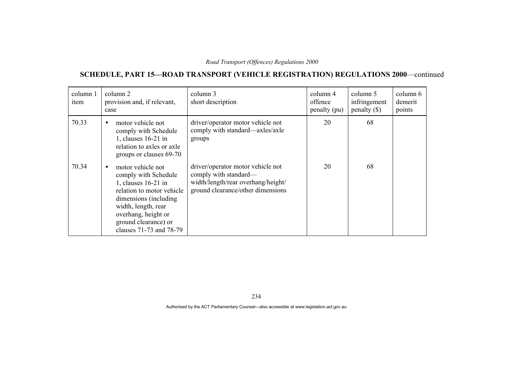# **SCHEDULE, PART 15—ROAD TRANSPORT (VEHICLE REGISTRATION) REGULATIONS 2000**—continued

| column 1<br>item | column 2<br>provision and, if relevant,<br>case                                                                                                                                                                                       | column 3<br>short description                                                                                                         | column 4<br>offence<br>penalty (pu) | column 5<br>infringement<br>$penalty$ (\$) | column 6<br>demerit<br>points |
|------------------|---------------------------------------------------------------------------------------------------------------------------------------------------------------------------------------------------------------------------------------|---------------------------------------------------------------------------------------------------------------------------------------|-------------------------------------|--------------------------------------------|-------------------------------|
| 70.33            | motor vehicle not<br>$\bullet$<br>comply with Schedule<br>1, clauses 16-21 in<br>relation to axles or axle<br>groups or clauses 69-70                                                                                                 | driver/operator motor vehicle not<br>comply with standard—axles/axle<br>groups                                                        | 20                                  | 68                                         |                               |
| 70.34            | motor vehicle not<br>$\bullet$<br>comply with Schedule<br>1, clauses 16-21 in<br>relation to motor vehicle<br>dimensions (including)<br>width, length, rear<br>overhang, height or<br>ground clearance) or<br>clauses 71-73 and 78-79 | driver/operator motor vehicle not<br>comply with standard—<br>width/length/rear overhang/height/<br>ground clearance/other dimensions | 20                                  | 68                                         |                               |

234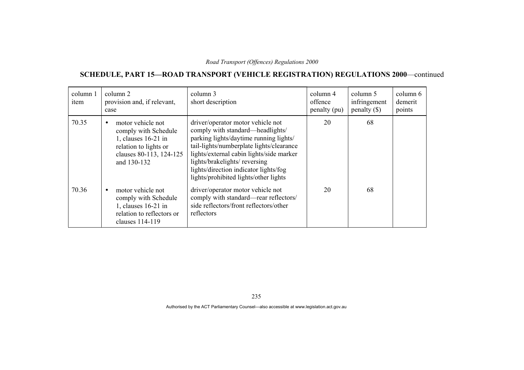# **SCHEDULE, PART 15—ROAD TRANSPORT (VEHICLE REGISTRATION) REGULATIONS 2000**—continued

| column 1<br>item | column 2<br>provision and, if relevant,<br>case                                                                                     | column 3<br>short description                                                                                                                                                                                                                                                                                             | column 4<br>offence<br>penalty (pu) | column 5<br>infringement<br>$penalty$ (\$) | column 6<br>demerit<br>points |
|------------------|-------------------------------------------------------------------------------------------------------------------------------------|---------------------------------------------------------------------------------------------------------------------------------------------------------------------------------------------------------------------------------------------------------------------------------------------------------------------------|-------------------------------------|--------------------------------------------|-------------------------------|
| 70.35            | motor vehicle not<br>comply with Schedule<br>1, clauses 16-21 in<br>relation to lights or<br>clauses 80-113, 124-125<br>and 130-132 | driver/operator motor vehicle not<br>comply with standard—headlights/<br>parking lights/daytime running lights/<br>tail-lights/numberplate lights/clearance<br>lights/external cabin lights/side marker<br>lights/brakelights/reversing<br>lights/direction indicator lights/fog<br>lights/prohibited lights/other lights | 20                                  | 68                                         |                               |
| 70.36            | motor vehicle not<br>$\bullet$<br>comply with Schedule<br>1, clauses 16-21 in<br>relation to reflectors or<br>clauses 114-119       | driver/operator motor vehicle not<br>comply with standard-rear reflectors/<br>side reflectors/front reflectors/other<br>reflectors                                                                                                                                                                                        | 20                                  | 68                                         |                               |

235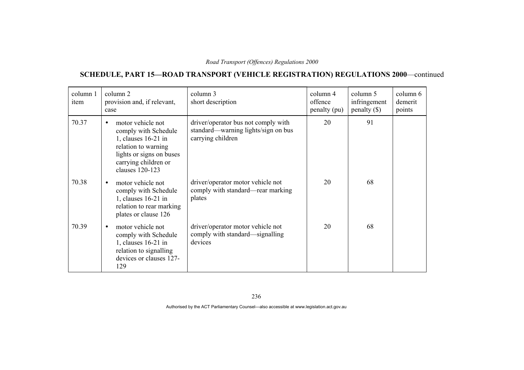# **SCHEDULE, PART 15—ROAD TRANSPORT (VEHICLE REGISTRATION) REGULATIONS 2000**—continued

| column 1<br>item | column 2<br>provision and, if relevant,<br>case                                                                                                                               | column 3<br>short description                                                                   | column 4<br>offence<br>penalty (pu) | column 5<br>infringement<br>$penalty$ (\$) | column 6<br>demerit<br>points |
|------------------|-------------------------------------------------------------------------------------------------------------------------------------------------------------------------------|-------------------------------------------------------------------------------------------------|-------------------------------------|--------------------------------------------|-------------------------------|
| 70.37            | motor vehicle not<br>$\bullet$<br>comply with Schedule<br>1, clauses $16-21$ in<br>relation to warning<br>lights or signs on buses<br>carrying children or<br>clauses 120-123 | driver/operator bus not comply with<br>standard—warning lights/sign on bus<br>carrying children | 20                                  | 91                                         |                               |
| 70.38            | motor vehicle not<br>$\bullet$<br>comply with Schedule<br>1, clauses $16-21$ in<br>relation to rear marking<br>plates or clause 126                                           | driver/operator motor vehicle not<br>comply with standard—rear marking<br>plates                | 20                                  | 68                                         |                               |
| 70.39            | motor vehicle not<br>$\bullet$<br>comply with Schedule<br>1, clauses 16-21 in<br>relation to signalling<br>devices or clauses 127-<br>129                                     | driver/operator motor vehicle not<br>comply with standard—signalling<br>devices                 | 20                                  | 68                                         |                               |

236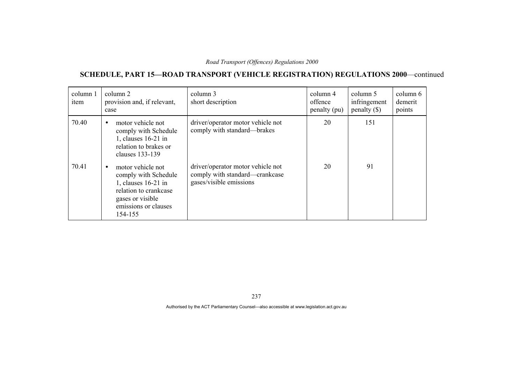# **SCHEDULE, PART 15—ROAD TRANSPORT (VEHICLE REGISTRATION) REGULATIONS 2000**—continued

| column 1<br>item | column 2<br>provision and, if relevant,<br>case                                                                                                  | column 3<br>short description                                                                  | column 4<br>offence<br>penalty (pu) | column 5<br>infringement<br>$penalty$ (\$) | column 6<br>demerit<br>points |
|------------------|--------------------------------------------------------------------------------------------------------------------------------------------------|------------------------------------------------------------------------------------------------|-------------------------------------|--------------------------------------------|-------------------------------|
| 70.40            | motor vehicle not<br>$\bullet$<br>comply with Schedule<br>1, clauses 16-21 in<br>relation to brakes or<br>clauses 133-139                        | driver/operator motor vehicle not<br>comply with standard—brakes                               | 20                                  | 151                                        |                               |
| 70.41            | motor vehicle not<br>comply with Schedule<br>1, clauses 16-21 in<br>relation to crankcase<br>gases or visible<br>emissions or clauses<br>154-155 | driver/operator motor vehicle not<br>comply with standard—crankcase<br>gases/visible emissions | 20                                  | 91                                         |                               |

237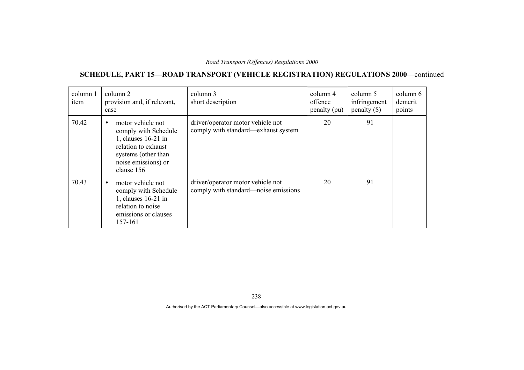# **SCHEDULE, PART 15—ROAD TRANSPORT (VEHICLE REGISTRATION) REGULATIONS 2000**—continued

| column 1<br>item | column 2<br>provision and, if relevant,<br>case                                                                                                                  | column 3<br>short description                                             | column 4<br>offence<br>penalty (pu) | column 5<br>infringement<br>penalty $(\$)$ | column 6<br>demerit<br>points |
|------------------|------------------------------------------------------------------------------------------------------------------------------------------------------------------|---------------------------------------------------------------------------|-------------------------------------|--------------------------------------------|-------------------------------|
| 70.42            | motor vehicle not<br>$\bullet$<br>comply with Schedule<br>1, clauses 16-21 in<br>relation to exhaust<br>systems (other than<br>noise emissions) or<br>clause 156 | driver/operator motor vehicle not<br>comply with standard—exhaust system  | 20                                  | 91                                         |                               |
| 70.43            | motor vehicle not<br>$\bullet$<br>comply with Schedule<br>1, clauses 16-21 in<br>relation to noise<br>emissions or clauses<br>157-161                            | driver/operator motor vehicle not<br>comply with standard—noise emissions | 20                                  | 91                                         |                               |

238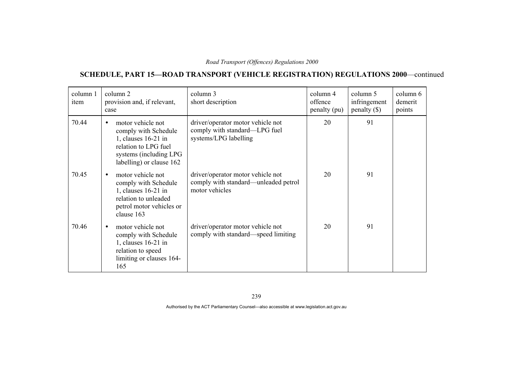# **SCHEDULE, PART 15—ROAD TRANSPORT (VEHICLE REGISTRATION) REGULATIONS 2000**—continued

| column 1<br>item | column 2<br>provision and, if relevant,<br>case                                                                                                               | column 3<br>short description                                                               | column 4<br>offence<br>penalty (pu) | column 5<br>infringement<br>$penalty$ (\$) | column 6<br>demerit<br>points |
|------------------|---------------------------------------------------------------------------------------------------------------------------------------------------------------|---------------------------------------------------------------------------------------------|-------------------------------------|--------------------------------------------|-------------------------------|
| 70.44            | motor vehicle not<br>$\bullet$<br>comply with Schedule<br>1, clauses $16-21$ in<br>relation to LPG fuel<br>systems (including LPG<br>labelling) or clause 162 | driver/operator motor vehicle not<br>comply with standard—LPG fuel<br>systems/LPG labelling | 20                                  | 91                                         |                               |
| 70.45            | motor vehicle not<br>$\bullet$<br>comply with Schedule<br>1, clauses 16-21 in<br>relation to unleaded<br>petrol motor vehicles or<br>clause 163               | driver/operator motor vehicle not<br>comply with standard—unleaded petrol<br>motor vehicles | 20                                  | 91                                         |                               |
| 70.46            | motor vehicle not<br>$\bullet$<br>comply with Schedule<br>1, clauses 16-21 in<br>relation to speed<br>limiting or clauses 164-<br>165                         | driver/operator motor vehicle not<br>comply with standard—speed limiting                    | 20                                  | 91                                         |                               |

239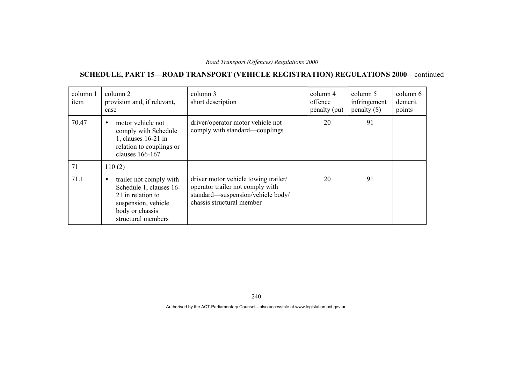### **SCHEDULE, PART 15—ROAD TRANSPORT (VEHICLE REGISTRATION) REGULATIONS 2000**—continued

| column 1<br>item | column 2<br>provision and, if relevant,<br>case                                                                                                      | column 3<br>short description                                                                                                              | column 4<br>offence<br>penalty (pu) | column 5<br>infringement<br>$penalty$ (\$) | column 6<br>demerit<br>points |
|------------------|------------------------------------------------------------------------------------------------------------------------------------------------------|--------------------------------------------------------------------------------------------------------------------------------------------|-------------------------------------|--------------------------------------------|-------------------------------|
| 70.47            | motor vehicle not<br>$\bullet$<br>comply with Schedule<br>1, clauses 16-21 in<br>relation to couplings or<br>clauses 166-167                         | driver/operator motor vehicle not<br>comply with standard—couplings                                                                        | 20                                  | 91                                         |                               |
| 71               | 110(2)                                                                                                                                               |                                                                                                                                            |                                     |                                            |                               |
| 71.1             | trailer not comply with<br>$\bullet$<br>Schedule 1, clauses 16-<br>21 in relation to<br>suspension, vehicle<br>body or chassis<br>structural members | driver motor vehicle towing trailer/<br>operator trailer not comply with<br>standard—suspension/vehicle body/<br>chassis structural member | 20                                  | 91                                         |                               |

240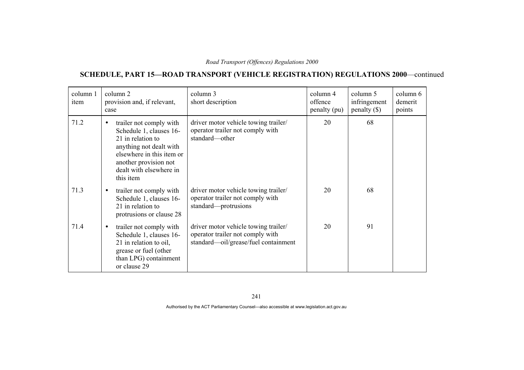# **SCHEDULE, PART 15—ROAD TRANSPORT (VEHICLE REGISTRATION) REGULATIONS 2000**—continued

| column 1<br>item | column 2<br>provision and, if relevant,<br>case                                                                                                                                                               | column 3<br>short description                                                                                    | column 4<br>offence<br>penalty (pu) | column 5<br>infringement<br>$penalty$ (\$) | column 6<br>demerit<br>points |
|------------------|---------------------------------------------------------------------------------------------------------------------------------------------------------------------------------------------------------------|------------------------------------------------------------------------------------------------------------------|-------------------------------------|--------------------------------------------|-------------------------------|
| 71.2             | trailer not comply with<br>$\bullet$<br>Schedule 1, clauses 16-<br>21 in relation to<br>anything not dealt with<br>elsewhere in this item or<br>another provision not<br>dealt with elsewhere in<br>this item | driver motor vehicle towing trailer/<br>operator trailer not comply with<br>standard-other                       | 20                                  | 68                                         |                               |
| 71.3             | trailer not comply with<br>$\bullet$<br>Schedule 1, clauses 16-<br>21 in relation to<br>protrusions or clause 28                                                                                              | driver motor vehicle towing trailer/<br>operator trailer not comply with<br>standard-protrusions                 | 20                                  | 68                                         |                               |
| 71.4             | trailer not comply with<br>$\bullet$<br>Schedule 1, clauses 16-<br>21 in relation to oil,<br>grease or fuel (other<br>than LPG) containment<br>or clause 29                                                   | driver motor vehicle towing trailer/<br>operator trailer not comply with<br>standard—oil/grease/fuel containment | 20                                  | 91                                         |                               |

241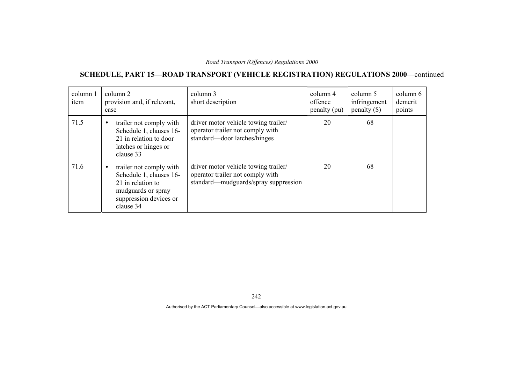# **SCHEDULE, PART 15—ROAD TRANSPORT (VEHICLE REGISTRATION) REGULATIONS 2000**—continued

| column 1<br>item | column 2<br>provision and, if relevant,<br>case                                                                                                   | column 3<br>short description                                                                                    | column 4<br>offence<br>penalty (pu) | column 5<br>infringement<br>$penalty$ (\$) | column 6<br>demerit<br>points |
|------------------|---------------------------------------------------------------------------------------------------------------------------------------------------|------------------------------------------------------------------------------------------------------------------|-------------------------------------|--------------------------------------------|-------------------------------|
| 71.5             | trailer not comply with<br>$\bullet$<br>Schedule 1, clauses 16-<br>21 in relation to door<br>latches or hinges or<br>clause 33                    | driver motor vehicle towing trailer/<br>operator trailer not comply with<br>standard—door latches/hinges         | 20                                  | 68                                         |                               |
| 71.6             | trailer not comply with<br>$\bullet$<br>Schedule 1, clauses 16-<br>21 in relation to<br>mudguards or spray<br>suppression devices or<br>clause 34 | driver motor vehicle towing trailer/<br>operator trailer not comply with<br>standard—mudguards/spray suppression | 20                                  | 68                                         |                               |

242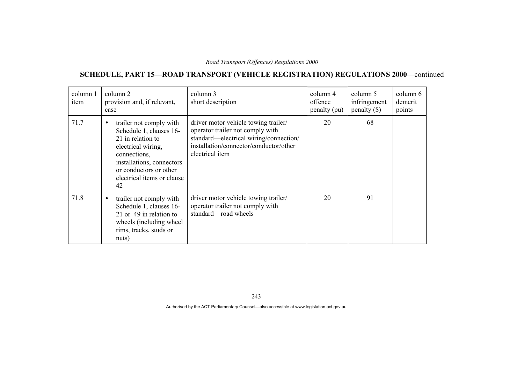# **SCHEDULE, PART 15—ROAD TRANSPORT (VEHICLE REGISTRATION) REGULATIONS 2000**—continued

| column 1<br>item | column 2<br>provision and, if relevant,<br>case                                                                                                                                                                       | column 3<br>short description                                                                                                                                                   | column 4<br>offence<br>penalty (pu) | column 5<br>infringement<br>$penalty$ (\$) | column 6<br>demerit<br>points |
|------------------|-----------------------------------------------------------------------------------------------------------------------------------------------------------------------------------------------------------------------|---------------------------------------------------------------------------------------------------------------------------------------------------------------------------------|-------------------------------------|--------------------------------------------|-------------------------------|
| 71.7             | trailer not comply with<br>$\bullet$<br>Schedule 1, clauses 16-<br>21 in relation to<br>electrical wiring,<br>connections,<br>installations, connectors<br>or conductors or other<br>electrical items or clause<br>42 | driver motor vehicle towing trailer/<br>operator trailer not comply with<br>standard—electrical wiring/connection/<br>installation/connector/conductor/other<br>electrical item | 20                                  | 68                                         |                               |
| 71.8             | trailer not comply with<br>$\bullet$<br>Schedule 1, clauses 16-<br>21 or 49 in relation to<br>wheels (including wheel)<br>rims, tracks, studs or<br>nuts)                                                             | driver motor vehicle towing trailer/<br>operator trailer not comply with<br>standard—road wheels                                                                                | 20                                  | 91                                         |                               |

243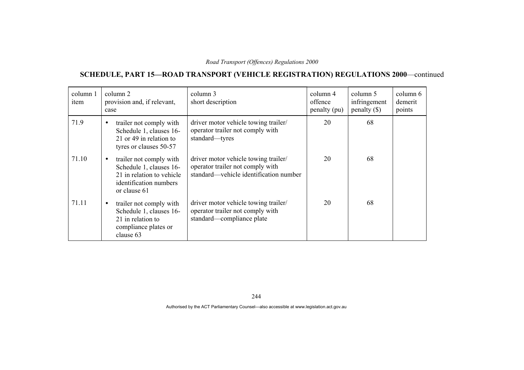# **SCHEDULE, PART 15—ROAD TRANSPORT (VEHICLE REGISTRATION) REGULATIONS 2000**—continued

| column 1<br>item | column 2<br>provision and, if relevant,<br>case                                                                                        | column 3<br>short description                                                                                      | column 4<br>offence<br>penalty (pu) | column 5<br>infringement<br>$penalty$ (\$) | column 6<br>demerit<br>points |
|------------------|----------------------------------------------------------------------------------------------------------------------------------------|--------------------------------------------------------------------------------------------------------------------|-------------------------------------|--------------------------------------------|-------------------------------|
| 71.9             | trailer not comply with<br>$\bullet$<br>Schedule 1, clauses 16-<br>21 or 49 in relation to<br>tyres or clauses 50-57                   | driver motor vehicle towing trailer/<br>operator trailer not comply with<br>standard-tyres                         | 20                                  | 68                                         |                               |
| 71.10            | trailer not comply with<br>$\bullet$<br>Schedule 1, clauses 16-<br>21 in relation to vehicle<br>identification numbers<br>or clause 61 | driver motor vehicle towing trailer/<br>operator trailer not comply with<br>standard—vehicle identification number | 20                                  | 68                                         |                               |
| 71.11            | trailer not comply with<br>$\bullet$<br>Schedule 1, clauses 16-<br>21 in relation to<br>compliance plates or<br>clause 63              | driver motor vehicle towing trailer/<br>operator trailer not comply with<br>standard—compliance plate              | 20                                  | 68                                         |                               |

244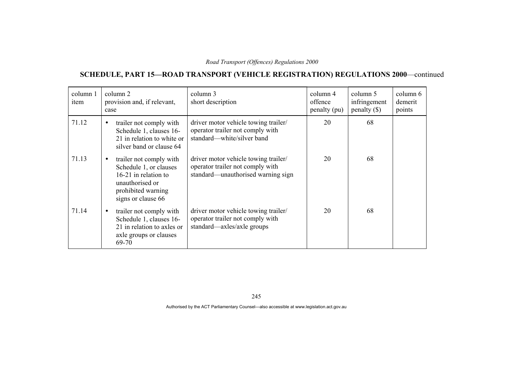# **SCHEDULE, PART 15—ROAD TRANSPORT (VEHICLE REGISTRATION) REGULATIONS 2000**—continued

| column 1<br>item | column 2<br>provision and, if relevant,<br>case                                                                                                       | column 3<br>short description                                                                                  | column 4<br>offence<br>penalty (pu) | column 5<br>infringement<br>penalty(S) | column 6<br>demerit<br>points |
|------------------|-------------------------------------------------------------------------------------------------------------------------------------------------------|----------------------------------------------------------------------------------------------------------------|-------------------------------------|----------------------------------------|-------------------------------|
| 71.12            | trailer not comply with<br>$\bullet$<br>Schedule 1, clauses 16-<br>21 in relation to white or<br>silver band or clause 64                             | driver motor vehicle towing trailer/<br>operator trailer not comply with<br>standard—white/silver band         | 20                                  | 68                                     |                               |
| 71.13            | trailer not comply with<br>$\bullet$<br>Schedule 1, or clauses<br>16-21 in relation to<br>unauthorised or<br>prohibited warning<br>signs or clause 66 | driver motor vehicle towing trailer/<br>operator trailer not comply with<br>standard—unauthorised warning sign | 20                                  | 68                                     |                               |
| 71.14            | trailer not comply with<br>$\bullet$<br>Schedule 1, clauses 16-<br>21 in relation to axles or<br>axle groups or clauses<br>69-70                      | driver motor vehicle towing trailer/<br>operator trailer not comply with<br>standard—axles/axle groups         | 20                                  | 68                                     |                               |

245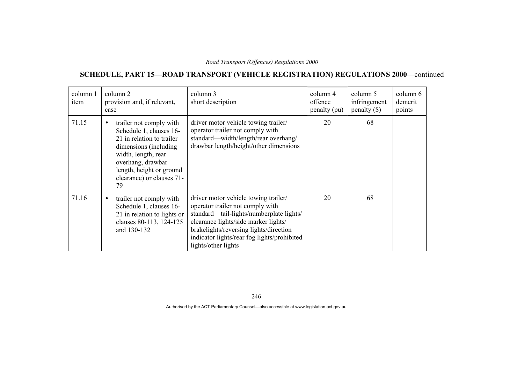# **SCHEDULE, PART 15—ROAD TRANSPORT (VEHICLE REGISTRATION) REGULATIONS 2000**—continued

| column 1<br>item | column 2<br>provision and, if relevant,<br>case                                                                                                                                                                                   | column 3<br>short description                                                                                                                                                                                                                                                | column 4<br>offence<br>penalty (pu) | column 5<br>infringement<br>$penalty$ (\$) | column 6<br>demerit<br>points |
|------------------|-----------------------------------------------------------------------------------------------------------------------------------------------------------------------------------------------------------------------------------|------------------------------------------------------------------------------------------------------------------------------------------------------------------------------------------------------------------------------------------------------------------------------|-------------------------------------|--------------------------------------------|-------------------------------|
| 71.15            | trailer not comply with<br>$\bullet$<br>Schedule 1, clauses 16-<br>21 in relation to trailer<br>dimensions (including)<br>width, length, rear<br>overhang, drawbar<br>length, height or ground<br>clearance) or clauses 71-<br>79 | driver motor vehicle towing trailer/<br>operator trailer not comply with<br>standard—width/length/rear overhang/<br>drawbar length/height/other dimensions                                                                                                                   | 20                                  | 68                                         |                               |
| 71.16            | trailer not comply with<br>$\bullet$<br>Schedule 1, clauses 16-<br>21 in relation to lights or<br>clauses 80-113, 124-125<br>and 130-132                                                                                          | driver motor vehicle towing trailer/<br>operator trailer not comply with<br>standard—tail-lights/numberplate lights/<br>clearance lights/side marker lights/<br>brakelights/reversing lights/direction<br>indicator lights/rear fog lights/prohibited<br>lights/other lights | 20                                  | 68                                         |                               |

246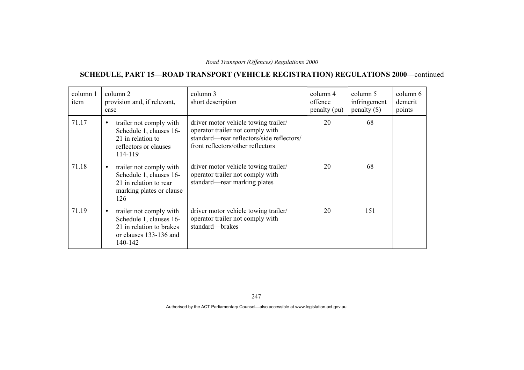# **SCHEDULE, PART 15—ROAD TRANSPORT (VEHICLE REGISTRATION) REGULATIONS 2000**—continued

| column 1<br>item | column 2<br>provision and, if relevant,<br>case                                                                                  | column 3<br>short description                                                                                                                              | column 4<br>offence<br>penalty (pu) | column 5<br>infringement<br>$penalty$ (\$) | column 6<br>demerit<br>points |
|------------------|----------------------------------------------------------------------------------------------------------------------------------|------------------------------------------------------------------------------------------------------------------------------------------------------------|-------------------------------------|--------------------------------------------|-------------------------------|
| 71.17            | trailer not comply with<br>$\bullet$<br>Schedule 1, clauses 16-<br>21 in relation to<br>reflectors or clauses<br>114-119         | driver motor vehicle towing trailer/<br>operator trailer not comply with<br>standard—rear reflectors/side reflectors/<br>front reflectors/other reflectors | 20                                  | 68                                         |                               |
| 71.18            | trailer not comply with<br>$\bullet$<br>Schedule 1, clauses 16-<br>21 in relation to rear<br>marking plates or clause<br>126     | driver motor vehicle towing trailer/<br>operator trailer not comply with<br>standard—rear marking plates                                                   | 20                                  | 68                                         |                               |
| 71.19            | trailer not comply with<br>$\bullet$<br>Schedule 1, clauses 16-<br>21 in relation to brakes<br>or clauses 133-136 and<br>140-142 | driver motor vehicle towing trailer/<br>operator trailer not comply with<br>standard-brakes                                                                | 20                                  | 151                                        |                               |

247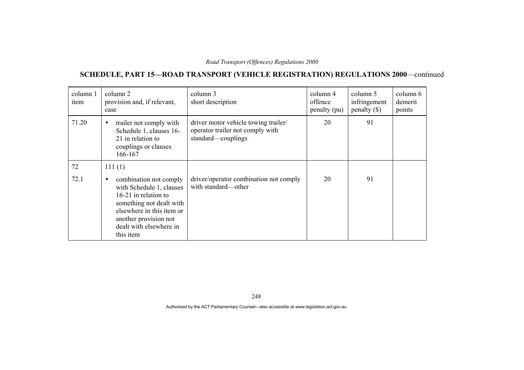# **SCHEDULE, PART 15—ROAD TRANSPORT (VEHICLE REGISTRATION) REGULATIONS 2000**—continued

| column 1<br>item | column 2<br>provision and, if relevant,<br>case                                                                                                                                                                   | column 3<br>short description                                                                  | column 4<br>offence<br>penalty (pu) | column 5<br>infringement<br>penalty $(\$)$ | column 6<br>demerit<br>points |
|------------------|-------------------------------------------------------------------------------------------------------------------------------------------------------------------------------------------------------------------|------------------------------------------------------------------------------------------------|-------------------------------------|--------------------------------------------|-------------------------------|
| 71.20            | trailer not comply with<br>$\bullet$<br>Schedule 1, clauses 16-<br>21 in relation to<br>couplings or clauses<br>166-167                                                                                           | driver motor vehicle towing trailer/<br>operator trailer not comply with<br>standard-couplings | 20                                  | 91                                         |                               |
| 72               | 111(1)                                                                                                                                                                                                            |                                                                                                |                                     |                                            |                               |
| 72.1             | combination not comply<br>$\bullet$<br>with Schedule 1, clauses<br>16-21 in relation to<br>something not dealt with<br>elsewhere in this item or<br>another provision not<br>dealt with elsewhere in<br>this item | driver/operator combination not comply<br>with standard—other                                  | 20                                  | 91                                         |                               |

248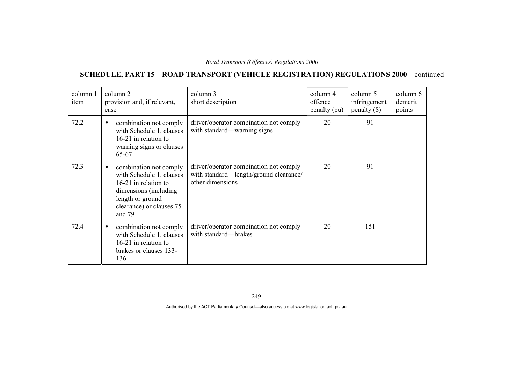# **SCHEDULE, PART 15—ROAD TRANSPORT (VEHICLE REGISTRATION) REGULATIONS 2000**—continued

| column 1<br>item | column 2<br>provision and, if relevant,<br>case                                                                                                                             | column 3<br>short description                                                                        | column 4<br>offence<br>penalty (pu) | column 5<br>infringement<br>$penalty$ (\$) | column 6<br>demerit<br>points |
|------------------|-----------------------------------------------------------------------------------------------------------------------------------------------------------------------------|------------------------------------------------------------------------------------------------------|-------------------------------------|--------------------------------------------|-------------------------------|
| 72.2             | combination not comply<br>$\bullet$<br>with Schedule 1, clauses<br>16-21 in relation to<br>warning signs or clauses<br>65-67                                                | driver/operator combination not comply<br>with standard—warning signs                                | 20                                  | 91                                         |                               |
| 72.3             | combination not comply<br>$\bullet$<br>with Schedule 1, clauses<br>16-21 in relation to<br>dimensions (including)<br>length or ground<br>clearance) or clauses 75<br>and 79 | driver/operator combination not comply<br>with standard—length/ground clearance/<br>other dimensions | 20                                  | 91                                         |                               |
| 72.4             | combination not comply<br>$\bullet$<br>with Schedule 1, clauses<br>16-21 in relation to<br>brakes or clauses 133-<br>136                                                    | driver/operator combination not comply<br>with standard-brakes                                       | 20                                  | 151                                        |                               |

249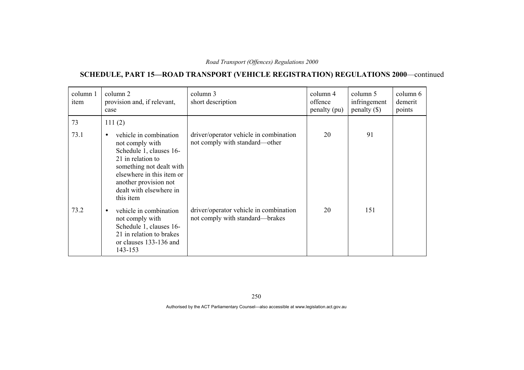# **SCHEDULE, PART 15—ROAD TRANSPORT (VEHICLE REGISTRATION) REGULATIONS 2000**—continued

| column 1<br>item | column 2<br>provision and, if relevant,<br>case                                                                                                                                                                                  | column 3<br>short description                                             | column 4<br>offence<br>penalty (pu) | column 5<br>infringement<br>$penalty$ (\$) | column 6<br>demerit<br>points |
|------------------|----------------------------------------------------------------------------------------------------------------------------------------------------------------------------------------------------------------------------------|---------------------------------------------------------------------------|-------------------------------------|--------------------------------------------|-------------------------------|
| 73               | 111(2)                                                                                                                                                                                                                           |                                                                           |                                     |                                            |                               |
| 73.1             | vehicle in combination<br>$\bullet$<br>not comply with<br>Schedule 1, clauses 16-<br>21 in relation to<br>something not dealt with<br>elsewhere in this item or<br>another provision not<br>dealt with elsewhere in<br>this item | driver/operator vehicle in combination<br>not comply with standard—other  | 20                                  | 91                                         |                               |
| 73.2             | vehicle in combination<br>$\bullet$<br>not comply with<br>Schedule 1, clauses 16-<br>21 in relation to brakes<br>or clauses 133-136 and<br>143-153                                                                               | driver/operator vehicle in combination<br>not comply with standard—brakes | 20                                  | 151                                        |                               |

250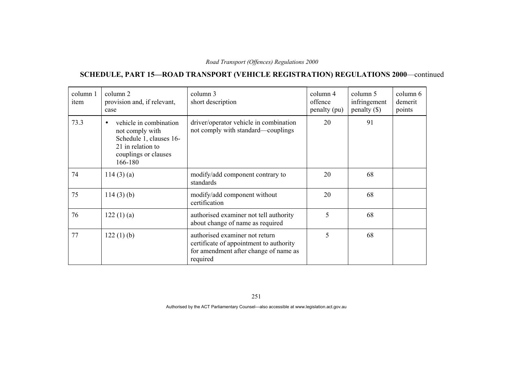# **SCHEDULE, PART 15—ROAD TRANSPORT (VEHICLE REGISTRATION) REGULATIONS 2000**—continued

| column 1<br>item | column 2<br>provision and, if relevant,<br>case                                                                                           | column 3<br>short description                                                                                                  | column 4<br>offence<br>penalty (pu) | column 5<br>infringement<br>$penalty$ (\$) | column 6<br>demerit<br>points |
|------------------|-------------------------------------------------------------------------------------------------------------------------------------------|--------------------------------------------------------------------------------------------------------------------------------|-------------------------------------|--------------------------------------------|-------------------------------|
| 73.3             | vehicle in combination<br>$\bullet$<br>not comply with<br>Schedule 1, clauses 16-<br>21 in relation to<br>couplings or clauses<br>166-180 | driver/operator vehicle in combination<br>not comply with standard—couplings                                                   | 20                                  | 91                                         |                               |
| 74               | 114(3)(a)                                                                                                                                 | modify/add component contrary to<br>standards                                                                                  | 20                                  | 68                                         |                               |
| 75               | $114(3)$ (b)                                                                                                                              | modify/add component without<br>certification                                                                                  | 20                                  | 68                                         |                               |
| 76               | 122(1)(a)                                                                                                                                 | authorised examiner not tell authority<br>about change of name as required                                                     | 5                                   | 68                                         |                               |
| 77               | 122(1)(b)                                                                                                                                 | authorised examiner not return<br>certificate of appointment to authority<br>for amendment after change of name as<br>required | 5                                   | 68                                         |                               |

251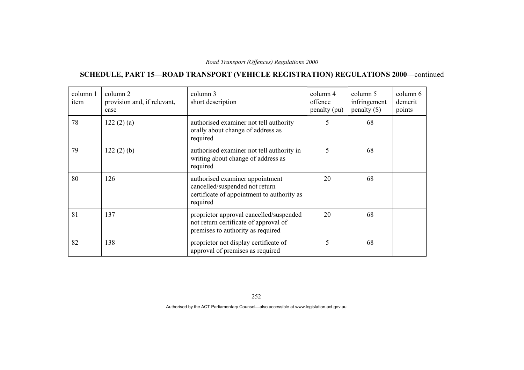# **SCHEDULE, PART 15—ROAD TRANSPORT (VEHICLE REGISTRATION) REGULATIONS 2000**—continued

| column 1<br>item | column 2<br>provision and, if relevant,<br>case | column 3<br>short description                                                                                               | column 4<br>offence<br>penalty (pu) | column 5<br>infringement<br>penalty $(\$)$ | column 6<br>demerit<br>points |
|------------------|-------------------------------------------------|-----------------------------------------------------------------------------------------------------------------------------|-------------------------------------|--------------------------------------------|-------------------------------|
| 78               | 122(2)(a)                                       | authorised examiner not tell authority<br>orally about change of address as<br>required                                     | 5                                   | 68                                         |                               |
| 79               | 122(2)(b)                                       | authorised examiner not tell authority in<br>writing about change of address as<br>required                                 | 5                                   | 68                                         |                               |
| 80               | 126                                             | authorised examiner appointment<br>cancelled/suspended not return<br>certificate of appointment to authority as<br>required | 20                                  | 68                                         |                               |
| 81               | 137                                             | proprietor approval cancelled/suspended<br>not return certificate of approval of<br>premises to authority as required       | 20                                  | 68                                         |                               |
| 82               | 138                                             | proprietor not display certificate of<br>approval of premises as required                                                   | 5                                   | 68                                         |                               |

252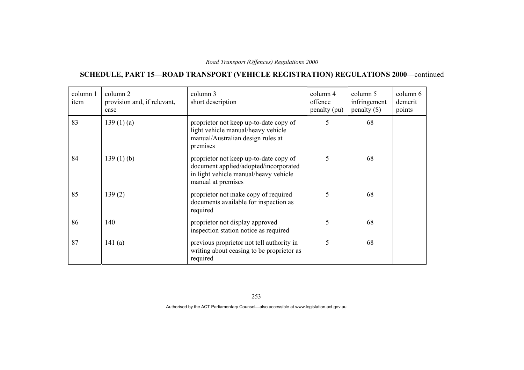# **SCHEDULE, PART 15—ROAD TRANSPORT (VEHICLE REGISTRATION) REGULATIONS 2000**—continued

| column 1<br>item | column 2<br>provision and, if relevant,<br>case | column 3<br>short description                                                                                                                  | column 4<br>offence<br>penalty (pu) | column 5<br>infringement<br>$penalty$ (\$) | column 6<br>demerit<br>points |
|------------------|-------------------------------------------------|------------------------------------------------------------------------------------------------------------------------------------------------|-------------------------------------|--------------------------------------------|-------------------------------|
| 83               | 139(1)(a)                                       | proprietor not keep up-to-date copy of<br>light vehicle manual/heavy vehicle<br>manual/Australian design rules at<br>premises                  | 5                                   | 68                                         |                               |
| 84               | $139(1)$ (b)                                    | proprietor not keep up-to-date copy of<br>document applied/adopted/incorporated<br>in light vehicle manual/heavy vehicle<br>manual at premises | 5                                   | 68                                         |                               |
| 85               | 139(2)                                          | proprietor not make copy of required<br>documents available for inspection as<br>required                                                      | 5                                   | 68                                         |                               |
| 86               | 140                                             | proprietor not display approved<br>inspection station notice as required                                                                       | $\varsigma$                         | 68                                         |                               |
| 87               | 141 $(a)$                                       | previous proprietor not tell authority in<br>writing about ceasing to be proprietor as<br>required                                             | 5                                   | 68                                         |                               |

253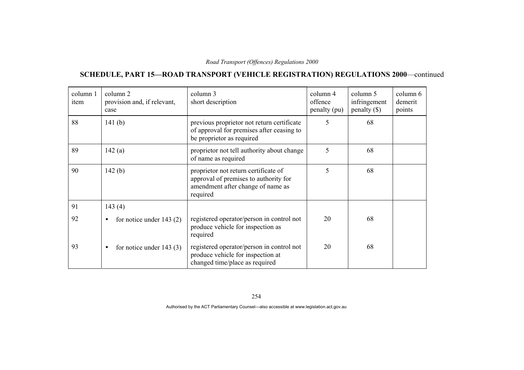# **SCHEDULE, PART 15—ROAD TRANSPORT (VEHICLE REGISTRATION) REGULATIONS 2000**—continued

| column 1<br>item | column 2<br>provision and, if relevant,<br>case | column 3<br>short description                                                                                                  | column 4<br>offence<br>penalty (pu) | column 5<br>infringement<br>$penalty$ (\$) | column 6<br>demerit<br>points |
|------------------|-------------------------------------------------|--------------------------------------------------------------------------------------------------------------------------------|-------------------------------------|--------------------------------------------|-------------------------------|
| 88               | 141 $(b)$                                       | previous proprietor not return certificate<br>of approval for premises after ceasing to<br>be proprietor as required           | 5                                   | 68                                         |                               |
| 89               | 142(a)                                          | proprietor not tell authority about change<br>of name as required                                                              | 5                                   | 68                                         |                               |
| 90               | 142(b)                                          | proprietor not return certificate of<br>approval of premises to authority for<br>amendment after change of name as<br>required | 5                                   | 68                                         |                               |
| 91               | 143(4)                                          |                                                                                                                                |                                     |                                            |                               |
| 92               | for notice under $143(2)$<br>$\bullet$          | registered operator/person in control not<br>produce vehicle for inspection as<br>required                                     | 20                                  | 68                                         |                               |
| 93               | for notice under $143(3)$<br>$\bullet$          | registered operator/person in control not<br>produce vehicle for inspection at<br>changed time/place as required               | 20                                  | 68                                         |                               |

254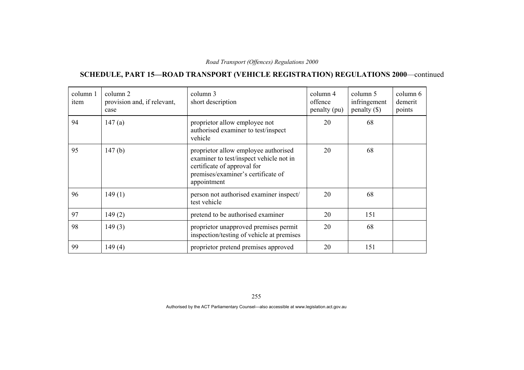# **SCHEDULE, PART 15—ROAD TRANSPORT (VEHICLE REGISTRATION) REGULATIONS 2000**—continued

| column 1<br>item | column 2<br>provision and, if relevant,<br>case | column 3<br>short description                                                                                                                                       | column 4<br>offence<br>penalty (pu) | column 5<br>infringement<br>$penalty$ (\$) | column 6<br>demerit<br>points |
|------------------|-------------------------------------------------|---------------------------------------------------------------------------------------------------------------------------------------------------------------------|-------------------------------------|--------------------------------------------|-------------------------------|
| 94               | 147(a)                                          | proprietor allow employee not<br>authorised examiner to test/inspect<br>vehicle                                                                                     | 20                                  | 68                                         |                               |
| 95               | 147(b)                                          | proprietor allow employee authorised<br>examiner to test/inspect vehicle not in<br>certificate of approval for<br>premises/examiner's certificate of<br>appointment | 20                                  | 68                                         |                               |
| 96               | 149(1)                                          | person not authorised examiner inspect/<br>test vehicle                                                                                                             | 20                                  | 68                                         |                               |
| 97               | 149(2)                                          | pretend to be authorised examiner                                                                                                                                   | 20                                  | 151                                        |                               |
| 98               | 149(3)                                          | proprietor unapproved premises permit<br>inspection/testing of vehicle at premises                                                                                  | 20                                  | 68                                         |                               |
| 99               | 149(4)                                          | proprietor pretend premises approved                                                                                                                                | 20                                  | 151                                        |                               |

255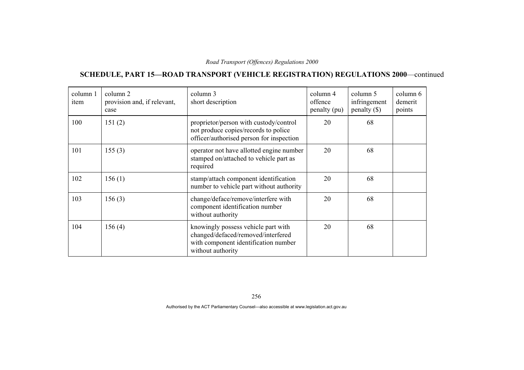# **SCHEDULE, PART 15—ROAD TRANSPORT (VEHICLE REGISTRATION) REGULATIONS 2000**—continued

| column 1<br>item | column 2<br>provision and, if relevant,<br>case | column 3<br>short description                                                                                                          | column 4<br>offence<br>penalty (pu) | column 5<br>infringement<br>penalty $(\$)$ | column 6<br>demerit<br>points |
|------------------|-------------------------------------------------|----------------------------------------------------------------------------------------------------------------------------------------|-------------------------------------|--------------------------------------------|-------------------------------|
| 100              | 151(2)                                          | proprietor/person with custody/control<br>not produce copies/records to police<br>officer/authorised person for inspection             | 20                                  | 68                                         |                               |
| 101              | 155(3)                                          | operator not have allotted engine number<br>stamped on/attached to vehicle part as<br>required                                         | 20                                  | 68                                         |                               |
| 102              | 156(1)                                          | stamp/attach component identification<br>number to vehicle part without authority                                                      | 20                                  | 68                                         |                               |
| 103              | 156(3)                                          | change/deface/remove/interfere with<br>component identification number<br>without authority                                            | 20                                  | 68                                         |                               |
| 104              | 156(4)                                          | knowingly possess vehicle part with<br>changed/defaced/removed/interfered<br>with component identification number<br>without authority | 20                                  | 68                                         |                               |

256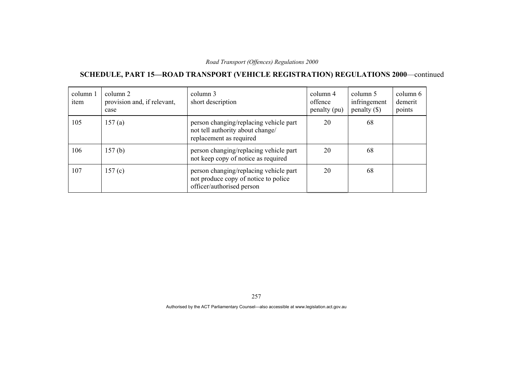# **SCHEDULE, PART 15—ROAD TRANSPORT (VEHICLE REGISTRATION) REGULATIONS 2000**—continued

| column 1<br>item | column 2<br>provision and, if relevant,<br>case | column 3<br>short description                                                                               | column 4<br>offence<br>penalty (pu) | column 5<br>infringement<br>penalty $(\$)$ | column 6<br>demerit<br>points |
|------------------|-------------------------------------------------|-------------------------------------------------------------------------------------------------------------|-------------------------------------|--------------------------------------------|-------------------------------|
| 105              | 157(a)                                          | person changing/replacing vehicle part<br>not tell authority about change/<br>replacement as required       | 20                                  | 68                                         |                               |
| 106              | 157(b)                                          | person changing/replacing vehicle part<br>not keep copy of notice as required                               | 20                                  | 68                                         |                               |
| 107              | 157(c)                                          | person changing/replacing vehicle part<br>not produce copy of notice to police<br>officer/authorised person | 20                                  | 68                                         |                               |

257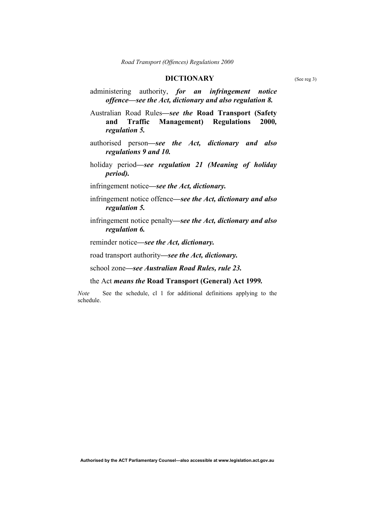### **DICTIONARY** (See reg 3)

administering authority, *for an infringement notice offence—see the Act, dictionary and also regulation 8.* 

Australian Road Rules*—see the* **Road Transport (Safety and Traffic Management) Regulations 2000***, regulation 5.*

- authorised person*—see the Act, dictionary and also regulations 9 and 10.*
- holiday period*—see regulation 21 (Meaning of holiday period).*
- infringement notice*—see the Act, dictionary.*
- infringement notice offence*—see the Act, dictionary and also regulation 5.*
- infringement notice penalty*—see the Act, dictionary and also regulation 6.*

reminder notice*—see the Act, dictionary.* 

road transport authority*—see the Act, dictionary.*

school zone*—see Australian Road Rules, rule 23.*

#### the Act *means the* **Road Transport (General) Act 1999***.*

*Note* See the schedule, cl 1 for additional definitions applying to the schedule.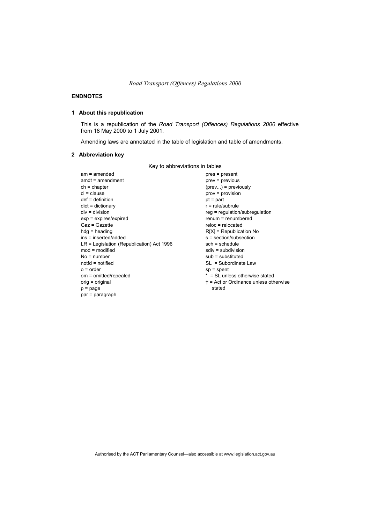#### **ENDNOTES**

### **1 About this republication**

This is a republication of the *Road Transport (Offences) Regulations 2000* effective from 18 May 2000 to 1 July 2001.

Amending laws are annotated in the table of legislation and table of amendments.

### **2 Abbreviation key**

Key to abbreviations in tables

| $am = amended$                              |
|---------------------------------------------|
| $amdt = amendment$                          |
| $ch = chapter$                              |
| $cl = clause$                               |
| def = definition                            |
| $dict = dictionary$                         |
| div = division                              |
| $exp = expires/expired$                     |
| Gaz = Gazette                               |
| $hda =$ heading                             |
| ins = inserted/added                        |
| $LR =$ Legislation (Republication) Act 1996 |
| $mod =$ modified                            |
| No = number                                 |
| notfd = notified                            |
| $o = order$                                 |
| om = omitted/repealed                       |
| orig = original                             |
| $p = page$                                  |
| par = paragraph                             |
|                                             |

pres = present  $prev = previous$  $(prev...)=$  previously prov = provision pt = part r = rule/subrule reg = regulation/subregulation renum = renumbered reloc = relocated R[X] = Republication No s = section/subsection sch = schedule sdiv = subdivision sub = substituted SL = Subordinate Law sp = spent \* = SL unless otherwise stated † = Act or Ordinance unless otherwise stated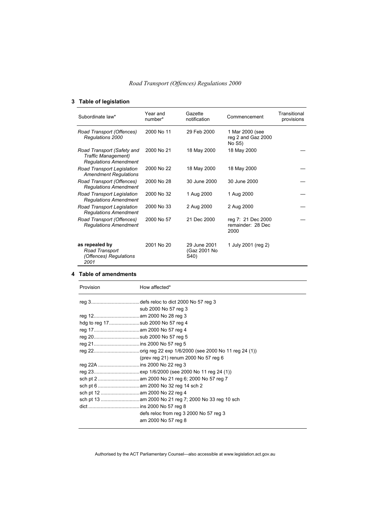### **3 Table of legislation**

| Subordinate law*                                                                  | Year and<br>number* | Gazette<br>notification              | Commencement                                    | Transitional<br>provisions |
|-----------------------------------------------------------------------------------|---------------------|--------------------------------------|-------------------------------------------------|----------------------------|
| Road Transport (Offences)<br>Regulations 2000                                     | 2000 No 11          | 29 Feb 2000                          | 1 Mar 2000 (see<br>reg 2 and Gaz 2000<br>No S5) |                            |
| Road Transport (Safety and<br>Traffic Management)<br><b>Regulations Amendment</b> | 2000 No 21          | 18 May 2000                          | 18 May 2000                                     |                            |
| Road Transport Legislation<br><b>Amendment Regulations</b>                        | 2000 No 22          | 18 May 2000                          | 18 May 2000                                     |                            |
| Road Transport (Offences)<br><b>Regulations Amendment</b>                         | 2000 No 28          | 30 June 2000                         | 30 June 2000                                    |                            |
| Road Transport Legislation<br><b>Requlations Amendment</b>                        | 2000 No 32          | 1 Aug 2000                           | 1 Aug 2000                                      |                            |
| Road Transport Legislation<br><b>Regulations Amendment</b>                        | 2000 No 33          | 2 Aug 2000                           | 2 Aug 2000                                      |                            |
| Road Transport (Offences)<br><b>Regulations Amendment</b>                         | 2000 No 57          | 21 Dec 2000                          | reg 7: 21 Dec 2000<br>remainder: 28 Dec<br>2000 |                            |
| as repealed by<br>Road Transport<br>(Offences) Regulations<br>2001                | 2001 No 20          | 29 June 2001<br>(Gaz 2001 No<br>S40) | 1 July 2001 (reg 2)                             |                            |

#### **4 Table of amendments**

| Provision | How affected*                          |  |
|-----------|----------------------------------------|--|
|           |                                        |  |
|           | sub 2000 No 57 reg 3                   |  |
|           |                                        |  |
|           | hdg to reg 17sub 2000 No 57 reg 4      |  |
|           |                                        |  |
|           | reg 20sub 2000 No 57 reg 5             |  |
|           |                                        |  |
|           |                                        |  |
|           | (prev reg 21) renum 2000 No 57 reg 6   |  |
|           |                                        |  |
|           |                                        |  |
|           |                                        |  |
|           |                                        |  |
|           |                                        |  |
|           |                                        |  |
|           |                                        |  |
|           | defs reloc from reg 3 2000 No 57 reg 3 |  |
|           | am 2000 No 57 reg 8                    |  |
|           |                                        |  |